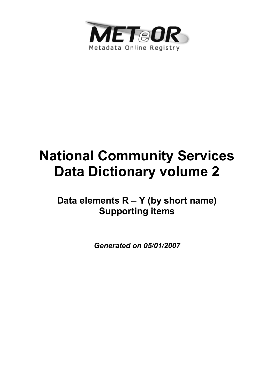

# **National Community Services Data Dictionary volume 2**

**Data elements R – Y (by short name) Supporting items**

*Generated on 05/01/2007*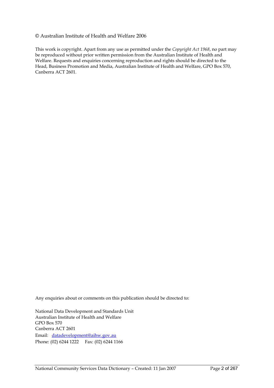#### © Australian Institute of Health and Welfare 2006

This work is copyright. Apart from any use as permitted under the *Copyright Act 1968*, no part may be reproduced without prior written permission from the Australian Institute of Health and Welfare. Requests and enquiries concerning reproduction and rights should be directed to the Head, Business Promotion and Media, Australian Institute of Health and Welfare, GPO Box 570, Canberra ACT 2601.

Any enquiries about or comments on this publication should be directed to:

National Data Development and Standards Unit Australian Institute of Health and Welfare GPO Box 570 Canberra ACT 2601 Email: datadevelopment@aihw.gov.au Phone: (02) 6244 1222 Fax: (02) 6244 1166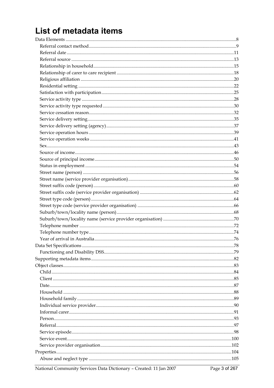## List of metadata items

National Community Services Data Dictionary - Created: 11 Jan 2007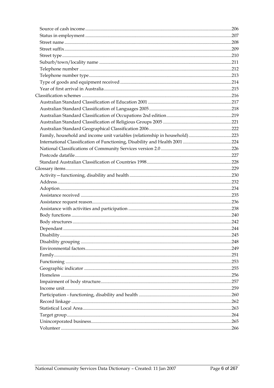| Family, household and income unit variables (relationship in household)223 |  |
|----------------------------------------------------------------------------|--|
|                                                                            |  |
|                                                                            |  |
|                                                                            |  |
|                                                                            |  |
|                                                                            |  |
|                                                                            |  |
|                                                                            |  |
|                                                                            |  |
|                                                                            |  |
|                                                                            |  |
|                                                                            |  |
|                                                                            |  |
|                                                                            |  |
|                                                                            |  |
|                                                                            |  |
|                                                                            |  |
|                                                                            |  |
|                                                                            |  |
|                                                                            |  |
|                                                                            |  |
|                                                                            |  |
|                                                                            |  |
|                                                                            |  |
|                                                                            |  |
|                                                                            |  |
|                                                                            |  |
|                                                                            |  |
|                                                                            |  |
|                                                                            |  |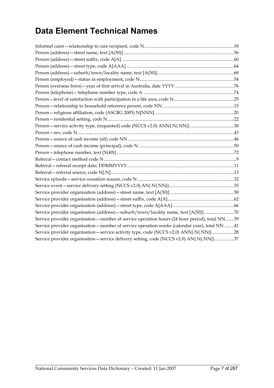### **Data Element Technical Names**

| Service provider organisation (address) - suburb/town/locality name, text [A(50)]70             |  |
|-------------------------------------------------------------------------------------------------|--|
| Service provider organisation - number of service operation hours (24 hour period), total NN 39 |  |
| Service provider organisation - number of service operation weeks (calendar year), total NN 41  |  |
| Service provider organisation - service activity type, code (NCCS v2.0) ANN{.N{.NN}}28          |  |
| Service provider organisation - service delivery setting, code (NCCS v2.0) AN{.N{.NN}}37        |  |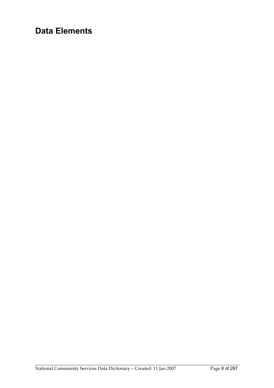### **Data Elements**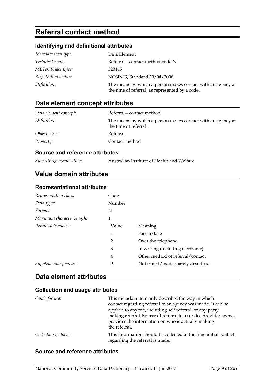### **Referral contact method**

### **Identifying and definitional attributes**

| Metadata item type:  | Data Element                                                                                                   |
|----------------------|----------------------------------------------------------------------------------------------------------------|
| Technical name:      | Referral – contact method code N                                                                               |
| METeOR identifier:   | 323145                                                                                                         |
| Registration status: | NCSIMG, Standard 29/04/2006                                                                                    |
| Definition:          | The means by which a person makes contact with an agency at<br>the time of referral, as represented by a code. |

### **Data element concept attributes**

| Data element concept: | Referral-contact method                                                              |
|-----------------------|--------------------------------------------------------------------------------------|
| Definition:           | The means by which a person makes contact with an agency at<br>the time of referral. |
| Object class:         | Referral                                                                             |
| <i>Property:</i>      | Contact method                                                                       |

#### **Source and reference attributes**

*Submitting organisation:* Australian Institute of Health and Welfare

### **Value domain attributes**

### **Representational attributes**

| Representation class:     | Code           |                                   |
|---------------------------|----------------|-----------------------------------|
| Data type:                | Number         |                                   |
| Format:                   | N              |                                   |
| Maximum character length: | 1              |                                   |
| Permissible values:       | Value          | Meaning                           |
|                           | 1              | Face to face                      |
|                           | $\overline{2}$ | Over the telephone                |
|                           | 3              | In writing (including electronic) |
|                           | 4              | Other method of referral/contact  |
| Supplementary values:     | 9              | Not stated/inadequately described |

### **Data element attributes**

#### **Collection and usage attributes**

| Guide for use:      | This metadata item only describes the way in which<br>contact regarding referral to an agency was made. It can be<br>applied to anyone, including self referral, or any party<br>making referral. Source of referral to a service provider agency<br>provides the information on who is actually making |
|---------------------|---------------------------------------------------------------------------------------------------------------------------------------------------------------------------------------------------------------------------------------------------------------------------------------------------------|
|                     | the referral.                                                                                                                                                                                                                                                                                           |
| Collection methods: | This information should be collected at the time initial contact<br>regarding the referral is made.                                                                                                                                                                                                     |

#### **Source and reference attributes**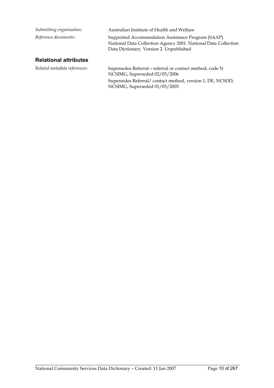| Submitting organisation:     | Australian Institute of Health and Welfare                                                                                                                     |
|------------------------------|----------------------------------------------------------------------------------------------------------------------------------------------------------------|
| Reference documents:         | Supported Accommodation Assistance Program (SAAP)<br>National Data Collection Agency 2001. National Data Collection<br>Data Dictionary. Version 2. Unpublished |
| <b>Relational attributes</b> |                                                                                                                                                                |
| Related metadata references: | Supersedes Referral – referral or contact method, code N<br>NCSIMG, Superseded 02/05/2006                                                                      |

NCSIMG, Superseded 01/03/2005

Supersedes Referral/ contact method, version 1, DE, NCSDD,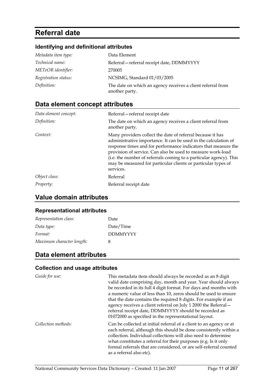### **Referral date**

### **Identifying and definitional attributes**

| Metadata item type:  | Data Element                                                                  |
|----------------------|-------------------------------------------------------------------------------|
| Technical name:      | Referral-referral receipt date, DDMMYYYY                                      |
| METeOR identifier:   | 270005                                                                        |
| Registration status: | NCSIMG, Standard 01/03/2005                                                   |
| Definition:          | The date on which an agency receives a client referral from<br>another party. |

### **Data element concept attributes**

| Data element concept: | Referral - referral receipt date                                                                                                                                                                                                                                                                                                                                                                                   |
|-----------------------|--------------------------------------------------------------------------------------------------------------------------------------------------------------------------------------------------------------------------------------------------------------------------------------------------------------------------------------------------------------------------------------------------------------------|
| Definition:           | The date on which an agency receives a client referral from<br>another party.                                                                                                                                                                                                                                                                                                                                      |
| Context:              | Many providers collect the date of referral because it has<br>administrative importance. It can be used in the calculation of<br>response times and for performance indicators that measure the<br>provision of service. Can also be used to measure work-load<br>(i.e. the number of referrals coming to a particular agency). This<br>may be measured for particular clients or particular types of<br>services. |
| Object class:         | Referral                                                                                                                                                                                                                                                                                                                                                                                                           |
| Property:             | Referral receipt date                                                                                                                                                                                                                                                                                                                                                                                              |

### **Value domain attributes**

### **Representational attributes**

| Representation class:     | Date            |
|---------------------------|-----------------|
| Data type:                | Date/Time       |
| Format:                   | <b>DDMMYYYY</b> |
| Maximum character length: | x               |

### **Data element attributes**

| Guide for use:      | This metadata item should always be recorded as an 8 digit<br>valid date comprising day, month and year. Year should always<br>be recorded in its full 4 digit format. For days and months with<br>a numeric value of less than 10, zeros should be used to ensure<br>that the date contains the required 8 digits. For example if an<br>agency receives a client referral on July 1 2000 the Referral-<br>referral receipt date, DDMMYYYY should be recorded as<br>01072000 as specified in the representational layout. |
|---------------------|---------------------------------------------------------------------------------------------------------------------------------------------------------------------------------------------------------------------------------------------------------------------------------------------------------------------------------------------------------------------------------------------------------------------------------------------------------------------------------------------------------------------------|
| Collection methods: | Can be collected at initial referral of a client to an agency or at<br>each referral, although this should be done consistently within a<br>collection. Individual collections will also need to determine<br>what constitutes a referral for their purposes (e.g. Is it only<br>formal referrals that are considered, or are self-referral counted<br>as a referral also etc).                                                                                                                                           |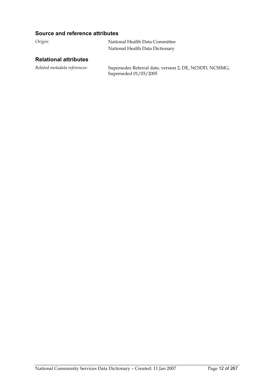### **Source and reference attributes**

| Origin: | National Health Data Committee  |
|---------|---------------------------------|
|         | National Health Data Dictionary |

### **Relational attributes**

*Related metadata references:* Supersedes Referral date, version 2, DE, NCSDD, NCSIMG, Superseded 01/03/2005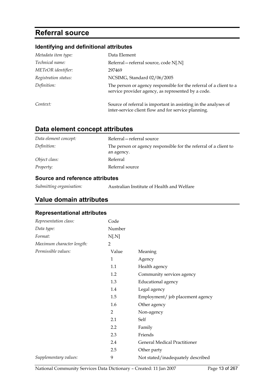### **Referral source**

### **Identifying and definitional attributes**

| Metadata item type:  | Data Element                                                                                                             |
|----------------------|--------------------------------------------------------------------------------------------------------------------------|
| Technical name:      | Referral – referral source, code N[.N]                                                                                   |
| METeOR identifier:   | 297469                                                                                                                   |
| Registration status: | NCSIMG, Standard 02/06/2005                                                                                              |
| Definition:          | The person or agency responsible for the referral of a client to a<br>service provider agency, as represented by a code. |
| Context:             | Source of referral is important in assisting in the analyses of<br>inter-service client flow and for service planning.   |

### **Data element concept attributes**

| Data element concept: | Referral – referral source                                                     |
|-----------------------|--------------------------------------------------------------------------------|
| Definition:           | The person or agency responsible for the referral of a client to<br>an agency. |
| Object class:         | Referral                                                                       |
| Property:             | Referral source                                                                |

### **Source and reference attributes**

| Submitting organisation: | Australian Institute of Health and Welfare |
|--------------------------|--------------------------------------------|
|                          |                                            |

### **Value domain attributes**

### **Representational attributes**

| Representation class:     | Code           |                                     |
|---------------------------|----------------|-------------------------------------|
| Data type:                | Number         |                                     |
| Format:                   | N[.N]          |                                     |
| Maximum character length: | $\overline{2}$ |                                     |
| Permissible values:       | Value          | Meaning                             |
|                           | 1              | Agency                              |
|                           | 1.1            | Health agency                       |
|                           | 1.2            | Community services agency           |
|                           | 1.3            | Educational agency                  |
|                           | 1.4            | Legal agency                        |
|                           | 1.5            | Employment/job placement agency     |
|                           | 1.6            | Other agency                        |
|                           | $\overline{2}$ | Non-agency                          |
|                           | 2.1            | Self                                |
|                           | $2.2\,$        | Family                              |
|                           | 2.3            | Friends                             |
|                           | 2.4            | <b>General Medical Practitioner</b> |
|                           | 2.5            | Other party                         |
| Supplementary values:     | 9              | Not stated/inadequately described   |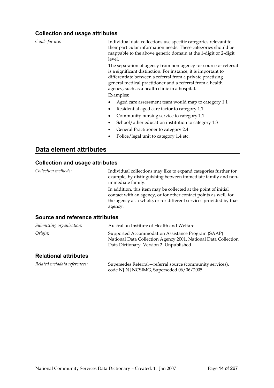### **Collection and usage attributes**

| Guide for use:                         | Individual data collections use specific categories relevant to<br>their particular information needs. These categories should be<br>mappable to the above generic domain at the 1-digit or 2-digit<br>level.                                                                                                  |  |  |  |
|----------------------------------------|----------------------------------------------------------------------------------------------------------------------------------------------------------------------------------------------------------------------------------------------------------------------------------------------------------------|--|--|--|
|                                        | The separation of agency from non-agency for source of referral<br>is a significant distinction. For instance, it is important to<br>differentiate between a referral from a private practising<br>general medical practitioner and a referral from a health<br>agency, such as a health clinic in a hospital. |  |  |  |
|                                        | Examples:                                                                                                                                                                                                                                                                                                      |  |  |  |
|                                        | Aged care assessment team would map to category 1.1                                                                                                                                                                                                                                                            |  |  |  |
|                                        | Residential aged care factor to category 1.1                                                                                                                                                                                                                                                                   |  |  |  |
|                                        | Community nursing service to category 1.1<br>٠                                                                                                                                                                                                                                                                 |  |  |  |
|                                        | School/other education institution to category 1.3<br>٠                                                                                                                                                                                                                                                        |  |  |  |
|                                        | General Practitioner to category 2.4                                                                                                                                                                                                                                                                           |  |  |  |
|                                        | Police/legal unit to category 1.4 etc.                                                                                                                                                                                                                                                                         |  |  |  |
| Data element attributes                |                                                                                                                                                                                                                                                                                                                |  |  |  |
| <b>Collection and usage attributes</b> |                                                                                                                                                                                                                                                                                                                |  |  |  |
| Collection methods:                    | Individual collections may like to expand categories further for<br>example, by distinguishing between immediate family and non-<br>immediate family.                                                                                                                                                          |  |  |  |
|                                        | In addition, this item may be collected at the point of initial<br>contact with an agency, or for other contact points as well, for<br>the agency as a whole, or for different services provided by that<br>agency.                                                                                            |  |  |  |
| Source and reference attributes        |                                                                                                                                                                                                                                                                                                                |  |  |  |
| $C1$ chuitting and quigation.          | Australian Institute of Health and Welfare                                                                                                                                                                                                                                                                     |  |  |  |

| Submitting organisation: | Australian Institute of Health and Welfare                                                                                                                     |
|--------------------------|----------------------------------------------------------------------------------------------------------------------------------------------------------------|
| Origin:                  | Supported Accommodation Assistance Program (SAAP)<br>National Data Collection Agency 2001. National Data Collection<br>Data Dictionary. Version 2. Unpublished |

### **Relational attributes**

*Related metadata references:* Supersedes Referral—referral source (community services), code N[.N] NCSIMG, Superseded 06/06/2005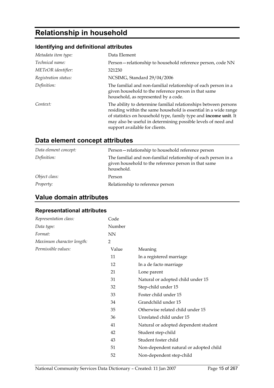### **Relationship in household**

### **Identifying and definitional attributes**

| Metadata item type:    | Data Element                                                                                                                                                                                                                                                                                              |
|------------------------|-----------------------------------------------------------------------------------------------------------------------------------------------------------------------------------------------------------------------------------------------------------------------------------------------------------|
| <i>Technical name:</i> | Person-relationship to household reference person, code NN                                                                                                                                                                                                                                                |
| METeOR identifier:     | 321230                                                                                                                                                                                                                                                                                                    |
| Registration status:   | NCSIMG, Standard 29/04/2006                                                                                                                                                                                                                                                                               |
| Definition:            | The familial and non-familial relationship of each person in a<br>given household to the reference person in that same<br>household, as represented by a code.                                                                                                                                            |
| Context:               | The ability to determine familial relationships between persons<br>residing within the same household is essential in a wide range<br>of statistics on household type, family type and income unit. It<br>may also be useful in determining possible levels of need and<br>support available for clients. |

### **Data element concept attributes**

| Data element concept: | Person-relationship to household reference person                                                                                    |
|-----------------------|--------------------------------------------------------------------------------------------------------------------------------------|
| Definition:           | The familial and non-familial relationship of each person in a<br>given household to the reference person in that same<br>household. |
| Object class:         | Person                                                                                                                               |
| Property:             | Relationship to reference person                                                                                                     |

### **Value domain attributes**

### **Representational attributes**

| Representation class:     | Code      |                                        |
|---------------------------|-----------|----------------------------------------|
| Data type:                | Number    |                                        |
| Format:                   | <b>NN</b> |                                        |
| Maximum character length: | 2         |                                        |
| Permissible values:       | Value     | Meaning                                |
|                           | 11        | In a registered marriage               |
|                           | 12        | In a de facto marriage                 |
|                           | 21        | Lone parent                            |
|                           | 31        | Natural or adopted child under 15      |
|                           | 32        | Step-child under 15                    |
|                           | 33        | Foster child under 15                  |
|                           | 34        | Grandchild under 15                    |
|                           | 35        | Otherwise related child under 15       |
|                           | 36        | Unrelated child under 15               |
|                           | 41        | Natural or adopted dependent student   |
|                           | 42        | Student step-child                     |
|                           | 43        | Student foster child                   |
|                           | 51        | Non-dependent natural or adopted child |
|                           | 52        | Non-dependent step-child               |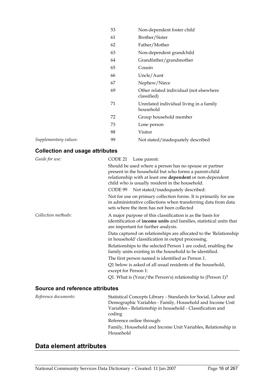|                       | 53 | Non-dependent foster child                             |
|-----------------------|----|--------------------------------------------------------|
|                       | 61 | Brother/Sister                                         |
|                       | 62 | Father/Mother                                          |
|                       | 63 | Non-dependent grandchild                               |
|                       | 64 | Grandfather/grandmother                                |
|                       | 65 | Cousin                                                 |
|                       | 66 | Uncle/Aunt                                             |
|                       | 67 | Nephew/Niece                                           |
|                       | 69 | Other related individual (not elsewhere<br>classified) |
|                       | 71 | Unrelated individual living in a family<br>household   |
|                       | 72 | Group household member                                 |
|                       | 73 | Lone person                                            |
|                       | 88 | Visitor                                                |
| Supplementary values: | 99 | Not stated/inadequately described                      |

### **Collection and usage attributes**

| Guide for use:                         | CODE 21 Lone parent:                                                                                                                                                                                                                                                             |
|----------------------------------------|----------------------------------------------------------------------------------------------------------------------------------------------------------------------------------------------------------------------------------------------------------------------------------|
|                                        | Should be used where a person has no spouse or partner<br>present in the household but who forms a parent-child<br>relationship with at least one dependent or non-dependent<br>child who is usually resident in the household.<br>Not stated/inadequately described:<br>CODE 99 |
|                                        | Not for use on primary collection forms. It is primarily for use<br>in administrative collections when transferring data from data<br>sets where the item has not been collected                                                                                                 |
| Collection methods:                    | A major purpose of this classification is as the basis for<br>identification of <b>income units</b> and families, statistical units that<br>are important for further analysis.                                                                                                  |
|                                        | Data captured on relationships are allocated to the 'Relationship'<br>in household' classification in output processing.                                                                                                                                                         |
|                                        | Relationships to the selected Person 1 are coded, enabling the<br>family units existing in the household to be identified.                                                                                                                                                       |
|                                        | The first person named is identified as Person 1.                                                                                                                                                                                                                                |
|                                        | Q1 below is asked of all usual residents of the household,<br>except for Person 1:                                                                                                                                                                                               |
|                                        | Q1. What is (Your/the Person's) relationship to (Person 1)?                                                                                                                                                                                                                      |
| <b>Source and reference attributes</b> |                                                                                                                                                                                                                                                                                  |

| Reference documents: | Statistical Concepts Library - Standards for Social, Labour and<br>Demographic Variables - Family, Household and Income Unit<br>Variables - Relationship in household - Classification and<br>coding<br>Reference online through:<br>Family, Household and Income Unit Variables, Relationship in |
|----------------------|---------------------------------------------------------------------------------------------------------------------------------------------------------------------------------------------------------------------------------------------------------------------------------------------------|
|                      | Household                                                                                                                                                                                                                                                                                         |

### **Data element attributes**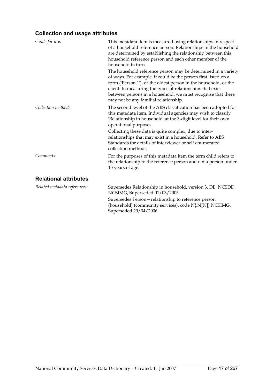| Guide for use:               | This metadata item is measured using relationships in respect<br>of a household reference person. Relationships in the household<br>are determined by establishing the relationship between this<br>household reference person and each other member of the<br>household in turn.<br>The household reference person may be determined in a variety<br>of ways. For example, it could be the person first listed on a<br>form ('Person 1'), or the oldest person in the household, or the<br>client. In measuring the types of relationships that exist<br>between persons in a household, we must recognise that there<br>may not be any familial relationship. |
|------------------------------|-----------------------------------------------------------------------------------------------------------------------------------------------------------------------------------------------------------------------------------------------------------------------------------------------------------------------------------------------------------------------------------------------------------------------------------------------------------------------------------------------------------------------------------------------------------------------------------------------------------------------------------------------------------------|
| Collection methods:          | The second level of the ABS classification has been adopted for<br>this metadata item. Individual agencies may wish to classify<br>'Relationship in household' at the 3-digit level for their own<br>operational purposes.<br>Collecting these data is quite complex, due to inter-<br>relationships that may exist in a household. Refer to ABS<br>Standards for details of interviewer or self enumerated<br>collection methods.                                                                                                                                                                                                                              |
| Comments:                    | For the purposes of this metadata item the term child refers to<br>the relationship to the reference person and not a person under<br>15 years of age.                                                                                                                                                                                                                                                                                                                                                                                                                                                                                                          |
| <b>Relational attributes</b> |                                                                                                                                                                                                                                                                                                                                                                                                                                                                                                                                                                                                                                                                 |
| Related metadata references: | Supersedes Relationship in household, version 3, DE, NCSDD,<br>NCSIMG, Superseded 01/03/2005                                                                                                                                                                                                                                                                                                                                                                                                                                                                                                                                                                    |
|                              | Supersedes Person-relationship to reference person<br>(household) (community services), code N{.N[N]} NCSIMG,<br>Superseded 29/04/2006                                                                                                                                                                                                                                                                                                                                                                                                                                                                                                                          |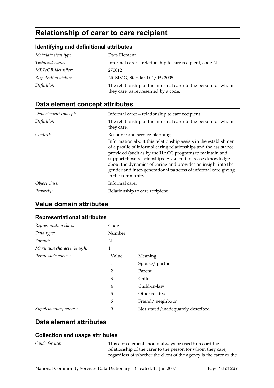### **Relationship of carer to care recipient**

### **Identifying and definitional attributes**

| Metadata item type:  | Data Element                                                                                          |
|----------------------|-------------------------------------------------------------------------------------------------------|
| Technical name:      | Informal carer – relationship to care recipient, code N                                               |
| METeOR identifier:   | 270012                                                                                                |
| Registration status: | NCSIMG, Standard 01/03/2005                                                                           |
| Definition:          | The relationship of the informal carer to the person for whom<br>they care, as represented by a code. |

### **Data element concept attributes**

| Data element concept: | Informal carer-relationship to care recipient                                                                                                                                                                                                                                                                                                                                                                         |
|-----------------------|-----------------------------------------------------------------------------------------------------------------------------------------------------------------------------------------------------------------------------------------------------------------------------------------------------------------------------------------------------------------------------------------------------------------------|
| Definition:           | The relationship of the informal carer to the person for whom<br>they care.                                                                                                                                                                                                                                                                                                                                           |
| Context:              | Resource and service planning:                                                                                                                                                                                                                                                                                                                                                                                        |
|                       | Information about this relationship assists in the establishment<br>of a profile of informal caring relationships and the assistance<br>provided (such as by the HACC program) to maintain and<br>support those relationships. As such it increases knowledge<br>about the dynamics of caring and provides an insight into the<br>gender and inter-generational patterns of informal care giving<br>in the community. |
| Object class:         | Informal carer                                                                                                                                                                                                                                                                                                                                                                                                        |
| Property:             | Relationship to care recipient                                                                                                                                                                                                                                                                                                                                                                                        |

### **Value domain attributes**

#### **Representational attributes**

| Representation class:     | Code           |                                   |
|---------------------------|----------------|-----------------------------------|
| Data type:                | Number         |                                   |
| Format:                   | N              |                                   |
| Maximum character length: | 1              |                                   |
| Permissible values:       | Value          | Meaning                           |
|                           | 1              | Spouse/partner                    |
|                           | $\overline{2}$ | Parent                            |
|                           | 3              | Child                             |
|                           | 4              | Child-in-law                      |
|                           | 5              | Other relative                    |
|                           | 6              | Friend/neighbour                  |
| Supplementary values:     | 9              | Not stated/inadequately described |

### **Data element attributes**

### **Collection and usage attributes**

*Guide for use:* This data element should always be used to record the relationship of the carer to the person for whom they care, regardless of whether the client of the agency is the carer or the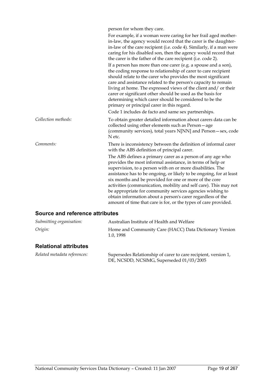|  | person for whom they care. |
|--|----------------------------|
|  |                            |

|                     | For example, if a woman were caring for her frail aged mother-<br>in-law, the agency would record that the carer is the daughter-<br>in-law of the care recipient (i.e. code 4). Similarly, if a man were<br>caring for his disabled son, then the agency would record that<br>the carer is the father of the care recipient (i.e. code 2).                                                                                                                                                                                                                        |
|---------------------|--------------------------------------------------------------------------------------------------------------------------------------------------------------------------------------------------------------------------------------------------------------------------------------------------------------------------------------------------------------------------------------------------------------------------------------------------------------------------------------------------------------------------------------------------------------------|
|                     | If a person has more than one carer (e.g. a spouse and a son),<br>the coding response to relationship of carer to care recipient<br>should relate to the carer who provides the most significant<br>care and assistance related to the person's capacity to remain<br>living at home. The expressed views of the client and/ or their<br>carer or significant other should be used as the basis for<br>determining which carer should be considered to be the<br>primary or principal carer in this regard.<br>Code 1 includes de facto and same sex partnerships. |
| Collection methods: | To obtain greater detailed information about carers data can be<br>collected using other elements such as Person-age<br>(community services), total years N[NN] and Person - sex, code<br>N etc.                                                                                                                                                                                                                                                                                                                                                                   |
| Comments:           | There is inconsistency between the definition of informal carer<br>with the ABS definition of principal carer.<br>The ABS defines a primary carer as a person of any age who<br>provides the most informal assistance, in terms of help or<br>supervision, to a person with on or more disabilities. The                                                                                                                                                                                                                                                           |
|                     | assistance has to be ongoing, or likely to be ongoing, for at least<br>six months and be provided for one or more of the core<br>activities (communication, mobility and self care). This may not<br>be appropriate for community services agencies wishing to<br>obtain information about a person's carer regardless of the<br>amount of time that care is for, or the types of care provided.                                                                                                                                                                   |

### **Source and reference attributes**

| Submitting organisation:     | Australian Institute of Health and Welfare                          |
|------------------------------|---------------------------------------------------------------------|
| Origin:                      | Home and Community Care (HACC) Data Dictionary Version<br>1.0, 1998 |
| <b>Relational attributes</b> |                                                                     |
| Related metadata references  | Supercedes Relationship of carer to care recipient version 1        |

| Related metadata references: | Supersedes Relationship of carer to care recipient, version 1, |
|------------------------------|----------------------------------------------------------------|
|                              | DE, NCSDD, NCSIMG, Superseded 01/03/2005                       |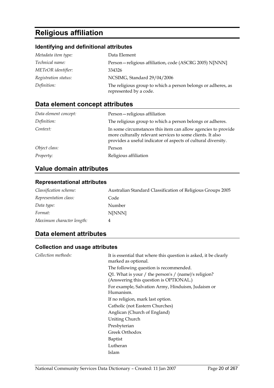### **Religious affiliation**

### **Identifying and definitional attributes**

| Metadata item type:  | Data Element                                                                           |
|----------------------|----------------------------------------------------------------------------------------|
| Technical name:      | Person-religious affiliation, code (ASCRG 2005) N[NNN]                                 |
| METeOR identifier:   | 334326                                                                                 |
| Registration status: | NCSIMG, Standard 29/04/2006                                                            |
| Definition:          | The religious group to which a person belongs or adheres, as<br>represented by a code. |

### **Data element concept attributes**

| Data element concept: | Person-religious affiliation                                                                                                                                                                 |
|-----------------------|----------------------------------------------------------------------------------------------------------------------------------------------------------------------------------------------|
| Definition:           | The religious group to which a person belongs or adheres.                                                                                                                                    |
| Context:              | In some circumstances this item can allow agencies to provide<br>more culturally relevant services to some clients. It also<br>provides a useful indicator of aspects of cultural diversity. |
| Object class:         | Person                                                                                                                                                                                       |
| <i>Property:</i>      | Religious affiliation                                                                                                                                                                        |

### **Value domain attributes**

### **Representational attributes**

| Classification scheme:    | Australian Standard Classification of Religious Groups 2005 |
|---------------------------|-------------------------------------------------------------|
| Representation class:     | Code                                                        |
| Data type:                | Number                                                      |
| Format:                   | N[NNN]                                                      |
| Maximum character length: | 4                                                           |

### **Data element attributes**

| Collection methods: | It is essential that where this question is asked, it be clearly<br>marked as optional.        |
|---------------------|------------------------------------------------------------------------------------------------|
|                     | The following question is recommended.                                                         |
|                     | Q1. What is your / the person's / (name)'s religion?<br>(Answering this question is OPTIONAL.) |
|                     | For example, Salvation Army, Hinduism, Judaism or<br>Humanism.                                 |
|                     | If no religion, mark last option.                                                              |
|                     | Catholic (not Eastern Churches)                                                                |
|                     | Anglican (Church of England)                                                                   |
|                     | Uniting Church                                                                                 |
|                     | Presbyterian                                                                                   |
|                     | Greek Orthodox                                                                                 |
|                     | Baptist                                                                                        |
|                     | Lutheran                                                                                       |
|                     | Islam                                                                                          |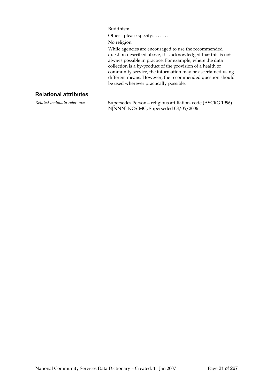Buddhism

Other - please specify:......

No religion

While agencies are encouraged to use the recommended question described above, it is acknowledged that this is not always possible in practice. For example, where the data collection is a by-product of the provision of a health or community service, the information may be ascertained using different means. However, the recommended question should be used wherever practically possible.

### **Relational attributes**

*Related metadata references:* Supersedes Person—religious affiliation, code (ASCRG 1996) N[NNN] NCSIMG, Superseded 08/05/2006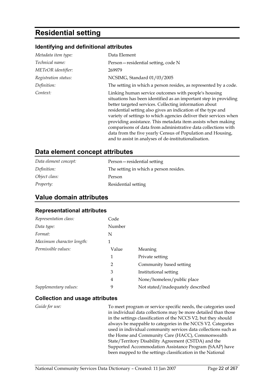### **Residential setting**

#### **Identifying and definitional attributes**

| Metadata item type:  | Data Element                                                                                                                                                                                                                                                                                                                                                                                                                                                                                                                                                                     |
|----------------------|----------------------------------------------------------------------------------------------------------------------------------------------------------------------------------------------------------------------------------------------------------------------------------------------------------------------------------------------------------------------------------------------------------------------------------------------------------------------------------------------------------------------------------------------------------------------------------|
| Technical name:      | Person-residential setting, code N                                                                                                                                                                                                                                                                                                                                                                                                                                                                                                                                               |
| METeOR identifier:   | 269979                                                                                                                                                                                                                                                                                                                                                                                                                                                                                                                                                                           |
| Registration status: | NCSIMG, Standard 01/03/2005                                                                                                                                                                                                                                                                                                                                                                                                                                                                                                                                                      |
| Definition:          | The setting in which a person resides, as represented by a code.                                                                                                                                                                                                                                                                                                                                                                                                                                                                                                                 |
| Context:             | Linking human service outcomes with people's housing<br>situations has been identified as an important step in providing<br>better targeted services. Collecting information about<br>residential setting also gives an indication of the type and<br>variety of settings to which agencies deliver their services when<br>providing assistance. This metadata item assists when making<br>comparisons of data from administrative data collections with<br>data from the five yearly Census of Population and Housing,<br>and to assist in analyses of de-institutionalisation. |

### **Data element concept attributes**

| Data element concept: | Person – residential setting           |
|-----------------------|----------------------------------------|
| Definition:           | The setting in which a person resides. |
| Object class:         | Person                                 |
| <i>Property:</i>      | Residential setting                    |

### **Value domain attributes**

#### **Representational attributes**

| Representation class:     | Code           |                                   |
|---------------------------|----------------|-----------------------------------|
| Data type:                | Number         |                                   |
| Format:                   | N              |                                   |
| Maximum character length: | 1              |                                   |
| Permissible values:       | Value          | Meaning                           |
|                           | 1              | Private setting                   |
|                           | $\overline{2}$ | Community based setting           |
|                           | 3              | Institutional setting             |
|                           | 4              | None/homeless/public place        |
| Supplementary values:     | 9              | Not stated/inadequately described |

#### **Collection and usage attributes**

*Guide for use:* To meet program or service specific needs, the categories used in individual data collections may be more detailed than those in the settings classification of the NCCS V2, but they should always be mappable to categories in the NCCS V2. Categories used in individual community services data collections such as the Home and Community Care (HACC), Commonwealth State/Territory Disability Agreement (CSTDA) and the Supported Accommodation Assistance Program (SAAP) have been mapped to the settings classification in the National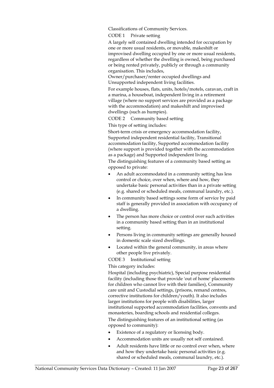Classifications of Community Services.

CODE 1 Private setting

A largely self contained dwelling intended for occupation by one or more usual residents, or movable, makeshift or improvised dwelling occupied by one or more usual residents, regardless of whether the dwelling is owned, being purchased or being rented privately, publicly or through a community organisation. This includes,

Owner/purchaser/renter occupied dwellings and Unsupported independent living facilities.

For example houses, flats, units, hotels/motels, caravan, craft in a marina, a houseboat, independent living in a retirement village (where no support services are provided as a package with the accommodation) and makeshift and improvised dwellings (such as humpies).

CODE 2 Community based setting

This type of setting includes:

Short-term crisis or emergency accommodation facility, Supported independent residential facility, Transitional accommodation facility, Supported accommodation facility (where support is provided together with the accommodation as a package) and Supported independent living.

The distinguishing features of a community based setting as opposed to private:

- An adult accommodated in a community setting has less control or choice, over when, where and how, they undertake basic personal activities than in a private setting (e.g. shared or scheduled meals, communal laundry, etc.).
- In community based settings some form of service by paid staff is generally provided in association with occupancy of a dwelling.
- The person has more choice or control over such activities in a community based setting than in an institutional setting.
- Persons living in community settings are generally housed in domestic scale sized dwellings.
- Located within the general community, in areas where other people live privately.

CODE 3 Institutional setting

This category includes:

Hospital (including psychiatric), Special purpose residential facility (including those that provide 'out of home' placements for children who cannot live with their families), Community care unit and Custodial settings, (prisons, remand centres, corrective institutions for children/youth). It also includes larger institutions for people with disabilities, larger institutional supported accommodation facilities, convents and monasteries, boarding schools and residential colleges.

The distinguishing features of an institutional setting (as opposed to community):

- Existence of a regulatory or licensing body.
- Accommodation units are usually not self contained.
- Adult residents have little or no control over when, where and how they undertake basic personal activities (e.g. shared or scheduled meals, communal laundry, etc.).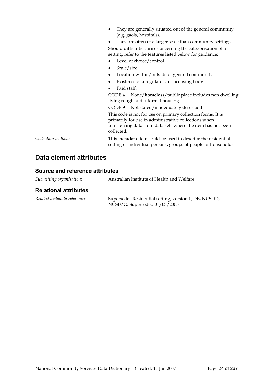|                     | They are generally situated out of the general community<br>(e.g. gaols, hospitals).                                                                                                |  |
|---------------------|-------------------------------------------------------------------------------------------------------------------------------------------------------------------------------------|--|
|                     | They are often of a larger scale than community settings.<br>Should difficulties arise concerning the categorisation of a                                                           |  |
|                     |                                                                                                                                                                                     |  |
|                     | setting, refer to the features listed below for guidance:                                                                                                                           |  |
|                     | Level of choice/control                                                                                                                                                             |  |
|                     | Scale/size                                                                                                                                                                          |  |
|                     | Location within/outside of general community<br>٠                                                                                                                                   |  |
|                     | Existence of a regulatory or licensing body                                                                                                                                         |  |
|                     | Paid staff.                                                                                                                                                                         |  |
|                     | None/homeless/public place includes non dwelling<br>CODE 4<br>living rough and informal housing                                                                                     |  |
|                     | CODE 9 Not stated/inadequately described                                                                                                                                            |  |
|                     | This code is not for use on primary collection forms. It is<br>primarily for use in administrative collections when<br>transferring data from data sets where the item has not been |  |
|                     | collected.                                                                                                                                                                          |  |
| Collection methods: | This metadata item could be used to describe the residential<br>setting of individual persons, groups of people or households.                                                      |  |

### **Data element attributes**

### **Source and reference attributes**

| Submitting organisation:     | Australian Institute of Health and Welfare                                             |
|------------------------------|----------------------------------------------------------------------------------------|
| <b>Relational attributes</b> |                                                                                        |
| Related metadata references: | Supersedes Residential setting, version 1, DE, NCSDD,<br>NCSIMG, Superseded 01/03/2005 |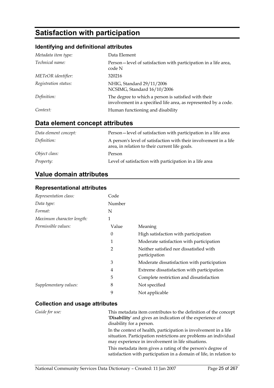### **Satisfaction with participation**

### **Identifying and definitional attributes**

| Metadata item type:  | Data Element                                                                                                            |
|----------------------|-------------------------------------------------------------------------------------------------------------------------|
| Technical name:      | Person—level of satisfaction with participation in a life area,<br>code N                                               |
| METeOR identifier:   | 320216                                                                                                                  |
| Registration status: | NHIG, Standard 29/11/2006<br>NCSIMG, Standard 16/10/2006                                                                |
| Definition:          | The degree to which a person is satisfied with their<br>involvement in a specified life area, as represented by a code. |
| Context:             | Human functioning and disability                                                                                        |

### **Data element concept attributes**

| Data element concept: | Person—level of satisfaction with participation in a life area                                                      |
|-----------------------|---------------------------------------------------------------------------------------------------------------------|
| Definition:           | A person's level of satisfaction with their involvement in a life<br>area, in relation to their current life goals. |
| Object class:         | Person                                                                                                              |
| <i>Property:</i>      | Level of satisfaction with participation in a life area                                                             |

### **Value domain attributes**

### **Representational attributes**

| Representation class:     | Code           |                                                          |
|---------------------------|----------------|----------------------------------------------------------|
| Data type:                | Number         |                                                          |
| Format:                   | N              |                                                          |
| Maximum character length: | 1              |                                                          |
| Permissible values:       | Value          | Meaning                                                  |
|                           | $\theta$       | High satisfaction with participation                     |
|                           | 1              | Moderate satisfaction with participation                 |
|                           | $\overline{2}$ | Neither satisfied nor dissatisfied with<br>participation |
|                           | 3              | Moderate dissatisfaction with participation              |
|                           | 4              | Extreme dissatisfaction with participation               |
|                           | 5              | Complete restriction and dissatisfaction                 |
| Supplementary values:     | 8              | Not specified                                            |
|                           | 9              | Not applicable                                           |

| Guide for use: | This metadata item contributes to the definition of the concept<br>'Disability' and gives an indication of the experience of<br>disability for a person.                                  |
|----------------|-------------------------------------------------------------------------------------------------------------------------------------------------------------------------------------------|
|                | In the context of health, participation is involvement in a life<br>situation. Participation restrictions are problems an individual<br>may experience in involvement in life situations. |
|                | This metadata item gives a rating of the person's degree of<br>satisfaction with participation in a domain of life, in relation to                                                        |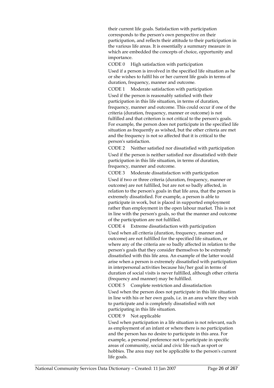their current life goals. Satisfaction with participation corresponds to the person's own perspective on their participation, and reflects their attitude to their participation in the various life areas. It is essentially a summary measure in which are embedded the concepts of choice, opportunity and importance.

CODE 0 High satisfaction with participation Used if a person is involved in the specified life situation as he or she wishes to fulfil his or her current life goals in terms of duration, frequency, manner and outcome.

CODE 1 Moderate satisfaction with participation Used if the person is reasonably satisfied with their participation in this life situation, in terms of duration, frequency, manner and outcome. This could occur if one of the criteria (duration, frequency, manner or outcome) is not fulfilled and that criterion is not critical to the person's goals. For example, the person does not participate in the specified life situation as frequently as wished, but the other criteria are met and the frequency is not so affected that it is critical to the person's satisfaction.

CODE 2 Neither satisfied nor dissatisfied with participation Used if the person is neither satisfied nor dissatisfied with their participation in this life situation, in terms of duration, frequency, manner and outcome.

CODE 3 Moderate dissatisfaction with participation Used if two or three criteria (duration, frequency, manner or outcome) are not fulfilled, but are not so badly affected, in relation to the person's goals in that life area, that the person is extremely dissatisfied. For example, a person is able to participate in work, but is placed in supported employment rather than employment in the open labour market. This is not in line with the person's goals, so that the manner and outcome of the participation are not fulfilled.

CODE 4 Extreme dissatisfaction with participation

Used when all criteria (duration, frequency, manner and outcome) are not fulfilled for the specified life situation, or where any of the criteria are so badly affected in relation to the person's goals that they consider themselves to be extremely dissatisfied with this life area. An example of the latter would arise when a person is extremely dissatisfied with participation in interpersonal activities because his/her goal in terms of duration of social visits is never fulfilled, although other criteria (frequency and manner) may be fulfilled.

CODE 5 Complete restriction and dissatisfaction

Used when the person does not participate in this life situation in line with his or her own goals, i.e. in an area where they wish to participate and is completely dissatisfied with not participating in this life situation.

CODE 9 Not applicable

Used when participation in a life situation is not relevant, such as employment of an infant or where there is no participation and the person has no desire to participate in this area. For example, a personal preference not to participate in specific areas of community, social and civic life such as sport or hobbies. The area may not be applicable to the person's current life goals.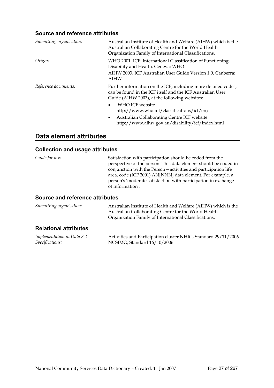### **Source and reference attributes**

| Submitting organisation: | Australian Institute of Health and Welfare (AIHW) which is the<br>Australian Collaborating Centre for the World Health<br>Organization Family of International Classifications. |
|--------------------------|---------------------------------------------------------------------------------------------------------------------------------------------------------------------------------|
| Origin:                  | WHO 2001. ICF: International Classification of Functioning,<br>Disability and Health. Geneva: WHO                                                                               |
|                          | AIHW 2003. ICF Australian User Guide Version 1.0. Canberra:<br>AIHW                                                                                                             |
| Reference documents:     | Further information on the ICF, including more detailed codes,<br>can be found in the ICF itself and the ICF Australian User<br>Guide (AIHW 2003), at the following websites:   |
|                          | WHO ICF website<br>$\bullet$<br>http://www.who.int/classifications/icf/en/                                                                                                      |
|                          | Australian Collaborating Centre ICF website<br>$\bullet$<br>http://www.aihw.gov.au/disability/icf/index.html                                                                    |

### **Data element attributes**

### **Collection and usage attributes**

| Guide for use:                  | Satisfaction with participation should be coded from the<br>perspective of the person. This data element should be coded in<br>conjunction with the Person-activities and participation life<br>area, code (ICF 2001) AN[NNN] data element. For example, a<br>person's 'moderate satisfaction with participation in exchange<br>of information'. |
|---------------------------------|--------------------------------------------------------------------------------------------------------------------------------------------------------------------------------------------------------------------------------------------------------------------------------------------------------------------------------------------------|
| Source and reference attributes |                                                                                                                                                                                                                                                                                                                                                  |

#### **Source and reference attributes**

| Submitting organisation:     | Australian Institute of Health and Welfare (AIHW) which is the<br>Australian Collaborating Centre for the World Health<br>Organization Family of International Classifications. |  |
|------------------------------|---------------------------------------------------------------------------------------------------------------------------------------------------------------------------------|--|
| <b>Relational attributes</b> |                                                                                                                                                                                 |  |
| Implomentation in Data Set   | Activities and Participation cluster NHIC, Standard 20/11/2006                                                                                                                  |  |

| Implementation in Data Set | Activities and Participation cluster NHIG, Standard 29/11/2006 |
|----------------------------|----------------------------------------------------------------|
| <i>Specifications:</i>     | NCSIMG, Standard 16/10/2006                                    |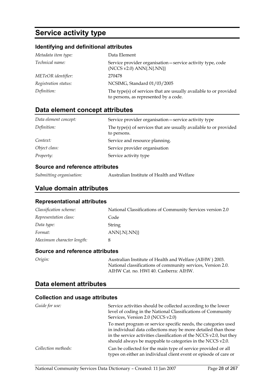### **Service activity type**

### **Identifying and definitional attributes**

| Metadata item type:  | Data Element                                                                                               |
|----------------------|------------------------------------------------------------------------------------------------------------|
| Technical name:      | Service provider organisation - service activity type, code<br>(NCCS v2.0) ANN{.N{.NN}}                    |
| METeOR identifier:   | 270478                                                                                                     |
| Registration status: | NCSIMG, Standard 01/03/2005                                                                                |
| Definition:          | The type(s) of services that are usually available to or provided<br>to persons, as represented by a code. |

### **Data element concept attributes**

| Data element concept: | Service provider organisation - service activity type                            |
|-----------------------|----------------------------------------------------------------------------------|
| Definition:           | The type(s) of services that are usually available to or provided<br>to persons. |
| Context:              | Service and resource planning.                                                   |
| Object class:         | Service provider organisation                                                    |
| <i>Property:</i>      | Service activity type                                                            |

### **Source and reference attributes**

### **Value domain attributes**

#### **Representational attributes**

| Classification scheme:    | National Classifications of Community Services version 2.0 |
|---------------------------|------------------------------------------------------------|
| Representation class:     | Code                                                       |
| Data type:                | String                                                     |
| Format:                   | $ANN\{N\}$                                                 |
| Maximum character length: | 8                                                          |

#### **Source and reference attributes**

|  | Origin: |  |
|--|---------|--|
|  |         |  |
|  |         |  |

*Origin:* Australian Institute of Health and Welfare (AIHW ) 2003. National classifications of community services, Version 2.0. AIHW Cat. no. HWI 40. Canberra: AIHW.

### **Data element attributes**

| Guide for use:      | Service activities should be collected according to the lower<br>level of coding in the National Classifications of Community<br>Services, Version 2.0 (NCCS v2.0)                                                                                                   |
|---------------------|----------------------------------------------------------------------------------------------------------------------------------------------------------------------------------------------------------------------------------------------------------------------|
|                     | To meet program or service specific needs, the categories used<br>in individual data collections may be more detailed than those<br>in the service activities classification of the NCCS v2.0, but they<br>should always be mappable to categories in the NCCS v2.0. |
| Collection methods: | Can be collected for the main type of service provided or all<br>types on either an individual client event or episode of care or                                                                                                                                    |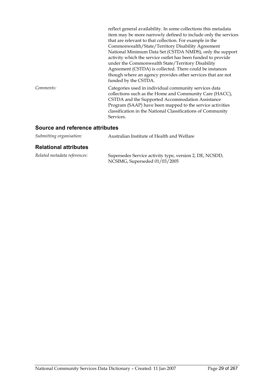|           | reflect general availability. In some collections this metadata<br>item may be more narrowly defined to include only the services<br>that are relevant to that collection. For example in the<br>Commonwealth/State/Territory Disability Agreement<br>National Minimum Data Set (CSTDA NMDS), only the support<br>activity which the service outlet has been funded to provide<br>under the Commonwealth State/Territory Disability<br>Agreement (CSTDA) is collected. There could be instances<br>though where an agency provides other services that are not<br>funded by the CSTDA. |
|-----------|----------------------------------------------------------------------------------------------------------------------------------------------------------------------------------------------------------------------------------------------------------------------------------------------------------------------------------------------------------------------------------------------------------------------------------------------------------------------------------------------------------------------------------------------------------------------------------------|
| Comments: | Categories used in individual community services data<br>collections such as the Home and Community Care (HACC),<br>CSTDA and the Supported Accommodation Assistance<br>Program (SAAP) have been mapped to the service activities<br>classification in the National Classifications of Community<br>Services.                                                                                                                                                                                                                                                                          |

### **Source and reference attributes**

| Submitting organisation: | Australian Institute of Health and Welfare |
|--------------------------|--------------------------------------------|
|                          |                                            |

### **Relational attributes**

| Related metadata references: | Supersedes Service activity type, version 2, DE, NCSDD,<br>NCSIMG, Superseded 01/03/2005 |
|------------------------------|------------------------------------------------------------------------------------------|
|                              |                                                                                          |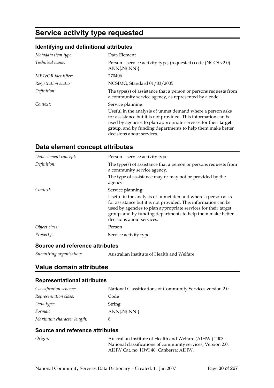### **Service activity type requested**

### **Identifying and definitional attributes**

| Metadata item type:  | Data Element                                                                                                                                                                                                                                                                              |
|----------------------|-------------------------------------------------------------------------------------------------------------------------------------------------------------------------------------------------------------------------------------------------------------------------------------------|
| Technical name:      | Person – service activity type, (requested) code (NCCS v2.0)<br>$ANN\{N\}$                                                                                                                                                                                                                |
| METeOR identifier:   | 270406                                                                                                                                                                                                                                                                                    |
| Registration status: | NCSIMG, Standard 01/03/2005                                                                                                                                                                                                                                                               |
| Definition:          | The type(s) of assistance that a person or persons requests from<br>a community service agency, as represented by a code.                                                                                                                                                                 |
| Context:             | Service planning:                                                                                                                                                                                                                                                                         |
|                      | Useful in the analysis of unmet demand where a person asks<br>for assistance but it is not provided. This information can be<br>used by agencies to plan appropriate services for their target<br>group, and by funding departments to help them make better<br>decisions about services. |

### **Data element concept attributes**

| Data element concept: | Person-service activity type                                                                                                                                                                                                                                                                                   |  |  |
|-----------------------|----------------------------------------------------------------------------------------------------------------------------------------------------------------------------------------------------------------------------------------------------------------------------------------------------------------|--|--|
| Definition:           | The type(s) of assistance that a person or persons requests from<br>a community service agency.                                                                                                                                                                                                                |  |  |
|                       | The type of assistance may or may not be provided by the<br>agency.                                                                                                                                                                                                                                            |  |  |
| Context:              | Service planning:<br>Useful in the analysis of unmet demand where a person asks<br>for assistance but it is not provided. This information can be<br>used by agencies to plan appropriate services for their target<br>group, and by funding departments to help them make better<br>decisions about services. |  |  |
| Object class:         | Person                                                                                                                                                                                                                                                                                                         |  |  |
| Property:             | Service activity type                                                                                                                                                                                                                                                                                          |  |  |

### **Source and reference attributes**

| Submitting organisation: | Australian Institute of Health and Welfare |
|--------------------------|--------------------------------------------|
|--------------------------|--------------------------------------------|

### **Value domain attributes**

### **Representational attributes**

| Classification scheme:    | National Classifications of Community Services version 2.0 |
|---------------------------|------------------------------------------------------------|
| Representation class:     | Code                                                       |
| Data type:                | String                                                     |
| Format:                   | $ANN\{N\}$                                                 |
| Maximum character length: |                                                            |

#### **Source and reference attributes**

| Origin: | Australian Institute of Health and Welfare (AIHW) 2003.      |
|---------|--------------------------------------------------------------|
|         | National classifications of community services, Version 2.0. |
|         | AIHW Cat. no. HWI 40. Canberra: AIHW.                        |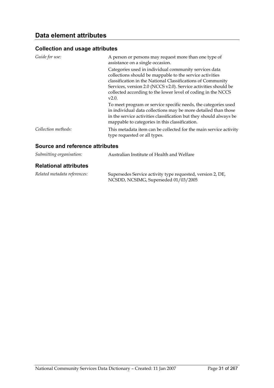| Guide for use:                  | A person or persons may request more than one type of<br>assistance on a single occasion.                                                                                                                                                                                                                                    |
|---------------------------------|------------------------------------------------------------------------------------------------------------------------------------------------------------------------------------------------------------------------------------------------------------------------------------------------------------------------------|
|                                 | Categories used in individual community services data<br>collections should be mappable to the service activities<br>classification in the National Classifications of Community<br>Services, version 2.0 (NCCS v2.0). Service activities should be<br>collected according to the lower level of coding in the NCCS<br>V2.0. |
|                                 | To meet program or service specific needs, the categories used<br>in individual data collections may be more detailed than those<br>in the service activities classification but they should always be<br>mappable to categories in this classification.                                                                     |
| Collection methods:             | This metadata item can be collected for the main service activity<br>type requested or all types.                                                                                                                                                                                                                            |
| Source and reference attributes |                                                                                                                                                                                                                                                                                                                              |

| Submitting organisation:     | Australian Institute of Health and Welfare                                                         |  |
|------------------------------|----------------------------------------------------------------------------------------------------|--|
| <b>Relational attributes</b> |                                                                                                    |  |
| Related metadata references: | Supersedes Service activity type requested, version 2, DE,<br>NCSDD, NCSIMG, Superseded 01/03/2005 |  |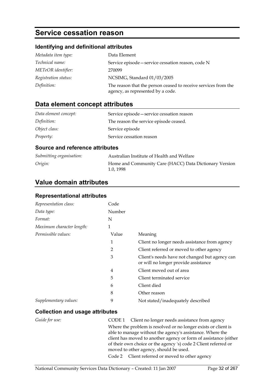### **Service cessation reason**

### **Identifying and definitional attributes**

| Metadata item type:  | Data Element                                                                                        |
|----------------------|-----------------------------------------------------------------------------------------------------|
| Technical name:      | Service episode – service cessation reason, code N                                                  |
| METeOR identifier:   | 270099                                                                                              |
| Registration status: | NCSIMG, Standard 01/03/2005                                                                         |
| Definition:          | The reason that the person ceased to receive services from the<br>agency, as represented by a code. |

### **Data element concept attributes**

| Data element concept: | Service episode – service cessation reason |
|-----------------------|--------------------------------------------|
| Definition:           | The reason the service episode ceased.     |
| Object class:         | Service episode                            |
| Property:             | Service cessation reason                   |

#### **Source and reference attributes**

| Submitting organisation: | Australian Institute of Health and Welfare                         |
|--------------------------|--------------------------------------------------------------------|
| Origin:                  | Home and Community Care (HACC) Data Dictionary Version<br>1.0.1998 |

### **Value domain attributes**

### **Representational attributes**

| Representation class:     | Code           |                                                                                        |
|---------------------------|----------------|----------------------------------------------------------------------------------------|
| Data type:                | Number         |                                                                                        |
| Format:                   | N              |                                                                                        |
| Maximum character length: | 1              |                                                                                        |
| Permissible values:       | Value          | Meaning                                                                                |
|                           | 1              | Client no longer needs assistance from agency                                          |
|                           | $\overline{2}$ | Client referred or moved to other agency                                               |
|                           | 3              | Client's needs have not changed but agency can<br>or will no longer provide assistance |
|                           | $\overline{4}$ | Client moved out of area                                                               |
|                           | 5              | Client terminated service                                                              |
|                           | 6              | Client died                                                                            |
|                           | 8              | Other reason                                                                           |
| Supplementary values:     | 9              | Not stated/inadequately described                                                      |

| Guide for use: | CODE 1 Client no longer needs assistance from agency             |
|----------------|------------------------------------------------------------------|
|                | Where the problem is resolved or no longer exists or client is   |
|                | able to manage without the agency's assistance. Where the        |
|                | client has moved to another agency or form of assistance (either |
|                | of their own choice or the agency 's) code 2 Client referred or  |
|                | moved to other agency, should be used.                           |
|                | Code 2 Client referred or moved to other agency                  |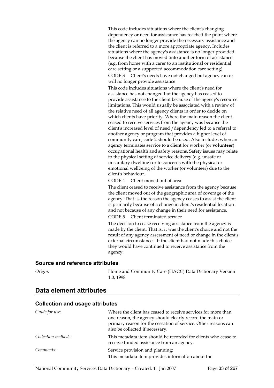This code includes situations where the client's changing dependency or need for assistance has reached the point where the agency can no longer provide the necessary assistance and the client is referred to a more appropriate agency. Includes situations where the agency's assistance is no longer provided because the client has moved onto another form of assistance (e.g. from home with a carer to an institutional or residential care setting or a supported accommodation care setting).

CODE 3 Client's needs have not changed but agency can or will no longer provide assistance

This code includes situations where the client's need for assistance has not changed but the agency has ceased to provide assistance to the client because of the agency's resource limitations. This would usually be associated with a review of the relative need of all agency clients in order to decide on which clients have priority. Where the main reason the client ceased to receive services from the agency was because the client's increased level of need /dependency led to a referral to another agency or program that provides a higher level of community care, code 2 should be used. Also includes when an agency terminates service to a client for worker (or **volunteer**) occupational health and safety reasons. Safety issues may relate to the physical setting of service delivery (e.g. unsafe or unsanitary dwelling) or to concerns with the physical or emotional wellbeing of the worker (or volunteer) due to the client's behaviour.

CODE 4 Client moved out of area

The client ceased to receive assistance from the agency because the client moved out of the geographic area of coverage of the agency. That is, the reason the agency ceases to assist the client is primarily because of a change in client's residential location and not because of any change in their need for assistance. CODE 5 Client terminated service

The decision to cease receiving assistance from the agency is made by the client. That is, it was the client's choice and not the result of any agency assessment of need or change in the client's external circumstances. If the client had not made this choice they would have continued to receive assistance from the agency.

#### **Source and reference attributes**

**Collection and usage attributes** 

*Origin:* Home and Community Care (HACC) Data Dictionary Version 1.0, 1998

### *Guide for use:* Where the client has ceased to receive services for more than one reason, the agency should clearly record the main or primary reason for the cessation of service. Other reasons can also be collected if necessary. *Collection methods:* This metadata item should be recorded for clients who cease to receive funded assistance from an agency. *Comments:* Service provision and planning: This metadata item provides information about the

#### **Data element attributes**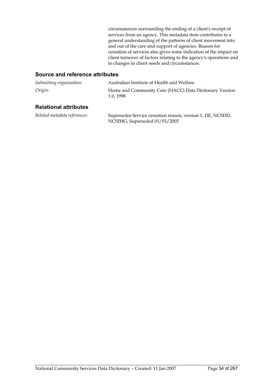circumstances surrounding the ending of a client's receipt of services from an agency. This metadata item contributes to a general understanding of the patterns of client movement into and out of the care and support of agencies. Reason for cessation of services also gives some indication of the impact on client turnover of factors relating to the agency's operations and to changes in client needs and circumstances.

#### **Source and reference attributes**

| Submitting organisation: | Australian Institute of Health and Welfare                         |
|--------------------------|--------------------------------------------------------------------|
| Origin:                  | Home and Community Care (HACC) Data Dictionary Version<br>1.0.1998 |

### **Relational attributes**

*Related metadata references:* Supersedes Service cessation reason, version 1, DE, NCSDD, NCSIMG, Superseded 01/03/2005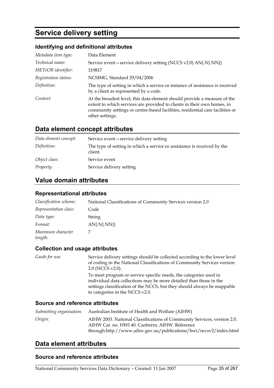### **Service delivery setting**

### **Identifying and definitional attributes**

| Metadata item type:  | Data Element                                                                                                                                                                                                                                            |
|----------------------|---------------------------------------------------------------------------------------------------------------------------------------------------------------------------------------------------------------------------------------------------------|
| Technical name:      | Service event-service delivery setting (NCCS v2.0) AN{.N{.NN}}                                                                                                                                                                                          |
| METeOR identifier:   | 319817                                                                                                                                                                                                                                                  |
| Registration status: | NCSIMG, Standard 29/04/2006                                                                                                                                                                                                                             |
| Definition:          | The type of setting in which a service or instance of assistance is received<br>by a client as represented by a code.                                                                                                                                   |
| Context:             | At the broadest level, this data element should provide a measure of the<br>extent to which services are provided to clients in their own homes, in<br>community settings or centre-based facilities, residential care facilities or<br>other settings. |

### **Data element concept attributes**

| Data element concept: | Service event-service delivery setting                                             |
|-----------------------|------------------------------------------------------------------------------------|
| Definition:           | The type of setting in which a service or assistance is received by the<br>client. |
| Object class:         | Service event                                                                      |
| <i>Property:</i>      | Service delivery setting                                                           |

### **Value domain attributes**

#### **Representational attributes**

| Classification scheme:       | National Classifications of Community Services version 2.0 |
|------------------------------|------------------------------------------------------------|
| Representation class:        | Code                                                       |
| Data type:                   | String                                                     |
| Format:                      | $AN\{N\}$                                                  |
| Maximum character<br>length: |                                                            |

#### **Collection and usage attributes**

*Guide for use:* Service delivery settings should be collected according to the lower level of coding in the National Classifications of Community Services version 2.0 (NCCS v2.0). To meet program or service specific needs, the categories used in individual data collections may be more detailed than those in the

settings classification of the NCCS, but they should always be mappable to categories in the NCCS v2.0.

#### **Source and reference attributes**

| Submitting organisation: | Australian Institute of Health and Welfare (AIHW)                       |
|--------------------------|-------------------------------------------------------------------------|
| Origin:                  | AIHW 2003. National Classifications of Community Services, version 2.0. |
|                          | AIHW Cat. no. HWI 40. Canberra: AIHW. Reference                         |
|                          | through:http://www.aihw.gov.au/publications/hwi/nccsv2/index.html       |

### **Data element attributes**

#### **Source and reference attributes**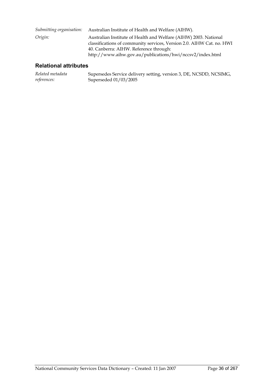| Submitting organisation: | Australian Institute of Health and Welfare (AIHW).                                                                                                                                                                                               |
|--------------------------|--------------------------------------------------------------------------------------------------------------------------------------------------------------------------------------------------------------------------------------------------|
| Origin:                  | Australian Institute of Health and Welfare (AIHW) 2003. National<br>classifications of community services, Version 2.0. AIHW Cat. no. HWI<br>40. Canberra: AIHW. Reference through:<br>http://www.aihw.gov.au/publications/hwi/nccsv2/index.html |

### **Relational attributes**

| Related metadata | Supersedes Service delivery setting, version 3, DE, NCSDD, NCSIMG, |
|------------------|--------------------------------------------------------------------|
| references:      | Superseded $01/03/2005$                                            |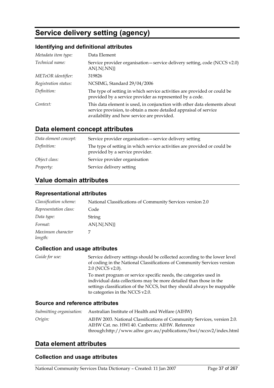# **Service delivery setting (agency)**

### **Identifying and definitional attributes**

| Metadata item type:  | Data Element                                                                                                                                                                                |
|----------------------|---------------------------------------------------------------------------------------------------------------------------------------------------------------------------------------------|
| Technical name:      | Service provider organisation – service delivery setting, code (NCCS v2.0)<br>$AN\{N\}$                                                                                                     |
| METeOR identifier:   | 319826                                                                                                                                                                                      |
| Registration status: | NCSIMG, Standard 29/04/2006                                                                                                                                                                 |
| Definition:          | The type of setting in which service activities are provided or could be<br>provided by a service provider as represented by a code.                                                        |
| Context:             | This data element is used, in conjunction with other data elements about<br>service provision, to obtain a more detailed appraisal of service<br>availability and how service are provided. |

## **Data element concept attributes**

| Data element concept: | Service provider organisation - service delivery setting                                                    |
|-----------------------|-------------------------------------------------------------------------------------------------------------|
| Definition:           | The type of setting in which service activities are provided or could be<br>provided by a service provider. |
| Object class:         | Service provider organisation                                                                               |
| <i>Property:</i>      | Service delivery setting                                                                                    |

## **Value domain attributes**

#### **Representational attributes**

| Classification scheme:       | National Classifications of Community Services version 2.0 |
|------------------------------|------------------------------------------------------------|
| Representation class:        | Code                                                       |
| Data type:                   | String                                                     |
| Format:                      | $AN\{N\}$                                                  |
| Maximum character<br>length: |                                                            |

### **Collection and usage attributes**

*Guide for use:* Service delivery settings should be collected according to the lower level of coding in the National Classifications of Community Services version 2.0 (NCCS v2.0). To meet program or service specific needs, the categories used in

individual data collections may be more detailed than those in the settings classification of the NCCS, but they should always be mappable to categories in the NCCS v2.0.

### **Source and reference attributes**

| Submitting organisation: | Australian Institute of Health and Welfare (AIHW)                       |
|--------------------------|-------------------------------------------------------------------------|
| Origin:                  | AIHW 2003. National Classifications of Community Services, version 2.0. |
|                          | AIHW Cat. no. HWI 40. Canberra: AIHW. Reference                         |
|                          | through:http://www.aihw.gov.au/publications/hwi/nccsv2/index.html       |

## **Data element attributes**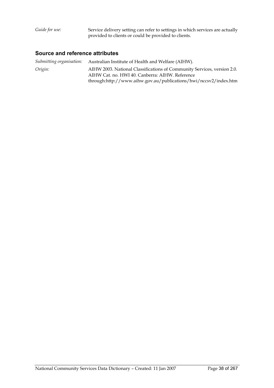#### **Source and reference attributes**

*Submitting organisation:* Australian Institute of Health and Welfare (AIHW). *Origin:* AIHW 2003. National Classifications of Community Services, version 2.0. AIHW Cat. no. HWI 40. Canberra: AIHW. Reference through:http://www.aihw.gov.au/publications/hwi/nccsv2/index.htm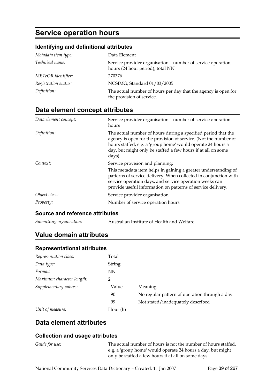# **Service operation hours**

### **Identifying and definitional attributes**

| Metadata item type:  | Data Element                                                                                    |
|----------------------|-------------------------------------------------------------------------------------------------|
| Technical name:      | Service provider organisation — number of service operation<br>hours (24 hour period), total NN |
| METeOR identifier:   | 270376                                                                                          |
| Registration status: | NCSIMG, Standard 01/03/2005                                                                     |
| Definition:          | The actual number of hours per day that the agency is open for<br>the provision of service.     |

## **Data element concept attributes**

| Data element concept: | Service provider organisation – number of service operation<br>hours                                                                                                                                                                                                                            |
|-----------------------|-------------------------------------------------------------------------------------------------------------------------------------------------------------------------------------------------------------------------------------------------------------------------------------------------|
| Definition:           | The actual number of hours during a specified period that the<br>agency is open for the provision of service. (Not the number of<br>hours staffed, e.g. a 'group home' would operate 24 hours a<br>day, but might only be staffed a few hours if at all on some<br>days).                       |
| Context:              | Service provision and planning:<br>This metadata item helps in gaining a greater understanding of<br>patterns of service delivery. When collected in conjunction with<br>service operation days, and service operation weeks can<br>provide useful information on patterns of service delivery. |
| Object class:         | Service provider organisation                                                                                                                                                                                                                                                                   |
| Property:             | Number of service operation hours                                                                                                                                                                                                                                                               |

### **Source and reference attributes**

*Submitting organisation:* Australian Institute of Health and Welfare

## **Value domain attributes**

#### **Representational attributes**

| Representation class:     | Total     |                                               |
|---------------------------|-----------|-----------------------------------------------|
| Data type:                | String    |                                               |
| Format:                   | <b>NN</b> |                                               |
| Maximum character length: | 2         |                                               |
| Supplementary values:     | Value     | Meaning                                       |
|                           | 90        | No regular pattern of operation through a day |
|                           | 99        | Not stated/inadequately described             |
| Unit of measure:          | Hour (h)  |                                               |

### **Data element attributes**

#### **Collection and usage attributes**

*Guide for use:* The actual number of hours is not the number of hours staffed, e.g. a 'group home' would operate 24 hours a day, but might only be staffed a few hours if at all on some days.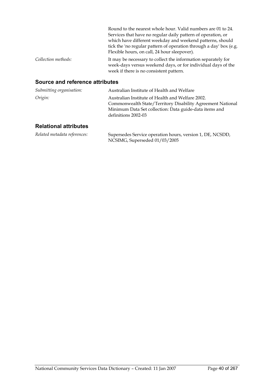|                     | Round to the nearest whole hour. Valid numbers are 01 to 24.                                                                                                             |
|---------------------|--------------------------------------------------------------------------------------------------------------------------------------------------------------------------|
|                     | Services that have no regular daily pattern of operation, or                                                                                                             |
|                     | which have different weekday and weekend patterns, should                                                                                                                |
|                     | tick the 'no regular pattern of operation through a day' box (e.g.<br>Flexible hours, on call, 24 hour sleepover).                                                       |
| Collection methods: | It may be necessary to collect the information separately for<br>week-days versus weekend days, or for individual days of the<br>week if there is no consistent pattern. |

### **Source and reference attributes**

| Submitting organisation: | Australian Institute of Health and Welfare                                                                                                                                                      |
|--------------------------|-------------------------------------------------------------------------------------------------------------------------------------------------------------------------------------------------|
| Origin:                  | Australian Institute of Health and Welfare 2002.<br>Commonwealth State/Territory Disability Agreement National<br>Minimum Data Set collection: Data guide-data items and<br>definitions 2002-03 |

| Related metadata references: | Supersedes Service operation hours, version 1, DE, NCSDD, |
|------------------------------|-----------------------------------------------------------|
|                              | NCSIMG, Superseded 01/03/2005                             |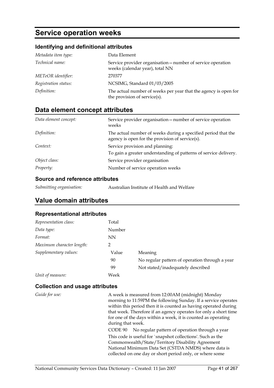# **Service operation weeks**

## **Identifying and definitional attributes**

| Metadata item type:    | Data Element                                                                                    |
|------------------------|-------------------------------------------------------------------------------------------------|
| <i>Technical name:</i> | Service provider organisation — number of service operation<br>weeks (calendar year), total NN  |
| METeOR identifier:     | 270377                                                                                          |
| Registration status:   | NCSIMG, Standard 01/03/2005                                                                     |
| Definition:            | The actual number of weeks per year that the agency is open for<br>the provision of service(s). |

# **Data element concept attributes**

| Data element concept: | Service provider organisation — number of service operation<br>weeks                                             |
|-----------------------|------------------------------------------------------------------------------------------------------------------|
| Definition:           | The actual number of weeks during a specified period that the<br>agency is open for the provision of service(s). |
| Context:              | Service provision and planning:<br>To gain a greater understanding of patterns of service delivery.              |
| Object class:         | Service provider organisation                                                                                    |
| Property:             | Number of service operation weeks                                                                                |

### **Source and reference attributes**

| Submitting organisation: | Australian Institute of Health and Welfare |
|--------------------------|--------------------------------------------|
|--------------------------|--------------------------------------------|

# **Value domain attributes**

### **Representational attributes**

| Representation class:     | Total     |                                                |
|---------------------------|-----------|------------------------------------------------|
| Data type:                | Number    |                                                |
| Format:                   | <b>NN</b> |                                                |
| Maximum character length: | 2         |                                                |
| Supplementary values:     | Value     | Meaning                                        |
|                           | 90        | No regular pattern of operation through a year |
|                           | 99        | Not stated/inadequately described              |
| Unit of measure:          | Week      |                                                |
|                           |           |                                                |

| Guide for use: | A week is measured from 12:00AM (midnight) Monday<br>morning to 11:59PM the following Sunday. If a service operates<br>within this period then it is counted as having operated during<br>that week. Therefore if an agency operates for only a short time<br>for one of the days within a week, it is counted as operating<br>during that week.<br>No regular pattern of operation through a year<br>CODE 90<br>This code is useful for `snapshot collections'. Such as the<br>Commonwealth/State/Territory Disability Agreement |
|----------------|-----------------------------------------------------------------------------------------------------------------------------------------------------------------------------------------------------------------------------------------------------------------------------------------------------------------------------------------------------------------------------------------------------------------------------------------------------------------------------------------------------------------------------------|
|                | National Minimum Data Set (CSTDA NMDS) where data is<br>collected on one day or short period only, or where some                                                                                                                                                                                                                                                                                                                                                                                                                  |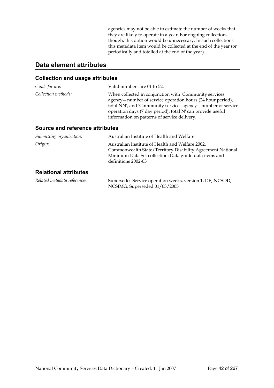agencies may not be able to estimate the number of weeks that they are likely to operate in a year. For ongoing collections though, this option would be unnecessary. In such collections this metadata item would be collected at the end of the year (or periodically and totalled at the end of the year).

# **Data element attributes**

### **Collection and usage attributes**

| Guide for use:      | Valid numbers are 01 to 52.                                                                                                                                                                                                                                                                           |
|---------------------|-------------------------------------------------------------------------------------------------------------------------------------------------------------------------------------------------------------------------------------------------------------------------------------------------------|
| Collection methods: | When collected in conjunction with 'Community services<br>agency – number of service operation hours (24 hour period),<br>total NN', and 'Community services agency - number of service<br>operation days (7 day period), total N' can provide useful<br>information on patterns of service delivery. |

### **Source and reference attributes**

| Submitting organisation:     | Australian Institute of Health and Welfare                                                                                                                                                      |
|------------------------------|-------------------------------------------------------------------------------------------------------------------------------------------------------------------------------------------------|
| Origin:                      | Australian Institute of Health and Welfare 2002.<br>Commonwealth State/Territory Disability Agreement National<br>Minimum Data Set collection: Data guide-data items and<br>definitions 2002-03 |
| <b>Relational attributes</b> |                                                                                                                                                                                                 |

| Related metadata references: | Supersedes Service operation weeks, version 1, DE, NCSDD, |
|------------------------------|-----------------------------------------------------------|
|                              | NCSIMG, Superseded 01/03/2005                             |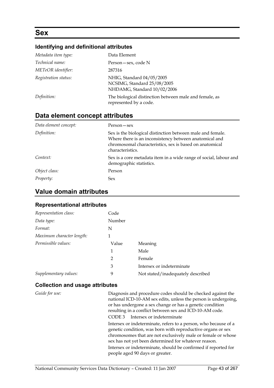# **Sex**

### **Identifying and definitional attributes**

| Metadata item type:  | Data Element                                                                            |
|----------------------|-----------------------------------------------------------------------------------------|
| Technical name:      | Person – sex, code N                                                                    |
| METeOR identifier:   | 287316                                                                                  |
| Registration status: | NHIG, Standard 04/05/2005<br>NCSIMG, Standard 25/08/2005<br>NHDAMG, Standard 10/02/2006 |
| Definition:          | The biological distinction between male and female, as<br>represented by a code.        |

### **Data element concept attributes**

| Data element concept: | Person – sex                                                                                                                                                                                        |
|-----------------------|-----------------------------------------------------------------------------------------------------------------------------------------------------------------------------------------------------|
| Definition:           | Sex is the biological distinction between male and female.<br>Where there is an inconsistency between anatomical and<br>chromosomal characteristics, sex is based on anatomical<br>characteristics. |
| Context:              | Sex is a core metadata item in a wide range of social, labour and<br>demographic statistics.                                                                                                        |
| Object class:         | Person                                                                                                                                                                                              |
| Property:             | <b>Sex</b>                                                                                                                                                                                          |

## **Value domain attributes**

### **Representational attributes**

| Representation class:     | Code   |                                   |
|---------------------------|--------|-----------------------------------|
| Data type:                | Number |                                   |
| Format:                   | N      |                                   |
| Maximum character length: | 1      |                                   |
| Permissible values:       | Value  | Meaning                           |
|                           | 1      | Male                              |
|                           | 2      | Female                            |
|                           | 3      | Intersex or indeterminate         |
| Supplementary values:     | 9      | Not stated/inadequately described |

### **Collection and usage attributes**

*Guide for use:* Diagnosis and procedure codes should be checked against the national ICD-10-AM sex edits, unless the person is undergoing, or has undergone a sex change or has a genetic condition resulting in a conflict between sex and ICD-10-AM code. CODE 3 Intersex or indeterminate Intersex or indeterminate, refers to a person, who because of a genetic condition, was born with reproductive organs or sex chromosomes that are not exclusively male or female or whose sex has not yet been determined for whatever reason. Intersex or indeterminate, should be confirmed if reported for people aged 90 days or greater.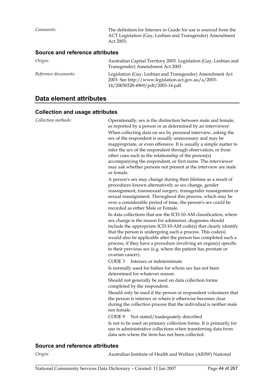*Comments:* The definition for Intersex in Guide for use is sourced from the ACT Legislation (Gay, Lesbian and Transgender) Amendment Act 2003.

#### **Source and reference attributes**

| Origin:              | Australian Capital Territory 2003. Legislation (Gay, Lesbian and<br>Transgender) Amendment Act 2003                                                  |
|----------------------|------------------------------------------------------------------------------------------------------------------------------------------------------|
| Reference documents: | Legislation (Gay, Lesbian and Transgender) Amendment Act<br>2003. See http://www.legislation.act.gov.au/a/2003-<br>14/20030328-4969/pdf/2003-14.pdf. |

## **Data element attributes**

### **Collection and usage attributes**

| Collection methods:             | Operationally, sex is the distinction between male and female,<br>as reported by a person or as determined by an interviewer.<br>When collecting data on sex by personal interview, asking the<br>sex of the respondent is usually unnecessary and may be<br>inappropriate, or even offensive. It is usually a simple matter to<br>infer the sex of the respondent through observation, or from<br>other cues such as the relationship of the person(s)<br>accompanying the respondent, or first name. The interviewer<br>may ask whether persons not present at the interview are male<br>or female. |
|---------------------------------|-------------------------------------------------------------------------------------------------------------------------------------------------------------------------------------------------------------------------------------------------------------------------------------------------------------------------------------------------------------------------------------------------------------------------------------------------------------------------------------------------------------------------------------------------------------------------------------------------------|
|                                 | A person's sex may change during their lifetime as a result of<br>procedures known alternatively as sex change, gender<br>reassignment, transsexual surgery, transgender reassignment or<br>sexual reassignment. Throughout this process, which may be<br>over a considerable period of time, the person's sex could be<br>recorded as either Male or Female.                                                                                                                                                                                                                                         |
|                                 | In data collections that use the ICD-10-AM classification, where<br>sex change is the reason for admission, diagnoses should<br>include the appropriate ICD-10-AM code(s) that clearly identify<br>that the person is undergoing such a process. This code(s)<br>would also be applicable after the person has completed such a<br>process, if they have a procedure involving an organ(s) specific<br>to their previous sex (e.g. where the patient has prostate or<br>ovarian cancer).                                                                                                              |
|                                 | CODE <sub>3</sub><br>Intersex or indeterminate                                                                                                                                                                                                                                                                                                                                                                                                                                                                                                                                                        |
|                                 | Is normally used for babies for whom sex has not been<br>determined for whatever reason.                                                                                                                                                                                                                                                                                                                                                                                                                                                                                                              |
|                                 | Should not generally be used on data collection forms<br>completed by the respondent.                                                                                                                                                                                                                                                                                                                                                                                                                                                                                                                 |
|                                 | Should only be used if the person or respondent volunteers that<br>the person is intersex or where it otherwise becomes clear<br>during the collection process that the individual is neither male<br>nor female.                                                                                                                                                                                                                                                                                                                                                                                     |
|                                 | CODE 9<br>Not stated/inadequately described                                                                                                                                                                                                                                                                                                                                                                                                                                                                                                                                                           |
|                                 | Is not to be used on primary collection forms. It is primarily for<br>use in administrative collections when transferring data from<br>data sets where the item has not been collected.                                                                                                                                                                                                                                                                                                                                                                                                               |
| Source and reference attributes |                                                                                                                                                                                                                                                                                                                                                                                                                                                                                                                                                                                                       |

*Origin:* Australian Institute of Health and Welfare (AIHW) National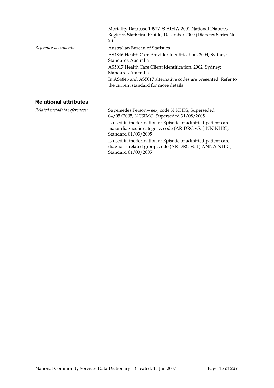|                              | Mortality Database 1997/98 AIHW 2001 National Diabetes<br>Register, Statistical Profile, December 2000 (Diabetes Series No.<br>2.) |
|------------------------------|------------------------------------------------------------------------------------------------------------------------------------|
| Reference documents:         | Australian Bureau of Statistics                                                                                                    |
|                              | AS4846 Health Care Provider Identification, 2004, Sydney:<br>Standards Australia                                                   |
|                              | AS5017 Health Care Client Identification, 2002, Sydney:<br>Standards Australia                                                     |
|                              | In AS4846 and AS5017 alternative codes are presented. Refer to<br>the current standard for more details.                           |
| <b>Relational attributes</b> |                                                                                                                                    |
| Related metadata references: | Supersedes Person-sex, code N NHIG, Superseded<br>04/05/2005, NCSIMG, Superseded 31/08/2005                                        |
|                              | Is used in the formation of Episode of admitted patient care—                                                                      |

major diagnostic category, code (AR-DRG v5.1) NN NHIG, Standard 01/03/2005 Is used in the formation of Episode of admitted patient care diagnosis related group, code (AR-DRG v5.1) ANNA NHIG, Standard 01/03/2005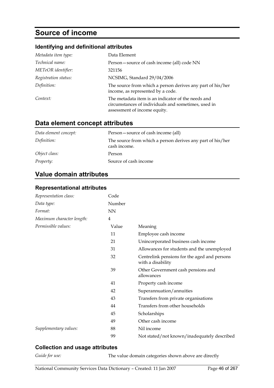# **Source of income**

### **Identifying and definitional attributes**

| Metadata item type:  | Data Element                                                                                                                              |
|----------------------|-------------------------------------------------------------------------------------------------------------------------------------------|
| Technical name:      | Person - source of cash income (all) code NN                                                                                              |
| METeOR identifier:   | 321156                                                                                                                                    |
| Registration status: | NCSIMG, Standard 29/04/2006                                                                                                               |
| Definition:          | The source from which a person derives any part of his/her<br>income, as represented by a code.                                           |
| Context:             | The metadata item is an indicator of the needs and<br>circumstances of individuals and sometimes, used in<br>assessment of income equity. |

## **Data element concept attributes**

| Data element concept: | Person – source of cash income (all)                                       |
|-----------------------|----------------------------------------------------------------------------|
| Definition:           | The source from which a person derives any part of his/her<br>cash income. |
| Object class:         | Person                                                                     |
| Property:             | Source of cash income                                                      |

# **Value domain attributes**

### **Representational attributes**

| Representation class:     | Code      |                                                                   |
|---------------------------|-----------|-------------------------------------------------------------------|
| Data type:                | Number    |                                                                   |
| Format:                   | <b>NN</b> |                                                                   |
| Maximum character length: | 4         |                                                                   |
| Permissible values:       | Value     | Meaning                                                           |
|                           | 11        | Employee cash income                                              |
|                           | 21        | Unincorporated business cash income                               |
|                           | 31        | Allowances for students and the unemployed                        |
|                           | 32        | Centrelink pensions for the aged and persons<br>with a disability |
|                           | 39        | Other Government cash pensions and<br>allowances                  |
|                           | 41        | Property cash income                                              |
|                           | 42        | Superannuation/annuities                                          |
|                           | 43        | Transfers from private organisations                              |
|                           | 44        | Transfers from other households                                   |
|                           | 45        | Scholarships                                                      |
|                           | 49        | Other cash income                                                 |
| Supplementary values:     | 88        | Nil income                                                        |
|                           | 99        | Not stated/not known/inadequately described                       |

### **Collection and usage attributes**

*Guide for use:* The value domain categories shown above are directly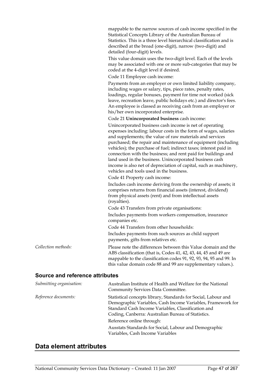mappable to the narrow sources of cash income specified in the Statistical Concepts Library of the Australian Bureau of Statistics. This is a three level hierarchical classification and is described at the broad (one-digit), narrow (two-digit) and detailed (four-digit) levels.

This value domain uses the two-digit level. Each of the levels may be associated with one or more sub-categories that may be coded at the 4-digit level if desired.

Code 11 Employee cash income:

Payments from an employer or own limited liability company, including wages or salary, tips, piece rates, penalty rates, loadings, regular bonuses, payment for time not worked (sick leave, recreation leave, public holidays etc.) and director's fees. An employee is classed as receiving cash from an employer or his/her own incorporated enterprise.

Code 21 **Unincorporated business** cash income:

Unincorporated business cash income is net of operating expenses including: labour costs in the form of wages, salaries and supplements; the value of raw materials and services purchased; the repair and maintenance of equipment (including vehicles); the purchase of fuel; indirect taxes; interest paid in connection with the business; and rent paid for buildings and land used in the business. Unincorporated business cash income is also net of depreciation of capital, such as machinery, vehicles and tools used in the business.

Code 41 Property cash income:

Includes cash income deriving from the ownership of assets; it comprises returns from financial assets (interest, dividend) from physical assets (rent) and from intellectual assets (royalties).

Code 43 Transfers from private organisations:

Includes payments from workers compensation, insurance companies etc.

Code 44 Transfers from other households:

Includes payments from such sources as child support payments, gifts from relatives etc.

#### *Collection methods:* Please note the differences between this Value domain and the ABS classification (that is, Codes 41, 42, 43, 44, 45 and 49 are mappable to the classification codes 91, 92, 93, 94, 95 and 99. In this value domain code 88 and 99 are supplementary values.).

#### **Source and reference attributes**

| Submitting organisation: | Australian Institute of Health and Welfare for the National<br>Community Services Data Committee.                                                                                                                                         |
|--------------------------|-------------------------------------------------------------------------------------------------------------------------------------------------------------------------------------------------------------------------------------------|
| Reference documents:     | Statistical concepts library, Standards for Social, Labour and<br>Demographic Variables, Cash Income Variables, Framework for<br>Standard Cash Income Variables, Classification and<br>Coding, Canberra: Australian Bureau of Statistics. |
|                          | Reference online through:                                                                                                                                                                                                                 |
|                          | Ausstats Standards for Social, Labour and Demographic<br>Variables, Cash Income Variables                                                                                                                                                 |

## **Data element attributes**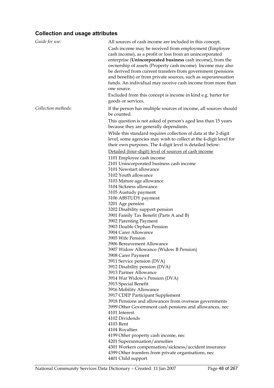| Guide for use:      | All sources of cash income are included in this concept.          |
|---------------------|-------------------------------------------------------------------|
|                     | Cash income may be received from employment (Employee)            |
|                     | cash income), as a profit or loss from an unincorporated          |
|                     | enterprise (Unincorporated business cash income), from the        |
|                     | ownership of assets (Property cash income). Income may also       |
|                     | be derived from current transfers from government (pensions       |
|                     | and benefits) or from private sources, such as superannuation     |
|                     | funds. An individual may receive cash income from more than       |
|                     | one source.                                                       |
|                     |                                                                   |
|                     | Excluded from this concept is income in kind e.g. barter for      |
|                     | goods or services.                                                |
| Collection methods: | If the person has multiple sources of income, all sources should  |
|                     | be counted.                                                       |
|                     | This question is not asked of person's aged less than 15 years    |
|                     | because they are generally dependants.                            |
|                     | While this standard requires collection of data at the 2-digit    |
|                     | level, some agencies may wish to collect at the 4-digit level for |
|                     | their own purposes. The 4-digit level is detailed below:          |
|                     | Detailed (four-digit) level of sources of cash income             |
|                     | 1101 Employee cash income                                         |
|                     | 2101 Unincorporated business cash income                          |
|                     | 3101 Newstart allowance                                           |
|                     | 3102 Youth allowance                                              |
|                     | 3103 Mature age allowance                                         |
|                     | 3104 Sickness allowance                                           |
|                     | 3105 Austudy payment                                              |
|                     | 3106 ABSTUDY payment                                              |
|                     | 3201 Age pension                                                  |
|                     | 3202 Disability support pension                                   |
|                     | 3901 Family Tax Benefit (Parts A and B)                           |
|                     | 3902 Parenting Payment                                            |
|                     | 3903 Double Orphan Pension                                        |
|                     | 3904 Carer Allowance                                              |
|                     | 3905 Wife Pension                                                 |
|                     | 3906 Bereavement Allowance                                        |
|                     | 3907 Widow Allowance (Widow B Pension)                            |
|                     | 3908 Carer Payment                                                |
|                     | 3911 Service pension (DVA)                                        |
|                     | 3912 Disability pension (DVA)                                     |
|                     | 3913 Partner Allowance                                            |
|                     | 3914 War Widow's Pension (DVA)                                    |
|                     | 3915 Special Benefit                                              |
|                     | 3916 Mobility Allowance                                           |
|                     | 3917 CDEP Participant Supplement                                  |
|                     | 3918 Pensions and allowances from overseas governments            |
|                     | 3999 Other Government cash pensions and allowances, nec           |
|                     | 4101 Interest                                                     |
|                     | 4102 Dividends                                                    |
|                     | 4103 Rent                                                         |
|                     | 4104 Royalties                                                    |
|                     | 4199 Other property cash income, nec                              |
|                     | 4201 Superannuation/annuities                                     |
|                     | 4301 Workers compensation/sickness/accident insurance             |
|                     | 4399 Other transfers from private organisations, nec              |
|                     | 4401 Child support                                                |
|                     |                                                                   |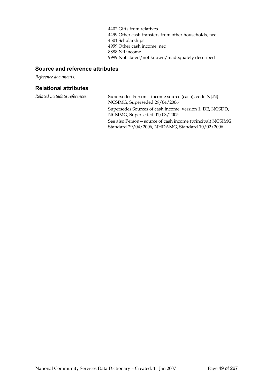4402 Gifts from relatives 4499 Other cash transfers from other households, nec 4501 Scholarships 4999 Other cash income, nec 8888 Nil income 9999 Not stated/not known/inadequately described

## **Source and reference attributes**

*Reference documents:*

| Related metadata references: | Supersedes Person – income source (cash), code N{.N}<br>NCSIMG, Superseded 29/04/2006                           |
|------------------------------|-----------------------------------------------------------------------------------------------------------------|
|                              | Supersedes Sources of cash income, version 1, DE, NCSDD,<br>NCSIMG, Superseded 01/03/2005                       |
|                              | See also Person – source of cash income (principal) NCSIMG,<br>Standard 29/04/2006, NHDAMG, Standard 10/02/2006 |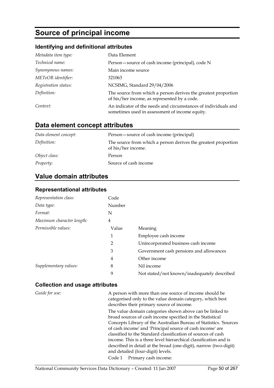# **Source of principal income**

## **Identifying and definitional attributes**

| Metadata item type:  | Data Element                                                                                                     |
|----------------------|------------------------------------------------------------------------------------------------------------------|
| Technical name:      | Person – source of cash income (principal), code N                                                               |
| Synonymous names:    | Main income source                                                                                               |
| METeOR identifier:   | 321063                                                                                                           |
| Registration status: | NCSIMG, Standard 29/04/2006                                                                                      |
| Definition:          | The source from which a person derives the greatest proportion<br>of his/her income, as represented by a code.   |
| Context:             | An indicator of the needs and circumstances of individuals and<br>sometimes used in assessment of income equity. |

# **Data element concept attributes**

| Data element concept: | Person – source of cash income (principal)                                           |
|-----------------------|--------------------------------------------------------------------------------------|
| Definition:           | The source from which a person derives the greatest proportion<br>of his/her income. |
| Object class:         | Person                                                                               |
| <i>Property:</i>      | Source of cash income                                                                |

## **Value domain attributes**

### **Representational attributes**

| Representation class:     | Code   |                                             |
|---------------------------|--------|---------------------------------------------|
| Data type:                | Number |                                             |
| Format:                   | N      |                                             |
| Maximum character length: | 4      |                                             |
| Permissible values:       | Value  | Meaning                                     |
|                           | 1      | Employee cash income                        |
|                           | 2      | Unincorporated business cash income         |
|                           | 3      | Government cash pensions and allowances     |
|                           | 4      | Other income                                |
| Supplementary values:     | 8      | Nil income                                  |
|                           | 9      | Not stated/not known/inadequately described |

### **Collection and usage attributes**

*Guide for use:* A person with more than one source of income should be categorised only to the value domain category, which best describes their primary source of income.

> The value domain categories shown above can be linked to broad sources of cash income specified in the Statistical Concepts Library of the Australian Bureau of Statistics. 'Sources of cash income' and 'Principal source of cash income' are classified to the Standard classification of sources of cash income. This is a three level hierarchical classification and is described in detail at the broad (one-digit), narrow (two-digit) and detailed (four-digit) levels.

Code 1 Primary cash income: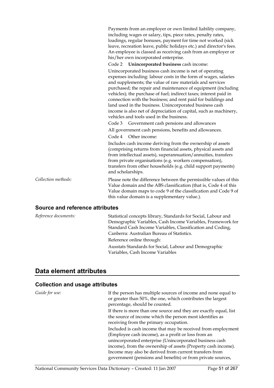|                     | Payments from an employer or own limited liability company,<br>including wages or salary, tips, piece rates, penalty rates,<br>loadings, regular bonuses, payment for time not worked (sick<br>leave, recreation leave, public holidays etc.) and director's fees.<br>An employee is classed as receiving cash from an employer or<br>his/her own incorporated enterprise.                                                                                                                                                                                                |
|---------------------|---------------------------------------------------------------------------------------------------------------------------------------------------------------------------------------------------------------------------------------------------------------------------------------------------------------------------------------------------------------------------------------------------------------------------------------------------------------------------------------------------------------------------------------------------------------------------|
|                     | Code 2 Unincorporated business cash income:                                                                                                                                                                                                                                                                                                                                                                                                                                                                                                                               |
|                     | Unincorporated business cash income is net of operating<br>expenses including: labour costs in the form of wages, salaries<br>and supplements; the value of raw materials and services<br>purchased; the repair and maintenance of equipment (including<br>vehicles); the purchase of fuel; indirect taxes; interest paid in<br>connection with the business; and rent paid for buildings and<br>land used in the business. Unincorporated business cash<br>income is also net of depreciation of capital, such as machinery,<br>vehicles and tools used in the business. |
|                     | Government cash pensions and allowances<br>Code 3                                                                                                                                                                                                                                                                                                                                                                                                                                                                                                                         |
|                     | All government cash pensions, benefits and allowances.                                                                                                                                                                                                                                                                                                                                                                                                                                                                                                                    |
|                     | Other income:<br>Code 4                                                                                                                                                                                                                                                                                                                                                                                                                                                                                                                                                   |
|                     | Includes cash income deriving from the ownership of assets<br>(comprising returns from financial assets, physical assets and<br>from intellectual assets), superannuation/annuities, transfers<br>from private organisations (e.g. workers compensation),<br>transfers from other households (e.g. child support payments)<br>and scholarships.                                                                                                                                                                                                                           |
| Collection methods: | Please note the difference between the permissible values of this<br>Value domain and the ABS classification (that is, Code 4 of this<br>Value domain maps to code 9 of the classification and Code 9 of<br>this value domain is a supplementary value.).                                                                                                                                                                                                                                                                                                                 |
|                     |                                                                                                                                                                                                                                                                                                                                                                                                                                                                                                                                                                           |

### **Source and reference attributes**

| Reference documents: | Statistical concepts library, Standards for Social, Labour and |
|----------------------|----------------------------------------------------------------|
|                      | Demographic Variables, Cash Income Variables, Framework for    |
|                      | Standard Cash Income Variables, Classification and Coding,     |
|                      | Canberra: Australian Bureau of Statistics.                     |
|                      | Reference online through:                                      |
|                      | Ausstats Standards for Social, Labour and Demographic          |
|                      | Variables, Cash Income Variables                               |

# **Data element attributes**

| Guide for use: | If the person has multiple sources of income and none equal to<br>or greater than 50%, the one, which contributes the largest<br>percentage, should be counted.                                                                                                                                                                                                          |
|----------------|--------------------------------------------------------------------------------------------------------------------------------------------------------------------------------------------------------------------------------------------------------------------------------------------------------------------------------------------------------------------------|
|                | If there is more than one source and they are exactly equal, list<br>the source of income which the person most identifies as<br>receiving from the primary occupation.                                                                                                                                                                                                  |
|                | Included is cash income that may be received from employment<br>(Employee cash income), as a profit or loss from an<br>unincorporated enterprise (Unincorporated business cash<br>income), from the ownership of assets (Property cash income).<br>Income may also be derived from current transfers from<br>government (pensions and benefits) or from private sources, |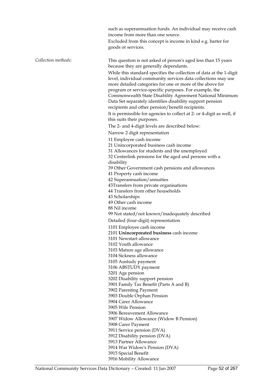|                     | such as superannuation funds. An individual may receive cash<br>income from more than one source.<br>Excluded from this concept is income in kind e.g. barter for<br>goods or services.                                                                                                                                                                                                                                             |
|---------------------|-------------------------------------------------------------------------------------------------------------------------------------------------------------------------------------------------------------------------------------------------------------------------------------------------------------------------------------------------------------------------------------------------------------------------------------|
| Collection methods: | This question is not asked of person's aged less than 15 years<br>because they are generally dependants.<br>While this standard specifies the collection of data at the 1-digit<br>level, individual community services data collections may use<br>more detailed categories for one or more of the above for<br>program or service-specific purposes. For example, the<br>Commonwealth State Disability Agreement National Minimum |
|                     | Data Set separately identifies disability support pension<br>recipients and other pension/benefit recipients.<br>It is permissible for agencies to collect at 2- or 4-digit as well, if                                                                                                                                                                                                                                             |
|                     | this suits their purposes.<br>The 2- and 4-digit levels are described below:                                                                                                                                                                                                                                                                                                                                                        |
|                     | Narrow 2 digit representation                                                                                                                                                                                                                                                                                                                                                                                                       |
|                     | 11 Employee cash income                                                                                                                                                                                                                                                                                                                                                                                                             |
|                     | 21 Unincorporated business cash income                                                                                                                                                                                                                                                                                                                                                                                              |
|                     | 31 Allowances for students and the unemployed                                                                                                                                                                                                                                                                                                                                                                                       |
|                     | 32 Centrelink pensions for the aged and persons with a<br>disability                                                                                                                                                                                                                                                                                                                                                                |
|                     | 39 Other Government cash pensions and allowances                                                                                                                                                                                                                                                                                                                                                                                    |
|                     | 41 Property cash income                                                                                                                                                                                                                                                                                                                                                                                                             |
|                     | 42 Superannuation/annuities                                                                                                                                                                                                                                                                                                                                                                                                         |
|                     | 43Transfers from private organisations                                                                                                                                                                                                                                                                                                                                                                                              |
|                     | 44 Transfers from other households                                                                                                                                                                                                                                                                                                                                                                                                  |
|                     | 43 Scholarships                                                                                                                                                                                                                                                                                                                                                                                                                     |
|                     | 49 Other cash income                                                                                                                                                                                                                                                                                                                                                                                                                |
|                     | 88 Nil income                                                                                                                                                                                                                                                                                                                                                                                                                       |
|                     | 99 Not stated/not known/inadequately described                                                                                                                                                                                                                                                                                                                                                                                      |
|                     | Detailed (four-digit) representation                                                                                                                                                                                                                                                                                                                                                                                                |
|                     | 1101 Employee cash income                                                                                                                                                                                                                                                                                                                                                                                                           |
|                     | 2101 Unincorporated business cash income                                                                                                                                                                                                                                                                                                                                                                                            |
|                     | 3101 Newstart allowance                                                                                                                                                                                                                                                                                                                                                                                                             |
|                     | 3102 Youth allowance                                                                                                                                                                                                                                                                                                                                                                                                                |
|                     | 3103 Mature age allowance                                                                                                                                                                                                                                                                                                                                                                                                           |
|                     | 3104 Sickness allowance                                                                                                                                                                                                                                                                                                                                                                                                             |
|                     | 3105 Austudy payment                                                                                                                                                                                                                                                                                                                                                                                                                |
|                     | 3106 ABSTUDY payment                                                                                                                                                                                                                                                                                                                                                                                                                |
|                     | 3201 Age pension                                                                                                                                                                                                                                                                                                                                                                                                                    |
|                     | 3202 Disability support pension                                                                                                                                                                                                                                                                                                                                                                                                     |
|                     | 3901 Family Tax Benefit (Parts A and B)                                                                                                                                                                                                                                                                                                                                                                                             |
|                     | 3902 Parenting Payment<br>3903 Double Orphan Pension                                                                                                                                                                                                                                                                                                                                                                                |
|                     | 3904 Carer Allowance                                                                                                                                                                                                                                                                                                                                                                                                                |
|                     | 3905 Wife Pension                                                                                                                                                                                                                                                                                                                                                                                                                   |
|                     | 3906 Bereavement Allowance                                                                                                                                                                                                                                                                                                                                                                                                          |
|                     | 3907 Widow Allowance (Widow B Pension)                                                                                                                                                                                                                                                                                                                                                                                              |
|                     | 3908 Carer Payment                                                                                                                                                                                                                                                                                                                                                                                                                  |
|                     | 3911 Service pension (DVA)                                                                                                                                                                                                                                                                                                                                                                                                          |
|                     | 3912 Disability pension (DVA)                                                                                                                                                                                                                                                                                                                                                                                                       |
|                     | 3913 Partner Allowance                                                                                                                                                                                                                                                                                                                                                                                                              |
|                     | 3914 War Widow's Pension (DVA)                                                                                                                                                                                                                                                                                                                                                                                                      |
|                     | 3915 Special Benefit                                                                                                                                                                                                                                                                                                                                                                                                                |

3916 Mobility Allowance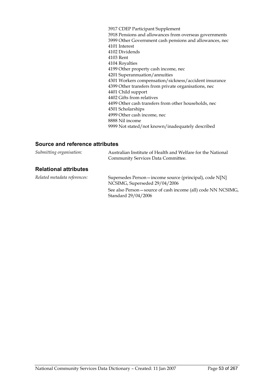3917 CDEP Participant Supplement 3918 Pensions and allowances from overseas governments 3999 Other Government cash pensions and allowances, nec 4101 Interest 4102 Dividends 4103 Rent 4104 Royalties 4199 Other property cash income, nec 4201 Superannuation/annuities 4301 Workers compensation/sickness/accident insurance 4399 Other transfers from private organisations, nec 4401 Child support 4402 Gifts from relatives 4499 Other cash transfers from other households, nec 4501 Scholarships 4999 Other cash income, nec 8888 Nil income 9999 Not stated/not known/inadequately described

### **Source and reference attributes**

| Submitting organisation:     | Australian Institute of Health and Welfare for the National<br>Community Services Data Committee. |
|------------------------------|---------------------------------------------------------------------------------------------------|
| <b>Relational attributes</b> |                                                                                                   |
| Related metadata references: | Supersedes Person – income source (principal), code N[N]<br>NCSIMG, Superseded 29/04/2006         |
|                              | See also Person – source of cash income (all) code NN NCSIMG,<br>Standard 29/04/2006              |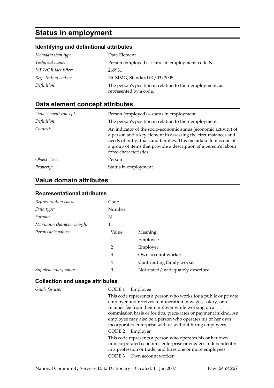# **Status in employment**

# **Identifying and definitional attributes**

| Metadata item type:  | Data Element                                                                        |
|----------------------|-------------------------------------------------------------------------------------|
| Technical name:      | Person (employed) – status in employment, code N                                    |
| METeOR identifier:   | 269951                                                                              |
| Registration status: | NCSIMG, Standard 01/03/2005                                                         |
| Definition:          | The person's position in relation to their employment, as<br>represented by a code. |

# **Data element concept attributes**

| Data element concept: | Person (employed) – status in employment                                                                                                                                                                                                                                                           |
|-----------------------|----------------------------------------------------------------------------------------------------------------------------------------------------------------------------------------------------------------------------------------------------------------------------------------------------|
| Definition:           | The person's position in relation to their employment.                                                                                                                                                                                                                                             |
| Context:              | An indicator of the socio-economic status (economic activity) of<br>a person and a key element in assessing the circumstances and<br>needs of individuals and families. This metadata item is one of<br>a group of items that provide a description of a person's labour<br>force characteristics. |
| Object class:         | Person                                                                                                                                                                                                                                                                                             |
| <i>Property:</i>      | Status in employment                                                                                                                                                                                                                                                                               |

# **Value domain attributes**

### **Representational attributes**

| Representation class:     | Code           |                                   |
|---------------------------|----------------|-----------------------------------|
| Data type:                | Number         |                                   |
| Format:                   | N              |                                   |
| Maximum character length: | 1              |                                   |
| Permissible values:       | Value          | Meaning                           |
|                           | 1              | Employee                          |
|                           | $\overline{2}$ | Employer                          |
|                           | 3              | Own account worker                |
|                           | 4              | Contributing family worker        |
| Supplementary values:     | 9              | Not stated/inadequately described |

| Guide for use: | CODE 1<br>Employee<br>This code represents a person who works for a public or private                                                                                                      |
|----------------|--------------------------------------------------------------------------------------------------------------------------------------------------------------------------------------------|
|                | employer and receives remuneration in wages, salary, or a<br>retainer fee from their employer while working on a                                                                           |
|                | commission basis or for tips, piece-rates or payment in kind. An<br>employee may also be a person who operates his or her own<br>incorporated enterprise with or without hiring employees. |
|                | CODE 2<br>Employer                                                                                                                                                                         |
|                | This code represents a person who operates his or her own<br>unincorporated economic enterprise or engages independently<br>in a profession or trade, and hires one or more employees.     |
|                | CODE <sub>3</sub><br>Own account worker                                                                                                                                                    |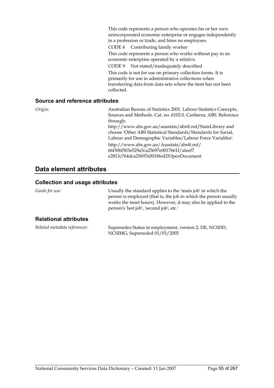This code represents a person who operates his or her own unincorporated economic enterprise or engages independently in a profession or trade, and hires no employees. CODE 4 Contributing family worker This code represents a person who works without pay in an economic enterprise operated by a relative. CODE 9 Not stated/inadequately described This code is not for use on primary collection forms. It is primarily for use in administrative collections when transferring data from data sets where the item has not been collected.

#### **Source and reference attributes**

*Origin:* Australian Bureau of Statistics 2001. Labour Statistics Concepts, Sources and Methods. Cat. no. 6102.0. Canberra: ABS. Reference through: http://www.abs.gov.au/ausstats/abs@.nsf/StatsLibrary and choose 'Other ABS Statistical Standards/Standards for Social, Labour and Demographic Variables/Labour Force Variables'. http://www.abs.gov.au/Ausstats/abs@.nsf/ 66f306f503e529a5ca25697e0017661f/afeef7 e2813c764dca25697e0018fed2!OpenDocument

## **Data element attributes**

#### **Collection and usage attributes**

*Guide for use:* Usually the standard applies to the 'main job' in which the person is employed (that is, the job in which the person usually works the most hours). However, it may also be applied to the person's 'last job', 'second job', etc.' **Relational attributes**  *Related metadata references:* Supersedes Status in employment, version 2, DE, NCSDD,

NCSIMG, Superseded 01/03/2005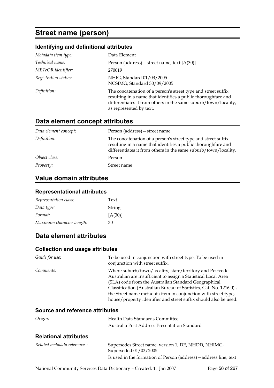# **Street name (person)**

### **Identifying and definitional attributes**

| Metadata item type:  | Data Element                                                                                                                                                                                                                 |
|----------------------|------------------------------------------------------------------------------------------------------------------------------------------------------------------------------------------------------------------------------|
| Technical name:      | Person (address) – street name, text $[A(30)]$                                                                                                                                                                               |
| METeOR identifier:   | 270019                                                                                                                                                                                                                       |
| Registration status: | NHIG, Standard 01/03/2005<br>NCSIMG, Standard 30/09/2005                                                                                                                                                                     |
| Definition:          | The concatenation of a person's street type and street suffix<br>resulting in a name that identifies a public thoroughfare and<br>differentiates it from others in the same suburb/town/locality,<br>as represented by text. |

### **Data element concept attributes**

| Data element concept: | Person (address) – street name                                                                                                                                                                    |
|-----------------------|---------------------------------------------------------------------------------------------------------------------------------------------------------------------------------------------------|
| Definition:           | The concatenation of a person's street type and street suffix<br>resulting in a name that identifies a public thoroughfare and<br>differentiates it from others in the same suburb/town/locality. |
| Object class:         | Person                                                                                                                                                                                            |
| Property:             | Street name                                                                                                                                                                                       |

# **Value domain attributes**

#### **Representational attributes**

| Representation class:     | Text    |
|---------------------------|---------|
| Data type:                | String  |
| Format:                   | [A(30)] |
| Maximum character length: | 30      |

## **Data element attributes**

#### **Collection and usage attributes**

| Guide for use:                         | To be used in conjunction with street type. To be used in<br>conjunction with street suffix.                                                                                                                                                                                                                                                                                                     |
|----------------------------------------|--------------------------------------------------------------------------------------------------------------------------------------------------------------------------------------------------------------------------------------------------------------------------------------------------------------------------------------------------------------------------------------------------|
| Comments:                              | Where suburb/town/locality, state/territory and Postcode -<br>Australian are insufficient to assign a Statistical Local Area<br>(SLA) code from the Australian Standard Geographical<br>Classification (Australian Bureau of Statistics, Cat. No. 1216.0),<br>the Street name metadata item in conjunction with street type,<br>house/property identifier and street suffix should also be used. |
| <b>Source and reference attributes</b> |                                                                                                                                                                                                                                                                                                                                                                                                  |
| Origin:                                | Health Data Standards Committee<br>Australia Post Address Presentation Standard                                                                                                                                                                                                                                                                                                                  |

| Related metadata references: | Supersedes Street name, version 1, DE, NHDD, NHIMG,<br>Superseded 01/03/2005 |
|------------------------------|------------------------------------------------------------------------------|
|                              | Is used in the formation of Person (address) — address line, text            |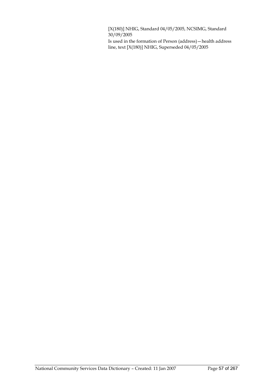[X(180)] NHIG, Standard 04/05/2005, NCSIMG, Standard  $30/09/2005$ 

Is used in the formation of Person (address)—health address line, text [X(180)] NHIG, Superseded 04/05/2005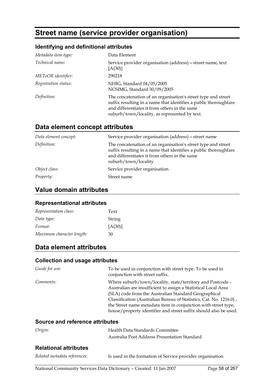# **Street name (service provider organisation)**

## **Identifying and definitional attributes**

| Metadata item type:  | Data Element                                                                                                                                                                                                                        |
|----------------------|-------------------------------------------------------------------------------------------------------------------------------------------------------------------------------------------------------------------------------------|
| Technical name:      | Service provider organisation (address) – street name, text<br>[A(30)]                                                                                                                                                              |
| METeOR identifier:   | 290218                                                                                                                                                                                                                              |
| Registration status: | NHIG, Standard 04/05/2005<br>NCSIMG, Standard 30/09/2005                                                                                                                                                                            |
| Definition:          | The concatenation of an organisation's street type and street<br>suffix resulting in a name that identifies a public thoroughfare<br>and differentiates it from others in the same<br>suburb/town/locality, as represented by text. |

# **Data element concept attributes**

| Data element concept: | Service provider organisation (address) - street name                                                                                                                                                       |
|-----------------------|-------------------------------------------------------------------------------------------------------------------------------------------------------------------------------------------------------------|
| Definition:           | The concatenation of an organisation's street type and street<br>suffix resulting in a name that identifies a public thoroughfare<br>and differentiates it from others in the same<br>suburb/town/locality. |
| Object class:         | Service provider organisation                                                                                                                                                                               |
| Property:             | Street name                                                                                                                                                                                                 |

# **Value domain attributes**

#### **Representational attributes**

| Representation class:     | Text    |
|---------------------------|---------|
| Data type:                | String  |
| Format:                   | [A(30)] |
| Maximum character length: | 30      |

# **Data element attributes**

### **Collection and usage attributes**

| Guide for use: | To be used in conjunction with street type. To be used in<br>conjunction with street suffix.                                                                                                                                                                                                                                                                                                     |
|----------------|--------------------------------------------------------------------------------------------------------------------------------------------------------------------------------------------------------------------------------------------------------------------------------------------------------------------------------------------------------------------------------------------------|
| Comments:      | Where suburb/town/locality, state/territory and Postcode -<br>Australian are insufficient to assign a Statistical Local Area<br>(SLA) code from the Australian Standard Geographical<br>Classification (Australian Bureau of Statistics, Cat. No. 1216.0),<br>the Street name metadata item in conjunction with street type,<br>house/property identifier and street suffix should also be used. |

### **Source and reference attributes**

| Origin:                      | Health Data Standards Committee              |
|------------------------------|----------------------------------------------|
|                              | Australia Post Address Presentation Standard |
| <b>Relational attributes</b> |                                              |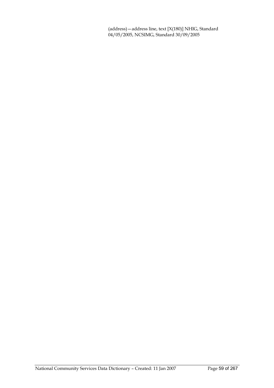(address)—address line, text [X(180)] NHIG, Standard 04/05/2005, NCSIMG, Standard 30/09/2005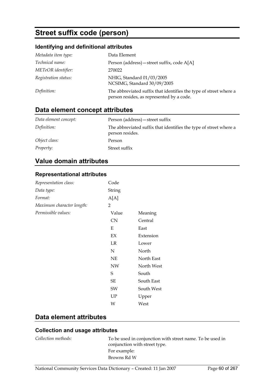# **Street suffix code (person)**

## **Identifying and definitional attributes**

| Metadata item type:  | Data Element                                                                                                   |
|----------------------|----------------------------------------------------------------------------------------------------------------|
| Technical name:      | Person (address) – street suffix, code A[A]                                                                    |
| METeOR identifier:   | 270022                                                                                                         |
| Registration status: | NHIG, Standard 01/03/2005<br>NCSIMG, Standard 30/09/2005                                                       |
| Definition:          | The abbreviated suffix that identifies the type of street where a<br>person resides, as represented by a code. |

# **Data element concept attributes**

| Data element concept: | Person (address) – street suffix                                                     |
|-----------------------|--------------------------------------------------------------------------------------|
| Definition:           | The abbreviated suffix that identifies the type of street where a<br>person resides. |
| Object class:         | Person                                                                               |
| Property:             | Street suffix                                                                        |

# **Value domain attributes**

### **Representational attributes**

| Representation class:     | Code      |            |
|---------------------------|-----------|------------|
| Data type:                | String    |            |
| Format:                   | A[A]      |            |
| Maximum character length: | 2         |            |
| Permissible values:       | Value     | Meaning    |
|                           | <b>CN</b> | Central    |
|                           | Е         | East       |
|                           | EX        | Extension  |
|                           | LR        | Lower      |
|                           | N         | North      |
|                           | NE        | North East |
|                           | <b>NW</b> | North West |
|                           | S         | South      |
|                           | SE        | South East |
|                           | SW        | South West |
|                           | UP        | Upper      |
|                           | W         | West       |

# **Data element attributes**

| Collection methods: | To be used in conjunction with street name. To be used in<br>conjunction with street type. |
|---------------------|--------------------------------------------------------------------------------------------|
|                     | For example:                                                                               |
|                     | Browns Rd W                                                                                |
|                     |                                                                                            |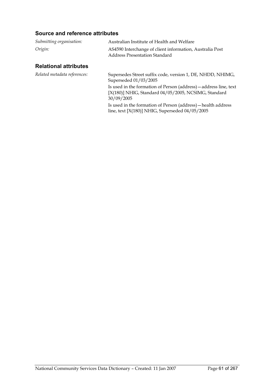### **Source and reference attributes**

| Submitting organisation: | Australian Institute of Health and Welfare                                                |
|--------------------------|-------------------------------------------------------------------------------------------|
| Origin:                  | AS4590 Interchange of client information, Australia Post<br>Address Presentation Standard |

| Related metadata references: | Supersedes Street suffix code, version 1, DE, NHDD, NHIMG,<br>Superseded 01/03/2005<br>Is used in the formation of Person (address) — address line, text |
|------------------------------|----------------------------------------------------------------------------------------------------------------------------------------------------------|
|                              | [X(180)] NHIG, Standard 04/05/2005, NCSIMG, Standard<br>30/09/2005                                                                                       |
|                              | Is used in the formation of Person (address) - health address<br>line, text $[X(180)]$ NHIG, Superseded $04/05/2005$                                     |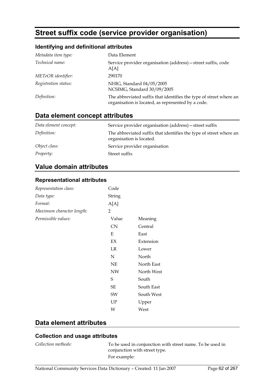# **Street suffix code (service provider organisation)**

### **Identifying and definitional attributes**

| Metadata item type:  | Data Element                                                                                                             |
|----------------------|--------------------------------------------------------------------------------------------------------------------------|
| Technical name:      | Service provider organisation (address) - street suffix, code<br>A[A]                                                    |
| METeOR identifier:   | 290170                                                                                                                   |
| Registration status: | NHIG, Standard 04/05/2005<br>NCSIMG, Standard 30/09/2005                                                                 |
| Definition:          | The abbreviated suffix that identifies the type of street where an<br>organisation is located, as represented by a code. |

# **Data element concept attributes**

| Data element concept: | Service provider organisation (address) – street suffix                                        |
|-----------------------|------------------------------------------------------------------------------------------------|
| Definition:           | The abbreviated suffix that identifies the type of street where an<br>organisation is located. |
| Object class:         | Service provider organisation                                                                  |
| <i>Property:</i>      | Street suffix                                                                                  |

## **Value domain attributes**

#### **Representational attributes**

| Representation class:     | Code                   |            |
|---------------------------|------------------------|------------|
| Data type:                | String                 |            |
| Format:                   | A[A]                   |            |
| Maximum character length: | 2                      |            |
| Permissible values:       | Value                  | Meaning    |
|                           | CN                     | Central    |
|                           | Ε                      | East       |
|                           | $\mathbf{E}\mathbf{X}$ | Extension  |
|                           | LR                     | Lower      |
|                           | N                      | North      |
|                           | $\rm NE$               | North East |
|                           | NW                     | North West |
|                           | S                      | South      |
|                           | SE                     | South East |
|                           | SW                     | South West |
|                           | UP                     | Upper      |
|                           | W                      | West       |

## **Data element attributes**

# **Collection and usage attributes**

*Collection methods:* To be used in conjunction with street name. To be used in conjunction with street type. For example: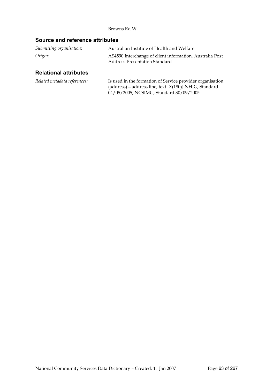#### Browns Rd W

### **Source and reference attributes**

| Submitting organisation: | Australian Institute of Health and Welfare                                                |
|--------------------------|-------------------------------------------------------------------------------------------|
| Origin:                  | AS4590 Interchange of client information, Australia Post<br>Address Presentation Standard |

| Related metadata references: | Is used in the formation of Service provider organisation  |
|------------------------------|------------------------------------------------------------|
|                              | $(address)$ – address line, text $[X(180)]$ NHIG, Standard |
|                              | 04/05/2005, NCSIMG, Standard 30/09/2005                    |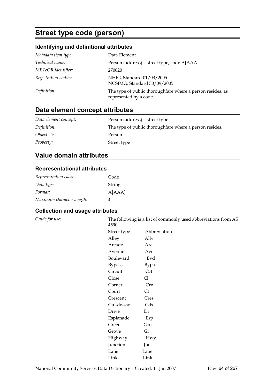# **Street type code (person)**

## **Identifying and definitional attributes**

| Metadata item type:  | Data Element                                                                         |
|----------------------|--------------------------------------------------------------------------------------|
| Technical name:      | Person (address) – street type, code A[AAA]                                          |
| METeOR identifier:   | 270020                                                                               |
| Registration status: | NHIG, Standard 01/03/2005<br>NCSIMG, Standard 30/09/2005                             |
| Definition:          | The type of public thoroughfare where a person resides, as<br>represented by a code. |

# **Data element concept attributes**

| Data element concept: | Person (address) – street type                          |
|-----------------------|---------------------------------------------------------|
| Definition:           | The type of public thoroughfare where a person resides. |
| Object class:         | Person                                                  |
| <i>Property:</i>      | Street type                                             |

# **Value domain attributes**

### **Representational attributes**

| Representation class:     | Code   |
|---------------------------|--------|
| Data type:                | String |
| Format:                   | A[AAA] |
| Maximum character length: |        |

### **Collection and usage attributes**

| ı. | 4590:         | The following is a list of commonly used abbreviations from AS |
|----|---------------|----------------------------------------------------------------|
|    | Street type   | Abbreviation                                                   |
|    | Alley         | Ally                                                           |
|    | Arcade        | Arc                                                            |
|    | Avenue        | Ave                                                            |
|    | Boulevard     | Bvd                                                            |
|    | <b>Bypass</b> | Bypa                                                           |
|    | Circuit       | Cct                                                            |
|    | Close         | Cl                                                             |
|    | Corner        | Crn                                                            |
|    | Court         | Ct                                                             |
|    | Crescent      | Cres                                                           |
|    | Cul-de-sac    | Cds                                                            |
|    | Drive         | Dr                                                             |
|    | Esplanade     | Esp                                                            |
|    | Green         | Grn                                                            |
|    | Grove         | Gr                                                             |
|    | Highway       | Hwy                                                            |

Junction Jnc Lane Lane Link Link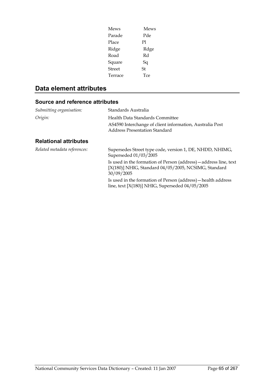| Mews    | <b>Mews</b> |
|---------|-------------|
| Parade  | Pde         |
| Place   | Pl          |
| Ridge   | Rdge        |
| Road    | Rd          |
| Square  | Sq          |
| Street  | St          |
| Terrace | Tce         |

# **Data element attributes**

### **Source and reference attributes**

| Submitting organisation:     | Standards Australia                                                                                                                     |  |
|------------------------------|-----------------------------------------------------------------------------------------------------------------------------------------|--|
| Origin:                      | Health Data Standards Committee<br>AS4590 Interchange of client information, Australia Post<br><b>Address Presentation Standard</b>     |  |
| <b>Relational attributes</b> |                                                                                                                                         |  |
| Related metadata references: | Supersedes Street type code, version 1, DE, NHDD, NHIMG,<br>Superseded 01/03/2005                                                       |  |
|                              | Is used in the formation of Person (address) — address line, text<br>[X(180)] NHIG, Standard 04/05/2005, NCSIMG, Standard<br>30/09/2005 |  |
|                              | Is used in the formation of Person (address) — health address<br>line, text $[X(180)]$ NHIG, Superseded $04/05/2005$                    |  |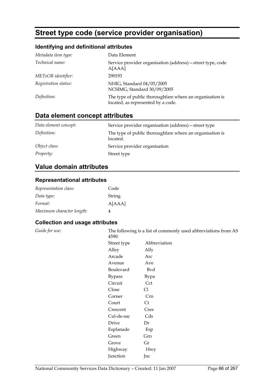# **Street type code (service provider organisation)**

### **Identifying and definitional attributes**

| Metadata item type:    | Data Element                                                                                   |
|------------------------|------------------------------------------------------------------------------------------------|
| <i>Technical name:</i> | Service provider organisation (address) – street type, code<br>A[AAA]                          |
| METeOR identifier:     | 290193                                                                                         |
| Registration status:   | NHIG, Standard 04/05/2005<br>NCSIMG, Standard 30/09/2005                                       |
| Definition:            | The type of public thoroughfare where an organisation is<br>located, as represented by a code. |

# **Data element concept attributes**

| Data element concept: | Service provider organisation (address) – street type                |
|-----------------------|----------------------------------------------------------------------|
| Definition:           | The type of public thoroughfare where an organisation is<br>located. |
| Object class:         | Service provider organisation                                        |
| <i>Property:</i>      | Street type                                                          |

# **Value domain attributes**

### **Representational attributes**

| Representation class:     | Code   |
|---------------------------|--------|
| Data type:                | String |
| Format:                   | A[AAA] |
| Maximum character length: | Δ      |

### **Collection and usage attributes**

*Guide for use:* The following is a list of commonly used abbreviations from AS  $4590$ 

| エンンい          |                |
|---------------|----------------|
| Street type   | Abbreviation   |
| Alley         | Ally           |
| Arcade        | Arc            |
| Avenue        | Ave            |
| Boulevard     | Bvd            |
| <b>Bypass</b> | Bypa           |
| Circuit       | Cct            |
| Close         | Сl             |
| Corner        | Crn            |
| Court         | Ct             |
| Crescent      | Cres           |
| Cul-de-sac    | Cds            |
| Drive         | Dr             |
| Esplanade     | Esp            |
| Green         | Grn            |
| Grove         | Gr             |
| Highway       | Hwy            |
| Junction      | <sub>Jnc</sub> |
|               |                |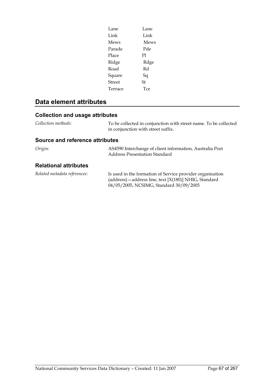| Lane    | Lane |
|---------|------|
| Link    | Link |
| Mews    | Mews |
| Parade  | Pde  |
| Place   | P1   |
| Ridge   | Rdge |
| Road    | Rd   |
| Square  | Sq   |
| Street  | St   |
| Terrace | Tce  |
|         |      |

# **Data element attributes**

# **Collection and usage attributes**

| Collection methods: | To be collected in conjunction with street name. To be collected |
|---------------------|------------------------------------------------------------------|
|                     | in conjunction with street suffix.                               |

### **Source and reference attributes**

| Origin: | AS4590 Interchange of client information, Australia Post |
|---------|----------------------------------------------------------|
|         | Address Presentation Standard                            |

| Related metadata references: | Is used in the formation of Service provider organisation  |
|------------------------------|------------------------------------------------------------|
|                              | $(address)$ – address line, text $[X(180)]$ NHIG, Standard |
|                              | 04/05/2005, NCSIMG, Standard 30/09/2005                    |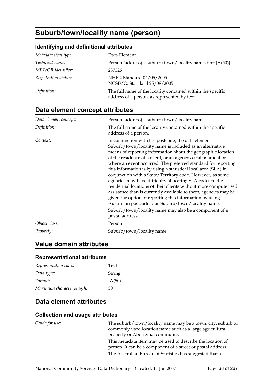# **Suburb/town/locality name (person)**

### **Identifying and definitional attributes**

| Metadata item type:  | Data Element                                                                                                |
|----------------------|-------------------------------------------------------------------------------------------------------------|
| Technical name:      | Person (address) – suburb/town/locality name, text $[A(50)]$                                                |
| METeOR identifier:   | 287326                                                                                                      |
| Registration status: | NHIG, Standard 04/05/2005<br>NCSIMG, Standard 25/08/2005                                                    |
| Definition:          | The full name of the locality contained within the specific<br>address of a person, as represented by text. |

# **Data element concept attributes**

| Data element concept: | Person (address) - suburb/town/locality name                                                                                                                                                                                                                                                                                                                                                                                                                                                                                                                                                                                                                                                                                                                                                                                                   |
|-----------------------|------------------------------------------------------------------------------------------------------------------------------------------------------------------------------------------------------------------------------------------------------------------------------------------------------------------------------------------------------------------------------------------------------------------------------------------------------------------------------------------------------------------------------------------------------------------------------------------------------------------------------------------------------------------------------------------------------------------------------------------------------------------------------------------------------------------------------------------------|
| Definition:           | The full name of the locality contained within the specific<br>address of a person.                                                                                                                                                                                                                                                                                                                                                                                                                                                                                                                                                                                                                                                                                                                                                            |
| Context:              | In conjunction with the postcode, the data element<br>Suburb/town/locality name is included as an alternative<br>means of reporting information about the geographic location<br>of the residence of a client, or an agency/establishment or<br>where an event occurred. The preferred standard for reporting<br>this information is by using a statistical local area (SLA) in<br>conjunction with a State/Territory code. However, as some<br>agencies may have difficulty allocating SLA codes to the<br>residential locations of their clients without more computerised<br>assistance than is currently available to them, agencies may be<br>given the option of reporting this information by using<br>Australian postcode plus Suburb/town/locality name.<br>Suburb/town/locality name may also be a component of a<br>postal address. |
| Object class:         | Person                                                                                                                                                                                                                                                                                                                                                                                                                                                                                                                                                                                                                                                                                                                                                                                                                                         |
| Property:             | Suburb/town/locality name                                                                                                                                                                                                                                                                                                                                                                                                                                                                                                                                                                                                                                                                                                                                                                                                                      |

# **Value domain attributes**

# **Representational attributes**

| Representation class:     | Text      |
|---------------------------|-----------|
| Data type:                | String    |
| Format:                   | $[A(50)]$ |
| Maximum character length: | 50        |

# **Data element attributes**

### **Collection and usage attributes**

*Guide for use:* The suburb/town/locality name may be a town, city, suburb or commonly used location name such as a large agricultural property or Aboriginal community. This metadata item may be used to describe the location of person. It can be a component of a street or postal address. The Australian Bureau of Statistics has suggested that a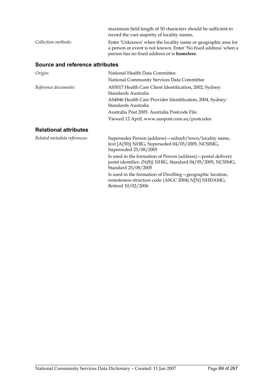|                     | maximum field length of 50 characters should be sufficient to<br>record the vast majority of locality names.                                                                            |
|---------------------|-----------------------------------------------------------------------------------------------------------------------------------------------------------------------------------------|
| Collection methods: | Enter 'Unknown' when the locality name or geographic area for<br>a person or event is not known. Enter 'No fixed address' when a<br>person has no fixed address or is <b>homeless</b> . |

## **Source and reference attributes**

| Origin:              | National Health Data Committee                                                   |
|----------------------|----------------------------------------------------------------------------------|
|                      | National Community Services Data Committee                                       |
| Reference documents: | AS5017 Health Care Client Identification, 2002, Sydney:<br>Standards Australia   |
|                      | AS4846 Health Care Provider Identification, 2004, Sydney:<br>Standards Australia |
|                      | Australia Post 2005. Australia Postcode File.                                    |
|                      | Viewed 12 April, www.auspost.com.au/postcodes                                    |
|                      |                                                                                  |

| Related metadata references: | Supersedes Person (address) - suburb/town/locality name,<br>text [A(50)] NHIG, Superseded 04/05/2005, NCSIMG,<br>Superseded 25/08/2005               |
|------------------------------|------------------------------------------------------------------------------------------------------------------------------------------------------|
|                              | Is used in the formation of Person (address) – postal delivery<br>point identifier, {N(8)} NHIG, Standard 04/05/2005, NCSIMG,<br>Standard 25/08/2005 |
|                              | Is used in the formation of Dwelling – geographic location,<br>remoteness structure code (ASGC 2004) N[N] NHDAMG,<br>Retired 10/02/2006              |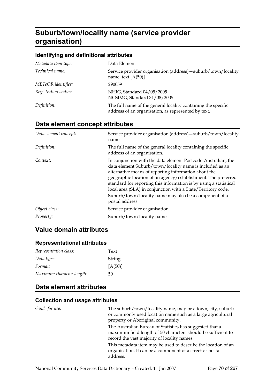# **Suburb/town/locality name (service provider organisation)**

### **Identifying and definitional attributes**

| Metadata item type:    | Data Element                                                                                                         |
|------------------------|----------------------------------------------------------------------------------------------------------------------|
| <i>Technical name:</i> | Service provider organisation (address) – suburb/town/locality<br>name, text $[A(50)]$                               |
| METeOR identifier:     | 290059                                                                                                               |
| Registration status:   | NHIG, Standard 04/05/2005<br>NCSIMG, Standard 31/08/2005                                                             |
| Definition:            | The full name of the general locality containing the specific<br>address of an organisation, as represented by text. |

# **Data element concept attributes**

| Data element concept: | Service provider organisation (address) - suburb/town/locality<br>name                                                                                                                                                                                                                                                                                                                                                                                               |
|-----------------------|----------------------------------------------------------------------------------------------------------------------------------------------------------------------------------------------------------------------------------------------------------------------------------------------------------------------------------------------------------------------------------------------------------------------------------------------------------------------|
| Definition:           | The full name of the general locality containing the specific<br>address of an organisation.                                                                                                                                                                                                                                                                                                                                                                         |
| Context:              | In conjunction with the data element Postcode-Australian, the<br>data element Suburb/town/locality name is included as an<br>alternative means of reporting information about the<br>geographic location of an agency/establishment. The preferred<br>standard for reporting this information is by using a statistical<br>local area (SLA) in conjunction with a State/Territory code.<br>Suburb/town/locality name may also be a component of a<br>postal address. |
| Object class:         | Service provider organisation                                                                                                                                                                                                                                                                                                                                                                                                                                        |
| <i>Property:</i>      | Suburb/town/locality name                                                                                                                                                                                                                                                                                                                                                                                                                                            |

# **Value domain attributes**

### **Representational attributes**

| Representation class:     | Text      |
|---------------------------|-----------|
| Data type:                | String    |
| Format:                   | $[A(50)]$ |
| Maximum character length: | 50        |

# **Data element attributes**

| Guide for use: | The suburb/town/locality name, may be a town, city, suburb<br>or commonly used location name such as a large agricultural<br>property or Aboriginal community.           |
|----------------|--------------------------------------------------------------------------------------------------------------------------------------------------------------------------|
|                | The Australian Bureau of Statistics has suggested that a<br>maximum field length of 50 characters should be sufficient to<br>record the vast majority of locality names. |
|                | This metadata item may be used to describe the location of an<br>organisation. It can be a component of a street or postal<br>address.                                   |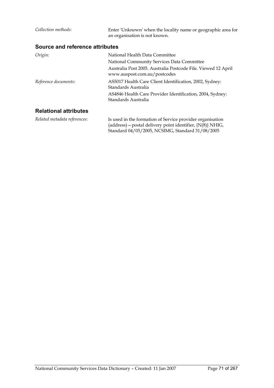| Collection methods:             | Enter 'Unknown' when the locality name or geographic area for<br>an organisation is not known.                                                                                |
|---------------------------------|-------------------------------------------------------------------------------------------------------------------------------------------------------------------------------|
| Source and reference attributes |                                                                                                                                                                               |
| Origin:                         | National Health Data Committee<br>National Community Services Data Committee<br>Australia Post 2005. Australia Postcode File. Viewed 12 April<br>www.auspost.com.au/postcodes |
| Reference documents:            | AS5017 Health Care Client Identification, 2002, Sydney:<br>Standards Australia<br>AS4846 Health Care Provider Identification, 2004, Sydney:<br>Standards Australia            |
| <b>Relational attributes</b>    |                                                                                                                                                                               |

| Related metadata references: | Is used in the formation of Service provider organisation       |
|------------------------------|-----------------------------------------------------------------|
|                              | (address) – postal delivery point identifier, $\{N(8)\}\$ NHIG, |
|                              | Standard 04/05/2005, NCSIMG, Standard 31/08/2005                |
|                              |                                                                 |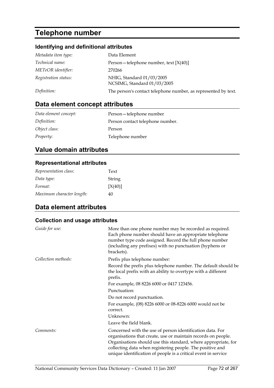# **Telephone number**

## **Identifying and definitional attributes**

| Metadata item type:  | Data Element                                                   |
|----------------------|----------------------------------------------------------------|
| Technical name:      | Person – telephone number, text $[X(40)]$                      |
| METeOR identifier:   | 270266                                                         |
| Registration status: | NHIG, Standard 01/03/2005<br>NCSIMG, Standard 01/03/2005       |
| Definition:          | The person's contact telephone number, as represented by text. |

# **Data element concept attributes**

| Data element concept: | Person-telephone number          |
|-----------------------|----------------------------------|
| Definition:           | Person contact telephone number. |
| Object class:         | Person                           |
| <i>Property:</i>      | Telephone number                 |

# **Value domain attributes**

### **Representational attributes**

| Representation class:     | Text    |
|---------------------------|---------|
| Data type:                | String  |
| Format:                   | [X(40)] |
| Maximum character length: | 40      |

# **Data element attributes**

| Guide for use:      | More than one phone number may be recorded as required.<br>Each phone number should have an appropriate telephone<br>number type code assigned. Record the full phone number<br>(including any prefixes) with no punctuation (hyphens or<br>brackets).                                                                      |
|---------------------|-----------------------------------------------------------------------------------------------------------------------------------------------------------------------------------------------------------------------------------------------------------------------------------------------------------------------------|
| Collection methods: | Prefix plus telephone number:                                                                                                                                                                                                                                                                                               |
|                     | Record the prefix plus telephone number. The default should be<br>the local prefix with an ability to overtype with a different<br>prefix.                                                                                                                                                                                  |
|                     | For example, 08 8226 6000 or 0417 123456.                                                                                                                                                                                                                                                                                   |
|                     | Punctuation:                                                                                                                                                                                                                                                                                                                |
|                     | Do not record punctuation.                                                                                                                                                                                                                                                                                                  |
|                     | For example, (08) 8226 6000 or 08-8226 6000 would not be<br>correct.                                                                                                                                                                                                                                                        |
|                     | Unknown:                                                                                                                                                                                                                                                                                                                    |
|                     | Leave the field blank.                                                                                                                                                                                                                                                                                                      |
| Comments:           | Concerned with the use of person identification data. For<br>organisations that create, use or maintain records on people.<br>Organisations should use this standard, where appropriate, for<br>collecting data when registering people. The positive and<br>unique identification of people is a critical event in service |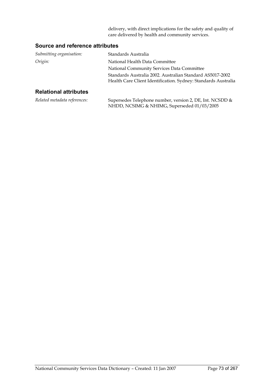delivery, with direct implications for the safety and quality of care delivered by health and community services.

#### **Source and reference attributes**

| Submitting organisation:     | Standards Australia                                            |
|------------------------------|----------------------------------------------------------------|
| Origin:                      | National Health Data Committee                                 |
|                              | National Community Services Data Committee                     |
|                              | Standards Australia 2002. Australian Standard AS5017-2002      |
|                              | Health Care Client Identification. Sydney: Standards Australia |
| <b>Relational attributes</b> |                                                                |

| Related metadata references: | Supersedes Telephone number, version 2, DE, Int. NCSDD & |
|------------------------------|----------------------------------------------------------|
|                              | NHDD, NCSIMG & NHIMG, Superseded 01/03/2005              |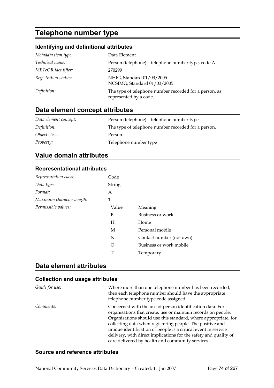### **Telephone number type**

#### **Identifying and definitional attributes**

| Metadata item type:  | Data Element                                                                     |
|----------------------|----------------------------------------------------------------------------------|
| Technical name:      | Person (telephone) – telephone number type, code A                               |
| METeOR identifier:   | 270299                                                                           |
| Registration status: | NHIG, Standard 01/03/2005<br>NCSIMG, Standard 01/03/2005                         |
| Definition:          | The type of telephone number recorded for a person, as<br>represented by a code. |

### **Data element concept attributes**

| Data element concept: | Person (telephone) – telephone number type          |
|-----------------------|-----------------------------------------------------|
| Definition:           | The type of telephone number recorded for a person. |
| Object class:         | Person                                              |
| <i>Property:</i>      | Telephone number type                               |

#### **Value domain attributes**

#### **Representational attributes**

| Representation class:     | Code          |                          |
|---------------------------|---------------|--------------------------|
| Data type:                | <b>String</b> |                          |
| Format:                   | A             |                          |
| Maximum character length: | 1             |                          |
| Permissible values:       | Value         | Meaning                  |
|                           | B             | Business or work         |
|                           | Н             | Home                     |
|                           | M             | Personal mobile          |
|                           | N             | Contact number (not own) |
|                           | O             | Business or work mobile  |
|                           | T             | Temporary                |

#### **Data element attributes**

#### **Collection and usage attributes**

| Guide for use: | Where more than one telephone number has been recorded,<br>then each telephone number should have the appropriate<br>telephone number type code assigned.                                                                                                                                                                                                                                                                                           |
|----------------|-----------------------------------------------------------------------------------------------------------------------------------------------------------------------------------------------------------------------------------------------------------------------------------------------------------------------------------------------------------------------------------------------------------------------------------------------------|
| Comments:      | Concerned with the use of person identification data. For<br>organisations that create, use or maintain records on people.<br>Organisations should use this standard, where appropriate, for<br>collecting data when registering people. The positive and<br>unique identification of people is a critical event in service<br>delivery, with direct implications for the safety and quality of<br>care delivered by health and community services. |

#### **Source and reference attributes**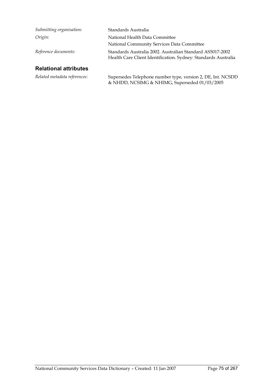| Submitting organisation:     | Standards Australia                                                                                                         |
|------------------------------|-----------------------------------------------------------------------------------------------------------------------------|
| Origin:                      | National Health Data Committee                                                                                              |
|                              | National Community Services Data Committee                                                                                  |
| Reference documents:         | Standards Australia 2002. Australian Standard AS5017-2002<br>Health Care Client Identification. Sydney: Standards Australia |
| <b>Relational attributes</b> |                                                                                                                             |

*Related metadata references:* Supersedes Telephone number type, version 2, DE, Int. NCSDD & NHDD, NCSIMG & NHIMG, Superseded 01/03/2005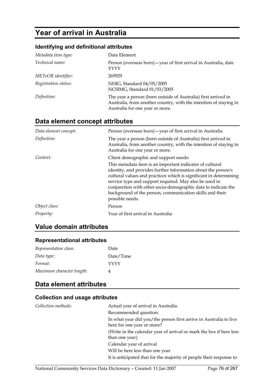### **Year of arrival in Australia**

#### **Identifying and definitional attributes**

| Metadata item type:  | Data Element                                                                                                                                                           |
|----------------------|------------------------------------------------------------------------------------------------------------------------------------------------------------------------|
| Technical name:      | Person (overseas born) – year of first arrival in Australia, date<br>YYYY                                                                                              |
| METeOR identifier:   | 269929                                                                                                                                                                 |
| Registration status: | NHIG, Standard 04/05/2005<br>NCSIMG, Standard 01/03/2005                                                                                                               |
| Definition:          | The year a person (born outside of Australia) first arrived in<br>Australia, from another country, with the intention of staying in<br>Australia for one year or more. |

### **Data element concept attributes**

| Data element concept: | Person (overseas born) – year of first arrival in Australia                                                                                                                                                                                                                                                                                                                                              |
|-----------------------|----------------------------------------------------------------------------------------------------------------------------------------------------------------------------------------------------------------------------------------------------------------------------------------------------------------------------------------------------------------------------------------------------------|
| Definition:           | The year a person (born outside of Australia) first arrived in<br>Australia, from another country, with the intention of staying in<br>Australia for one year or more.                                                                                                                                                                                                                                   |
| Context:              | Client demographic and support needs:                                                                                                                                                                                                                                                                                                                                                                    |
|                       | This metadata item is an important indicator of cultural<br>identity, and provides further information about the person's<br>cultural values and practices which is significant in determining<br>service type and support required. May also be used in<br>conjunction with other socio-demographic data to indicate the<br>background of the person, communication skills and their<br>possible needs. |
| Object class:         | Person                                                                                                                                                                                                                                                                                                                                                                                                   |
| Property:             | Year of first arrival in Australia                                                                                                                                                                                                                                                                                                                                                                       |

#### **Value domain attributes**

#### **Representational attributes**

| Representation class:     | Date      |
|---------------------------|-----------|
| Data type:                | Date/Time |
| Format:                   | YYYY      |
| Maximum character length: |           |

### **Data element attributes**

#### **Collection and usage attributes**

| Collection methods: | Actual year of arrival in Australia.                                |
|---------------------|---------------------------------------------------------------------|
|                     | Recommended question:                                               |
|                     | In what year did you/the person first arrive in Australia to live   |
|                     | here for one year or more?                                          |
|                     | (Write in the calendar year of arrival or mark the box if here less |
|                     | than one year)                                                      |
|                     | Calendar year of arrival                                            |
|                     | Will be here less than one year                                     |
|                     | It is anticipated that for the majority of people their response to |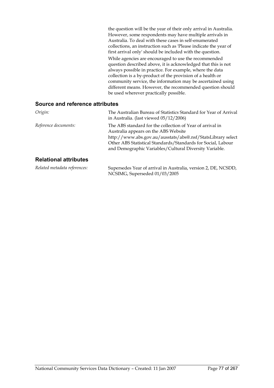the question will be the year of their only arrival in Australia. However, some respondents may have multiple arrivals in Australia. To deal with these cases in self-enumerated collections, an instruction such as 'Please indicate the year of first arrival only' should be included with the question. While agencies are encouraged to use the recommended question described above, it is acknowledged that this is not always possible in practice. For example, where the data collection is a by-product of the provision of a health or community service, the information may be ascertained using different means. However, the recommended question should be used wherever practically possible.

#### **Source and reference attributes**

| Origin:                      | The Australian Bureau of Statistics Standard for Year of Arrival<br>in Australia. (last viewed $05/12/2006$ )                                                                                                                                                                              |  |
|------------------------------|--------------------------------------------------------------------------------------------------------------------------------------------------------------------------------------------------------------------------------------------------------------------------------------------|--|
| Reference documents:         | The ABS standard for the collection of Year of arrival in<br>Australia appears on the ABS Website<br>http://www.abs.gov.au/ausstats/abs@.nsf/StatsLibrary select<br>Other ABS Statistical Standards/Standards for Social, Labour<br>and Demographic Variables/Cultural Diversity Variable. |  |
| <b>Relational attributes</b> |                                                                                                                                                                                                                                                                                            |  |
| Related metadata references: | Supersedes Year of arrival in Australia, version 2, DE, NCSDD,<br>NCSIMG, Superseded 01/03/2005                                                                                                                                                                                            |  |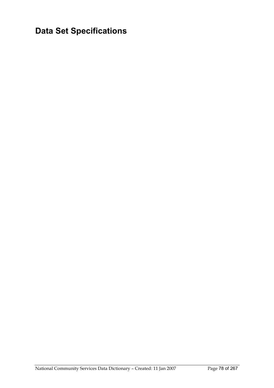**Data Set Specifications**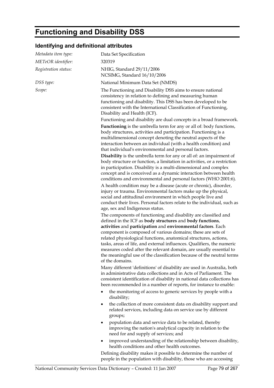### **Functioning and Disability DSS**

#### **Identifying and definitional attributes**

| Metadata item type:  | Data Set Specification                                                                                                                                                                                                                                                                                                                                                                                                                                                                                                                                                      |
|----------------------|-----------------------------------------------------------------------------------------------------------------------------------------------------------------------------------------------------------------------------------------------------------------------------------------------------------------------------------------------------------------------------------------------------------------------------------------------------------------------------------------------------------------------------------------------------------------------------|
| METeOR identifier:   | 320319                                                                                                                                                                                                                                                                                                                                                                                                                                                                                                                                                                      |
| Registration status: | NHIG, Standard 29/11/2006<br>NCSIMG, Standard 16/10/2006                                                                                                                                                                                                                                                                                                                                                                                                                                                                                                                    |
| DSS type:            | National Minimum Data Set (NMDS)                                                                                                                                                                                                                                                                                                                                                                                                                                                                                                                                            |
| Scope:               | The Functioning and Disability DSS aims to ensure national<br>consistency in relation to defining and measuring human<br>functioning and disability. This DSS has been developed to be<br>consistent with the International Classification of Functioning,<br>Disability and Health (ICF).<br>Functioning and disability are dual concepts in a broad framework.                                                                                                                                                                                                            |
|                      | <b>Functioning</b> is the umbrella term for any or all of: body functions,<br>body structures, activities and participation. Functioning is a<br>multidimensional concept denoting the neutral aspects of the<br>interaction between an individual (with a health condition) and<br>that individual's environmental and personal factors.                                                                                                                                                                                                                                   |
|                      | Disability is the umbrella term for any or all of: an impairment of<br>body structure or function, a limitation in activities, or a restriction<br>in participation. Disability is a multi-dimensional and complex<br>concept and is conceived as a dynamic interaction between health<br>conditions and environmental and personal factors (WHO 2001:6).                                                                                                                                                                                                                   |
|                      | A health condition may be a disease (acute or chronic), disorder,<br>injury or trauma. Environmental factors make up the physical,<br>social and attitudinal environment in which people live and<br>conduct their lives. Personal factors relate to the individual, such as<br>age, sex and Indigenous status.                                                                                                                                                                                                                                                             |
|                      | The components of functioning and disability are classified and<br>defined in the ICF as body structures and body functions,<br>activities and participation and environmental factors. Each<br>component is composed of various domains; these are sets of<br>related physiological functions, anatomical structures, actions,<br>tasks, areas of life, and external influences. Qualifiers, the numeric<br>measures coded after the relevant domain, are usually essential to<br>the meaningful use of the classification because of the neutral terms<br>of the domains. |
|                      | Many different 'definitions' of disability are used in Australia, both<br>in administrative data collections and in Acts of Parliament. The<br>consistent identification of disability in national data collections has<br>been recommended in a number of reports, for instance to enable:                                                                                                                                                                                                                                                                                 |
|                      | the monitoring of access to generic services by people with a<br>$\bullet$<br>disability;                                                                                                                                                                                                                                                                                                                                                                                                                                                                                   |
|                      | the collection of more consistent data on disability support and<br>$\bullet$<br>related services, including data on service use by different<br>groups;                                                                                                                                                                                                                                                                                                                                                                                                                    |
|                      | population data and service data to be related, thereby<br>٠<br>improving the nation's analytical capacity in relation to the<br>need for and supply of services; and                                                                                                                                                                                                                                                                                                                                                                                                       |
|                      | improved understanding of the relationship between disability,<br>$\bullet$<br>health conditions and other health outcomes.                                                                                                                                                                                                                                                                                                                                                                                                                                                 |
|                      | Defining disability makes it possible to determine the number of                                                                                                                                                                                                                                                                                                                                                                                                                                                                                                            |

people in the population with disability, those who are accessing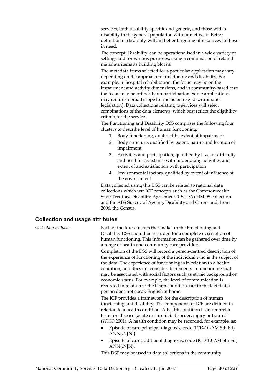services, both disability specific and generic, and those with a disability in the general population with unmet need. Better definition of disability will aid better targeting of resources to those in need.

The concept 'Disability' can be operationalised in a wide variety of settings and for various purposes, using a combination of related metadata items as building blocks.

The metadata items selected for a particular application may vary depending on the approach to functioning and disability. For example, in hospital rehabilitation, the focus may be on the impairment and activity dimensions, and in community-based care the focus may be primarily on participation. Some applications may require a broad scope for inclusion (e.g. discrimination legislation). Data collections relating to services will select combinations of the data elements, which best reflect the eligibility criteria for the service.

The Functioning and Disability DSS comprises the following four clusters to describe level of human functioning:

- 1. Body functioning, qualified by extent of impairment
- 2. Body structure, qualified by extent, nature and location of impairment
- 3. Activities and participation, qualified by level of difficulty and need for assistance with undertaking activities and extent of and satisfaction with participation
- 4. Environmental factors, qualified by extent of influence of the environment

Data collected using this DSS can be related to national data collections which use ICF concepts such as the Commonwealth State Territory Disability Agreement (CSTDA) NMDS collection and the ABS Survey of Ageing, Disability and Carers and, from 2006, the Census.

#### **Collection and usage attributes**

*Collection methods:* Each of the four clusters that make up the Functioning and Disability DSS should be recorded for a complete description of human functioning. This information can be gathered over time by a range of health and community care providers. Completion of the DSS will record a person-centred description of the experience of functioning of the individual who is the subject of the data. The experience of functioning is in relation to a health condition, and does not consider decrements in functioning that may be associated with social factors such as ethnic background or economic status. For example, the level of communication is recorded in relation to the heath condition, not to the fact that a person does not speak English at home. The ICF provides a framework for the description of human functioning and disability. The components of ICF are defined in relation to a health condition. A health condition is an umbrella term for 'disease (acute or chronic), disorder, injury or trauma' (WHO 2001). A health condition may be recorded, for example, as: • Episode of care principal diagnosis, code (ICD-10-AM 5th Ed)  $ANN$ [N] $\}$ • Episode of care additional diagnosis, code (ICD-10-AM 5th Ed)  $ANN\{N[N]\}.$ This DSS may be used in data collections in the community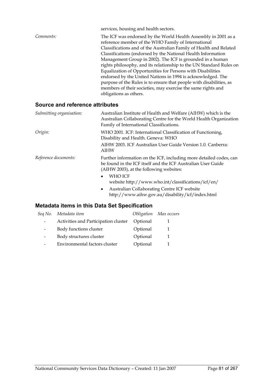|           | services, housing and health sectors.                                                                                 |
|-----------|-----------------------------------------------------------------------------------------------------------------------|
| Comments: | The ICF was endorsed by the World Health Assembly in 2001 as a<br>reference member of the WHO Family of International |
|           | Classifications and of the Australian Family of Health and Related                                                    |
|           | Classifications (endorsed by the National Health Information                                                          |
|           | Management Group in 2002). The ICF is grounded in a human                                                             |
|           | rights philosophy, and its relationship to the UN Standard Rules on                                                   |
|           | Equalization of Opportunities for Persons with Disabilities                                                           |
|           | endorsed by the United Nations in 1994 is acknowledged. The                                                           |
|           | purpose of the Rules is to ensure that people with disabilities, as                                                   |
|           | members of their societies, may exercise the same rights and                                                          |
|           | obligations as others.                                                                                                |
|           |                                                                                                                       |

#### **Source and reference attributes**

| Submitting organisation: | Australian Institute of Health and Welfare (AIHW) which is the<br>Australian Collaborating Centre for the World Health Organization<br>Family of International Classifications.                                                                                                                                         |
|--------------------------|-------------------------------------------------------------------------------------------------------------------------------------------------------------------------------------------------------------------------------------------------------------------------------------------------------------------------|
| Origin:                  | WHO 2001. ICF: International Classification of Functioning,<br>Disability and Health. Geneva: WHO                                                                                                                                                                                                                       |
|                          | AIHW 2003. ICF Australian User Guide Version 1.0. Canberra:<br>AIHW                                                                                                                                                                                                                                                     |
| Reference documents:     | Further information on the ICF, including more detailed codes, can<br>be found in the ICF itself and the ICF Australian User Guide<br>(AIHW 2003), at the following websites:<br>WHO ICF<br>$\bullet$<br>website http://www.who.int/classifications/icf/en/<br>Australian Collaborating Centre ICF website<br>$\bullet$ |
|                          | http://www.aihw.gov.au/disability/icf/index.html                                                                                                                                                                                                                                                                        |

#### **Metadata items in this Data Set Specification**

|                          | Seq No. Metadata item                |          | Obligation Max occurs |
|--------------------------|--------------------------------------|----------|-----------------------|
|                          | Activities and Participation cluster | Optional |                       |
| $\overline{\phantom{0}}$ | Body functions cluster               | Optional |                       |
| $\overline{\phantom{a}}$ | Body structures cluster              | Optional |                       |
|                          | Environmental factors cluster        | Optional |                       |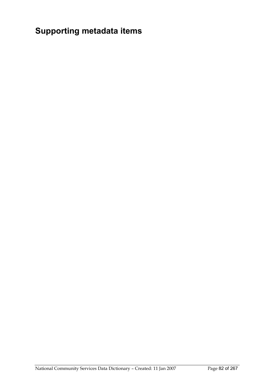# **Supporting metadata items**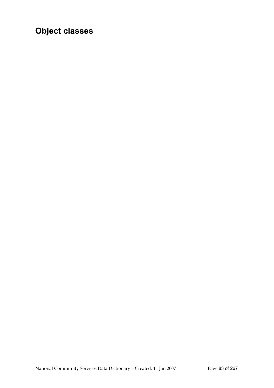# **Object classes**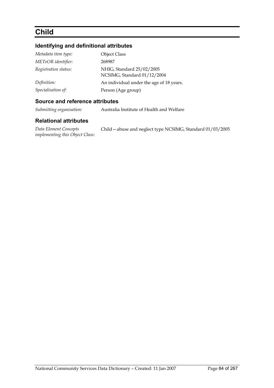### **Child**

#### **Identifying and definitional attributes**

| Metadata item type:  | <b>Object Class</b>                                      |
|----------------------|----------------------------------------------------------|
| METeOR identifier:   | 268987                                                   |
| Registration status: | NHIG, Standard 25/02/2005<br>NCSIMG, Standard 01/12/2004 |
| Definition:          | An individual under the age of 18 years.                 |
| Specialisation of:   | Person (Age group)                                       |

#### **Source and reference attributes**

*Submitting organisation:* Australia Institute of Health and Welfare

#### **Relational attributes**

*Data Element Concepts implementing this Object Class:* Child—abuse and neglect type NCSIMG, Standard 01/03/2005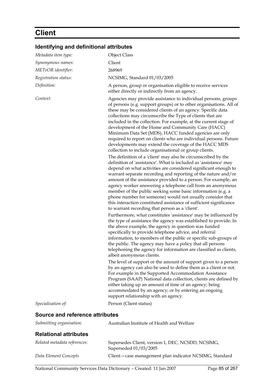# **Client**

### **Identifying and definitional attributes**

| Metadata item type:             | <b>Object Class</b>                                                                                                                                                                                                                                                                                                                                                                                                                                                                                                                                                                                                                                                                                                                                                                                                                                                                                                                                                                                                                                                                                                                                                                                                                                                                                                                                                                                                                                                                                                                                                                                                                                                                                                                                                                                                                                                                                                                                                                                                                                                                                                                                                                                                          |
|---------------------------------|------------------------------------------------------------------------------------------------------------------------------------------------------------------------------------------------------------------------------------------------------------------------------------------------------------------------------------------------------------------------------------------------------------------------------------------------------------------------------------------------------------------------------------------------------------------------------------------------------------------------------------------------------------------------------------------------------------------------------------------------------------------------------------------------------------------------------------------------------------------------------------------------------------------------------------------------------------------------------------------------------------------------------------------------------------------------------------------------------------------------------------------------------------------------------------------------------------------------------------------------------------------------------------------------------------------------------------------------------------------------------------------------------------------------------------------------------------------------------------------------------------------------------------------------------------------------------------------------------------------------------------------------------------------------------------------------------------------------------------------------------------------------------------------------------------------------------------------------------------------------------------------------------------------------------------------------------------------------------------------------------------------------------------------------------------------------------------------------------------------------------------------------------------------------------------------------------------------------------|
| Synonymous names:               | Client                                                                                                                                                                                                                                                                                                                                                                                                                                                                                                                                                                                                                                                                                                                                                                                                                                                                                                                                                                                                                                                                                                                                                                                                                                                                                                                                                                                                                                                                                                                                                                                                                                                                                                                                                                                                                                                                                                                                                                                                                                                                                                                                                                                                                       |
| METeOR identifier:              | 268969                                                                                                                                                                                                                                                                                                                                                                                                                                                                                                                                                                                                                                                                                                                                                                                                                                                                                                                                                                                                                                                                                                                                                                                                                                                                                                                                                                                                                                                                                                                                                                                                                                                                                                                                                                                                                                                                                                                                                                                                                                                                                                                                                                                                                       |
| Registration status:            | NCSIMG, Standard 01/03/2005                                                                                                                                                                                                                                                                                                                                                                                                                                                                                                                                                                                                                                                                                                                                                                                                                                                                                                                                                                                                                                                                                                                                                                                                                                                                                                                                                                                                                                                                                                                                                                                                                                                                                                                                                                                                                                                                                                                                                                                                                                                                                                                                                                                                  |
| Definition:                     | A person, group or organisation eligible to receive services<br>either directly or indirectly from an agency.                                                                                                                                                                                                                                                                                                                                                                                                                                                                                                                                                                                                                                                                                                                                                                                                                                                                                                                                                                                                                                                                                                                                                                                                                                                                                                                                                                                                                                                                                                                                                                                                                                                                                                                                                                                                                                                                                                                                                                                                                                                                                                                |
| Context:                        | Agencies may provide assistance to individual persons, groups<br>of persons (e.g. support groups) or to other organisations. All of<br>these may be considered clients of an agency. Specific data<br>collections may circumscribe the Type of clients that are<br>included in the collection. For example, at the current stage of<br>development of the Home and Community Care (HACC)<br>Minimum Data Set (MDS), HACC funded agencies are only<br>required to report on clients who are individual persons. Future<br>developments may extend the coverage of the HACC MDS<br>collection to include organisational or group clients.<br>The definition of a 'client' may also be circumscribed by the<br>definition of 'assistance'. What is included as 'assistance' may<br>depend on what activities are considered significant enough to<br>warrant separate recording and reporting of the nature and/or<br>amount of the assistance provided to a person. For example, an<br>agency worker answering a telephone call from an anonymous<br>member of the public seeking some basic information (e.g. a<br>phone number for someone) would not usually consider that<br>this interaction constituted assistance of sufficient significance<br>to warrant recording that person as a 'client'.<br>Furthermore, what constitutes 'assistance' may be influenced by<br>the type of assistance the agency was established to provide. In<br>the above example, the agency in question was funded<br>specifically to provide telephone advice, and referral<br>information, to members of the public or specific sub-groups of<br>the public. The agency may have a policy that all persons<br>telephoning the agency for information are classified as clients,<br>albeit anonymous clients.<br>The level of support or the amount of support given to a person<br>by an agency can also be used to define them as a client or not.<br>For example in the Supported Accommodation Assistance<br>Program (SAAP) National data collection, clients are defined by<br>either taking up an amount of time of an agency; being<br>accommodated by an agency; or by entering an ongoing<br>support relationship with an agency. |
| Specialisation of:              | Person (Client status)                                                                                                                                                                                                                                                                                                                                                                                                                                                                                                                                                                                                                                                                                                                                                                                                                                                                                                                                                                                                                                                                                                                                                                                                                                                                                                                                                                                                                                                                                                                                                                                                                                                                                                                                                                                                                                                                                                                                                                                                                                                                                                                                                                                                       |
| Source and reference attributes |                                                                                                                                                                                                                                                                                                                                                                                                                                                                                                                                                                                                                                                                                                                                                                                                                                                                                                                                                                                                                                                                                                                                                                                                                                                                                                                                                                                                                                                                                                                                                                                                                                                                                                                                                                                                                                                                                                                                                                                                                                                                                                                                                                                                                              |
| Submitting organisation:        | Australian Institute of Health and Welfare                                                                                                                                                                                                                                                                                                                                                                                                                                                                                                                                                                                                                                                                                                                                                                                                                                                                                                                                                                                                                                                                                                                                                                                                                                                                                                                                                                                                                                                                                                                                                                                                                                                                                                                                                                                                                                                                                                                                                                                                                                                                                                                                                                                   |
| <b>Relational attributes</b>    |                                                                                                                                                                                                                                                                                                                                                                                                                                                                                                                                                                                                                                                                                                                                                                                                                                                                                                                                                                                                                                                                                                                                                                                                                                                                                                                                                                                                                                                                                                                                                                                                                                                                                                                                                                                                                                                                                                                                                                                                                                                                                                                                                                                                                              |

| Related metadata references: | Supersedes Client, version 1, DEC, NCSDD, NCSIMG,<br>Superseded 01/03/2005 |
|------------------------------|----------------------------------------------------------------------------|
| Data Element Concepts        | Client-case management plan indicator NCSIMG, Standard                     |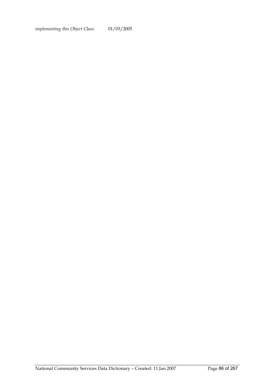*implementing this Object Class:* 01/03/2005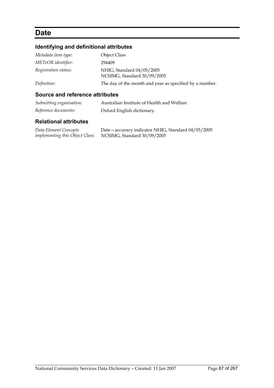### **Date**

#### **Identifying and definitional attributes**

| Metadata item type:  | <b>Object Class</b>                                      |
|----------------------|----------------------------------------------------------|
| METeOR identifier:   | 294409                                                   |
| Registration status: | NHIG, Standard 04/05/2005<br>NCSIMG, Standard 30/09/2005 |
| Definition:          | The day of the month and year as specified by a number.  |

#### **Source and reference attributes**

| Submitting organisation: | Australian Institute of Health and Welfare |
|--------------------------|--------------------------------------------|
| Reference documents:     | Oxford English dictionary.                 |

#### **Relational attributes**

*Data Element Concepts implementing this Object Class:*

Date—accuracy indicator NHIG, Standard 04/05/2005 NCSIMG, Standard 30/09/2005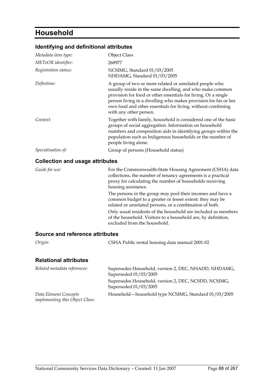### **Household**

#### **Identifying and definitional attributes**

| Metadata item type:                    | <b>Object Class</b>                                                                                                                                                                                                                                                                                                                             |
|----------------------------------------|-------------------------------------------------------------------------------------------------------------------------------------------------------------------------------------------------------------------------------------------------------------------------------------------------------------------------------------------------|
| METeOR identifier:                     | 268977                                                                                                                                                                                                                                                                                                                                          |
| Registration status:                   | NCSIMG, Standard 01/03/2005<br>NHDAMG, Standard 01/03/2005                                                                                                                                                                                                                                                                                      |
| Definition:                            | A group of two or more related or unrelated people who<br>usually reside in the same dwelling, and who make common<br>provision for food or other essentials for living. Or a single<br>person living in a dwelling who makes provision for his or her<br>own food and other essentials for living, without combining<br>with any other person. |
| Context:                               | Together with family, household is considered one of the basic<br>groups of social aggregation. Information on household<br>numbers and composition aids in identifying groups within the<br>population such as Indigenous households or the number of<br>people living alone.                                                                  |
| Specialisation of:                     | Group of persons (Household status)                                                                                                                                                                                                                                                                                                             |
| <b>Collection and usage attributes</b> |                                                                                                                                                                                                                                                                                                                                                 |
| Guide for use:                         | For the Commonwealth-State Housing Agreement (CSHA) data<br>collections the number of tenancy agreements is a practical                                                                                                                                                                                                                         |

collections, the number of tenancy agreements is a practical proxy for calculating the number of households receiving housing assistance. The persons in the group may pool their incomes and have a common budget to a greater or lesser extent: they may be related or unrelated persons, or a combination of both. Only usual residents of the household are included as members of the household. Visitors to a household are, by definition, excluded from the household.

#### **Source and reference attributes**

| Origin:                      | CSHA Public rental housing data manual 2001-02                                |
|------------------------------|-------------------------------------------------------------------------------|
| <b>Relational attributes</b> |                                                                               |
| Related metadata references: | Supersedes Household, version 2, DEC, NHADD, NHDAMG,<br>Superseded 01/03/2005 |

|                                        | Supersedes Household, version 2, DEC, NCSDD, NCSIMG,<br>Superseded 01/03/2005 |
|----------------------------------------|-------------------------------------------------------------------------------|
| Data Element Concepts                  | Household – household type NCSIMG, Standard 01/03/2005                        |
| <i>implementing this Object Class:</i> |                                                                               |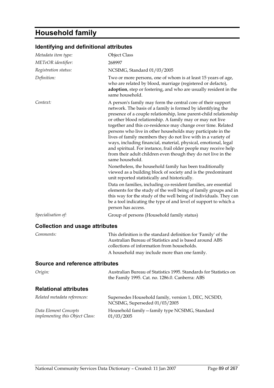# **Household family**

| Identifying and definitional attributes |  |  |
|-----------------------------------------|--|--|
|-----------------------------------------|--|--|

| Metadata item type:                                      | <b>Object Class</b>                                                                                                                                                                                                                                                                                                                                                                                                                                                                                                                                                                                                                                                                                                                                                                                                                                                                                                                                                                                                                                                                                                                                                         |
|----------------------------------------------------------|-----------------------------------------------------------------------------------------------------------------------------------------------------------------------------------------------------------------------------------------------------------------------------------------------------------------------------------------------------------------------------------------------------------------------------------------------------------------------------------------------------------------------------------------------------------------------------------------------------------------------------------------------------------------------------------------------------------------------------------------------------------------------------------------------------------------------------------------------------------------------------------------------------------------------------------------------------------------------------------------------------------------------------------------------------------------------------------------------------------------------------------------------------------------------------|
| METeOR identifier:                                       | 268997                                                                                                                                                                                                                                                                                                                                                                                                                                                                                                                                                                                                                                                                                                                                                                                                                                                                                                                                                                                                                                                                                                                                                                      |
| Registration status:                                     | NCSIMG, Standard 01/03/2005                                                                                                                                                                                                                                                                                                                                                                                                                                                                                                                                                                                                                                                                                                                                                                                                                                                                                                                                                                                                                                                                                                                                                 |
| Definition:                                              | Two or more persons, one of whom is at least 15 years of age,<br>who are related by blood, marriage (registered or defacto),<br>adoption, step or fostering, and who are usually resident in the<br>same household.                                                                                                                                                                                                                                                                                                                                                                                                                                                                                                                                                                                                                                                                                                                                                                                                                                                                                                                                                         |
| Context:                                                 | A person's family may form the central core of their support<br>network. The basis of a family is formed by identifying the<br>presence of a couple relationship, lone parent-child relationship<br>or other blood relationship. A family may or may not live<br>together and this co-residence may change over time. Related<br>persons who live in other households may participate in the<br>lives of family members they do not live with in a variety of<br>ways, including financial, material, physical, emotional, legal<br>and spiritual. For instance, frail older people may receive help<br>from their adult children even though they do not live in the<br>same household.<br>Nonetheless, the household family has been traditionally<br>viewed as a building block of society and is the predominant<br>unit reported statistically and historically.<br>Data on families, including co-resident families, are essential<br>elements for the study of the well being of family groups and in<br>this way for the study of the well being of individuals. They can<br>be a tool indicating the type of and level of support to which a<br>person has access. |
| Specialisation of:                                       | Group of persons (Household family status)                                                                                                                                                                                                                                                                                                                                                                                                                                                                                                                                                                                                                                                                                                                                                                                                                                                                                                                                                                                                                                                                                                                                  |
| <b>Collection and usage attributes</b>                   |                                                                                                                                                                                                                                                                                                                                                                                                                                                                                                                                                                                                                                                                                                                                                                                                                                                                                                                                                                                                                                                                                                                                                                             |
| Comments:                                                | This definition is the standard definition for 'Family' of the<br>Australian Bureau of Statistics and is based around ABS<br>collections of information from households.<br>A household may include more than one family.                                                                                                                                                                                                                                                                                                                                                                                                                                                                                                                                                                                                                                                                                                                                                                                                                                                                                                                                                   |
| Source and reference attributes                          |                                                                                                                                                                                                                                                                                                                                                                                                                                                                                                                                                                                                                                                                                                                                                                                                                                                                                                                                                                                                                                                                                                                                                                             |
| Origin:                                                  | Australian Bureau of Statistics 1995. Standards for Statistics on<br>the Family 1995. Cat. no. 1286.0. Canberra: ABS                                                                                                                                                                                                                                                                                                                                                                                                                                                                                                                                                                                                                                                                                                                                                                                                                                                                                                                                                                                                                                                        |
| <b>Relational attributes</b>                             |                                                                                                                                                                                                                                                                                                                                                                                                                                                                                                                                                                                                                                                                                                                                                                                                                                                                                                                                                                                                                                                                                                                                                                             |
| Related metadata references:                             | Supersedes Household family, version 1, DEC, NCSDD,<br>NCSIMG, Superseded 01/03/2005                                                                                                                                                                                                                                                                                                                                                                                                                                                                                                                                                                                                                                                                                                                                                                                                                                                                                                                                                                                                                                                                                        |
| Data Element Concepts<br>implementing this Object Class: | Household family - family type NCSIMG, Standard<br>01/03/2005                                                                                                                                                                                                                                                                                                                                                                                                                                                                                                                                                                                                                                                                                                                                                                                                                                                                                                                                                                                                                                                                                                               |
|                                                          |                                                                                                                                                                                                                                                                                                                                                                                                                                                                                                                                                                                                                                                                                                                                                                                                                                                                                                                                                                                                                                                                                                                                                                             |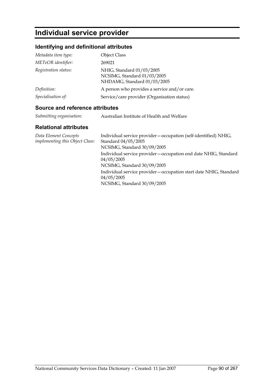### **Individual service provider**

#### **Identifying and definitional attributes**

| Metadata item type:  | <b>Object Class</b>                                                                     |
|----------------------|-----------------------------------------------------------------------------------------|
| METeOR identifier:   | 269021                                                                                  |
| Registration status: | NHIG, Standard 01/03/2005<br>NCSIMG, Standard 01/03/2005<br>NHDAMG, Standard 01/03/2005 |
| Definition:          | A person who provides a service and/or care.                                            |
| Specialisation of:   | Service/care provider (Organisation status)                                             |

#### **Source and reference attributes**

| Submitting organisation: | Australian Institute of Health and Welfare |
|--------------------------|--------------------------------------------|
|                          |                                            |

#### **Relational attributes**

| Data Element Concepts<br><i>implementing this Object Class:</i> | Individual service provider – occupation (self-identified) NHIG,<br>Standard 04/05/2005<br>NCSIMG, Standard 30/09/2005 |
|-----------------------------------------------------------------|------------------------------------------------------------------------------------------------------------------------|
|                                                                 | Individual service provider – occupation end date NHIG, Standard<br>04/05/2005<br>NCSIMG, Standard 30/09/2005          |
|                                                                 | Individual service provider - occupation start date NHIG, Standard<br>04/05/2005<br>NCSIMG, Standard 30/09/2005        |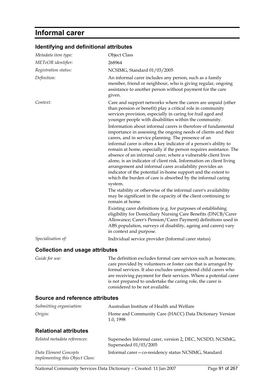### **Informal carer**

#### **Identifying and definitional attributes**

| Metadata item type:     | <b>Object Class</b>                                                                                                                                                                                                                                                                                                                                                                                                                                                                                                                                                                                                                                                                                                                                                                                               |
|-------------------------|-------------------------------------------------------------------------------------------------------------------------------------------------------------------------------------------------------------------------------------------------------------------------------------------------------------------------------------------------------------------------------------------------------------------------------------------------------------------------------------------------------------------------------------------------------------------------------------------------------------------------------------------------------------------------------------------------------------------------------------------------------------------------------------------------------------------|
| METeOR identifier:      | 268964                                                                                                                                                                                                                                                                                                                                                                                                                                                                                                                                                                                                                                                                                                                                                                                                            |
| Registration status:    | NCSIMG, Standard 01/03/2005                                                                                                                                                                                                                                                                                                                                                                                                                                                                                                                                                                                                                                                                                                                                                                                       |
| Definition:             | An informal carer includes any person, such as a family<br>member, friend or neighbour, who is giving regular, ongoing<br>assistance to another person without payment for the care<br>given.                                                                                                                                                                                                                                                                                                                                                                                                                                                                                                                                                                                                                     |
| Context:                | Care and support networks where the carers are unpaid (other<br>than pension or benefit) play a critical role in community<br>services provision, especially in caring for frail aged and<br>younger people with disabilities within the community.                                                                                                                                                                                                                                                                                                                                                                                                                                                                                                                                                               |
|                         | Information about informal carers is therefore of fundamental<br>importance in assessing the ongoing needs of clients and their<br>carers, and in service planning. The presence of an<br>informal carer is often a key indicator of a person's ability to<br>remain at home, especially if the person requires assistance. The<br>absence of an informal carer, where a vulnerable client lives<br>alone, is an indicator of client risk. Information on client living<br>arrangement and informal carer availability provides an<br>indicator of the potential in-home support and the extent to<br>which the burden of care is absorbed by the informal caring<br>system.<br>The stability or otherwise of the informal carer's availability<br>may be significant in the capacity of the client continuing to |
|                         | remain at home.<br>Existing carer definitions (e.g. for purposes of establishing<br>eligibility for Domiciliary Nursing Care Benefits (DNCB/Carer<br>Allowance; Carer's Pension/Carer Payment) definitions used in<br>ABS population, surveys of disability, ageing and carers) vary<br>in context and purpose.                                                                                                                                                                                                                                                                                                                                                                                                                                                                                                   |
| Specialisation of:      | Individual service provider (Informal carer status)                                                                                                                                                                                                                                                                                                                                                                                                                                                                                                                                                                                                                                                                                                                                                               |
| $\bigcap$ alla atiam an | مدافع والتوافقات                                                                                                                                                                                                                                                                                                                                                                                                                                                                                                                                                                                                                                                                                                                                                                                                  |

#### **Collection and usage attributes**

*Guide for use:* The definition excludes formal care services such as homecare, care provided by volunteers or foster care that is arranged by formal services. It also excludes unregistered child carers who are receiving payment for their services. Where a potential carer is not prepared to undertake the caring role, the carer is considered to be not available.

#### **Source and reference attributes**

*implementing this Object Class:*

| Submitting organisation:     | Australian Institute of Health and Welfare                                         |
|------------------------------|------------------------------------------------------------------------------------|
| Origin:                      | Home and Community Care (HACC) Data Dictionary Version<br>1.0, 1998                |
| <b>Relational attributes</b> |                                                                                    |
| Related metadata references: | Supersedes Informal carer, version 2, DEC, NCSDD, NCSIMG,<br>Superseded 01/03/2005 |
| Data Element Concepts        | Informal carer - co-residency status NCSIMG, Standard                              |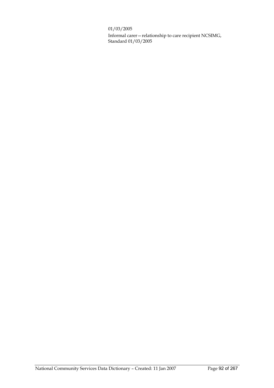01/03/2005

Informal carer—relationship to care recipient NCSIMG, Standard 01/03/2005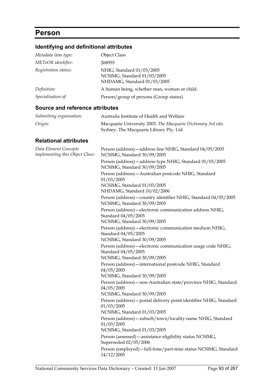### **Person**

### **Identifying and definitional attributes**

| Metadata item type:  | <b>Object Class</b>                                                                     |
|----------------------|-----------------------------------------------------------------------------------------|
| METeOR identifier:   | 268955                                                                                  |
| Registration status: | NHIG, Standard 01/03/2005<br>NCSIMG, Standard 01/03/2005<br>NHDAMG, Standard 01/03/2005 |
| Definition:          | A human being, whether man, woman or child.                                             |
| Specialisation of:   | Person/group of persons (Group status)                                                  |

#### **Source and reference attributes**

| Submitting organisation: | Australia Institute of Health and Welfare                    |
|--------------------------|--------------------------------------------------------------|
| Origin:                  | Macquarie University 2003. The Macquarie Dictionary 3rd edn. |
|                          | Sydney: The Macquarie Library Pty. Ltd                       |

#### **Relational attributes**

| Data Element Concepts<br>implementing this Object Class: | Person (address) - address line NHIG, Standard 04/05/2005<br>NCSIMG, Standard 30/09/2005                           |
|----------------------------------------------------------|--------------------------------------------------------------------------------------------------------------------|
|                                                          | Person (address) - address type NHIG, Standard 01/03/2005<br>NCSIMG, Standard 30/09/2005                           |
|                                                          | Person (address) - Australian postcode NHIG, Standard<br>01/03/2005                                                |
|                                                          | NCSIMG, Standard 01/03/2005<br>NHDAMG, Standard 10/02/2006                                                         |
|                                                          | Person (address) - country identifier NHIG, Standard 04/05/2005<br>NCSIMG, Standard 30/09/2005                     |
|                                                          | Person (address) - electronic communication address NHIG,<br>Standard 04/05/2005<br>NCSIMG, Standard 30/09/2005    |
|                                                          | Person (address) - electronic communication medium NHIG,<br>Standard 04/05/2005<br>NCSIMG, Standard 30/09/2005     |
|                                                          | Person (address) - electronic communication usage code NHIG,<br>Standard 04/05/2005<br>NCSIMG, Standard 30/09/2005 |
|                                                          | Person (address) - international postcode NHIG, Standard<br>04/05/2005<br>NCSIMG, Standard 30/09/2005              |
|                                                          | Person (address) - non-Australian state/province NHIG, Standard<br>04/05/2005<br>NCSIMG, Standard 30/09/2005       |
|                                                          | Person (address) - postal delivery point identifier NHIG, Standard<br>01/03/2005<br>NCSIMG, Standard 01/03/2005    |
|                                                          | Person (address) - suburb/town/locality name NHIG, Standard<br>01/03/2005<br>NCSIMG, Standard 01/03/2005           |
|                                                          | Person (assessed) - assistance eligibility status NCSIMG,<br>Superseded 02/05/2006                                 |
|                                                          | Person (employed) - full-time/part-time status NCSIMG, Standard<br>14/12/2005                                      |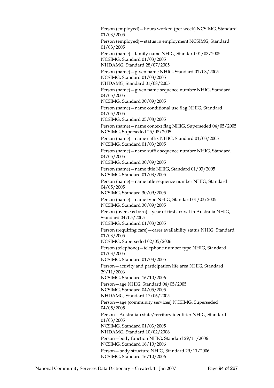Person (employed)—hours worked (per week) NCSIMG, Standard 01/03/2005 Person (employed)—status in employment NCSIMG, Standard 01/03/2005 Person (name)—family name NHIG, Standard 01/03/2005 NCSIMG, Standard 01/03/2005 NHDAMG, Standard 28/07/2005 Person (name)—given name NHIG, Standard 01/03/2005 NCSIMG, Standard 01/03/2005 NHDAMG, Standard 01/08/2005 Person (name)—given name sequence number NHIG, Standard 04/05/2005 NCSIMG, Standard 30/09/2005 Person (name)—name conditional use flag NHIG, Standard 04/05/2005 NCSIMG, Standard 25/08/2005 Person (name)—name context flag NHIG, Superseded 04/05/2005 NCSIMG, Superseded 25/08/2005 Person (name)—name suffix NHIG, Standard 01/03/2005 NCSIMG, Standard 01/03/2005 Person (name)—name suffix sequence number NHIG, Standard 04/05/2005 NCSIMG, Standard 30/09/2005 Person (name)—name title NHIG, Standard 01/03/2005 NCSIMG, Standard 01/03/2005 Person (name)—name title sequence number NHIG, Standard 04/05/2005 NCSIMG, Standard 30/09/2005 Person (name)—name type NHIG, Standard 01/03/2005 NCSIMG, Standard 30/09/2005 Person (overseas born)—year of first arrival in Australia NHIG, Standard 04/05/2005 NCSIMG, Standard 01/03/2005 Person (requiring care)—carer availability status NHIG, Standard 01/03/2005 NCSIMG, Superseded 02/05/2006 Person (telephone)—telephone number type NHIG, Standard 01/03/2005 NCSIMG, Standard 01/03/2005 Person—activity and participation life area NHIG, Standard 29/11/2006 NCSIMG, Standard 16/10/2006 Person—age NHIG, Standard 04/05/2005 NCSIMG, Standard 04/05/2005 NHDAMG, Standard 17/06/2005 Person—age (community services) NCSIMG, Superseded 04/05/2005 Person—Australian state/territory identifier NHIG, Standard 01/03/2005 NCSIMG, Standard 01/03/2005 NHDAMG, Standard 10/02/2006 Person—body function NHIG, Standard 29/11/2006 NCSIMG, Standard 16/10/2006 Person—body structure NHIG, Standard 29/11/2006 NCSIMG, Standard 16/10/2006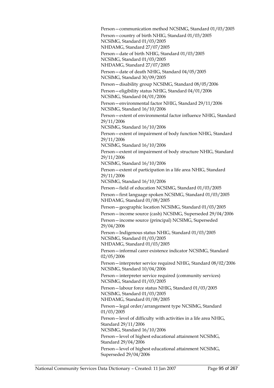Person—communication method NCSIMG, Standard 01/03/2005 Person—country of birth NHIG, Standard 01/03/2005 NCSIMG, Standard 01/03/2005 NHDAMG, Standard 27/07/2005 Person—date of birth NHIG, Standard 01/03/2005 NCSIMG, Standard 01/03/2005 NHDAMG, Standard 27/07/2005 Person—date of death NHIG, Standard 04/05/2005 NCSIMG, Standard 30/09/2005 Person—disability group NCSIMG, Standard 08/05/2006 Person—eligibility status NHIG, Standard 04/01/2006 NCSIMG, Standard 04/01/2006 Person—environmental factor NHIG, Standard 29/11/2006 NCSIMG, Standard 16/10/2006 Person—extent of environmental factor influence NHIG, Standard 29/11/2006 NCSIMG, Standard 16/10/2006 Person—extent of impairment of body function NHIG, Standard 29/11/2006 NCSIMG, Standard 16/10/2006 Person—extent of impairment of body structure NHIG, Standard 29/11/2006 NCSIMG, Standard 16/10/2006 Person—extent of participation in a life area NHIG, Standard 29/11/2006 NCSIMG, Standard 16/10/2006 Person—field of education NCSIMG, Standard 01/03/2005 Person—first language spoken NCSIMG, Standard 01/03/2005 NHDAMG, Standard 01/08/2005 Person—geographic location NCSIMG, Standard 01/03/2005 Person—income source (cash) NCSIMG, Superseded 29/04/2006 Person—income source (principal) NCSIMG, Superseded 29/04/2006 Person—Indigenous status NHIG, Standard 01/03/2005 NCSIMG, Standard 01/03/2005 NHDAMG, Standard 01/03/2005 Person—informal carer existence indicator NCSIMG, Standard 02/05/2006 Person—interpreter service required NHIG, Standard 08/02/2006 NCSIMG, Standard 10/04/2006 Person—interpreter service required (community services) NCSIMG, Standard 01/03/2005 Person—labour force status NHIG, Standard 01/03/2005 NCSIMG, Standard 01/03/2005 NHDAMG, Standard 01/08/2005 Person—legal order/arrangement type NCSIMG, Standard 01/03/2005 Person—level of difficulty with activities in a life area NHIG, Standard 29/11/2006 NCSIMG, Standard 16/10/2006 Person—level of highest educational attainment NCSIMG, Standard 29/04/2006 Person—level of highest educational attainment NCSIMG, Superseded 29/04/2006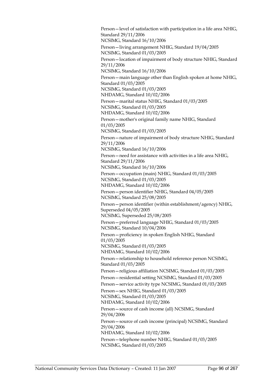Person—level of satisfaction with participation in a life area NHIG, Standard 29/11/2006 NCSIMG, Standard 16/10/2006 Person—living arrangement NHIG, Standard 19/04/2005 NCSIMG, Standard 01/03/2005 Person—location of impairment of body structure NHIG, Standard 29/11/2006 NCSIMG, Standard 16/10/2006 Person—main language other than English spoken at home NHIG, Standard 01/03/2005 NCSIMG, Standard 01/03/2005 NHDAMG, Standard 10/02/2006 Person—marital status NHIG, Standard 01/03/2005 NCSIMG, Standard 01/03/2005 NHDAMG, Standard 10/02/2006 Person—mother's original family name NHIG, Standard 01/03/2005 NCSIMG, Standard 01/03/2005 Person—nature of impairment of body structure NHIG, Standard 29/11/2006 NCSIMG, Standard 16/10/2006 Person—need for assistance with activities in a life area NHIG, Standard 29/11/2006 NCSIMG, Standard 16/10/2006 Person—occupation (main) NHIG, Standard 01/03/2005 NCSIMG, Standard 01/03/2005 NHDAMG, Standard 10/02/2006 Person—person identifier NHIG, Standard 04/05/2005 NCSIMG, Standard 25/08/2005 Person—person identifier (within establishment/agency) NHIG, Superseded 04/05/2005 NCSIMG, Superseded 25/08/2005 Person—preferred language NHIG, Standard 01/03/2005 NCSIMG, Standard 10/04/2006 Person—proficiency in spoken English NHIG, Standard 01/03/2005 NCSIMG, Standard 01/03/2005 NHDAMG, Standard 10/02/2006 Person—relationship to household reference person NCSIMG, Standard 01/03/2005 Person—religious affiliation NCSIMG, Standard 01/03/2005 Person—residential setting NCSIMG, Standard 01/03/2005 Person—service activity type NCSIMG, Standard 01/03/2005 Person—sex NHIG, Standard 01/03/2005 NCSIMG, Standard 01/03/2005 NHDAMG, Standard 10/02/2006 Person—source of cash income (all) NCSIMG, Standard 29/04/2006 Person—source of cash income (principal) NCSIMG, Standard 29/04/2006 NHDAMG, Standard 10/02/2006 Person—telephone number NHIG, Standard 01/03/2005 NCSIMG, Standard 01/03/2005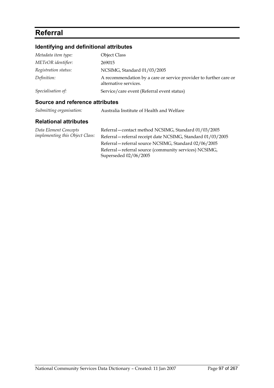### **Referral**

#### **Identifying and definitional attributes**

| <b>Object Class</b>                                                                        |
|--------------------------------------------------------------------------------------------|
| 269015                                                                                     |
| NCSIMG, Standard 01/03/2005                                                                |
| A recommendation by a care or service provider to further care or<br>alternative services. |
| Service/care event (Referral event status)                                                 |
|                                                                                            |

#### **Source and reference attributes**

#### **Relational attributes**

*Data Element Concepts implementing this Object Class:* Referral—contact method NCSIMG, Standard 01/03/2005 Referral—referral receipt date NCSIMG, Standard 01/03/2005 Referral—referral source NCSIMG, Standard 02/06/2005 Referral—referral source (community services) NCSIMG, Superseded 02/06/2005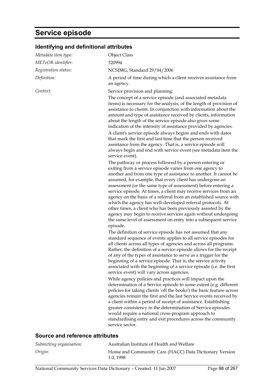### **Service episode**

| Metadata item type:  | <b>Object Class</b>                                                                                                                                                                                                                                                                                                                                                                                                                                                                                                                                                                                                                                                                                                                                                                                                                                                                                                                                                                                                                                                                                                                                                                                                                                                             |
|----------------------|---------------------------------------------------------------------------------------------------------------------------------------------------------------------------------------------------------------------------------------------------------------------------------------------------------------------------------------------------------------------------------------------------------------------------------------------------------------------------------------------------------------------------------------------------------------------------------------------------------------------------------------------------------------------------------------------------------------------------------------------------------------------------------------------------------------------------------------------------------------------------------------------------------------------------------------------------------------------------------------------------------------------------------------------------------------------------------------------------------------------------------------------------------------------------------------------------------------------------------------------------------------------------------|
| METeOR identifier:   | 320994                                                                                                                                                                                                                                                                                                                                                                                                                                                                                                                                                                                                                                                                                                                                                                                                                                                                                                                                                                                                                                                                                                                                                                                                                                                                          |
| Registration status: | NCSIMG, Standard 29/04/2006                                                                                                                                                                                                                                                                                                                                                                                                                                                                                                                                                                                                                                                                                                                                                                                                                                                                                                                                                                                                                                                                                                                                                                                                                                                     |
| Definition:          | A period of time during which a client receives assistance from<br>an agency.                                                                                                                                                                                                                                                                                                                                                                                                                                                                                                                                                                                                                                                                                                                                                                                                                                                                                                                                                                                                                                                                                                                                                                                                   |
| Context:             | Service provision and planning:                                                                                                                                                                                                                                                                                                                                                                                                                                                                                                                                                                                                                                                                                                                                                                                                                                                                                                                                                                                                                                                                                                                                                                                                                                                 |
|                      | The concept of a service episode (and associated metadata<br>items) is necessary for the analysis, of the length of provision of<br>assistance to clients. In conjunction with information about the<br>amount and type of assistance received by clients, information<br>about the length of the service episode also gives some<br>indication of the intensity of assistance provided by agencies.<br>A client's service episode always begins and ends with dates                                                                                                                                                                                                                                                                                                                                                                                                                                                                                                                                                                                                                                                                                                                                                                                                            |
|                      | that mark the first and last time that the person received<br>assistance from the agency. That is, a service episode will<br>always begin and end with service event (see metadata item the<br>service event).                                                                                                                                                                                                                                                                                                                                                                                                                                                                                                                                                                                                                                                                                                                                                                                                                                                                                                                                                                                                                                                                  |
|                      | The pathway or process followed by a person entering or<br>exiting from a service episode varies from one agency to<br>another and from one type of assistance to another. It cannot be<br>assumed, for example, that every client has undergone an<br>assessment (or the same type of assessment) before entering a<br>service episode. At times, a client may receive services from an<br>agency on the basis of a referral from an established source with<br>which the agency has well-developed referral protocols. At<br>other times, a client who has been previously assisted by the<br>agency may begin to receive services again without undergoing<br>the same level of assessment on entry into a subsequent service<br>episode.<br>The definition of service episode has not assumed that any<br>standard sequence of events applies to all service episodes for<br>all clients across all types of agencies and across all programs.<br>Rather, the definition of a service episode allows for the receipt<br>of any of the types of assistance to serve as a trigger for the<br>beginning of a service episode. That is, the service activity<br>associated with the beginning of a service episode (i.e. the first<br>service event) will vary across agencies. |
|                      | While agency policies and practices will impact upon the<br>determination of a Service episode to some extent (e.g. different<br>policies for taking clients 'off the books') the basic feature across<br>agencies remain the first and the last Service events received by<br>a client within a period of receipt of assistance. Establishing<br>greater consistency in the determination of Service episodes<br>would require a national cross-program approach to<br>standardising entry and exit procedures across the community<br>service sector.                                                                                                                                                                                                                                                                                                                                                                                                                                                                                                                                                                                                                                                                                                                         |

### **Identifying and definitional attributes**

#### **Source and reference attributes**

| Submitting organisation: | Australian Institute of Health and Welfare                          |
|--------------------------|---------------------------------------------------------------------|
| Origin:                  | Home and Community Care (HACC) Data Dictionary Version<br>1.0, 1998 |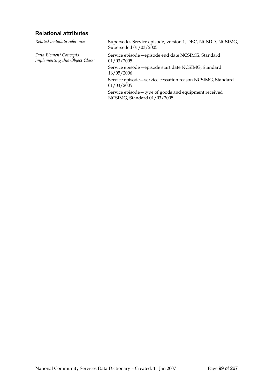#### **Relational attributes**

*Data Element Concepts implementing this Object Class:*

*Related metadata references:* Supersedes Service episode, version 1, DEC, NCSDD, NCSIMG, Superseded 01/03/2005

> Service episode—episode end date NCSIMG, Standard 01/03/2005

Service episode—episode start date NCSIMG, Standard 16/05/2006

Service episode—service cessation reason NCSIMG, Standard 01/03/2005

Service episode—type of goods and equipment received NCSIMG, Standard 01/03/2005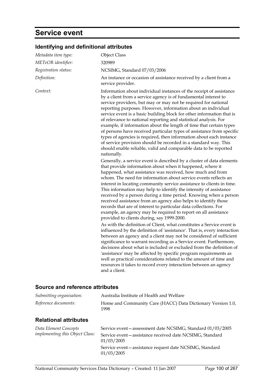### **Service event**

### **Identifying and definitional attributes**

| 320989<br>NCSIMG, Standard 07/03/2006<br>An instance or occasion of assistance received by a client from a<br>service provider.<br>Information about individual instances of the receipt of assistance                                                                                                                                                                                                                                                                                                                                                                                                                                                                                                                                                                                                                                                                                                                                                                                                                                                                                                                                                                                                                                                                                                                                                                                                                                                                                                                                                                                                                                                                                                                                                                                                                                                                                                                                                                                                                                                                            |
|-----------------------------------------------------------------------------------------------------------------------------------------------------------------------------------------------------------------------------------------------------------------------------------------------------------------------------------------------------------------------------------------------------------------------------------------------------------------------------------------------------------------------------------------------------------------------------------------------------------------------------------------------------------------------------------------------------------------------------------------------------------------------------------------------------------------------------------------------------------------------------------------------------------------------------------------------------------------------------------------------------------------------------------------------------------------------------------------------------------------------------------------------------------------------------------------------------------------------------------------------------------------------------------------------------------------------------------------------------------------------------------------------------------------------------------------------------------------------------------------------------------------------------------------------------------------------------------------------------------------------------------------------------------------------------------------------------------------------------------------------------------------------------------------------------------------------------------------------------------------------------------------------------------------------------------------------------------------------------------------------------------------------------------------------------------------------------------|
|                                                                                                                                                                                                                                                                                                                                                                                                                                                                                                                                                                                                                                                                                                                                                                                                                                                                                                                                                                                                                                                                                                                                                                                                                                                                                                                                                                                                                                                                                                                                                                                                                                                                                                                                                                                                                                                                                                                                                                                                                                                                                   |
|                                                                                                                                                                                                                                                                                                                                                                                                                                                                                                                                                                                                                                                                                                                                                                                                                                                                                                                                                                                                                                                                                                                                                                                                                                                                                                                                                                                                                                                                                                                                                                                                                                                                                                                                                                                                                                                                                                                                                                                                                                                                                   |
|                                                                                                                                                                                                                                                                                                                                                                                                                                                                                                                                                                                                                                                                                                                                                                                                                                                                                                                                                                                                                                                                                                                                                                                                                                                                                                                                                                                                                                                                                                                                                                                                                                                                                                                                                                                                                                                                                                                                                                                                                                                                                   |
| by a client from a service agency is of fundamental interest to<br>service providers, but may or may not be required for national<br>reporting purposes. However, information about an individual<br>service event is a basic building block for other information that is<br>of relevance to national reporting and statistical analysis. For<br>example, if information about the length of time that certain types<br>of persons have received particular types of assistance from specific<br>types of agencies is required, then information about each instance<br>of service provision should be recorded in a standard way. This<br>should enable reliable, valid and comparable data to be reported<br>nationally.<br>Generally, a service event is described by a cluster of data elements<br>that provide information about when it happened, where it<br>happened, what assistance was received, how much and from<br>whom. The need for information about service events reflects an<br>interest in locating community service assistance to clients in time.<br>This information may help to identify the intensity of assistance<br>received by a person during a time period. Knowing when a person<br>received assistance from an agency also helps to identify those<br>records that are of interest to particular data collections. For<br>example, an agency may be required to report on all assistance<br>provided to clients during, say 1999-2000.<br>As with the definition of Client, what constitutes a Service event is<br>influenced by the definition of 'assistance'. That is, every interaction<br>between an agency and a client may not be considered of sufficient<br>significance to warrant recording as a Service event. Furthermore,<br>decisions about what is included or excluded from the definition of<br>'assistance' may be affected by specific program requirements as<br>well as practical considerations related to the amount of time and<br>resources it takes to record every interaction between an agency<br>and a client. |
|                                                                                                                                                                                                                                                                                                                                                                                                                                                                                                                                                                                                                                                                                                                                                                                                                                                                                                                                                                                                                                                                                                                                                                                                                                                                                                                                                                                                                                                                                                                                                                                                                                                                                                                                                                                                                                                                                                                                                                                                                                                                                   |

#### **Source and reference attributes**

| Submitting organisation:                                 | Australia Institute of Health and Welfare                                                                                                                                                                        |
|----------------------------------------------------------|------------------------------------------------------------------------------------------------------------------------------------------------------------------------------------------------------------------|
| Reference documents:                                     | Home and Community Care (HACC) Data Dictionary Version 1.0,<br>1998                                                                                                                                              |
| <b>Relational attributes</b>                             |                                                                                                                                                                                                                  |
| Data Element Concepts<br>implementing this Object Class: | Service event - assessment date NCSIMG, Standard 01/03/2005<br>Service event – assistance received date NCSIMG, Standard<br>01/03/2005<br>Service event - assistance request date NCSIMG, Standard<br>01/03/2005 |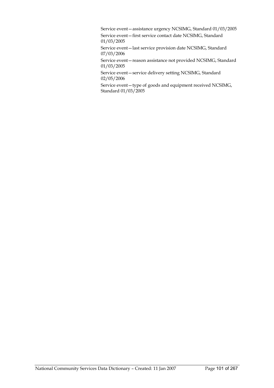Service event—assistance urgency NCSIMG, Standard 01/03/2005

Service event—first service contact date NCSIMG, Standard 01/03/2005

Service event—last service provision date NCSIMG, Standard 07/03/2006

Service event—reason assistance not provided NCSIMG, Standard 01/03/2005

Service event—service delivery setting NCSIMG, Standard 02/05/2006

Service event—type of goods and equipment received NCSIMG, Standard 01/03/2005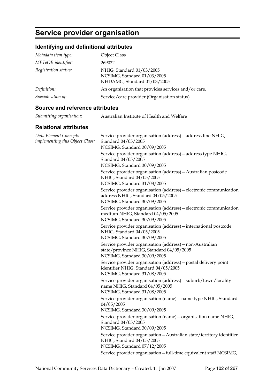## **Service provider organisation**

#### **Identifying and definitional attributes**

| Metadata item type:  | <b>Object Class</b>                                                                     |
|----------------------|-----------------------------------------------------------------------------------------|
| METeOR identifier:   | 269022                                                                                  |
| Registration status: | NHIG, Standard 01/03/2005<br>NCSIMG, Standard 01/03/2005<br>NHDAMG, Standard 01/03/2005 |
| Definition:          | An organisation that provides services and/or care.                                     |
| Specialisation of:   | Service/care provider (Organisation status)                                             |

#### **Source and reference attributes**

| Submitting organisation: | Australian Institute of Health and Welfare |
|--------------------------|--------------------------------------------|
|                          |                                            |

#### **Relational attributes**

| Data Element Concepts<br>implementing this Object Class: | Service provider organisation (address) - address line NHIG,<br>Standard 04/05/2005<br>NCSIMG, Standard 30/09/2005                     |
|----------------------------------------------------------|----------------------------------------------------------------------------------------------------------------------------------------|
|                                                          | Service provider organisation (address) - address type NHIG,<br>Standard 04/05/2005<br>NCSIMG, Standard 30/09/2005                     |
|                                                          | Service provider organisation (address) - Australian postcode<br>NHIG, Standard 04/05/2005<br>NCSIMG, Standard 31/08/2005              |
|                                                          | Service provider organisation (address) - electronic communication<br>address NHIG, Standard 04/05/2005<br>NCSIMG, Standard 30/09/2005 |
|                                                          | Service provider organisation (address) - electronic communication<br>medium NHIG, Standard 04/05/2005<br>NCSIMG, Standard 30/09/2005  |
|                                                          | Service provider organisation (address) - international postcode<br>NHIG, Standard 04/05/2005<br>NCSIMG, Standard 30/09/2005           |
|                                                          | Service provider organisation (address) - non-Australian<br>state/province NHIG, Standard 04/05/2005<br>NCSIMG, Standard 30/09/2005    |
|                                                          | Service provider organisation (address) - postal delivery point<br>identifier NHIG, Standard 04/05/2005<br>NCSIMG, Standard 31/08/2005 |
|                                                          | Service provider organisation (address) - suburb/town/locality<br>name NHIG, Standard 04/05/2005<br>NCSIMG, Standard 31/08/2005        |
|                                                          | Service provider organisation (name) - name type NHIG, Standard<br>04/05/2005<br>NCSIMG, Standard 30/09/2005                           |
|                                                          | Service provider organisation (name) - organisation name NHIG,<br>Standard 04/05/2005<br>NCSIMG, Standard 30/09/2005                   |
|                                                          | Service provider organisation - Australian state/territory identifier<br>NHIG, Standard 04/05/2005<br>NCSIMG, Standard 07/12/2005      |
|                                                          | Service provider organisation - full-time equivalent staff NCSIMG,                                                                     |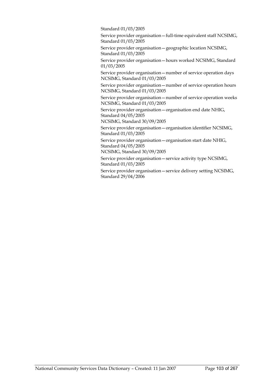Standard 01/03/2005

Service provider organisation—full-time equivalent staff NCSIMG, Standard 01/03/2005

Service provider organisation—geographic location NCSIMG, Standard 01/03/2005

Service provider organisation—hours worked NCSIMG, Standard 01/03/2005

Service provider organisation—number of service operation days NCSIMG, Standard 01/03/2005

Service provider organisation—number of service operation hours NCSIMG, Standard 01/03/2005

Service provider organisation—number of service operation weeks NCSIMG, Standard 01/03/2005

Service provider organisation—organisation end date NHIG, Standard 04/05/2005

NCSIMG, Standard 30/09/2005

Service provider organisation—organisation identifier NCSIMG, Standard 01/03/2005

Service provider organisation—organisation start date NHIG, Standard 04/05/2005

NCSIMG, Standard 30/09/2005

Service provider organisation—service activity type NCSIMG, Standard 01/03/2005

Service provider organisation—service delivery setting NCSIMG, Standard 29/04/2006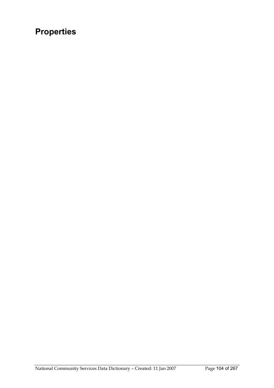# **Properties**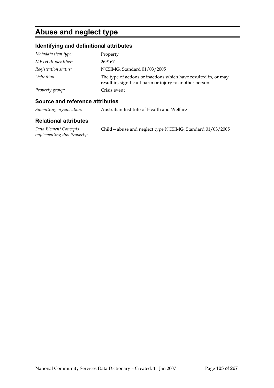### **Abuse and neglect type**

#### **Identifying and definitional attributes**

| Metadata item type:  | Property                                                                                                                    |
|----------------------|-----------------------------------------------------------------------------------------------------------------------------|
| METeOR identifier:   | 269167                                                                                                                      |
| Registration status: | NCSIMG, Standard 01/03/2005                                                                                                 |
| Definition:          | The type of actions or inactions which have resulted in, or may<br>result in, significant harm or injury to another person. |
| Property group:      | Crisis event                                                                                                                |

#### **Source and reference attributes**

*implementing this Property:*

| Submitting organisation:     | Australian Institute of Health and Welfare                 |
|------------------------------|------------------------------------------------------------|
| <b>Relational attributes</b> |                                                            |
| Data Element Concepts        | Child - abuse and neglect type NCSIMG, Standard 01/03/2005 |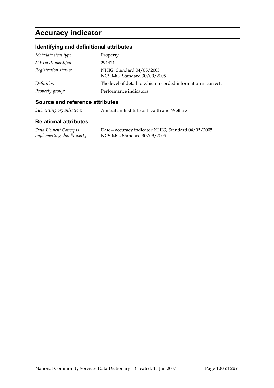### **Accuracy indicator**

#### **Identifying and definitional attributes**

| Metadata item type:  | Property                                                      |
|----------------------|---------------------------------------------------------------|
| METeOR identifier:   | 294414                                                        |
| Registration status: | NHIG, Standard 04/05/2005<br>NCSIMG, Standard 30/09/2005      |
| Definition:          | The level of detail to which recorded information is correct. |
| Property group:      | Performance indicators                                        |

#### **Source and reference attributes**

*Submitting organisation:* Australian Institute of Health and Welfare

#### **Relational attributes**

*Data Element Concepts implementing this Property:* Date—accuracy indicator NHIG, Standard 04/05/2005 NCSIMG, Standard 30/09/2005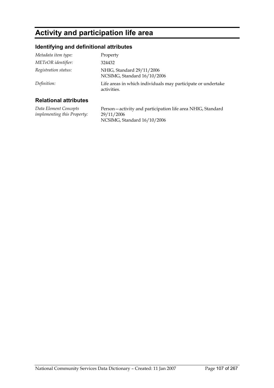### **Activity and participation life area**

#### **Identifying and definitional attributes**

| Metadata item type:  | Property                                                                    |
|----------------------|-----------------------------------------------------------------------------|
| METeOR identifier:   | 324432                                                                      |
| Registration status: | NHIG, Standard 29/11/2006<br>NCSIMG, Standard 16/10/2006                    |
| Definition:          | Life areas in which individuals may participate or undertake<br>activities. |

#### **Relational attributes**

*Data Element Concepts implementing this Property:* Person—activity and participation life area NHIG, Standard 29/11/2006 NCSIMG, Standard 16/10/2006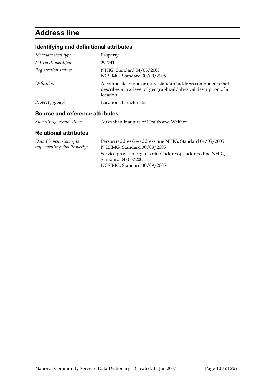### **Address line**

#### **Identifying and definitional attributes**

| Metadata item type:             | Property                                                                                                                                    |
|---------------------------------|---------------------------------------------------------------------------------------------------------------------------------------------|
| METeOR identifier:              | 292741                                                                                                                                      |
| Registration status:            | NHIG, Standard 04/05/2005<br>NCSIMG, Standard 30/09/2005                                                                                    |
| Definition:                     | A composite of one or more standard address components that<br>describes a low level of geographical/physical description of a<br>location. |
| Property group:                 | Location characteristics                                                                                                                    |
| Source and reference attributes |                                                                                                                                             |

#### *Submitting organisation:* Australian Institute of Health and Welfare

#### **Relational attributes**

| Data Element Concepts              | Person (address) - address line NHIG, Standard 04/05/2005    |
|------------------------------------|--------------------------------------------------------------|
| <i>implementing this Property:</i> | NCSIMG, Standard 30/09/2005                                  |
|                                    | Service provider organisation (address) – address line NHIG, |
|                                    | Standard 04/05/2005                                          |
|                                    | NCSIMG, Standard 30/09/2005                                  |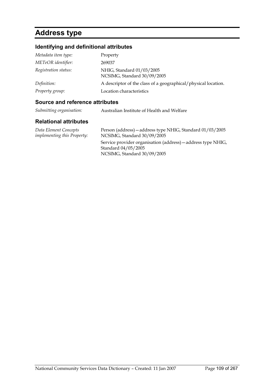# **Address type**

## **Identifying and definitional attributes**

| Metadata item type:  | Property                                                       |
|----------------------|----------------------------------------------------------------|
| METeOR identifier:   | 269037                                                         |
| Registration status: | NHIG, Standard 01/03/2005<br>NCSIMG, Standard 30/09/2005       |
| Definition:          | A descriptor of the class of a geographical/physical location. |
| Property group:      | Location characteristics                                       |

### **Source and reference attributes**

| Submitting organisation: | Australian Institute of Health and Welfare |
|--------------------------|--------------------------------------------|
|--------------------------|--------------------------------------------|

| Data Element Concepts<br><i>implementing this Property:</i> | Person (address) – address type NHIG, Standard 01/03/2005<br>NCSIMG, Standard 30/09/2005 |
|-------------------------------------------------------------|------------------------------------------------------------------------------------------|
|                                                             | Service provider organisation (address) – address type NHIG,                             |
|                                                             | Standard 04/05/2005                                                                      |
|                                                             | NCSIMG, Standard 30/09/2005                                                              |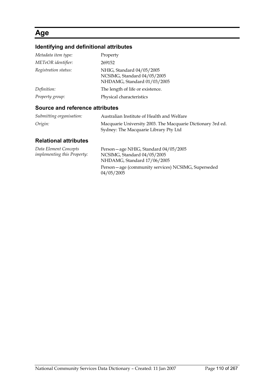## **Age**

## **Identifying and definitional attributes**

| Metadata item type:               | Property                                                                                |
|-----------------------------------|-----------------------------------------------------------------------------------------|
| METeOR identifier:                | 269152                                                                                  |
| Registration status:              | NHIG, Standard 04/05/2005<br>NCSIMG, Standard 04/05/2005<br>NHDAMG, Standard 01/03/2005 |
| Definition:                       | The length of life or existence.                                                        |
| Property group:                   | Physical characteristics                                                                |
| Carrosa and vafavanaa attulkiitaa |                                                                                         |

### **Source and reference attributes**

| Submitting organisation: | Australian Institute of Health and Welfare                                                           |
|--------------------------|------------------------------------------------------------------------------------------------------|
| Origin:                  | Macquarie University 2003. The Macquarie Dictionary 3rd ed.<br>Sydney: The Macquarie Library Pty Ltd |

| Data Element Concepts              | Person - age NHIG, Standard 04/05/2005                           |
|------------------------------------|------------------------------------------------------------------|
| <i>implementing this Property:</i> | NCSIMG, Standard 04/05/2005                                      |
|                                    | NHDAMG, Standard 17/06/2005                                      |
|                                    | Person—age (community services) NCSIMG, Superseded<br>04/05/2005 |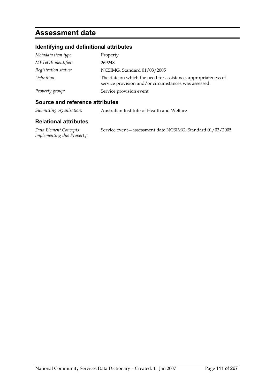## **Assessment date**

## **Identifying and definitional attributes**

| Metadata item type:  | Property                                                                                                              |
|----------------------|-----------------------------------------------------------------------------------------------------------------------|
| METeOR identifier:   | 269248                                                                                                                |
| Registration status: | NCSIMG, Standard 01/03/2005                                                                                           |
| Definition:          | The date on which the need for assistance, appropriateness of<br>service provision and/or circumstances was assessed. |
| Property group:      | Service provision event                                                                                               |

### **Source and reference attributes**

| Submitting organisation: | Australian Institute of Health and Welfare |
|--------------------------|--------------------------------------------|
|--------------------------|--------------------------------------------|

#### **Relational attributes**

*Data Element Concepts implementing this Property:* Service event—assessment date NCSIMG, Standard 01/03/2005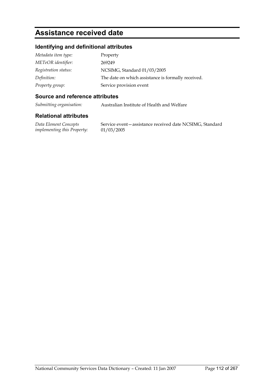## **Assistance received date**

## **Identifying and definitional attributes**

| Metadata item type:  | Property                                           |
|----------------------|----------------------------------------------------|
| METeOR identifier:   | 269249                                             |
| Registration status: | NCSIMG, Standard 01/03/2005                        |
| Definition:          | The date on which assistance is formally received. |
| Property group:      | Service provision event                            |

#### **Source and reference attributes**

*Submitting organisation:* Australian Institute of Health and Welfare

### **Relational attributes**

*Data Element Concepts implementing this Property:* Service event—assistance received date NCSIMG, Standard 01/03/2005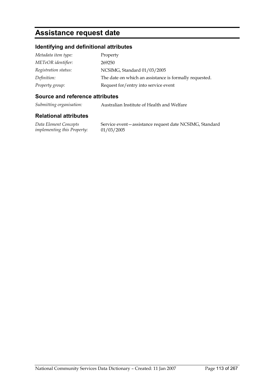## **Assistance request date**

## **Identifying and definitional attributes**

| Metadata item type:  | Property                                               |
|----------------------|--------------------------------------------------------|
| METeOR identifier:   | 269250                                                 |
| Registration status: | NCSIMG, Standard 01/03/2005                            |
| Definition:          | The date on which an assistance is formally requested. |
| Property group:      | Request for/entry into service event                   |

#### **Source and reference attributes**

*Submitting organisation:* Australian Institute of Health and Welfare

### **Relational attributes**

*Data Element Concepts implementing this Property:* Service event—assistance request date NCSIMG, Standard 01/03/2005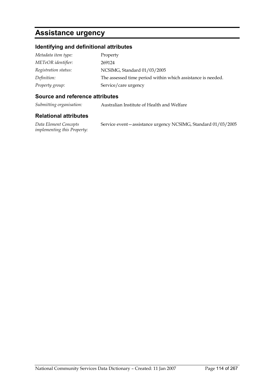## **Assistance urgency**

## **Identifying and definitional attributes**

| Metadata item type:  | Property                                                    |
|----------------------|-------------------------------------------------------------|
| METeOR identifier:   | 269124                                                      |
| Registration status: | NCSIMG, Standard 01/03/2005                                 |
| Definition:          | The assessed time period within which assistance is needed. |
| Property group:      | Service/care urgency                                        |

#### **Source and reference attributes**

*Submitting organisation:* Australian Institute of Health and Welfare

### **Relational attributes**

*Data Element Concepts implementing this Property:* Service event—assistance urgency NCSIMG, Standard 01/03/2005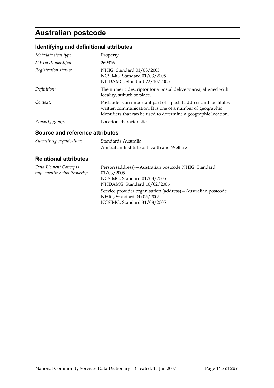# **Australian postcode**

## **Identifying and definitional attributes**

| Metadata item type:  | Property                                                                                                                                                                                            |
|----------------------|-----------------------------------------------------------------------------------------------------------------------------------------------------------------------------------------------------|
| METeOR identifier:   | 269316                                                                                                                                                                                              |
| Registration status: | NHIG, Standard 01/03/2005<br>NCSIMG, Standard 01/03/2005<br>NHDAMG, Standard 22/10/2005                                                                                                             |
| Definition:          | The numeric descriptor for a postal delivery area, aligned with<br>locality, suburb or place.                                                                                                       |
| Context:             | Postcode is an important part of a postal address and facilitates<br>written communication. It is one of a number of geographic<br>identifiers that can be used to determine a geographic location. |
| Property group:      | Location characteristics                                                                                                                                                                            |

#### **Source and reference attributes**

| Submitting organisation: | Standards Australia                        |
|--------------------------|--------------------------------------------|
|                          | Australian Institute of Health and Welfare |

| Data Element Concepts              | Person (address) - Australian postcode NHIG, Standard         |
|------------------------------------|---------------------------------------------------------------|
| <i>implementing this Property:</i> | 01/03/2005                                                    |
|                                    | NCSIMG, Standard 01/03/2005                                   |
|                                    | NHDAMG, Standard 10/02/2006                                   |
|                                    | Service provider organisation (address) - Australian postcode |
|                                    | NHIG, Standard 04/05/2005                                     |
|                                    | NCSIMG, Standard 31/08/2005                                   |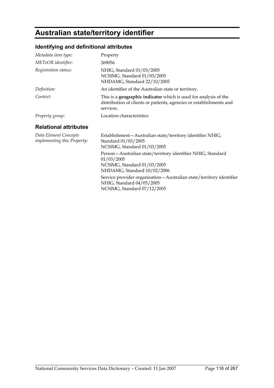# **Australian state/territory identifier**

## **Identifying and definitional attributes**

| Metadata item type:                                         | Property                                                                                                                                                                                                                                        |
|-------------------------------------------------------------|-------------------------------------------------------------------------------------------------------------------------------------------------------------------------------------------------------------------------------------------------|
| METeOR identifier:                                          | 269056                                                                                                                                                                                                                                          |
| Registration status:                                        | NHIG, Standard 01/03/2005<br>NCSIMG, Standard 01/03/2005<br>NHDAMG, Standard 22/10/2005                                                                                                                                                         |
| Definition:                                                 | An identifier of the Australian state or territory.                                                                                                                                                                                             |
| Context:                                                    | This is a <b>geographic indicator</b> which is used for analysis of the<br>distribution of clients or patients, agencies or establishments and<br>services.                                                                                     |
| Property group:                                             | Location characteristics                                                                                                                                                                                                                        |
| <b>Relational attributes</b>                                |                                                                                                                                                                                                                                                 |
| Data Element Concepts<br><i>implementing this Property:</i> | Establishment - Australian state/territory identifier NHIG,<br>Standard 01/03/2005<br>NCSIMG, Standard 01/03/2005                                                                                                                               |
|                                                             | Person - Australian state/territory identifier NHIG, Standard<br>01/03/2005<br>NCSIMG, Standard 01/03/2005<br>NHDAMG, Standard 10/02/2006<br>Service provider organisation - Australian state/territory identifier<br>NHIG, Standard 04/05/2005 |
|                                                             | NCSIMG, Standard 07/12/2005                                                                                                                                                                                                                     |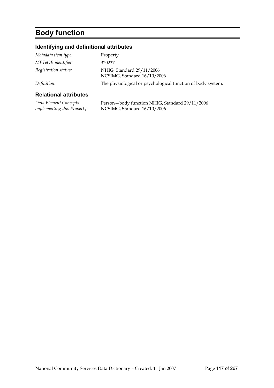# **Body function**

## **Identifying and definitional attributes**

| <b>Relational attributes</b> |                                                             |
|------------------------------|-------------------------------------------------------------|
| Definition:                  | The physiological or psychological function of body system. |
| Registration status:         | NHIG, Standard 29/11/2006<br>NCSIMG, Standard 16/10/2006    |
| METeOR identifier:           | 320237                                                      |
| Metadata item type:          | Property                                                    |

| Data Element Concepts              | Person-body function NHIG, Standard 29/11/2006 |
|------------------------------------|------------------------------------------------|
| <i>implementing this Property:</i> | NCSIMG, Standard 16/10/2006                    |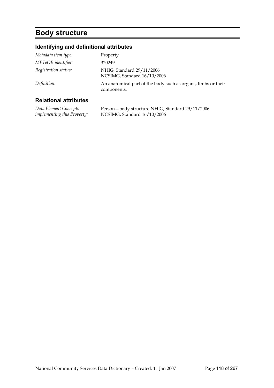# **Body structure**

## **Identifying and definitional attributes**

| Metadata item type:  | Property                                                                     |
|----------------------|------------------------------------------------------------------------------|
| METeOR identifier:   | 320249                                                                       |
| Registration status: | NHIG, Standard 29/11/2006<br>NCSIMG, Standard 16/10/2006                     |
| Definition:          | An anatomical part of the body such as organs, limbs or their<br>components. |
|                      |                                                                              |

| Data Element Concepts              | Person-body structure NHIG, Standard 29/11/2006 |
|------------------------------------|-------------------------------------------------|
| <i>implementing this Property:</i> | NCSIMG, Standard 16/10/2006                     |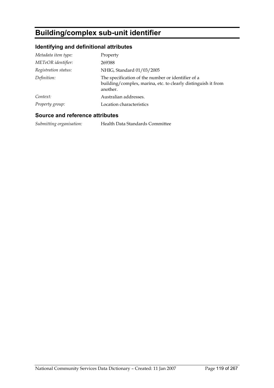# **Building/complex sub-unit identifier**

## **Identifying and definitional attributes**

| Metadata item type:  | Property                                                                                                                        |
|----------------------|---------------------------------------------------------------------------------------------------------------------------------|
| METeOR identifier:   | 269388                                                                                                                          |
| Registration status: | NHIG, Standard 01/03/2005                                                                                                       |
| Definition:          | The specification of the number or identifier of a<br>building/complex, marina, etc. to clearly distinguish it from<br>another. |
| Context:             | Australian addresses.                                                                                                           |
| Property group:      | Location characteristics                                                                                                        |

#### **Source and reference attributes**

*Submitting organisation:* Health Data Standards Committee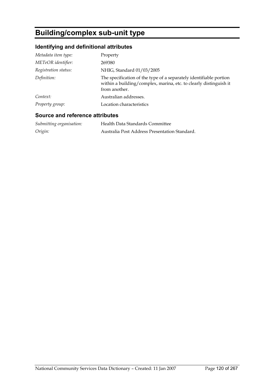# **Building/complex sub-unit type**

## **Identifying and definitional attributes**

| Metadata item type:  | Property                                                                                                                                                 |
|----------------------|----------------------------------------------------------------------------------------------------------------------------------------------------------|
| METeOR identifier:   | 269380                                                                                                                                                   |
| Registration status: | NHIG, Standard 01/03/2005                                                                                                                                |
| Definition:          | The specification of the type of a separately identifiable portion<br>within a building/complex, marina, etc. to clearly distinguish it<br>from another. |
| Context:             | Australian addresses.                                                                                                                                    |
| Property group:      | Location characteristics                                                                                                                                 |

## **Source and reference attributes**

| Submitting organisation: | Health Data Standards Committee               |
|--------------------------|-----------------------------------------------|
| Origin:                  | Australia Post Address Presentation Standard. |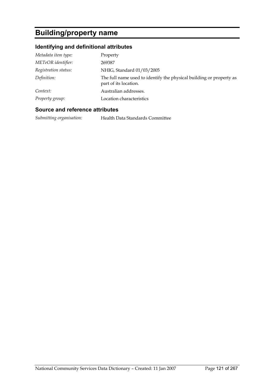# **Building/property name**

## **Identifying and definitional attributes**

| Metadata item type:  | Property                                                                                     |
|----------------------|----------------------------------------------------------------------------------------------|
| METeOR identifier:   | 269387                                                                                       |
| Registration status: | NHIG, Standard 01/03/2005                                                                    |
| Definition:          | The full name used to identify the physical building or property as<br>part of its location. |
| Context:             | Australian addresses.                                                                        |
| Property group:      | Location characteristics                                                                     |

## **Source and reference attributes**

*Submitting organisation:* Health Data Standards Committee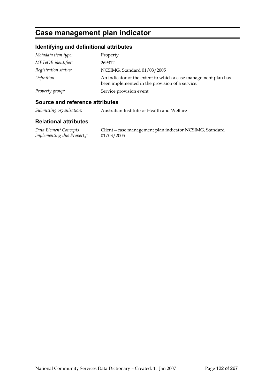## **Case management plan indicator**

## **Identifying and definitional attributes**

| Metadata item type:  | Property                                                                                                          |
|----------------------|-------------------------------------------------------------------------------------------------------------------|
| METeOR identifier:   | 269312                                                                                                            |
| Registration status: | NCSIMG, Standard 01/03/2005                                                                                       |
| Definition:          | An indicator of the extent to which a case management plan has<br>been implemented in the provision of a service. |
| Property group:      | Service provision event                                                                                           |

### **Source and reference attributes**

*Submitting organisation:* Australian Institute of Health and Welfare

#### **Relational attributes**

*Data Element Concepts implementing this Property:*

Client—case management plan indicator NCSIMG, Standard 01/03/2005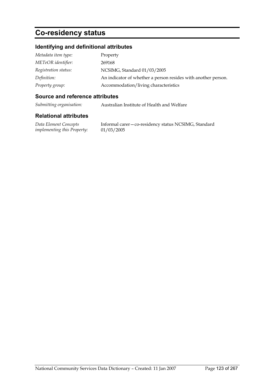# **Co-residency status**

## **Identifying and definitional attributes**

| Metadata item type:  | Property                                                      |
|----------------------|---------------------------------------------------------------|
| METeOR identifier:   | 269168                                                        |
| Registration status: | NCSIMG, Standard 01/03/2005                                   |
| Definition:          | An indicator of whether a person resides with another person. |
| Property group:      | Accommodation/living characteristics                          |

#### **Source and reference attributes**

*Submitting organisation:* Australian Institute of Health and Welfare

### **Relational attributes**

*Data Element Concepts implementing this Property:*

Informal carer—co-residency status NCSIMG, Standard 01/03/2005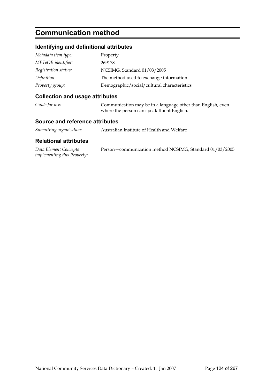# **Communication method**

## **Identifying and definitional attributes**

| Metadata item type:  | Property                                    |
|----------------------|---------------------------------------------|
| METeOR identifier:   | 269178                                      |
| Registration status: | NCSIMG, Standard 01/03/2005                 |
| Definition:          | The method used to exchange information.    |
| Property group:      | Demographic/social/cultural characteristics |

## **Collection and usage attributes**

| Guide for use: | Communication may be in a language other than English, even |
|----------------|-------------------------------------------------------------|
|                | where the person can speak fluent English.                  |

### **Source and reference attributes**

| Submitting organisation: | Australian Institute of Health and Welfare |
|--------------------------|--------------------------------------------|
|--------------------------|--------------------------------------------|

| Data Element Concepts              | Person-communication method NCSIMG, Standard 01/03/2005 |
|------------------------------------|---------------------------------------------------------|
| <i>implementing this Property:</i> |                                                         |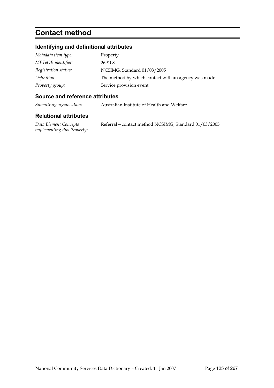# **Contact method**

## **Identifying and definitional attributes**

| Metadata item type:  | Property                                             |
|----------------------|------------------------------------------------------|
| METeOR identifier:   | 269108                                               |
| Registration status: | NCSIMG, Standard 01/03/2005                          |
| Definition:          | The method by which contact with an agency was made. |
| Property group:      | Service provision event                              |

### **Source and reference attributes**

*Submitting organisation:* Australian Institute of Health and Welfare

| Data Element Concepts              | Referral – contact method NCSIMG, Standard 01/03/2005 |
|------------------------------------|-------------------------------------------------------|
| <i>implementing this Property:</i> |                                                       |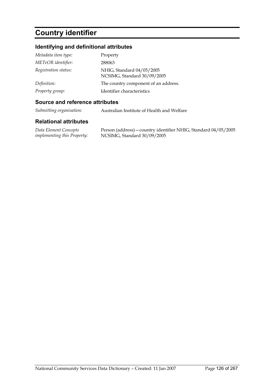# **Country identifier**

## **Identifying and definitional attributes**

| Metadata item type:  | Property                                                 |
|----------------------|----------------------------------------------------------|
| METeOR identifier:   | 288063                                                   |
| Registration status: | NHIG, Standard 04/05/2005<br>NCSIMG, Standard 30/09/2005 |
| Definition:          | The country component of an address.                     |
| Property group:      | Identifier characteristics                               |

#### **Source and reference attributes**

*Submitting organisation:* Australian Institute of Health and Welfare

#### **Relational attributes**

*Data Element Concepts implementing this Property:* Person (address)—country identifier NHIG, Standard 04/05/2005 NCSIMG, Standard 30/09/2005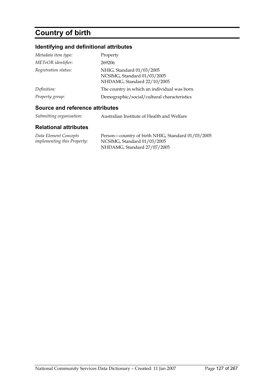# **Country of birth**

## **Identifying and definitional attributes**

| Metadata item type:  | Property                                                                                |
|----------------------|-----------------------------------------------------------------------------------------|
| METeOR identifier:   | 269206                                                                                  |
| Registration status: | NHIG, Standard 01/03/2005<br>NCSIMG, Standard 01/03/2005<br>NHDAMG, Standard 22/10/2005 |
| Definition:          | The country in which an individual was born.                                            |
| Property group:      | Demographic/social/cultural characteristics                                             |

## **Source and reference attributes**

| Submitting organisation: | Australian Institute of Health and Welfare |
|--------------------------|--------------------------------------------|
|                          |                                            |

| Data Element Concepts              | Person – country of birth NHIG, Standard 01/03/2005 |
|------------------------------------|-----------------------------------------------------|
| <i>implementing this Property:</i> | NCSIMG, Standard 01/03/2005                         |
|                                    | NHDAMG, Standard 27/07/2005                         |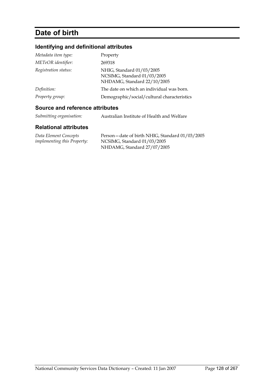# **Date of birth**

## **Identifying and definitional attributes**

| Metadata item type:  | Property                                                                                |
|----------------------|-----------------------------------------------------------------------------------------|
| METeOR identifier:   | 269318                                                                                  |
| Registration status: | NHIG, Standard 01/03/2005<br>NCSIMG, Standard 01/03/2005<br>NHDAMG, Standard 22/10/2005 |
| Definition:          | The date on which an individual was born.                                               |
| Property group:      | Demographic/social/cultural characteristics                                             |

## **Source and reference attributes**

| Submitting organisation: | Australian Institute of Health and Welfare |
|--------------------------|--------------------------------------------|
|--------------------------|--------------------------------------------|

| Data Element Concepts              | Person – date of birth NHIG, Standard 01/03/2005 |
|------------------------------------|--------------------------------------------------|
| <i>implementing this Property:</i> | NCSIMG, Standard 01/03/2005                      |
|                                    | NHDAMG, Standard 27/07/2005                      |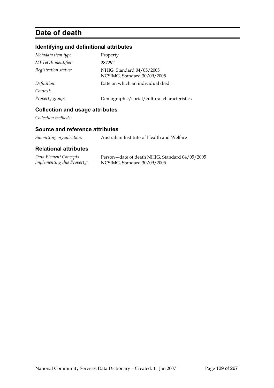# **Date of death**

## **Identifying and definitional attributes**

| Metadata item type:  | Property                                                 |
|----------------------|----------------------------------------------------------|
| METeOR identifier:   | 287292                                                   |
| Registration status: | NHIG, Standard 04/05/2005<br>NCSIMG, Standard 30/09/2005 |
| Definition:          | Date on which an individual died.                        |
| Context:             |                                                          |
| Property group:      | Demographic/social/cultural characteristics              |

## **Collection and usage attributes**

*Collection methods:*

## **Source and reference attributes**

| Australian Institute of Health and Welfare |
|--------------------------------------------|
|                                            |

| Data Element Concepts              | Person – date of death NHIG, Standard 04/05/2005 |
|------------------------------------|--------------------------------------------------|
| <i>implementing this Property:</i> | NCSIMG, Standard 30/09/2005                      |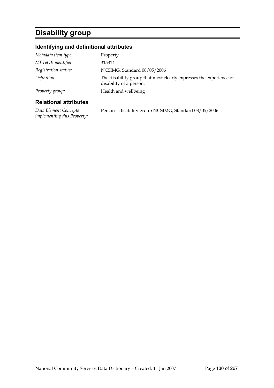# **Disability group**

## **Identifying and definitional attributes**

| <b>Relational attributes</b> |                                                                                               |
|------------------------------|-----------------------------------------------------------------------------------------------|
| Property group:              | Health and wellbeing                                                                          |
| Definition:                  | The disability group that most clearly expresses the experience of<br>disability of a person. |
| Registration status:         | NCSIMG, Standard 08/05/2006                                                                   |
| METeOR identifier:           | 315314                                                                                        |
| Metadata item type:          | Property                                                                                      |
|                              |                                                                                               |

*Data Element Concepts implementing this Property:* Person—disability group NCSIMG, Standard 08/05/2006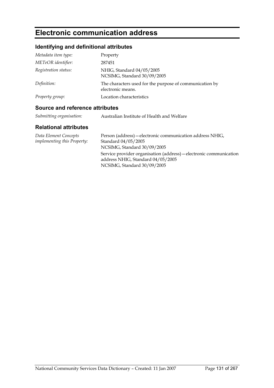# **Electronic communication address**

## **Identifying and definitional attributes**

| Metadata item type:  | Property                                                                     |
|----------------------|------------------------------------------------------------------------------|
| METeOR identifier:   | 287451                                                                       |
| Registration status: | NHIG, Standard 04/05/2005<br>NCSIMG, Standard 30/09/2005                     |
| Definition:          | The characters used for the purpose of communication by<br>electronic means. |
| Property group:      | Location characteristics                                                     |

### **Source and reference attributes**

| Submitting organisation: | Australian Institute of Health and Welfare |
|--------------------------|--------------------------------------------|
|                          |                                            |

| Data Element Concepts              | Person (address) – electronic communication address NHIG,          |
|------------------------------------|--------------------------------------------------------------------|
| <i>implementing this Property:</i> | Standard 04/05/2005                                                |
|                                    | NCSIMG, Standard 30/09/2005                                        |
|                                    | Service provider organisation (address) – electronic communication |
|                                    | address NHIG, Standard 04/05/2005                                  |
|                                    | NCSIMG, Standard 30/09/2005                                        |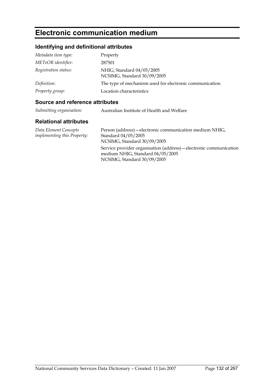## **Electronic communication medium**

## **Identifying and definitional attributes**

| Metadata item type:  | Property                                                 |
|----------------------|----------------------------------------------------------|
| METeOR identifier:   | 287501                                                   |
| Registration status: | NHIG, Standard 04/05/2005<br>NCSIMG, Standard 30/09/2005 |
| Definition:          | The type of mechanism used for electronic communication. |
| Property group:      | Location characteristics                                 |

### **Source and reference attributes**

| Submitting organisation: | Australian Institute of Health and Welfare |
|--------------------------|--------------------------------------------|
|                          |                                            |

### **Relational attributes**

*Data Element Concepts implementing this Property:* Person (address)—electronic communication medium NHIG, Standard 04/05/2005 NCSIMG, Standard 30/09/2005 Service provider organisation (address)—electronic communication medium NHIG, Standard 04/05/2005 NCSIMG, Standard 30/09/2005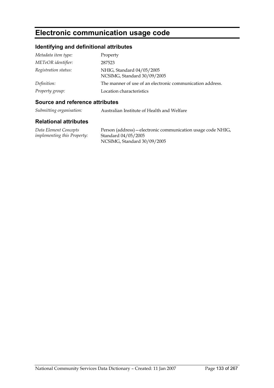## **Electronic communication usage code**

## **Identifying and definitional attributes**

| Metadata item type:  | Property                                                  |
|----------------------|-----------------------------------------------------------|
| METeOR identifier:   | 287523                                                    |
| Registration status: | NHIG, Standard 04/05/2005<br>NCSIMG, Standard 30/09/2005  |
| Definition:          | The manner of use of an electronic communication address. |
| Property group:      | Location characteristics                                  |

### **Source and reference attributes**

*Submitting organisation:* Australian Institute of Health and Welfare

#### **Relational attributes**

*Data Element Concepts implementing this Property:* Person (address)—electronic communication usage code NHIG, Standard 04/05/2005 NCSIMG, Standard 30/09/2005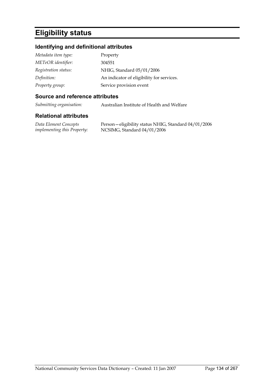# **Eligibility status**

## **Identifying and definitional attributes**

| Metadata item type:  | Property                                  |
|----------------------|-------------------------------------------|
| METeOR identifier:   | 304551                                    |
| Registration status: | NHIG, Standard 05/01/2006                 |
| Definition:          | An indicator of eligibility for services. |
| Property group:      | Service provision event                   |

#### **Source and reference attributes**

*Submitting organisation:* Australian Institute of Health and Welfare

### **Relational attributes**

*Data Element Concepts implementing this Property:* Person—eligibility status NHIG, Standard 04/01/2006 NCSIMG, Standard 04/01/2006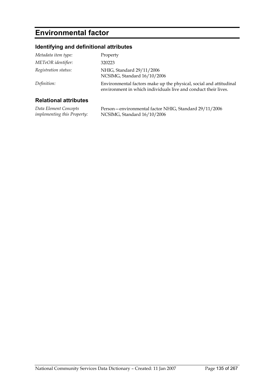# **Environmental factor**

## **Identifying and definitional attributes**

| Metadata item type:  | Property                                                                                                                             |
|----------------------|--------------------------------------------------------------------------------------------------------------------------------------|
| METeOR identifier:   | 320223                                                                                                                               |
| Registration status: | NHIG, Standard 29/11/2006<br>NCSIMG, Standard 16/10/2006                                                                             |
| Definition:          | Environmental factors make up the physical, social and attitudinal<br>environment in which individuals live and conduct their lives. |

| Data Element Concepts              | Person—environmental factor NHIG, Standard 29/11/2006 |
|------------------------------------|-------------------------------------------------------|
| <i>implementing this Property:</i> | NCSIMG, Standard 16/10/2006                           |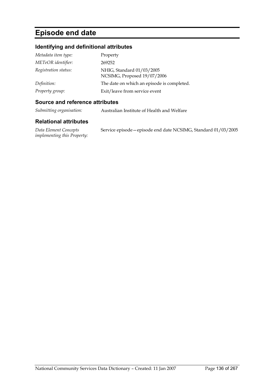# **Episode end date**

## **Identifying and definitional attributes**

| Metadata item type:  | Property                                                 |
|----------------------|----------------------------------------------------------|
| METeOR identifier:   | 269252                                                   |
| Registration status: | NHIG, Standard 01/03/2005<br>NCSIMG, Proposed 19/07/2006 |
| Definition:          | The date on which an episode is completed.               |
| Property group:      | Exit/leave from service event                            |

#### **Source and reference attributes**

*Submitting organisation:* Australian Institute of Health and Welfare

#### **Relational attributes**

*Data Element Concepts implementing this Property:* Service episode—episode end date NCSIMG, Standard 01/03/2005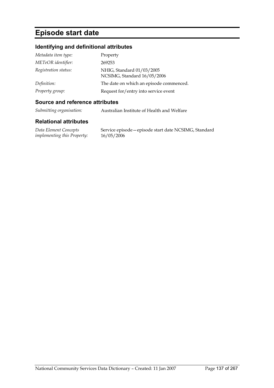## **Episode start date**

## **Identifying and definitional attributes**

| Metadata item type:  | Property                                                 |
|----------------------|----------------------------------------------------------|
| METeOR identifier:   | 269253                                                   |
| Registration status: | NHIG, Standard 01/03/2005<br>NCSIMG, Standard 16/05/2006 |
| Definition:          | The date on which an episode commenced.                  |
| Property group:      | Request for/entry into service event                     |

#### **Source and reference attributes**

*Submitting organisation:* Australian Institute of Health and Welfare

#### **Relational attributes**

*Data Element Concepts implementing this Property:* Service episode—episode start date NCSIMG, Standard 16/05/2006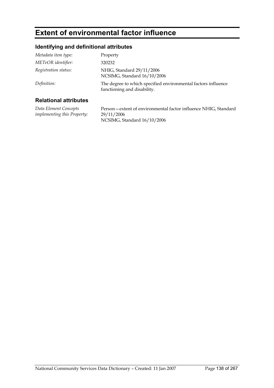## **Extent of environmental factor influence**

## **Identifying and definitional attributes**

| Metadata item type:  | Property                                                                                     |
|----------------------|----------------------------------------------------------------------------------------------|
| METeOR identifier:   | 320232                                                                                       |
| Registration status: | NHIG, Standard 29/11/2006<br>NCSIMG, Standard 16/10/2006                                     |
| Definition:          | The degree to which specified environmental factors influence<br>functioning and disability. |
|                      |                                                                                              |

## **Relational attributes**

*Data Element Concepts implementing this Property:* Person—extent of environmental factor influence NHIG, Standard 29/11/2006 NCSIMG, Standard 16/10/2006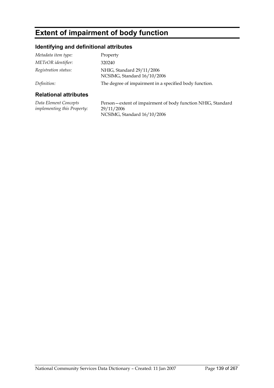# **Extent of impairment of body function**

## **Identifying and definitional attributes**

| <b>Relational attributes</b> |                                                          |
|------------------------------|----------------------------------------------------------|
| Definition:                  | The degree of impairment in a specified body function.   |
| Registration status:         | NHIG, Standard 29/11/2006<br>NCSIMG, Standard 16/10/2006 |
| METeOR identifier:           | 320240                                                   |
| Metadata item type:          | Property                                                 |

*Data Element Concepts implementing this Property:* Person—extent of impairment of body function NHIG, Standard 29/11/2006 NCSIMG, Standard 16/10/2006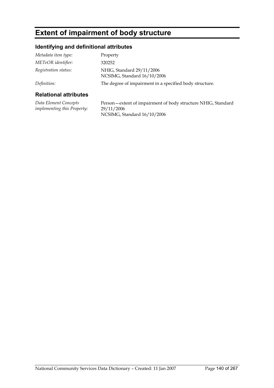# **Extent of impairment of body structure**

## **Identifying and definitional attributes**

| <b>Relational attributes</b> |                                                          |
|------------------------------|----------------------------------------------------------|
| Definition:                  | The degree of impairment in a specified body structure.  |
| Registration status:         | NHIG, Standard 29/11/2006<br>NCSIMG, Standard 16/10/2006 |
| METeOR identifier:           | 320252                                                   |
| Metadata item type:          | Property                                                 |

## **Relational attributes**

*Data Element Concepts implementing this Property:* Person—extent of impairment of body structure NHIG, Standard 29/11/2006 NCSIMG, Standard 16/10/2006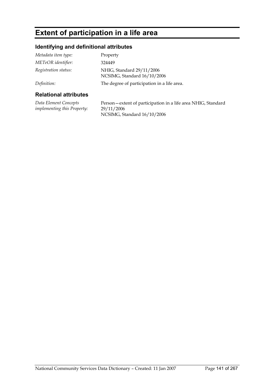# **Extent of participation in a life area**

## **Identifying and definitional attributes**

| <b>Relational attributes</b> |                                                          |
|------------------------------|----------------------------------------------------------|
| Definition:                  | The degree of participation in a life area.              |
| Registration status:         | NHIG, Standard 29/11/2006<br>NCSIMG, Standard 16/10/2006 |
| METeOR identifier:           | 324449                                                   |
| Metadata item type:          | Property                                                 |

*Data Element Concepts implementing this Property:* Person—extent of participation in a life area NHIG, Standard 29/11/2006 NCSIMG, Standard 16/10/2006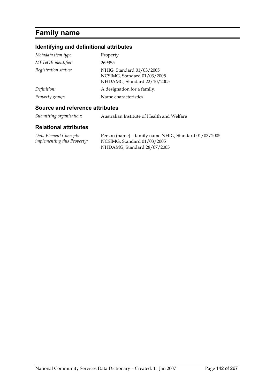# **Family name**

## **Identifying and definitional attributes**

| Metadata item type:  | Property                                                                                |
|----------------------|-----------------------------------------------------------------------------------------|
| METeOR identifier:   | 269355                                                                                  |
| Registration status: | NHIG, Standard 01/03/2005<br>NCSIMG, Standard 01/03/2005<br>NHDAMG, Standard 22/10/2005 |
| Definition:          | A designation for a family.                                                             |
| Property group:      | Name characteristics                                                                    |

## **Source and reference attributes**

*Submitting organisation:* Australian Institute of Health and Welfare

| Data Element Concepts              | Person (name) – family name NHIG, Standard 01/03/2005 |
|------------------------------------|-------------------------------------------------------|
| <i>implementing this Property:</i> | NCSIMG, Standard 01/03/2005                           |
|                                    | NHDAMG, Standard 28/07/2005                           |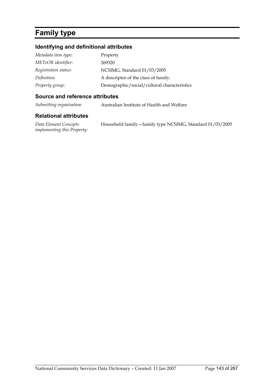# **Family type**

## **Identifying and definitional attributes**

| Metadata item type:  | Property                                    |
|----------------------|---------------------------------------------|
| METeOR identifier:   | 269320                                      |
| Registration status: | NCSIMG, Standard 01/03/2005                 |
| Definition:          | A descriptor of the class of family.        |
| Property group:      | Demographic/social/cultural characteristics |

#### **Source and reference attributes**

*Submitting organisation:* Australian Institute of Health and Welfare

### **Relational attributes**

*Data Element Concepts implementing this Property:* Household family—family type NCSIMG, Standard 01/03/2005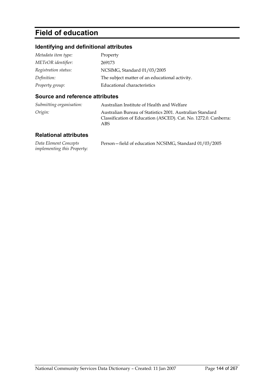# **Field of education**

## **Identifying and definitional attributes**

| Metadata item type:  | Property                                       |
|----------------------|------------------------------------------------|
| METeOR identifier:   | 269173                                         |
| Registration status: | NCSIMG, Standard 01/03/2005                    |
| Definition:          | The subject matter of an educational activity. |
| Property group:      | Educational characteristics                    |

## **Source and reference attributes**

| Submitting organisation: | Australian Institute of Health and Welfare                                                                                          |
|--------------------------|-------------------------------------------------------------------------------------------------------------------------------------|
| Origin:                  | Australian Bureau of Statistics 2001. Australian Standard<br>Classification of Education (ASCED). Cat. No. 1272.0. Canberra:<br>ABS |

| Data Element Concepts              | Person-field of education NCSIMG, Standard 01/03/2005 |
|------------------------------------|-------------------------------------------------------|
| <i>implementing this Property:</i> |                                                       |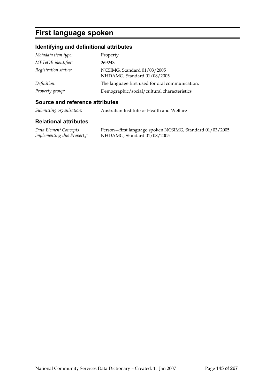# **First language spoken**

# **Identifying and definitional attributes**

| Metadata item type:  | Property                                                   |
|----------------------|------------------------------------------------------------|
| METeOR identifier:   | 269243                                                     |
| Registration status: | NCSIMG, Standard 01/03/2005<br>NHDAMG, Standard 01/08/2005 |
| Definition:          | The language first used for oral communication.            |
| Property group:      | Demographic/social/cultural characteristics                |

#### **Source and reference attributes**

*Submitting organisation:* Australian Institute of Health and Welfare

#### **Relational attributes**

*Data Element Concepts implementing this Property:* Person—first language spoken NCSIMG, Standard 01/03/2005 NHDAMG, Standard 01/08/2005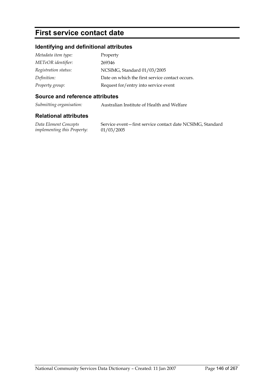# **First service contact date**

# **Identifying and definitional attributes**

| Metadata item type:  | Property                                        |
|----------------------|-------------------------------------------------|
| METeOR identifier:   | 269346                                          |
| Registration status: | NCSIMG, Standard 01/03/2005                     |
| Definition:          | Date on which the first service contact occurs. |
| Property group:      | Request for/entry into service event            |

### **Source and reference attributes**

*Submitting organisation:* Australian Institute of Health and Welfare

### **Relational attributes**

*Data Element Concepts implementing this Property:* Service event—first service contact date NCSIMG, Standard 01/03/2005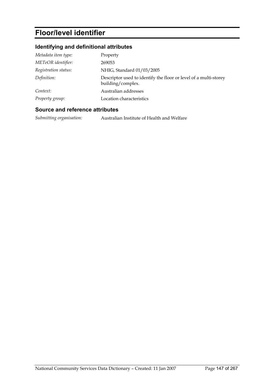# **Floor/level identifier**

# **Identifying and definitional attributes**

| Metadata item type:  | Property                                                                              |
|----------------------|---------------------------------------------------------------------------------------|
| METeOR identifier:   | 269053                                                                                |
| Registration status: | NHIG, Standard 01/03/2005                                                             |
| Definition:          | Descriptor used to identify the floor or level of a multi-storey<br>building/complex. |
| Context:             | Australian addresses                                                                  |
| Property group:      | Location characteristics                                                              |

### **Source and reference attributes**

*Submitting organisation:* Australian Institute of Health and Welfare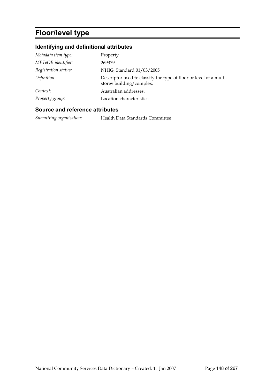# **Floor/level type**

# **Identifying and definitional attributes**

| Metadata item type:  | Property                                                                                       |
|----------------------|------------------------------------------------------------------------------------------------|
| METeOR identifier:   | 269379                                                                                         |
| Registration status: | NHIG, Standard 01/03/2005                                                                      |
| Definition:          | Descriptor used to classify the type of floor or level of a multi-<br>storey building/complex. |
| Context:             | Australian addresses.                                                                          |
| Property group:      | Location characteristics                                                                       |

### **Source and reference attributes**

*Submitting organisation:* Health Data Standards Committee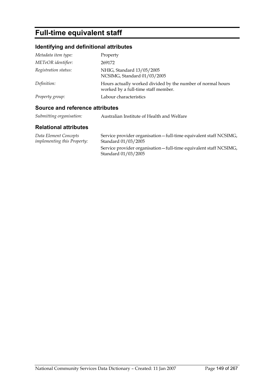# **Full-time equivalent staff**

# **Identifying and definitional attributes**

| Metadata item type:                                      | Property                                                                                           |
|----------------------------------------------------------|----------------------------------------------------------------------------------------------------|
| METeOR identifier:                                       | 269172                                                                                             |
| Registration status:                                     | NHIG, Standard 13/05/2005<br>NCSIMG, Standard 01/03/2005                                           |
| Definition:                                              | Hours actually worked divided by the number of normal hours<br>worked by a full-time staff member. |
| Property group:                                          | Labour characteristics                                                                             |
| A construction of the following and all the first states |                                                                                                    |

### **Source and reference attributes**

| Submitting organisation: | Australian Institute of Health and Welfare |
|--------------------------|--------------------------------------------|
|                          |                                            |

| Data Element Concepts              | Service provider organisation - full-time equivalent staff NCSIMG,                        |
|------------------------------------|-------------------------------------------------------------------------------------------|
| <i>implementing this Property:</i> | Standard 01/03/2005                                                                       |
|                                    | Service provider organisation – full-time equivalent staff NCSIMG,<br>Standard 01/03/2005 |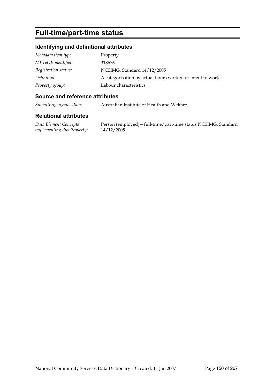# **Full-time/part-time status**

# **Identifying and definitional attributes**

| Metadata item type:  | Property                                                   |
|----------------------|------------------------------------------------------------|
| METeOR identifier:   | 318676                                                     |
| Registration status: | NCSIMG, Standard 14/12/2005                                |
| Definition:          | A categorisation by actual hours worked or intent to work. |
| Property group:      | Labour characteristics                                     |

### **Source and reference attributes**

*Submitting organisation:* Australian Institute of Health and Welfare

### **Relational attributes**

*Data Element Concepts implementing this Property:*

Person (employed)—full-time/part-time status NCSIMG, Standard 14/12/2005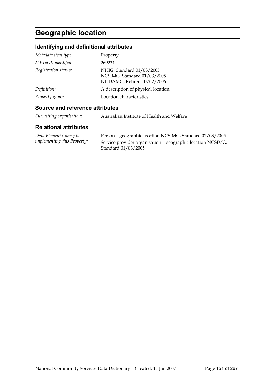# **Geographic location**

# **Identifying and definitional attributes**

| Metadata item type:  | Property                                                                               |
|----------------------|----------------------------------------------------------------------------------------|
| METeOR identifier:   | 269234                                                                                 |
| Registration status: | NHIG, Standard 01/03/2005<br>NCSIMG, Standard 01/03/2005<br>NHDAMG, Retired 10/02/2006 |
| Definition:          | A description of physical location.                                                    |
| Property group:      | Location characteristics                                                               |

## **Source and reference attributes**

*Submitting organisation:* Australian Institute of Health and Welfare

| Data Element Concepts       | Person - geographic location NCSIMG, Standard 01/03/2005    |
|-----------------------------|-------------------------------------------------------------|
| implementing this Property: | Service provider organisation – geographic location NCSIMG, |
|                             | Standard 01/03/2005                                         |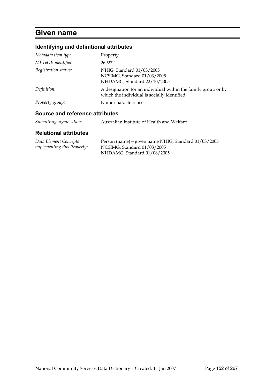# **Given name**

# **Identifying and definitional attributes**

| Metadata item type:             | Property                                                                                                      |
|---------------------------------|---------------------------------------------------------------------------------------------------------------|
| METeOR identifier:              | 269222                                                                                                        |
| Registration status:            | NHIG, Standard 01/03/2005<br>NCSIMG, Standard 01/03/2005<br>NHDAMG, Standard 22/10/2005                       |
| Definition:                     | A designation for an individual within the family group or by<br>which the individual is socially identified. |
| Property group:                 | Name characteristics                                                                                          |
| Source and reference attributes |                                                                                                               |

*Submitting organisation:* Australian Institute of Health and Welfare

| Data Element Concepts              | Person (name) – given name NHIG, Standard 01/03/2005 |
|------------------------------------|------------------------------------------------------|
| <i>implementing this Property:</i> | NCSIMG, Standard 01/03/2005                          |
|                                    | NHDAMG, Standard 01/08/2005                          |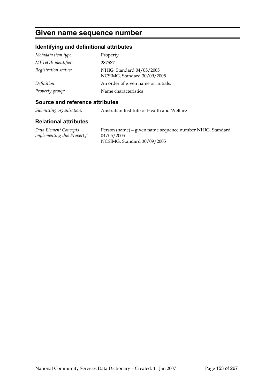# **Given name sequence number**

# **Identifying and definitional attributes**

| Metadata item type:  | Property                                                 |
|----------------------|----------------------------------------------------------|
| METeOR identifier:   | 287587                                                   |
| Registration status: | NHIG, Standard 04/05/2005<br>NCSIMG, Standard 30/09/2005 |
| Definition:          | An order of given name or initials.                      |
| Property group:      | Name characteristics                                     |

### **Source and reference attributes**

*Submitting organisation:* Australian Institute of Health and Welfare

#### **Relational attributes**

*Data Element Concepts implementing this Property:* Person (name)—given name sequence number NHIG, Standard 04/05/2005 NCSIMG, Standard 30/09/2005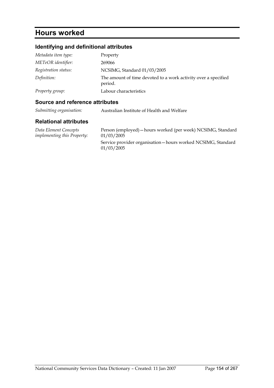# **Hours worked**

# **Identifying and definitional attributes**

| Metadata item type:  | Property                                                                  |
|----------------------|---------------------------------------------------------------------------|
| METeOR identifier:   | 269066                                                                    |
| Registration status: | NCSIMG, Standard 01/03/2005                                               |
| Definition:          | The amount of time devoted to a work activity over a specified<br>period. |
| Property group:      | Labour characteristics                                                    |

### **Source and reference attributes**

*Submitting organisation:* Australian Institute of Health and Welfare

#### **Relational attributes**

*Data Element Concepts implementing this Property:* Person (employed)—hours worked (per week) NCSIMG, Standard 01/03/2005

Service provider organisation—hours worked NCSIMG, Standard 01/03/2005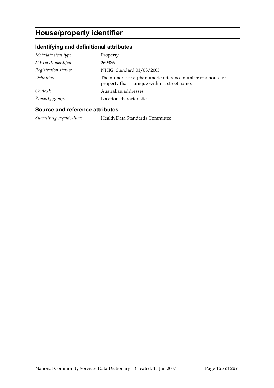# **House/property identifier**

# **Identifying and definitional attributes**

| Metadata item type:  | Property                                                                                                    |
|----------------------|-------------------------------------------------------------------------------------------------------------|
| METeOR identifier:   | 269386                                                                                                      |
| Registration status: | NHIG, Standard 01/03/2005                                                                                   |
| Definition:          | The numeric or alphanumeric reference number of a house or<br>property that is unique within a street name. |
| Context:             | Australian addresses.                                                                                       |
| Property group:      | Location characteristics                                                                                    |

### **Source and reference attributes**

*Submitting organisation:* Health Data Standards Committee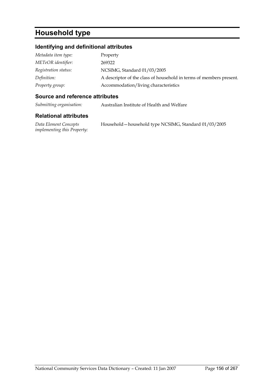# **Household type**

# **Identifying and definitional attributes**

| Metadata item type:  | Property                                                            |
|----------------------|---------------------------------------------------------------------|
| METeOR identifier:   | 269322                                                              |
| Registration status: | NCSIMG, Standard 01/03/2005                                         |
| Definition:          | A descriptor of the class of household in terms of members present. |
| Property group:      | Accommodation/living characteristics                                |

### **Source and reference attributes**

*Submitting organisation:* Australian Institute of Health and Welfare

| Data Element Concepts              | Household – household type NCSIMG, Standard 01/03/2005 |
|------------------------------------|--------------------------------------------------------|
| <i>implementing this Property:</i> |                                                        |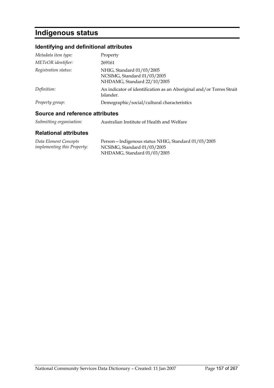# **Indigenous status**

# **Identifying and definitional attributes**

| <b>Source and reference attributes</b> |                                                                                         |
|----------------------------------------|-----------------------------------------------------------------------------------------|
| Property group:                        | Demographic/social/cultural characteristics                                             |
| Definition:                            | An indicator of identification as an Aboriginal and/or Torres Strait<br>Islander.       |
| Registration status:                   | NHIG, Standard 01/03/2005<br>NCSIMG, Standard 01/03/2005<br>NHDAMG, Standard 22/10/2005 |
| METeOR identifier:                     | 269161                                                                                  |
| Metadata item type:                    | Property                                                                                |

*Submitting organisation:* Australian Institute of Health and Welfare

| Data Element Concepts              | Person-Indigenous status NHIG, Standard 01/03/2005 |
|------------------------------------|----------------------------------------------------|
| <i>implementing this Property:</i> | NCSIMG, Standard 01/03/2005                        |
|                                    | NHDAMG, Standard 01/03/2005                        |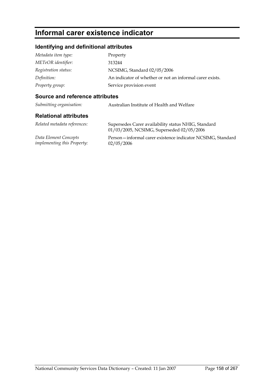# **Informal carer existence indicator**

# **Identifying and definitional attributes**

| Metadata item type:  | Property                                                 |
|----------------------|----------------------------------------------------------|
| METeOR identifier:   | 313244                                                   |
| Registration status: | NCSIMG, Standard 02/05/2006                              |
| Definition:          | An indicator of whether or not an informal carer exists. |
| Property group:      | Service provision event                                  |

# **Source and reference attributes**

| Submitting organisation:                                    | Australian Institute of Health and Welfare                                                       |
|-------------------------------------------------------------|--------------------------------------------------------------------------------------------------|
| <b>Relational attributes</b>                                |                                                                                                  |
| Related metadata references:                                | Supersedes Carer availability status NHIG, Standard<br>01/03/2005, NCSIMG, Superseded 02/05/2006 |
| Data Element Concepts<br><i>implementing this Property:</i> | Person—informal carer existence indicator NCSIMG, Standard<br>02/05/2006                         |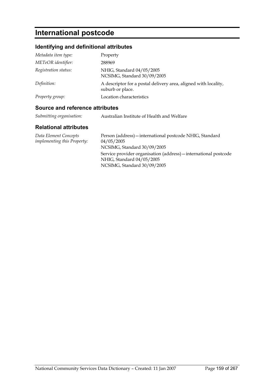# **International postcode**

# **Identifying and definitional attributes**

| Metadata item type:  | Property                                                                            |
|----------------------|-------------------------------------------------------------------------------------|
| METeOR identifier:   | 288969                                                                              |
| Registration status: | NHIG, Standard 04/05/2005<br>NCSIMG, Standard 30/09/2005                            |
| Definition:          | A descriptor for a postal delivery area, aligned with locality,<br>suburb or place. |
| Property group:      | Location characteristics                                                            |

### **Source and reference attributes**

| Submitting organisation: | Australian Institute of Health and Welfare |
|--------------------------|--------------------------------------------|
|--------------------------|--------------------------------------------|

| Data Element Concepts              | Person (address) - international postcode NHIG, Standard         |
|------------------------------------|------------------------------------------------------------------|
| <i>implementing this Property:</i> | 04/05/2005                                                       |
|                                    | NCSIMG, Standard 30/09/2005                                      |
|                                    | Service provider organisation (address) – international postcode |
|                                    | NHIG, Standard 04/05/2005                                        |
|                                    | NCSIMG, Standard 30/09/2005                                      |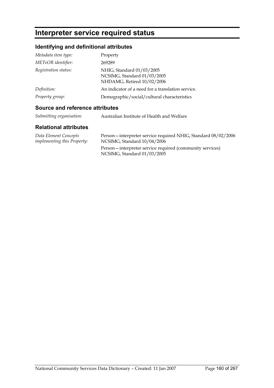# **Interpreter service required status**

# **Identifying and definitional attributes**

| Metadata item type:  | Property                                                                               |
|----------------------|----------------------------------------------------------------------------------------|
| METeOR identifier:   | 269289                                                                                 |
| Registration status: | NHIG, Standard 01/03/2005<br>NCSIMG, Standard 01/03/2005<br>NHDAMG, Retired 10/02/2006 |
| Definition:          | An indicator of a need for a translation service.                                      |
| Property group:      | Demographic/social/cultural characteristics                                            |

### **Source and reference attributes**

| Submitting organisation: | Australian Institute of Health and Welfare |
|--------------------------|--------------------------------------------|
|                          |                                            |

| Data Element Concepts              | Person-interpreter service required NHIG, Standard 08/02/2006 |
|------------------------------------|---------------------------------------------------------------|
| <i>implementing this Property:</i> | NCSIMG, Standard 10/04/2006                                   |
|                                    | Person—interpreter service required (community services)      |
|                                    | NCSIMG, Standard 01/03/2005                                   |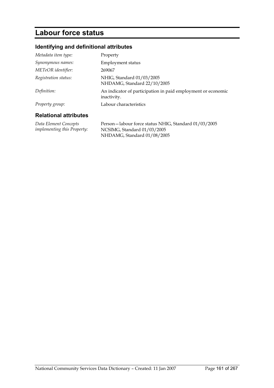# **Labour force status**

# **Identifying and definitional attributes**

| Metadata item type:          | Property                                                                    |
|------------------------------|-----------------------------------------------------------------------------|
| Synonymous names:            | <b>Employment status</b>                                                    |
| METeOR identifier:           | 269067                                                                      |
| Registration status:         | NHIG, Standard 01/03/2005<br>NHDAMG, Standard 22/10/2005                    |
| Definition:                  | An indicator of participation in paid employment or economic<br>inactivity. |
| Property group:              | Labour characteristics                                                      |
| <b>Dolational attributos</b> |                                                                             |

### **Relational attributes**

*Data Element Concepts implementing this Property:* Person—labour force status NHIG, Standard 01/03/2005 NCSIMG, Standard 01/03/2005 NHDAMG, Standard 01/08/2005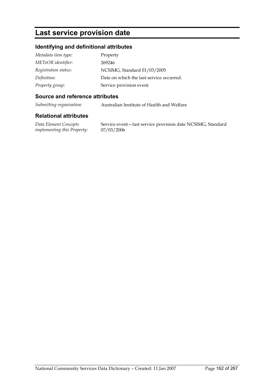# **Last service provision date**

# **Identifying and definitional attributes**

| Metadata item type:  | Property                                 |
|----------------------|------------------------------------------|
| METeOR identifier:   | 269246                                   |
| Registration status: | NCSIMG, Standard 01/03/2005              |
| Definition:          | Date on which the last service occurred. |
| Property group:      | Service provision event                  |

### **Source and reference attributes**

*Submitting organisation:* Australian Institute of Health and Welfare

### **Relational attributes**

*Data Element Concepts implementing this Property:* Service event—last service provision date NCSIMG, Standard 07/03/2006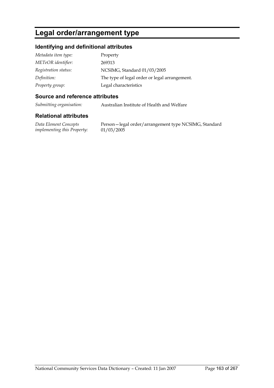# **Legal order/arrangement type**

# **Identifying and definitional attributes**

| Metadata item type:  | Property                                      |
|----------------------|-----------------------------------------------|
| METeOR identifier:   | 269313                                        |
| Registration status: | NCSIMG, Standard 01/03/2005                   |
| Definition:          | The type of legal order or legal arrangement. |
| Property group:      | Legal characteristics                         |

## **Source and reference attributes**

*Submitting organisation:* Australian Institute of Health and Welfare

## **Relational attributes**

*Data Element Concepts implementing this Property:*

Person—legal order/arrangement type NCSIMG, Standard 01/03/2005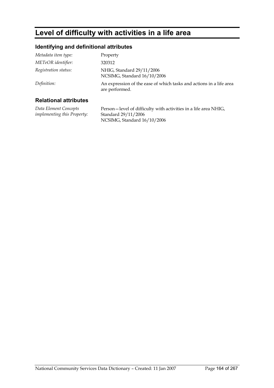# **Level of difficulty with activities in a life area**

# **Identifying and definitional attributes**

| Metadata item type:  | Property                                                                              |
|----------------------|---------------------------------------------------------------------------------------|
| METeOR identifier:   | 320312                                                                                |
| Registration status: | NHIG, Standard 29/11/2006<br>NCSIMG, Standard 16/10/2006                              |
| Definition:          | An expression of the ease of which tasks and actions in a life area<br>are performed. |

# **Relational attributes**

*Data Element Concepts implementing this Property:* Person—level of difficulty with activities in a life area NHIG, Standard 29/11/2006 NCSIMG, Standard 16/10/2006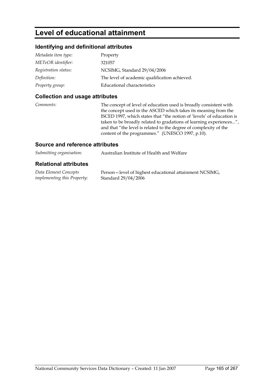# **Level of educational attainment**

## **Identifying and definitional attributes**

| Metadata item type:  | Property                                      |
|----------------------|-----------------------------------------------|
| METeOR identifier:   | 321057                                        |
| Registration status: | NCSIMG, Standard 29/04/2006                   |
| Definition:          | The level of academic qualification achieved. |
| Property group:      | Educational characteristics                   |

#### **Collection and usage attributes**

*Comments:* The concept of level of education used is broadly consistent with the concept used in the ASCED which takes its meaning from the ISCED 1997, which states that "the notion of 'levels' of education is taken to be broadly related to gradations of learning experiences...", and that "the level is related to the degree of complexity of the content of the programmes." (UNESCO 1997, p.10).

#### **Source and reference attributes**

| Submitting organisation: | Australian Institute of Health and Welfare |
|--------------------------|--------------------------------------------|
|                          |                                            |

| Data Element Concepts              | Person-level of highest educational attainment NCSIMG, |
|------------------------------------|--------------------------------------------------------|
| <i>implementing this Property:</i> | Standard 29/04/2006                                    |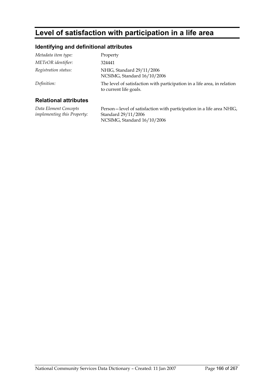# **Level of satisfaction with participation in a life area**

# **Identifying and definitional attributes**

| Metadata item type:  | Property                                                                                           |
|----------------------|----------------------------------------------------------------------------------------------------|
| METeOR identifier:   | 324441                                                                                             |
| Registration status: | NHIG, Standard 29/11/2006<br>NCSIMG, Standard 16/10/2006                                           |
| Definition:          | The level of satisfaction with participation in a life area, in relation<br>to current life goals. |
|                      |                                                                                                    |

#### **Relational attributes**

*Data Element Concepts implementing this Property:* Person—level of satisfaction with participation in a life area NHIG, Standard 29/11/2006 NCSIMG, Standard 16/10/2006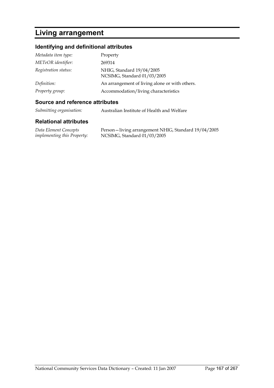# **Living arrangement**

# **Identifying and definitional attributes**

| Metadata item type:  | Property                                                 |
|----------------------|----------------------------------------------------------|
| METeOR identifier:   | 269314                                                   |
| Registration status: | NHIG, Standard 19/04/2005<br>NCSIMG, Standard 01/03/2005 |
| Definition:          | An arrangement of living alone or with others.           |
| Property group:      | Accommodation/living characteristics                     |

#### **Source and reference attributes**

| Submitting organisation: | Australian Institute of Health and Welfare |
|--------------------------|--------------------------------------------|
|--------------------------|--------------------------------------------|

#### **Relational attributes**

*Data Element Concepts implementing this Property:* Person—living arrangement NHIG, Standard 19/04/2005 NCSIMG, Standard 01/03/2005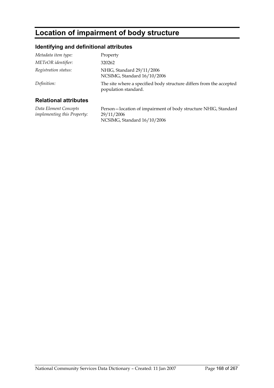# **Location of impairment of body structure**

# **Identifying and definitional attributes**

| Metadata item type:  | Property                                                                                    |
|----------------------|---------------------------------------------------------------------------------------------|
| METeOR identifier:   | 320262                                                                                      |
| Registration status: | NHIG, Standard 29/11/2006<br>NCSIMG, Standard 16/10/2006                                    |
| Definition:          | The site where a specified body structure differs from the accepted<br>population standard. |
|                      |                                                                                             |

## **Relational attributes**

*Data Element Concepts implementing this Property:* Person—location of impairment of body structure NHIG, Standard 29/11/2006 NCSIMG, Standard 16/10/2006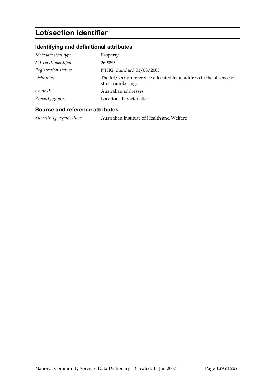# **Lot/section identifier**

# **Identifying and definitional attributes**

| Metadata item type:  | Property                                                                                 |
|----------------------|------------------------------------------------------------------------------------------|
| METeOR identifier:   | 269059                                                                                   |
| Registration status: | NHIG, Standard 01/03/2005                                                                |
| Definition:          | The lot/section reference allocated to an address in the absence of<br>street numbering. |
| Context:             | Australian addresses.                                                                    |
| Property group:      | Location characteristics                                                                 |

### **Source and reference attributes**

*Submitting organisation:* Australian Institute of Health and Welfare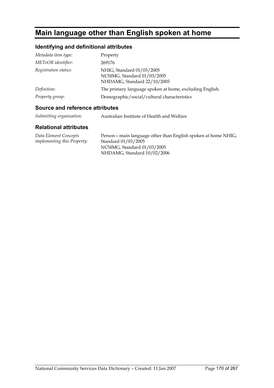# **Main language other than English spoken at home**

# **Identifying and definitional attributes**

| Metadata item type:  | Property                                                                                |
|----------------------|-----------------------------------------------------------------------------------------|
| METeOR identifier:   | 269176                                                                                  |
| Registration status: | NHIG, Standard 01/03/2005<br>NCSIMG, Standard 01/03/2005<br>NHDAMG, Standard 22/10/2005 |
| Definition:          | The primary language spoken at home, excluding English.                                 |
| Property group:      | Demographic/social/cultural characteristics                                             |

## **Source and reference attributes**

| Submitting organisation: | Australian Institute of Health and Welfare |
|--------------------------|--------------------------------------------|
|                          |                                            |

| Data Element Concepts              | Person – main language other than English spoken at home NHIG, |
|------------------------------------|----------------------------------------------------------------|
| <i>implementing this Property:</i> | Standard 01/03/2005                                            |
|                                    | NCSIMG, Standard 01/03/2005                                    |
|                                    | NHDAMG, Standard 10/02/2006                                    |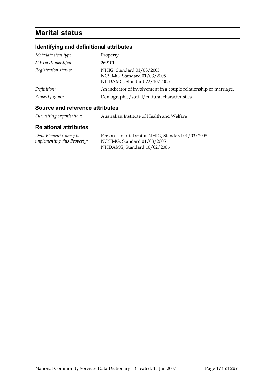# **Marital status**

# **Identifying and definitional attributes**

| Metadata item type:  | Property                                                                                |
|----------------------|-----------------------------------------------------------------------------------------|
| METeOR identifier:   | 269101                                                                                  |
| Registration status: | NHIG, Standard 01/03/2005<br>NCSIMG, Standard 01/03/2005<br>NHDAMG, Standard 22/10/2005 |
| Definition:          | An indicator of involvement in a couple relationship or marriage.                       |
| Property group:      | Demographic/social/cultural characteristics                                             |

# **Source and reference attributes**

| Submitting organisation: | Australian Institute of Health and Welfare |
|--------------------------|--------------------------------------------|
|--------------------------|--------------------------------------------|

| Data Element Concepts              | Person – marital status NHIG, Standard 01/03/2005 |
|------------------------------------|---------------------------------------------------|
| <i>implementing this Property:</i> | NCSIMG, Standard 01/03/2005                       |
|                                    | NHDAMG, Standard 10/02/2006                       |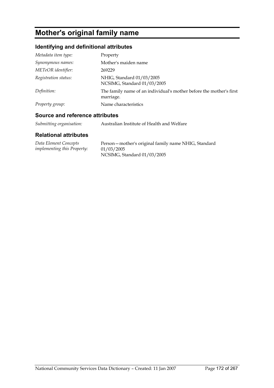# **Mother's original family name**

# **Identifying and definitional attributes**

| Metadata item type:  | Property                                                                         |
|----------------------|----------------------------------------------------------------------------------|
| Synonymous names:    | Mother's maiden name                                                             |
| METeOR identifier:   | 269229                                                                           |
| Registration status: | NHIG, Standard 01/03/2005<br>NCSIMG, Standard 01/03/2005                         |
| Definition:          | The family name of an individual's mother before the mother's first<br>marriage. |
| Property group:      | Name characteristics                                                             |

## **Source and reference attributes**

*Submitting organisation:* Australian Institute of Health and Welfare

| Data Element Concepts              | Person – mother's original family name NHIG, Standard |
|------------------------------------|-------------------------------------------------------|
| <i>implementing this Property:</i> | 01/03/2005                                            |
|                                    | NCSIMG, Standard 01/03/2005                           |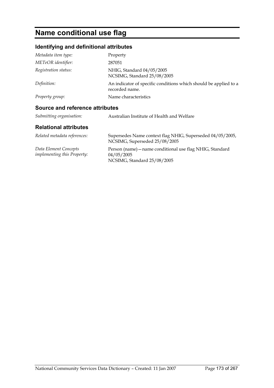# **Name conditional use flag**

# **Identifying and definitional attributes**

| Metadata item type:                                         | Property                                                                                              |
|-------------------------------------------------------------|-------------------------------------------------------------------------------------------------------|
| METeOR identifier:                                          | 287051                                                                                                |
| Registration status:                                        | NHIG, Standard 04/05/2005<br>NCSIMG, Standard 25/08/2005                                              |
| Definition:                                                 | An indicator of specific conditions which should be applied to a<br>recorded name.                    |
| Property group:                                             | Name characteristics                                                                                  |
| Source and reference attributes                             |                                                                                                       |
| Submitting organisation:                                    | Australian Institute of Health and Welfare                                                            |
| <b>Relational attributes</b>                                |                                                                                                       |
| Related metadata references:                                | Supersedes Name context flag NHIG, Superseded 04/05/2005,<br>NCSIMG, Superseded 25/08/2005            |
| Data Element Concepts<br><i>implementing this Property:</i> | Person (name) - name conditional use flag NHIG, Standard<br>04/05/2005<br>NCSIMG, Standard 25/08/2005 |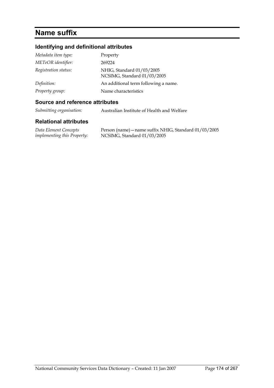# **Name suffix**

# **Identifying and definitional attributes**

| Metadata item type:  | Property                                                 |
|----------------------|----------------------------------------------------------|
| METeOR identifier:   | 269224                                                   |
| Registration status: | NHIG, Standard 01/03/2005<br>NCSIMG, Standard 01/03/2005 |
| Definition:          | An additional term following a name.                     |
| Property group:      | Name characteristics                                     |

## **Source and reference attributes**

*Submitting organisation:* Australian Institute of Health and Welfare

#### **Relational attributes**

*Data Element Concepts implementing this Property:* Person (name)—name suffix NHIG, Standard 01/03/2005 NCSIMG, Standard 01/03/2005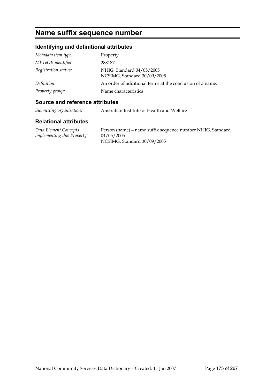# **Name suffix sequence number**

# **Identifying and definitional attributes**

| Metadata item type:  | Property                                                  |
|----------------------|-----------------------------------------------------------|
| METeOR identifier:   | 288187                                                    |
| Registration status: | NHIG, Standard 04/05/2005<br>NCSIMG, Standard 30/09/2005  |
| Definition:          | An order of additional terms at the conclusion of a name. |
| Property group:      | Name characteristics                                      |

### **Source and reference attributes**

*Submitting organisation:* Australian Institute of Health and Welfare

#### **Relational attributes**

*Data Element Concepts implementing this Property:* Person (name)—name suffix sequence number NHIG, Standard 04/05/2005 NCSIMG, Standard 30/09/2005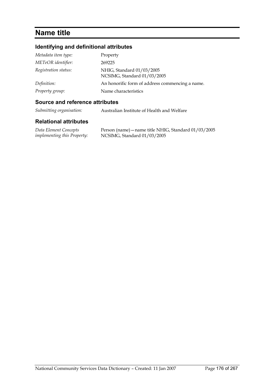# **Name title**

# **Identifying and definitional attributes**

| Metadata item type:  | Property                                                 |
|----------------------|----------------------------------------------------------|
| METeOR identifier:   | 269225                                                   |
| Registration status: | NHIG, Standard 01/03/2005<br>NCSIMG, Standard 01/03/2005 |
| Definition:          | An honorific form of address commencing a name.          |
| Property group:      | Name characteristics                                     |

#### **Source and reference attributes**

*Submitting organisation:* Australian Institute of Health and Welfare

#### **Relational attributes**

*Data Element Concepts implementing this Property:* Person (name)—name title NHIG, Standard 01/03/2005 NCSIMG, Standard 01/03/2005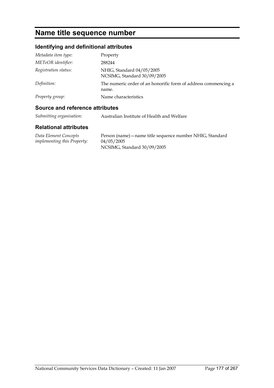# **Name title sequence number**

# **Identifying and definitional attributes**

| Metadata item type:  | Property                                                                |
|----------------------|-------------------------------------------------------------------------|
| METeOR identifier:   | 288244                                                                  |
| Registration status: | NHIG, Standard 04/05/2005<br>NCSIMG, Standard 30/09/2005                |
| Definition:          | The numeric order of an honorific form of address commencing a<br>name. |
| Property group:      | Name characteristics                                                    |

## **Source and reference attributes**

| Submitting organisation: | Australian Institute of Health and Welfare |
|--------------------------|--------------------------------------------|
|                          |                                            |

| Data Element Concepts       | Person (name) – name title sequence number NHIG, Standard |
|-----------------------------|-----------------------------------------------------------|
| implementing this Property: | 04/05/2005                                                |
|                             | NCSIMG, Standard 30/09/2005                               |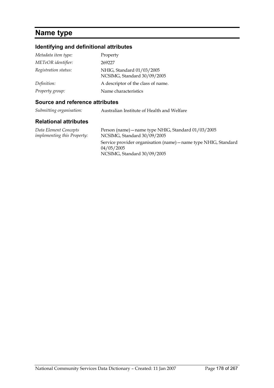# **Name type**

# **Identifying and definitional attributes**

| Metadata item type:  | Property                                                 |
|----------------------|----------------------------------------------------------|
| METeOR identifier:   | 269227                                                   |
| Registration status: | NHIG, Standard 01/03/2005<br>NCSIMG, Standard 30/09/2005 |
| Definition:          | A descriptor of the class of name.                       |
| Property group:      | Name characteristics                                     |

### **Source and reference attributes**

*Submitting organisation:* Australian Institute of Health and Welfare

#### **Relational attributes**

*Data Element Concepts implementing this Property:* Person (name)—name type NHIG, Standard 01/03/2005 NCSIMG, Standard 30/09/2005 Service provider organisation (name)—name type NHIG, Standard 04/05/2005 NCSIMG, Standard 30/09/2005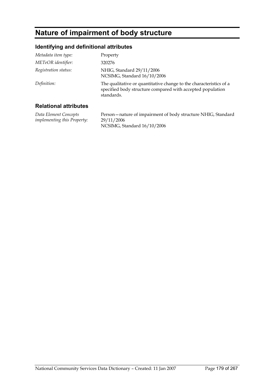# **Nature of impairment of body structure**

# **Identifying and definitional attributes**

| Metadata item type:  | Property                                                                                                                                       |
|----------------------|------------------------------------------------------------------------------------------------------------------------------------------------|
| METeOR identifier:   | 320276                                                                                                                                         |
| Registration status: | NHIG, Standard 29/11/2006<br>NCSIMG, Standard 16/10/2006                                                                                       |
| Definition:          | The qualitative or quantitative change to the characteristics of a<br>specified body structure compared with accepted population<br>standards. |
|                      |                                                                                                                                                |

## **Relational attributes**

*Data Element Concepts implementing this Property:* Person—nature of impairment of body structure NHIG, Standard 29/11/2006 NCSIMG, Standard 16/10/2006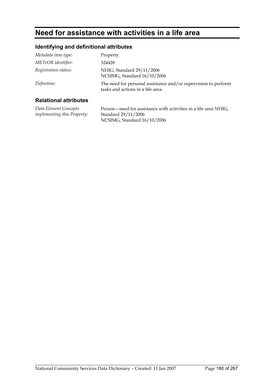# **Need for assistance with activities in a life area**

# **Identifying and definitional attributes**

| Metadata item type:   | Property                                                                                            |
|-----------------------|-----------------------------------------------------------------------------------------------------|
| METeOR identifier:    | 324428                                                                                              |
| Registration status:  | NHIG, Standard 29/11/2006<br>NCSIMG, Standard 16/10/2006                                            |
| Definition:           | The need for personal assistance and/or supervision to perform<br>tasks and actions in a life area. |
| Delettenel ettelerten |                                                                                                     |

## **Relational attributes**

*Data Element Concepts implementing this Property:* Person—need for assistance with activities in a life area NHIG, Standard 29/11/2006 NCSIMG, Standard 16/10/2006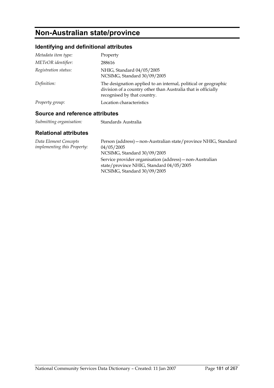## **Non-Australian state/province**

### **Identifying and definitional attributes**

| Metadata item type:  | Property                                                                                                                                                        |
|----------------------|-----------------------------------------------------------------------------------------------------------------------------------------------------------------|
| METeOR identifier:   | 288616                                                                                                                                                          |
| Registration status: | NHIG, Standard 04/05/2005<br>NCSIMG, Standard 30/09/2005                                                                                                        |
| Definition:          | The designation applied to an internal, political or geographic<br>division of a country other than Australia that is officially<br>recognised by that country. |
| Property group:      | Location characteristics                                                                                                                                        |

#### **Source and reference attributes**

| Submitting organisation: | Standards Australia |
|--------------------------|---------------------|

| Data Element Concepts<br><i>implementing this Property:</i> | Person (address) – non-Australian state/province NHIG, Standard<br>04/05/2005<br>NCSIMG, Standard 30/09/2005                        |
|-------------------------------------------------------------|-------------------------------------------------------------------------------------------------------------------------------------|
|                                                             | Service provider organisation (address) – non-Australian<br>state/province NHIG, Standard 04/05/2005<br>NCSIMG, Standard 30/09/2005 |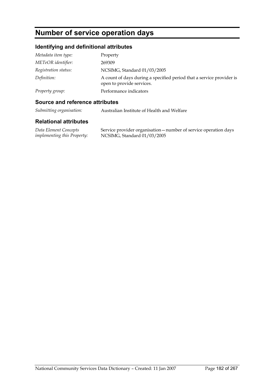## **Number of service operation days**

### **Identifying and definitional attributes**

| Metadata item type:  | Property                                                                                          |
|----------------------|---------------------------------------------------------------------------------------------------|
| METeOR identifier:   | 269309                                                                                            |
| Registration status: | NCSIMG, Standard 01/03/2005                                                                       |
| Definition:          | A count of days during a specified period that a service provider is<br>open to provide services. |
| Property group:      | Performance indicators                                                                            |

#### **Source and reference attributes**

*Submitting organisation:* Australian Institute of Health and Welfare

#### **Relational attributes**

*Data Element Concepts implementing this Property:* Service provider organisation—number of service operation days NCSIMG, Standard 01/03/2005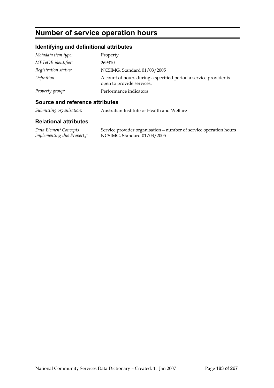## **Number of service operation hours**

### **Identifying and definitional attributes**

| Metadata item type:  | Property                                                                                      |
|----------------------|-----------------------------------------------------------------------------------------------|
| METeOR identifier:   | 269310                                                                                        |
| Registration status: | NCSIMG, Standard 01/03/2005                                                                   |
| Definition:          | A count of hours during a specified period a service provider is<br>open to provide services. |
| Property group:      | Performance indicators                                                                        |

#### **Source and reference attributes**

*Submitting organisation:* Australian Institute of Health and Welfare

#### **Relational attributes**

*Data Element Concepts implementing this Property:* Service provider organisation—number of service operation hours NCSIMG, Standard 01/03/2005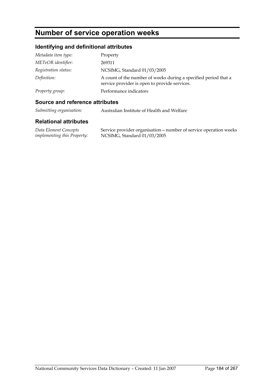## **Number of service operation weeks**

### **Identifying and definitional attributes**

| Metadata item type:  | Property                                                                                                         |
|----------------------|------------------------------------------------------------------------------------------------------------------|
| METeOR identifier:   | 269311                                                                                                           |
| Registration status: | NCSIMG, Standard 01/03/2005                                                                                      |
| Definition:          | A count of the number of weeks during a specified period that a<br>service provider is open to provide services. |
| Property group:      | Performance indicators                                                                                           |

#### **Source and reference attributes**

*Submitting organisation:* Australian Institute of Health and Welfare

#### **Relational attributes**

*Data Element Concepts implementing this Property:* Service provider organisation—number of service operation weeks NCSIMG, Standard 01/03/2005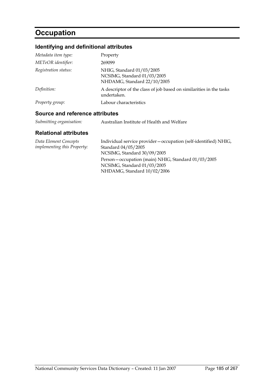## **Occupation**

## **Identifying and definitional attributes**

| Source and reference attributes |                                                                                         |
|---------------------------------|-----------------------------------------------------------------------------------------|
| Property group:                 | Labour characteristics                                                                  |
| Definition:                     | A descriptor of the class of job based on similarities in the tasks<br>undertaken.      |
| Registration status:            | NHIG, Standard 01/03/2005<br>NCSIMG, Standard 01/03/2005<br>NHDAMG, Standard 22/10/2005 |
| METeOR identifier:              | 269099                                                                                  |
| Metadata item type:             | Property                                                                                |

#### *Submitting organisation:* Australian Institute of Health and Welfare

| Data Element Concepts<br><i>implementing this Property:</i> | Individual service provider - occupation (self-identified) NHIG,<br>Standard 04/05/2005<br>NCSIMG, Standard 30/09/2005 |
|-------------------------------------------------------------|------------------------------------------------------------------------------------------------------------------------|
|                                                             | Person – occupation (main) NHIG, Standard 01/03/2005<br>NCSIMG, Standard 01/03/2005<br>NHDAMG, Standard 10/02/2006     |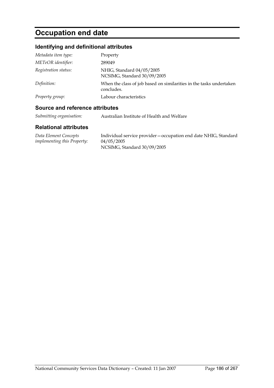# **Occupation end date**

### **Identifying and definitional attributes**

| Metadata item type:  | Property                                                                          |
|----------------------|-----------------------------------------------------------------------------------|
| METeOR identifier:   | 289049                                                                            |
| Registration status: | NHIG, Standard 04/05/2005<br>NCSIMG, Standard 30/09/2005                          |
| Definition:          | When the class of job based on similarities in the tasks undertaken<br>concludes. |
| Property group:      | Labour characteristics                                                            |

#### **Source and reference attributes**

| Australian Institute of Health and Welfare |
|--------------------------------------------|
|                                            |

| Data Element Concepts       | Individual service provider – occupation end date NHIG, Standard |
|-----------------------------|------------------------------------------------------------------|
| implementing this Property: | 04/05/2005                                                       |
|                             | NCSIMG, Standard 30/09/2005                                      |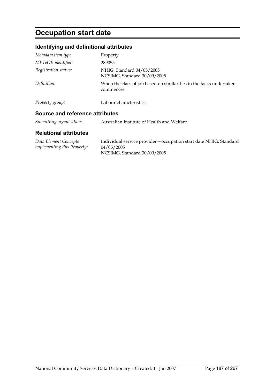# **Occupation start date**

### **Identifying and definitional attributes**

| Registration status: | NHIG, Standard 04/05/2005<br>NCSIMG, Standard 30/09/2005                          |
|----------------------|-----------------------------------------------------------------------------------|
| Definition:          | When the class of job based on similarities in the tasks undertaken<br>commences. |
| Property group:      | Labour characteristics                                                            |

*Submitting organisation:* Australian Institute of Health and Welfare

| Data Element Concepts              | Individual service provider - occupation start date NHIG, Standard |
|------------------------------------|--------------------------------------------------------------------|
| <i>implementing this Property:</i> | 04/05/2005                                                         |
|                                    | NCSIMG, Standard 30/09/2005                                        |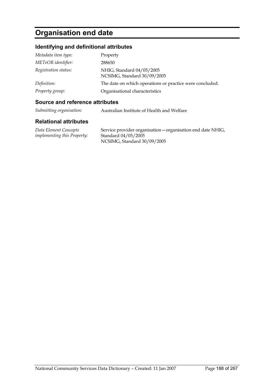## **Organisation end date**

### **Identifying and definitional attributes**

| Metadata item type:  | Property                                                 |
|----------------------|----------------------------------------------------------|
| METeOR identifier:   | 288650                                                   |
| Registration status: | NHIG, Standard 04/05/2005<br>NCSIMG, Standard 30/09/2005 |
| Definition:          | The date on which operations or practice were concluded. |
| Property group:      | Organisational characteristics                           |

#### **Source and reference attributes**

*Submitting organisation:* Australian Institute of Health and Welfare

#### **Relational attributes**

*Data Element Concepts implementing this Property:* Service provider organisation—organisation end date NHIG, Standard 04/05/2005 NCSIMG, Standard 30/09/2005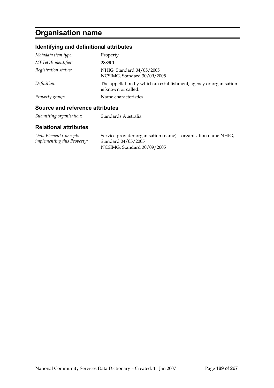# **Organisation name**

### **Identifying and definitional attributes**

| Metadata item type:  | Property                                                                                 |
|----------------------|------------------------------------------------------------------------------------------|
| METeOR identifier:   | 288901                                                                                   |
| Registration status: | NHIG, Standard 04/05/2005<br>NCSIMG, Standard 30/09/2005                                 |
| Definition:          | The appellation by which an establishment, agency or organisation<br>is known or called. |
| Property group:      | Name characteristics                                                                     |

#### **Source and reference attributes**

| Submitting organisation: | Standards Australia |
|--------------------------|---------------------|
|--------------------------|---------------------|

| Data Element Concepts              | Service provider organisation (name) – organisation name NHIG, |
|------------------------------------|----------------------------------------------------------------|
| <i>implementing this Property:</i> | Standard 04/05/2005                                            |
|                                    | NCSIMG, Standard 30/09/2005                                    |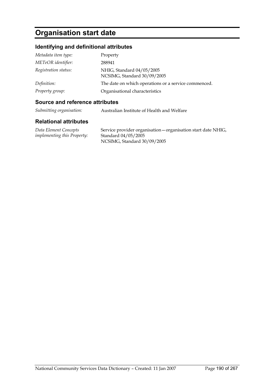## **Organisation start date**

### **Identifying and definitional attributes**

| Metadata item type:  | Property                                                 |
|----------------------|----------------------------------------------------------|
| METeOR identifier:   | 288941                                                   |
| Registration status: | NHIG, Standard 04/05/2005<br>NCSIMG, Standard 30/09/2005 |
| Definition:          | The date on which operations or a service commenced.     |
| Property group:      | Organisational characteristics                           |

#### **Source and reference attributes**

*Submitting organisation:* Australian Institute of Health and Welfare

#### **Relational attributes**

*Data Element Concepts implementing this Property:* Service provider organisation—organisation start date NHIG, Standard 04/05/2005 NCSIMG, Standard 30/09/2005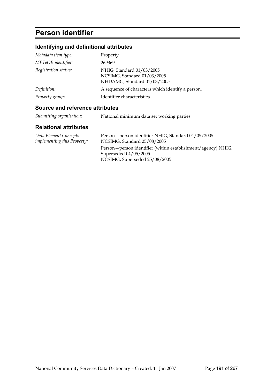## **Person identifier**

## **Identifying and definitional attributes**

| Metadata item type:  | Property                                                                                |
|----------------------|-----------------------------------------------------------------------------------------|
| METeOR identifier:   | 269369                                                                                  |
| Registration status: | NHIG, Standard 01/03/2005<br>NCSIMG, Standard 01/03/2005<br>NHDAMG, Standard 01/03/2005 |
| Definition:          | A sequence of characters which identify a person.                                       |
| Property group:      | Identifier characteristics                                                              |

### **Source and reference attributes**

| Submitting organisation: |                                           |
|--------------------------|-------------------------------------------|
|                          | National minimum data set working parties |

| Data Element Concepts              | Person-person identifier NHIG, Standard 04/05/2005             |
|------------------------------------|----------------------------------------------------------------|
| <i>implementing this Property:</i> | NCSIMG, Standard 25/08/2005                                    |
|                                    | Person – person identifier (within establishment/agency) NHIG, |
|                                    | Superseded $04/05/2005$                                        |
|                                    | NCSIMG, Superseded 25/08/2005                                  |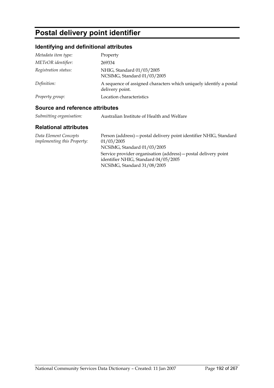# **Postal delivery point identifier**

### **Identifying and definitional attributes**

| Metadata item type:  | Property                                                                              |
|----------------------|---------------------------------------------------------------------------------------|
| METeOR identifier:   | 269334                                                                                |
| Registration status: | NHIG, Standard 01/03/2005<br>NCSIMG, Standard 01/03/2005                              |
| Definition:          | A sequence of assigned characters which uniquely identify a postal<br>delivery point. |
| Property group:      | Location characteristics                                                              |

### **Source and reference attributes**

| Submitting organisation: | Australian Institute of Health and Welfare |
|--------------------------|--------------------------------------------|
|                          |                                            |

| Data Element Concepts              | Person (address) – postal delivery point identifier NHIG, Standard                                      |
|------------------------------------|---------------------------------------------------------------------------------------------------------|
| <i>implementing this Property:</i> | 01/03/2005                                                                                              |
|                                    | NCSIMG, Standard 01/03/2005                                                                             |
|                                    | Service provider organisation (address) – postal delivery point<br>identifier NHIG, Standard 04/05/2005 |
|                                    | NCSIMG, Standard 31/08/2005                                                                             |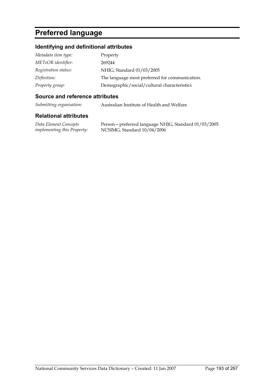## **Preferred language**

### **Identifying and definitional attributes**

| Metadata item type:  | Property                                       |
|----------------------|------------------------------------------------|
| METeOR identifier:   | 269244                                         |
| Registration status: | NHIG, Standard 01/03/2005                      |
| Definition:          | The language most preferred for communication. |
| Property group:      | Demographic/social/cultural characteristics    |

#### **Source and reference attributes**

*Submitting organisation:* Australian Institute of Health and Welfare

#### **Relational attributes**

*Data Element Concepts implementing this Property:*

Person—preferred language NHIG, Standard 01/03/2005 NCSIMG, Standard 10/04/2006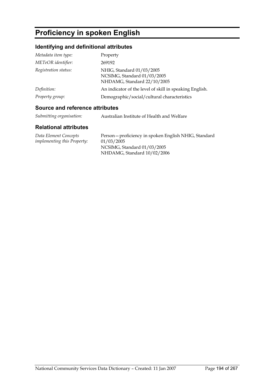## **Proficiency in spoken English**

### **Identifying and definitional attributes**

| Metadata item type:  | Property                                                                                |
|----------------------|-----------------------------------------------------------------------------------------|
| METeOR identifier:   | 269192                                                                                  |
| Registration status: | NHIG, Standard 01/03/2005<br>NCSIMG, Standard 01/03/2005<br>NHDAMG, Standard 22/10/2005 |
| Definition:          | An indicator of the level of skill in speaking English.                                 |
| Property group:      | Demographic/social/cultural characteristics                                             |

### **Source and reference attributes**

| Submitting organisation: | Australian Institute of Health and Welfare |
|--------------------------|--------------------------------------------|
|                          |                                            |

#### **Relational attributes**

*Data Element Concepts implementing this Property:* Person—proficiency in spoken English NHIG, Standard 01/03/2005 NCSIMG, Standard 01/03/2005 NHDAMG, Standard 10/02/2006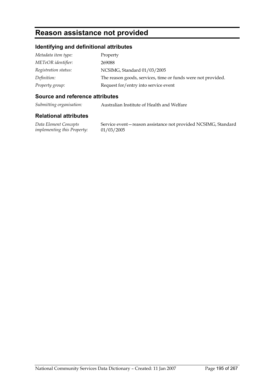## **Reason assistance not provided**

### **Identifying and definitional attributes**

| Metadata item type:  | Property                                                     |
|----------------------|--------------------------------------------------------------|
| METeOR identifier:   | 269088                                                       |
| Registration status: | NCSIMG, Standard 01/03/2005                                  |
| Definition:          | The reason goods, services, time or funds were not provided. |
| Property group:      | Request for/entry into service event                         |

#### **Source and reference attributes**

*Submitting organisation:* Australian Institute of Health and Welfare

#### **Relational attributes**

*Data Element Concepts implementing this Property:* Service event—reason assistance not provided NCSIMG, Standard 01/03/2005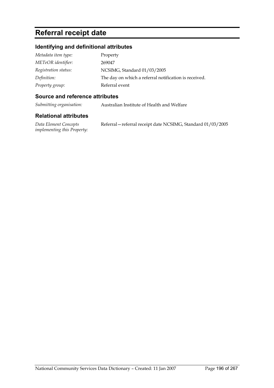## **Referral receipt date**

### **Identifying and definitional attributes**

| Metadata item type:  | Property                                              |
|----------------------|-------------------------------------------------------|
| METeOR identifier:   | 269047                                                |
| Registration status: | NCSIMG, Standard 01/03/2005                           |
| Definition:          | The day on which a referral notification is received. |
| Property group:      | Referral event                                        |

#### **Source and reference attributes**

*Submitting organisation:* Australian Institute of Health and Welfare

#### **Relational attributes**

*Data Element Concepts implementing this Property:* Referral—referral receipt date NCSIMG, Standard 01/03/2005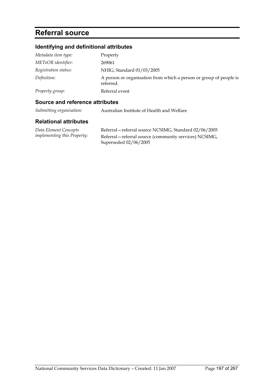## **Referral source**

### **Identifying and definitional attributes**

| Metadata item type:  | Property                                                                        |
|----------------------|---------------------------------------------------------------------------------|
| METeOR identifier:   | 269061                                                                          |
| Registration status: | NHIG, Standard 01/03/2005                                                       |
| Definition:          | A person or organisation from which a person or group of people is<br>referred. |
| Property group:      | Referral event                                                                  |

#### **Source and reference attributes**

*Submitting organisation:* Australian Institute of Health and Welfare

| Data Element Concepts              | Referral – referral source NCSIMG, Standard 02/06/2005  |
|------------------------------------|---------------------------------------------------------|
| <i>implementing this Property:</i> | Referral – referral source (community services) NCSIMG, |
|                                    | Superseded $02/06/2005$                                 |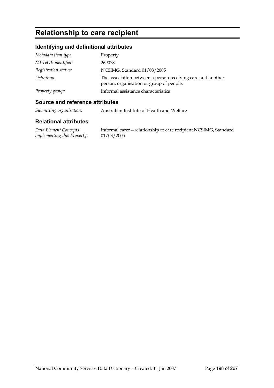## **Relationship to care recipient**

### **Identifying and definitional attributes**

| Metadata item type:  | Property                                                                                                |
|----------------------|---------------------------------------------------------------------------------------------------------|
| METeOR identifier:   | 269078                                                                                                  |
| Registration status: | NCSIMG, Standard 01/03/2005                                                                             |
| Definition:          | The association between a person receiving care and another<br>person, organisation or group of people. |
| Property group:      | Informal assistance characteristics                                                                     |

### **Source and reference attributes**

*Submitting organisation:* Australian Institute of Health and Welfare

#### **Relational attributes**

*Data Element Concepts implementing this Property:* Informal carer—relationship to care recipient NCSIMG, Standard 01/03/2005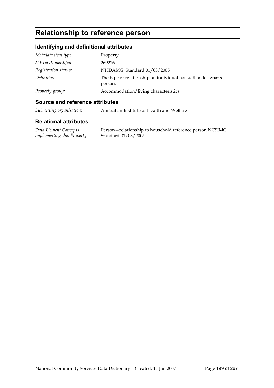## **Relationship to reference person**

### **Identifying and definitional attributes**

| Metadata item type:  | Property                                                                |
|----------------------|-------------------------------------------------------------------------|
| METeOR identifier:   | 269216                                                                  |
| Registration status: | NHDAMG, Standard 01/03/2005                                             |
| Definition:          | The type of relationship an individual has with a designated<br>person. |
| Property group:      | Accommodation/living characteristics                                    |

#### **Source and reference attributes**

|  | Submitting organisation: | Australian Institute of Health and Welfare |
|--|--------------------------|--------------------------------------------|
|--|--------------------------|--------------------------------------------|

#### **Relational attributes**

*Data Element Concepts implementing this Property:* Person—relationship to household reference person NCSIMG, Standard 01/03/2005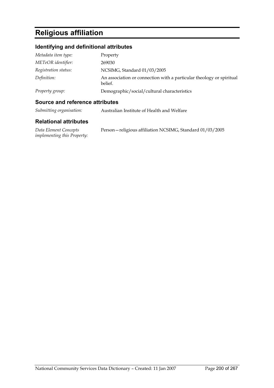## **Religious affiliation**

### **Identifying and definitional attributes**

| Metadata item type:  | Property                                                                        |
|----------------------|---------------------------------------------------------------------------------|
| METeOR identifier:   | 269030                                                                          |
| Registration status: | NCSIMG, Standard 01/03/2005                                                     |
| Definition:          | An association or connection with a particular theology or spiritual<br>belief. |
| Property group:      | Demographic/social/cultural characteristics                                     |

#### **Source and reference attributes**

| Submitting organisation: | Australian Institute of Health and Welfare |
|--------------------------|--------------------------------------------|
|--------------------------|--------------------------------------------|

#### **Relational attributes**

*Data Element Concepts implementing this Property:* Person—religious affiliation NCSIMG, Standard 01/03/2005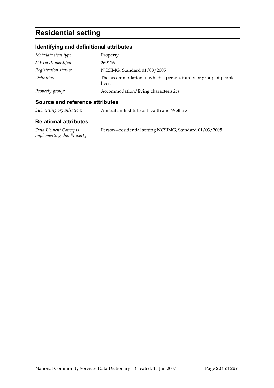## **Residential setting**

### **Identifying and definitional attributes**

| Metadata item type:  | Property                                                                 |
|----------------------|--------------------------------------------------------------------------|
| METeOR identifier:   | 269116                                                                   |
| Registration status: | NCSIMG, Standard 01/03/2005                                              |
| Definition:          | The accommodation in which a person, family or group of people<br>lives. |
| Property group:      | Accommodation/living characteristics                                     |

#### **Source and reference attributes**

| Submitting organisation: | Australian Institute of Health and Welfare |
|--------------------------|--------------------------------------------|
|--------------------------|--------------------------------------------|

#### **Relational attributes**

*Data Element Concepts implementing this Property:* Person—residential setting NCSIMG, Standard 01/03/2005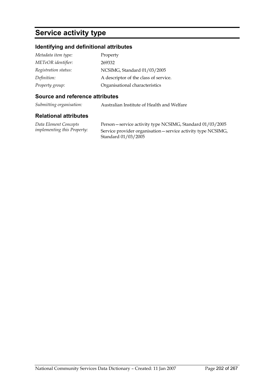## **Service activity type**

### **Identifying and definitional attributes**

| Metadata item type:  | Property                              |
|----------------------|---------------------------------------|
| METeOR identifier:   | 269332                                |
| Registration status: | NCSIMG, Standard 01/03/2005           |
| Definition:          | A descriptor of the class of service. |
| Property group:      | Organisational characteristics        |

#### **Source and reference attributes**

*Submitting organisation:* Australian Institute of Health and Welfare

#### **Relational attributes**

*Data Element Concepts implementing this Property:*

Person—service activity type NCSIMG, Standard 01/03/2005 Service provider organisation—service activity type NCSIMG, Standard 01/03/2005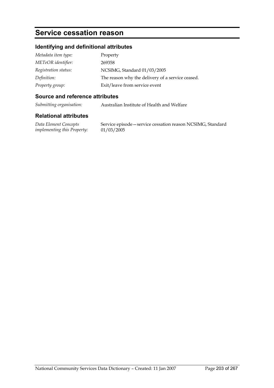## **Service cessation reason**

### **Identifying and definitional attributes**

| Metadata item type:  | Property                                         |
|----------------------|--------------------------------------------------|
| METeOR identifier:   | 269358                                           |
| Registration status: | NCSIMG, Standard 01/03/2005                      |
| Definition:          | The reason why the delivery of a service ceased. |
| Property group:      | Exit/leave from service event                    |

#### **Source and reference attributes**

*Submitting organisation:* Australian Institute of Health and Welfare

#### **Relational attributes**

*Data Element Concepts implementing this Property:* Service episode—service cessation reason NCSIMG, Standard 01/03/2005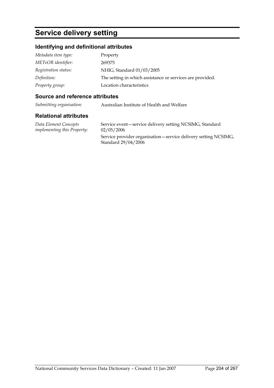## **Service delivery setting**

### **Identifying and definitional attributes**

| Metadata item type:  | Property                                                  |
|----------------------|-----------------------------------------------------------|
| METeOR identifier:   | 269375                                                    |
| Registration status: | NHIG, Standard 01/03/2005                                 |
| Definition:          | The setting in which assistance or services are provided. |
| Property group:      | Location characteristics                                  |

#### **Source and reference attributes**

*Submitting organisation:* Australian Institute of Health and Welfare

#### **Relational attributes**

*Data Element Concepts implementing this Property:* Service event—service delivery setting NCSIMG, Standard 02/05/2006 Service provider organisation—service delivery setting NCSIMG, Standard 29/04/2006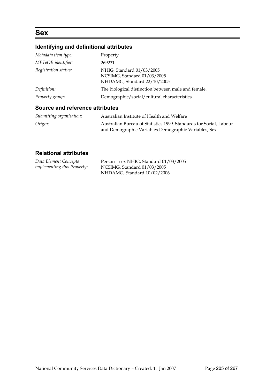## **Sex**

## **Identifying and definitional attributes**

| Metadata item type:             | Property                                                                                |
|---------------------------------|-----------------------------------------------------------------------------------------|
| METeOR identifier:              | 269231                                                                                  |
| Registration status:            | NHIG, Standard 01/03/2005<br>NCSIMG, Standard 01/03/2005<br>NHDAMG, Standard 22/10/2005 |
| Definition:                     | The biological distinction between male and female.                                     |
| Property group:                 | Demographic/social/cultural characteristics                                             |
| Source and reference attributes |                                                                                         |

| Submitting organisation: | Australian Institute of Health and Welfare                                                                                  |
|--------------------------|-----------------------------------------------------------------------------------------------------------------------------|
| Origin:                  | Australian Bureau of Statistics 1999. Standards for Social, Labour<br>and Demographic Variables. Demographic Variables, Sex |

| Data Element Concepts              | Person - sex NHIG, Standard 01/03/2005 |
|------------------------------------|----------------------------------------|
| <i>implementing this Property:</i> | NCSIMG, Standard 01/03/2005            |
|                                    | NHDAMG, Standard 10/02/2006            |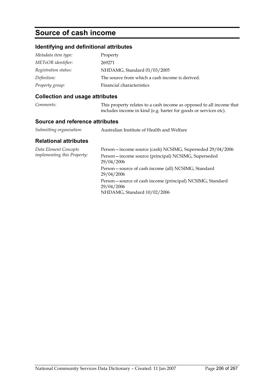## **Source of cash income**

### **Identifying and definitional attributes**

| Metadata item type:  | Property                                        |
|----------------------|-------------------------------------------------|
| METeOR identifier:   | 269271                                          |
| Registration status: | NHDAMG, Standard 01/03/2005                     |
| Definition:          | The source from which a cash income is derived. |
| Property group:      | Financial characteristics                       |

### **Collection and usage attributes**

| Comments: | This property relates to a cash income as opposed to all income that |
|-----------|----------------------------------------------------------------------|
|           | includes income in kind (e.g. barter for goods or services etc).     |

#### **Source and reference attributes**

| Submitting organisation: | Australian Institute of Health and Welfare |
|--------------------------|--------------------------------------------|
|--------------------------|--------------------------------------------|

| Data Element Concepts<br><i>implementing this Property:</i> | Person-income source (cash) NCSIMG, Superseded 29/04/2006                                              |
|-------------------------------------------------------------|--------------------------------------------------------------------------------------------------------|
|                                                             | Person-income source (principal) NCSIMG, Superseded<br>29/04/2006                                      |
|                                                             | Person-source of cash income (all) NCSIMG, Standard<br>29/04/2006                                      |
|                                                             | Person-source of cash income (principal) NCSIMG, Standard<br>29/04/2006<br>NHDAMG, Standard 10/02/2006 |
|                                                             |                                                                                                        |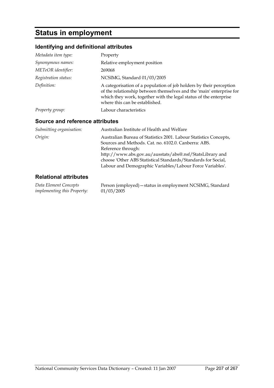## **Status in employment**

### **Identifying and definitional attributes**

| Metadata item type:             | Property                                                                                                                                                                                                                                                                                                                                  |
|---------------------------------|-------------------------------------------------------------------------------------------------------------------------------------------------------------------------------------------------------------------------------------------------------------------------------------------------------------------------------------------|
| Synonymous names:               | Relative employment position                                                                                                                                                                                                                                                                                                              |
| METeOR identifier:              | 269068                                                                                                                                                                                                                                                                                                                                    |
| Registration status:            | NCSIMG, Standard 01/03/2005                                                                                                                                                                                                                                                                                                               |
| Definition:                     | A categorisation of a population of job holders by their perception<br>of the relationship between themselves and the 'main' enterprise for<br>which they work, together with the legal status of the enterprise<br>where this can be established.                                                                                        |
| Property group:                 | Labour characteristics                                                                                                                                                                                                                                                                                                                    |
| Source and reference attributes |                                                                                                                                                                                                                                                                                                                                           |
| Submitting organisation:        | Australian Institute of Health and Welfare                                                                                                                                                                                                                                                                                                |
| Origin:                         | Australian Bureau of Statistics 2001. Labour Statistics Concepts,<br>Sources and Methods, Cat. no. 6102.0. Canberra: ABS.<br>Reference through:<br>http://www.abs.gov.au/ausstats/abs@.nsf/StatsLibrary and<br>choose 'Other ABS Statistical Standards/Standards for Social,<br>Labour and Demographic Variables/Labour Force Variables'. |
| <b>Relational attributes</b>    |                                                                                                                                                                                                                                                                                                                                           |

*Data Element Concepts implementing this Property:* Person (employed)—status in employment NCSIMG, Standard 01/03/2005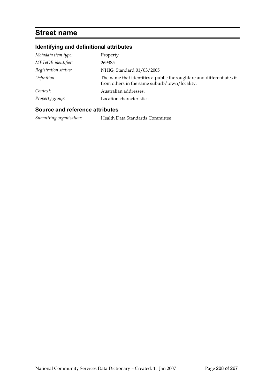## **Street name**

### **Identifying and definitional attributes**

| Metadata item type:  | Property                                                                                                              |
|----------------------|-----------------------------------------------------------------------------------------------------------------------|
| METeOR identifier:   | 269385                                                                                                                |
| Registration status: | NHIG, Standard 01/03/2005                                                                                             |
| Definition:          | The name that identifies a public thoroughfare and differentiates it<br>from others in the same suburb/town/locality. |
| Context:             | Australian addresses.                                                                                                 |
| Property group:      | Location characteristics                                                                                              |

#### **Source and reference attributes**

*Submitting organisation:* Health Data Standards Committee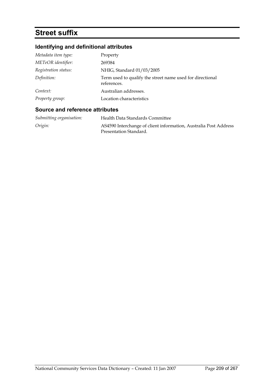# **Street suffix**

## **Identifying and definitional attributes**

| Metadata item type:  | Property                                                                 |
|----------------------|--------------------------------------------------------------------------|
| METeOR identifier:   | 269384                                                                   |
| Registration status: | NHIG, Standard 01/03/2005                                                |
| Definition:          | Term used to qualify the street name used for directional<br>references. |
| Context:             | Australian addresses.                                                    |
| Property group:      | Location characteristics                                                 |

### **Source and reference attributes**

| Submitting organisation: | Health Data Standards Committee                                  |
|--------------------------|------------------------------------------------------------------|
| Origin:                  | AS4590 Interchange of client information, Australia Post Address |
|                          | Presentation Standard.                                           |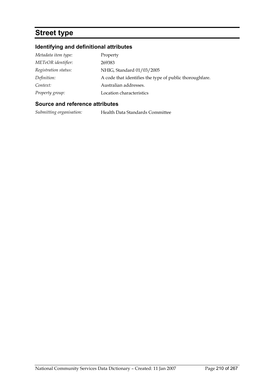## **Street type**

### **Identifying and definitional attributes**

| Metadata item type:  | Property                                                |
|----------------------|---------------------------------------------------------|
| METeOR identifier:   | 269383                                                  |
| Registration status: | NHIG, Standard 01/03/2005                               |
| Definition:          | A code that identifies the type of public thoroughfare. |
| Context:             | Australian addresses.                                   |
| Property group:      | Location characteristics                                |

#### **Source and reference attributes**

*Submitting organisation:* Health Data Standards Committee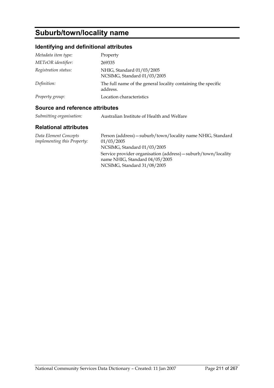# **Suburb/town/locality name**

### **Identifying and definitional attributes**

| Metadata item type:  | Property                                                                  |
|----------------------|---------------------------------------------------------------------------|
| METeOR identifier:   | 269335                                                                    |
| Registration status: | NHIG, Standard 01/03/2005<br>NCSIMG, Standard 01/03/2005                  |
| Definition:          | The full name of the general locality containing the specific<br>address. |
| Property group:      | Location characteristics                                                  |

#### **Source and reference attributes**

| Submitting organisation: | Australian Institute of Health and Welfare |
|--------------------------|--------------------------------------------|
|                          |                                            |

| Data Element Concepts              | Person (address) - suburb/town/locality name NHIG, Standard                                      |
|------------------------------------|--------------------------------------------------------------------------------------------------|
| <i>implementing this Property:</i> | 01/03/2005                                                                                       |
|                                    | NCSIMG, Standard 01/03/2005                                                                      |
|                                    | Service provider organisation (address) – suburb/town/locality<br>name NHIG, Standard 04/05/2005 |
|                                    | NCSIMG, Standard 31/08/2005                                                                      |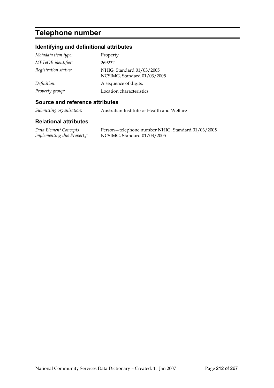## **Telephone number**

### **Identifying and definitional attributes**

| Metadata item type:  | Property                                                 |
|----------------------|----------------------------------------------------------|
| METeOR identifier:   | 269232                                                   |
| Registration status: | NHIG, Standard 01/03/2005<br>NCSIMG, Standard 01/03/2005 |
| Definition:          | A sequence of digits.                                    |
| Property group:      | Location characteristics                                 |

#### **Source and reference attributes**

*Submitting organisation:* Australian Institute of Health and Welfare

#### **Relational attributes**

*Data Element Concepts implementing this Property:* Person—telephone number NHIG, Standard 01/03/2005 NCSIMG, Standard 01/03/2005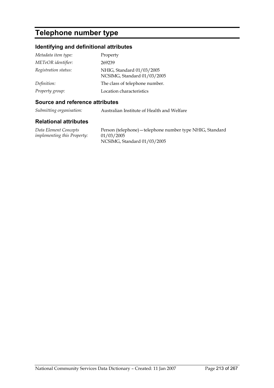## **Telephone number type**

### **Identifying and definitional attributes**

| Metadata item type:  | Property                                                 |
|----------------------|----------------------------------------------------------|
| METeOR identifier:   | 269239                                                   |
| Registration status: | NHIG, Standard 01/03/2005<br>NCSIMG, Standard 01/03/2005 |
| Definition:          | The class of telephone number.                           |
| Property group:      | Location characteristics                                 |

#### **Source and reference attributes**

*Submitting organisation:* Australian Institute of Health and Welfare

#### **Relational attributes**

*Data Element Concepts implementing this Property:* Person (telephone)—telephone number type NHIG, Standard 01/03/2005 NCSIMG, Standard 01/03/2005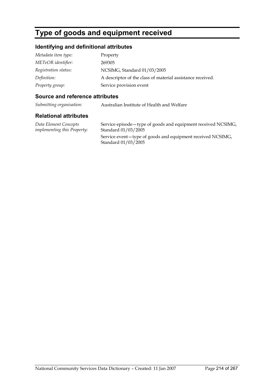## **Type of goods and equipment received**

### **Identifying and definitional attributes**

| Metadata item type:  | Property                                                   |
|----------------------|------------------------------------------------------------|
| METeOR identifier:   | 269305                                                     |
| Registration status: | NCSIMG, Standard 01/03/2005                                |
| Definition:          | A descriptor of the class of material assistance received. |
| Property group:      | Service provision event                                    |

#### **Source and reference attributes**

*Submitting organisation:* Australian Institute of Health and Welfare

#### **Relational attributes**

*Data Element Concepts implementing this Property:* Service episode—type of goods and equipment received NCSIMG, Standard 01/03/2005 Service event—type of goods and equipment received NCSIMG, Standard 01/03/2005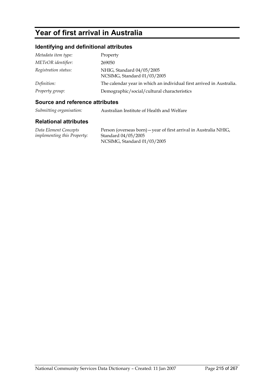## **Year of first arrival in Australia**

### **Identifying and definitional attributes**

| Metadata item type:  | Property                                                             |
|----------------------|----------------------------------------------------------------------|
| METeOR identifier:   | 269050                                                               |
| Registration status: | NHIG, Standard 04/05/2005<br>NCSIMG, Standard 01/03/2005             |
| Definition:          | The calendar year in which an individual first arrived in Australia. |
| Property group:      | Demographic/social/cultural characteristics                          |

#### **Source and reference attributes**

*Submitting organisation:* Australian Institute of Health and Welfare

#### **Relational attributes**

*Data Element Concepts implementing this Property:* Person (overseas born)—year of first arrival in Australia NHIG, Standard 04/05/2005 NCSIMG, Standard 01/03/2005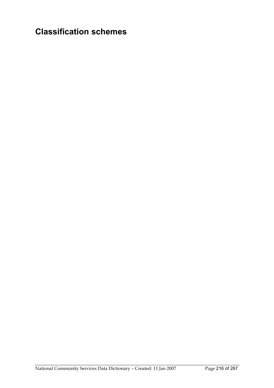# **Classification schemes**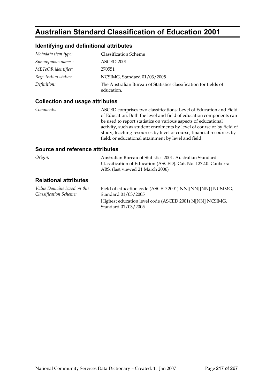### **Australian Standard Classification of Education 2001**

#### **Identifying and definitional attributes**

| Metadata item type:  | <b>Classification Scheme</b>                                                   |
|----------------------|--------------------------------------------------------------------------------|
| Synonymous names:    | ASCED 2001                                                                     |
| METeOR identifier:   | 270551                                                                         |
| Registration status: | NCSIMG, Standard 01/03/2005                                                    |
| Definition:          | The Australian Bureau of Statistics classification for fields of<br>education. |

#### **Collection and usage attributes**

*Comments:* ASCED comprises two classifications: Level of Education and Field of Education. Both the level and field of education components can be used to report statistics on various aspects of educational activity, such as student enrolments by level of course or by field of study; teaching resources by level of course; financial resources by field; or educational attainment by level and field.

| Origin:                                               | Australian Bureau of Statistics 2001. Australian Standard<br>Classification of Education (ASCED). Cat. No. 1272.0. Canberra:<br>ABS. (last viewed 21 March 2006) |
|-------------------------------------------------------|------------------------------------------------------------------------------------------------------------------------------------------------------------------|
| <b>Relational attributes</b>                          |                                                                                                                                                                  |
| Value Domains based on this<br>Classification Scheme: | Field of education code (ASCED 2001) NN[{NN}{NN}] NCSIMG,<br>Standard 01/03/2005                                                                                 |
|                                                       | Highest education level code (ASCED 2001) N[NN] NCSIMG,<br>Standard 01/03/2005                                                                                   |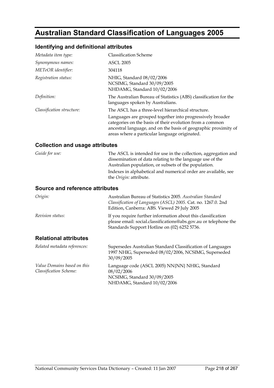# **Australian Standard Classification of Languages 2005**

### **Identifying and definitional attributes**

| Metadata item type:       | <b>Classification Scheme</b>                                                                                                                                                                                                              |
|---------------------------|-------------------------------------------------------------------------------------------------------------------------------------------------------------------------------------------------------------------------------------------|
| Synonymous names:         | <b>ASCL 2005</b>                                                                                                                                                                                                                          |
| METeOR identifier:        | 304118                                                                                                                                                                                                                                    |
| Registration status:      | NHIG, Standard 08/02/2006<br>NCSIMG, Standard 30/09/2005<br>NHDAMG, Standard 10/02/2006                                                                                                                                                   |
| Definition:               | The Australian Bureau of Statistics (ABS) classification for the<br>languages spoken by Australians.                                                                                                                                      |
| Classification structure: | The ASCL has a three-level hierarchical structure.                                                                                                                                                                                        |
|                           | Languages are grouped together into progressively broader<br>categories on the basis of their evolution from a common<br>ancestral language, and on the basis of geographic proximity of<br>areas where a particular language originated. |

### **Collection and usage attributes**

| <i>Guide for use:</i> | The ASCL is intended for use in the collection, aggregation and<br>dissemination of data relating to the language use of the<br>Australian population, or subsets of the population. |
|-----------------------|--------------------------------------------------------------------------------------------------------------------------------------------------------------------------------------|
|                       | Indexes in alphabetical and numerical order are available, see<br>the <i>Origin</i> : attribute.                                                                                     |

| Origin:                      | Australian Bureau of Statistics 2005. Australian Standard<br>Classification of Languages (ASCL) 2005. Cat. no. 1267.0. 2nd<br>Edition, Canberra: ABS. Viewed 29 July 2005        |
|------------------------------|----------------------------------------------------------------------------------------------------------------------------------------------------------------------------------|
| <i>Revision status:</i>      | If you require further information about this classification<br>please email: social.classifications@abs.gov.au or telephone the<br>Standards Support Hotline on (02) 6252 5736. |
| <b>Relational attributes</b> |                                                                                                                                                                                  |
| Related metadata references: | Supersedes Australian Standard Classification of Languages<br>1007 NHIC Supercoded 08/02/2006 NCSIMC Supercoded                                                                  |

|                                                              | 1997 NHIG, Superseded 08/02/2006, NCSIMG, Superseded<br>30/09/2005 |
|--------------------------------------------------------------|--------------------------------------------------------------------|
| Value Domains based on this<br><b>Classification Scheme:</b> | Language code (ASCL 2005) NN{NN} NHIG, Standard<br>08/02/2006      |
|                                                              | NCSIMG, Standard 30/09/2005                                        |
|                                                              | NHDAMG, Standard 10/02/2006                                        |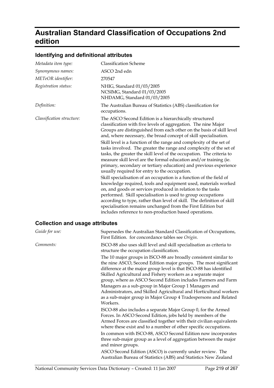# **Australian Standard Classification of Occupations 2nd edition**

#### **Identifying and definitional attributes**

| Metadata item type:                    | <b>Classification Scheme</b>                                                                                                                                                                                                                                                                                                                                                                                                                                                                                                                                                                                                                                                                                                                                                                                                                                                                                                                                                                                                                                                                                                                                     |
|----------------------------------------|------------------------------------------------------------------------------------------------------------------------------------------------------------------------------------------------------------------------------------------------------------------------------------------------------------------------------------------------------------------------------------------------------------------------------------------------------------------------------------------------------------------------------------------------------------------------------------------------------------------------------------------------------------------------------------------------------------------------------------------------------------------------------------------------------------------------------------------------------------------------------------------------------------------------------------------------------------------------------------------------------------------------------------------------------------------------------------------------------------------------------------------------------------------|
| Synonymous names:                      | ASCO 2nd edn                                                                                                                                                                                                                                                                                                                                                                                                                                                                                                                                                                                                                                                                                                                                                                                                                                                                                                                                                                                                                                                                                                                                                     |
| METeOR identifier:                     | 270547                                                                                                                                                                                                                                                                                                                                                                                                                                                                                                                                                                                                                                                                                                                                                                                                                                                                                                                                                                                                                                                                                                                                                           |
| Registration status:                   | NHIG, Standard 01/03/2005<br>NCSIMG, Standard 01/03/2005<br>NHDAMG, Standard 01/03/2005                                                                                                                                                                                                                                                                                                                                                                                                                                                                                                                                                                                                                                                                                                                                                                                                                                                                                                                                                                                                                                                                          |
| Definition:                            | The Australian Bureau of Statistics (ABS) classification for<br>occupations.                                                                                                                                                                                                                                                                                                                                                                                                                                                                                                                                                                                                                                                                                                                                                                                                                                                                                                                                                                                                                                                                                     |
| Classification structure:              | The ASCO Second Edition is a hierarchically structured<br>classification with five levels of aggregation. The nine Major<br>Groups are distinguished from each other on the basis of skill level<br>and, where necessary, the broad concept of skill specialisation.<br>Skill level is a function of the range and complexity of the set of<br>tasks involved. The greater the range and complexity of the set of<br>tasks, the greater the skill level of the occupation. The criteria to<br>measure skill level are the formal education and/or training (ie.<br>primary, secondary or tertiary education) and previous experience<br>usually required for entry to the occupation.<br>Skill specialisation of an occupation is a function of the field of<br>knowledge required, tools and equipment used, materials worked<br>on, and goods or services produced in relation to the tasks<br>performed. Skill specialisation is used to group occupations<br>according to type, rather than level of skill. The definition of skill<br>specialisation remains unchanged from the First Edition but<br>includes reference to non-production based operations. |
| <b>Collection and usage attributes</b> |                                                                                                                                                                                                                                                                                                                                                                                                                                                                                                                                                                                                                                                                                                                                                                                                                                                                                                                                                                                                                                                                                                                                                                  |
| Guide for use:                         | Supersedes the Australian Standard Classification of Occupations,<br>First Edition. for concordance tables see Origin.                                                                                                                                                                                                                                                                                                                                                                                                                                                                                                                                                                                                                                                                                                                                                                                                                                                                                                                                                                                                                                           |
| Comments:                              | ISCO-88 also uses skill level and skill specialisation as criteria to                                                                                                                                                                                                                                                                                                                                                                                                                                                                                                                                                                                                                                                                                                                                                                                                                                                                                                                                                                                                                                                                                            |

structure the occupation classification. The 10 major groups in ISCO-88 are broadly consistent similar to the nine ASCO, Second Edition major groups. The most significant difference at the major group level is that ISCO-88 has identified Skilled Agricultural and Fishery workers as a separate major group, where as ASCO Second Edition includes Farmers and Farm Managers as a sub-group in Major Group 1 Managers and Administrators, and Skilled Agricultural and Horticultural workers as a sub-major group in Major Group 4 Tradespersons and Related Workers.

ISCO-88 also includes a separate Major Group 0, for the Armed Forces. In ASCO Second Edition, jobs held by members of the Armed Forces are classified together with their civilian equivalents where these exist and to a number of other specific occupations. In common with ISCO-88, ASCO Second Edition now incorporates three sub-major group as a level of aggregation between the major

and minor groups. ASCO Second Edition (ASCO) is currently under review. The Australian Bureau of Statistics (ABS) and Statistics New Zealand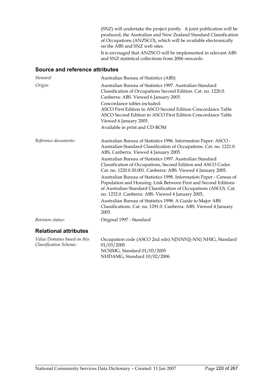(SNZ) will undertake the project jointly. A joint publication will be produced, the Australian and New Zealand Standard Classification of Occupations (ANZSCO), which will be available electronically on the ABS and SNZ web sites.

It is envisaged that ANZSCO will be implemented in relevant ABS and SNZ statistical collections from 2006 onwards.

#### **Source and reference attributes**

| Steward:                                              | Australian Bureau of Statistics (ABS)                                                                                                                                                                                                                           |
|-------------------------------------------------------|-----------------------------------------------------------------------------------------------------------------------------------------------------------------------------------------------------------------------------------------------------------------|
| Origin:                                               | Australian Bureau of Statistics 1997. Australian Standard<br>Classification of Occupations Second Edition. Cat. no. 1220.0.<br>Canberra: ABS. Viewed 6 January 2005.                                                                                            |
|                                                       | Concordance tables included:<br>ASCO First Edition to ASCO Second Edition Concordance Table                                                                                                                                                                     |
|                                                       | ASCO Second Edition to ASCO First Edition Concordance Table<br>Viewed 6 January 2005.                                                                                                                                                                           |
|                                                       | Available in print and CD-ROM                                                                                                                                                                                                                                   |
| Reference documents:                                  | Australian Bureau of Statistics 1996. Information Paper: ASCO -<br>Australian Standard Classification of Occupations. Cat. no. 1221.0.<br>ABS, Canberra. Viewed 4 January 2005.                                                                                 |
|                                                       | Australian Bureau of Statistics 1997. Australian Standard<br>Classification of Occupations, Second Edition and ASCO Coder.<br>Cat. no. 1220.0.30.001. Canberra: ABS. Viewed 4 January 2005.                                                                     |
|                                                       | Australian Bureau of Statistics 1998. Information Paper - Census of<br>Population and Housing: Link Between First and Second Editions<br>of Australian Standard Classification of Occupations (ASCO). Cat.<br>no. 1232.0. Canberra: ABS. Viewed 4 January 2005, |
|                                                       | Australian Bureau of Statistics 1998. A Guide to Major ABS<br>Classifications. Cat. no. 1291.0. Canberra: ABS. Viewed 4 January<br>2005.                                                                                                                        |
| Revision status:                                      | Original 1997 - Standard                                                                                                                                                                                                                                        |
| <b>Relational attributes</b>                          |                                                                                                                                                                                                                                                                 |
| Value Domains based on this<br>Classification Scheme: | Occupation code (ASCO 2nd edn) N[NNN]{-NN} NHIG, Standard<br>01/03/2005<br>NCSIMG, Standard 01/03/2005                                                                                                                                                          |

NHDAMG, Standard 10/02/2006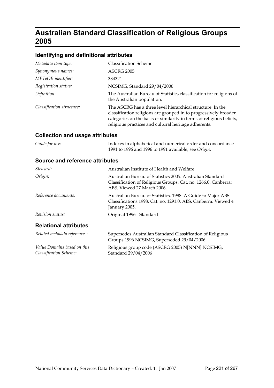# **Australian Standard Classification of Religious Groups 2005**

### **Identifying and definitional attributes**

| Metadata item type:       | <b>Classification Scheme</b>                                                                                                                                                                                                                                   |
|---------------------------|----------------------------------------------------------------------------------------------------------------------------------------------------------------------------------------------------------------------------------------------------------------|
| Synonymous names:         | ASCRG 2005                                                                                                                                                                                                                                                     |
| METeOR identifier:        | 334321                                                                                                                                                                                                                                                         |
| Registration status:      | NCSIMG, Standard 29/04/2006                                                                                                                                                                                                                                    |
| Definition:               | The Australian Bureau of Statistics classification for religions of<br>the Australian population.                                                                                                                                                              |
| Classification structure: | The ASCRG has a three level hierarchical structure. In the<br>classification religions are grouped in to progressively broader<br>categories on the basis of similarity in terms of religious beliefs,<br>religious practices and cultural heritage adherents. |

### **Collection and usage attributes**

| Guide for use: | Indexes in alphabetical and numerical order and concordance |
|----------------|-------------------------------------------------------------|
|                | 1991 to 1996 and 1996 to 1991 available, see Origin.        |

| Steward:                                              | Australian Institute of Health and Welfare                                                                                                                |
|-------------------------------------------------------|-----------------------------------------------------------------------------------------------------------------------------------------------------------|
| Origin:                                               | Australian Bureau of Statistics 2005. Australian Standard<br>Classification of Religious Groups. Cat. no. 1266.0. Canberra:<br>ABS. Viewed 27 March 2006. |
| Reference documents:                                  | Australian Bureau of Statistics. 1998. A Guide to Major ABS<br>Classifications 1998. Cat. no. 1291.0. ABS, Canberra. Viewed 4<br>January 2005.            |
| Revision status:                                      | Original 1996 - Standard                                                                                                                                  |
| <b>Relational attributes</b>                          |                                                                                                                                                           |
| Related metadata references:                          | Supersedes Australian Standard Classification of Religious<br>Groups 1996 NCSIMG, Superseded 29/04/2006                                                   |
| Value Domains based on this<br>Classification Scheme: | Religious group code (ASCRG 2005) N[NNN] NCSIMG,<br>Standard 29/04/2006                                                                                   |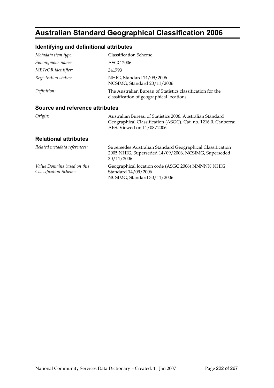# **Australian Standard Geographical Classification 2006**

### **Identifying and definitional attributes**

| Metadata item type:             | <b>Classification Scheme</b>                                                                            |
|---------------------------------|---------------------------------------------------------------------------------------------------------|
| Synonymous names:               | <b>ASGC 2006</b>                                                                                        |
| METeOR identifier:              | 341793                                                                                                  |
| Registration status:            | NHIG, Standard 14/09/2006<br>NCSIMG, Standard 20/11/2006                                                |
| Definition:                     | The Australian Bureau of Statistics classification for the<br>classification of geographical locations. |
| Source and reference attributes |                                                                                                         |

#### **Source and reference attributes**

| Origin: | Australian Bureau of Statistics 2006. Australian Standard      |
|---------|----------------------------------------------------------------|
|         | Geographical Classification (ASGC). Cat. no. 1216.0. Canberra: |
|         | ABS. Viewed on 11/08/2006                                      |

| Related metadata references:                                        | Supersedes Australian Standard Geographical Classification<br>2005 NHIG, Superseded 14/09/2006, NCSIMG, Superseded<br>30/11/2006 |
|---------------------------------------------------------------------|----------------------------------------------------------------------------------------------------------------------------------|
| <i>Value Domains based on this</i><br><b>Classification Scheme:</b> | Geographical location code (ASGC 2006) NNNNN NHIG,<br>Standard 14/09/2006<br>NCSIMG, Standard 30/11/2006                         |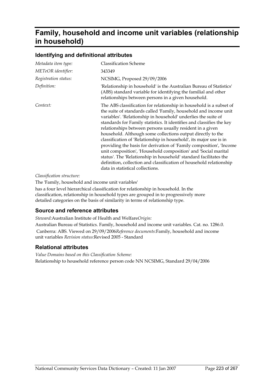# **Family, household and income unit variables (relationship in household)**

#### **Identifying and definitional attributes**

| Metadata item type:  | <b>Classification Scheme</b>                                                                                                                                                                                                                                                                                                                                                                                                                                                                                                                                                                                                                                                                                                                                                                                  |
|----------------------|---------------------------------------------------------------------------------------------------------------------------------------------------------------------------------------------------------------------------------------------------------------------------------------------------------------------------------------------------------------------------------------------------------------------------------------------------------------------------------------------------------------------------------------------------------------------------------------------------------------------------------------------------------------------------------------------------------------------------------------------------------------------------------------------------------------|
| METeOR identifier:   | 343349                                                                                                                                                                                                                                                                                                                                                                                                                                                                                                                                                                                                                                                                                                                                                                                                        |
| Registration status: | NCSIMG, Proposed 29/09/2006                                                                                                                                                                                                                                                                                                                                                                                                                                                                                                                                                                                                                                                                                                                                                                                   |
| Definition:          | 'Relationship in household' is the Australian Bureau of Statistics'<br>(ABS) standard variable for identifying the familial and other<br>relationships between persons in a given household.                                                                                                                                                                                                                                                                                                                                                                                                                                                                                                                                                                                                                  |
| Context:             | The ABS classification for relationship in household is a subset of<br>the suite of standards called 'Family, household and income unit<br>variables'. 'Relationship in household' underlies the suite of<br>standards for Family statistics. It identifies and classifies the key<br>relationships between persons usually resident in a given<br>household. Although some collections output directly to the<br>classification of 'Relationship in household', its major use is in<br>providing the basis for derivation of 'Family composition', 'Income<br>unit composition', 'Household composition' and 'Social marital<br>status'. The 'Relationship in household' standard facilitates the<br>definition, collection and classification of household relationship<br>data in statistical collections. |

*Classification structure:*

The 'Family, household and income unit variables'

has a four level hierarchical classification for relationship in household. In the classification, relationship in household types are grouped in to progressively more detailed categories on the basis of similarity in terms of relationship type.

#### **Source and reference attributes**

*Steward:*Australian Institute of Health and Welfare*Origin:*

Australian Bureau of Statistics. Family, household and income unit variables. Cat. no. 1286.0. Canberra: ABS. Viewed on 29/09/2006*Reference documents:*Family, household and income unit variables *Revision status:*Revised 2005 - Standard

#### **Relational attributes**

*Value Domains based on this Classification Scheme:* Relationship to household reference person code NN NCSIMG, Standard 29/04/2006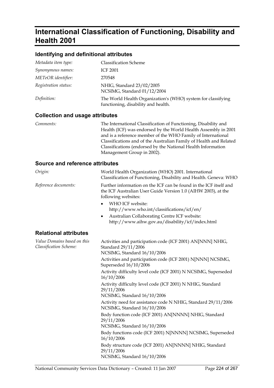# **International Classification of Functioning, Disability and Health 2001**

#### **Identifying and definitional attributes**

| Metadata item type:  | <b>Classification Scheme</b>                                                                        |
|----------------------|-----------------------------------------------------------------------------------------------------|
| Synonymous names:    | <b>ICF 2001</b>                                                                                     |
| METeOR identifier:   | 270548                                                                                              |
| Registration status: | NHIG, Standard 23/02/2005<br>NCSIMG, Standard 01/12/2004                                            |
| Definition:          | The World Health Organization's (WHO) system for classifying<br>functioning, disability and health. |

#### **Collection and usage attributes**

*Comments:* The International Classification of Functioning, Disability and Health (ICF) was endorsed by the World Health Assembly in 2001 and is a reference member of the WHO Family of International Classifications and of the Australian Family of Health and Related Classifications (endorsed by the National Health Information Management Group in 2002).

| Origin:                                               | World Health Organization (WHO) 2001. International<br>Classification of Functioning, Disability and Health. Geneva: WHO                                                                                                                                                                                                                                  |
|-------------------------------------------------------|-----------------------------------------------------------------------------------------------------------------------------------------------------------------------------------------------------------------------------------------------------------------------------------------------------------------------------------------------------------|
| Reference documents:                                  | Further information on the ICF can be found in the ICF itself and<br>the ICF Australian User Guide Version 1.0 (AIHW 2003), at the<br>following websites:<br>WHO ICF website:<br>$\bullet$<br>http://www.who.int/classifications/icf/en/<br>Australian Collaborating Centre ICF website:<br>$\bullet$<br>http://www.aihw.gov.au/disability/icf/index.html |
| <b>Relational attributes</b>                          |                                                                                                                                                                                                                                                                                                                                                           |
| Value Domains based on this<br>Classification Scheme: | Activities and participation code (ICF 2001) AN[NNN] NHIG,<br>Standard 29/11/2006<br>NCSIMG, Standard 16/10/2006<br>Activities and participation code (ICF 2001) N[NNN] NCSIMG,<br>Superseded 16/10/2006<br>Activity difficulty level code (ICF 2001) N NCSIMG, Superseded<br>16/10/2006<br>Activity difficulty level code (ICF 2001) N NHIG, Standard    |
|                                                       | 29/11/2006<br>NCSIMG, Standard 16/10/2006<br>Activity need for assistance code N NHIG, Standard 29/11/2006<br>NCSIMG, Standard 16/10/2006<br>Body function code (ICF 2001) AN[NNNN] NHIG, Standard<br>29/11/2006<br>NCSIMG, Standard 16/10/2006                                                                                                           |
|                                                       | Body functions code (ICF 2001) N[NNNN] NCSIMG, Superseded<br>16/10/2006<br>Body structure code (ICF 2001) AN[NNNN] NHIG, Standard<br>29/11/2006<br>NCSIMG, Standard 16/10/2006                                                                                                                                                                            |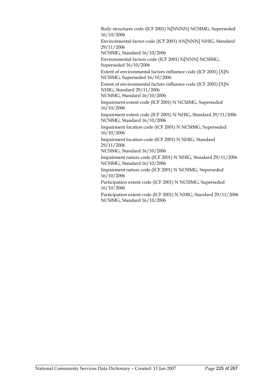Body structures code (ICF 2001) N[NNNN] NCSIMG, Superseded 16/10/2006

Environmental factor code (ICF 2001) AN[NNN] NHIG, Standard 29/11/2006

NCSIMG, Standard 16/10/2006

Environmental factors code (ICF 2001) N[NNN] NCSIMG, Superseded 16/10/2006

Extent of environmental factors influence code (ICF 2001) [X]N NCSIMG, Superseded 16/10/2006

Extent of environmental factors influence code (ICF 2001) [X]N NHIG, Standard 29/11/2006

NCSIMG, Standard 16/10/2006

Impairment extent code (ICF 2001) N NCSIMG, Superseded 16/10/2006

Impairment extent code (ICF 2001) N NHIG, Standard 29/11/2006 NCSIMG, Standard 16/10/2006

Impairment location code (ICF 2001) N NCSIMG, Superseded 16/10/2006

Impairment location code (ICF 2001) N NHIG, Standard 29/11/2006

NCSIMG, Standard 16/10/2006

Impairment nature code (ICF 2001) N NHIG, Standard 29/11/2006 NCSIMG, Standard 16/10/2006

Impairment nature code (ICF 2001) N NCSIMG, Superseded 16/10/2006

Participation extent code (ICF 2001) N NCSIMG, Superseded 16/10/2006

Participation extent code (ICF 2001) N NHIG, Standard 29/11/2006 NCSIMG, Standard 16/10/2006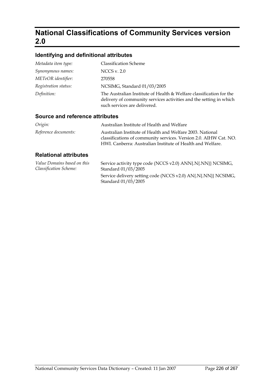# **National Classifications of Community Services version 2.0**

### **Identifying and definitional attributes**

| Metadata item type:  | <b>Classification Scheme</b>                                                                                                                                              |
|----------------------|---------------------------------------------------------------------------------------------------------------------------------------------------------------------------|
| Synonymous names:    | NCCS v. $2.0$                                                                                                                                                             |
| METeOR identifier:   | 270558                                                                                                                                                                    |
| Registration status: | NCSIMG, Standard 01/03/2005                                                                                                                                               |
| Definition:          | The Australian Institute of Health & Welfare classification for the<br>delivery of community services activities and the setting in which<br>such services are delivered. |

#### **Source and reference attributes**

| Origin:              | Australian Institute of Health and Welfare                                                                                                                                                   |
|----------------------|----------------------------------------------------------------------------------------------------------------------------------------------------------------------------------------------|
| Reference documents: | Australian Institute of Health and Welfare 2003. National<br>classifications of community services. Version 2.0. AIHW Cat. NO.<br>HWI. Canberra: Australian Institute of Health and Welfare. |
| - - -                |                                                                                                                                                                                              |

| Value Domains based on this | Service activity type code (NCCS v2.0) ANN{.N{.NN}} NCSIMG,                          |
|-----------------------------|--------------------------------------------------------------------------------------|
| Classification Scheme:      | Standard 01/03/2005                                                                  |
|                             | Service delivery setting code (NCCS v2.0) AN{.N{.NN}} NCSIMG,<br>Standard 01/03/2005 |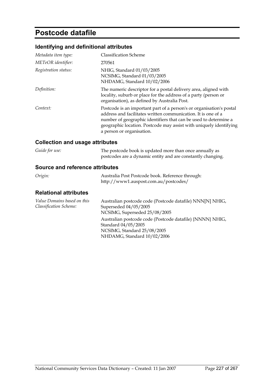### **Postcode datafile**

### **Identifying and definitional attributes**

| Metadata item type:  | <b>Classification Scheme</b>                                                                                                                                                                                                                                                                                 |
|----------------------|--------------------------------------------------------------------------------------------------------------------------------------------------------------------------------------------------------------------------------------------------------------------------------------------------------------|
| METeOR identifier:   | 270561                                                                                                                                                                                                                                                                                                       |
| Registration status: | NHIG, Standard 01/03/2005<br>NCSIMG, Standard 01/03/2005<br>NHDAMG, Standard 10/02/2006                                                                                                                                                                                                                      |
| Definition:          | The numeric descriptor for a postal delivery area, aligned with<br>locality, suburb or place for the address of a party (person or<br>organisation), as defined by Australia Post.                                                                                                                           |
| Context:             | Postcode is an important part of a person's or organisation's postal<br>address and facilitates written communication. It is one of a<br>number of geographic identifiers that can be used to determine a<br>geographic location. Postcode may assist with uniquely identifying<br>a person or organisation. |

### **Collection and usage attributes**

| Guide for use: | The postcode book is updated more than once annually as     |
|----------------|-------------------------------------------------------------|
|                | postcodes are a dynamic entity and are constantly changing. |

#### **Source and reference attributes**

| Origin: | Australia Post Postcode book. Reference through: |
|---------|--------------------------------------------------|
|         | http://www1.auspost.com.au/postcodes/            |

| Value Domains based on this | Australian postcode code (Postcode datafile) NNN[N] NHIG, |
|-----------------------------|-----------------------------------------------------------|
| Classification Scheme:      | Superseded 04/05/2005                                     |
|                             | NCSIMG, Superseded 25/08/2005                             |
|                             | Australian postcode code (Postcode datafile) {NNNN} NHIG, |
|                             | Standard 04/05/2005                                       |
|                             | NCSIMG, Standard 25/08/2005                               |
|                             | NHDAMG, Standard 10/02/2006                               |
|                             |                                                           |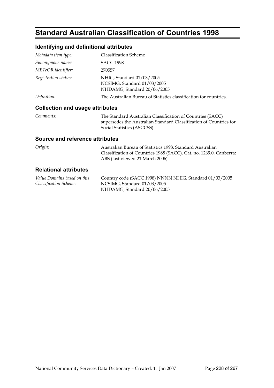# **Standard Australian Classification of Countries 1998**

### **Identifying and definitional attributes**

| Metadata item type:                    | <b>Classification Scheme</b>                                                                                                                                    |
|----------------------------------------|-----------------------------------------------------------------------------------------------------------------------------------------------------------------|
| Synonymous names:                      | <b>SACC 1998</b>                                                                                                                                                |
| <i>METeOR identifier:</i>              | 270557                                                                                                                                                          |
| Registration status:                   | NHIG, Standard 01/03/2005<br>NCSIMG, Standard 01/03/2005<br>NHDAMG, Standard 20/06/2005                                                                         |
| <i>Definition:</i>                     | The Australian Bureau of Statistics classification for countries.                                                                                               |
| <b>Collection and usage attributes</b> |                                                                                                                                                                 |
| Comments:                              | The Standard Australian Classification of Countries (SACC)<br>supersedes the Australian Standard Classification of Countries for<br>Social Statistics (ASCCSS). |

#### **Source and reference attributes**

| Origin: | Australian Bureau of Statistics 1998. Standard Australian           |
|---------|---------------------------------------------------------------------|
|         | Classification of Countries 1988 (SACC). Cat. no. 1269.0. Canberra: |
|         | ABS (last viewed 21 March 2006)                                     |

| Value Domains based on this | Country code (SACC 1998) NNNN NHIG, Standard 01/03/2005 |
|-----------------------------|---------------------------------------------------------|
| Classification Scheme:      | NCSIMG, Standard 01/03/2005                             |
|                             | NHDAMG, Standard 20/06/2005                             |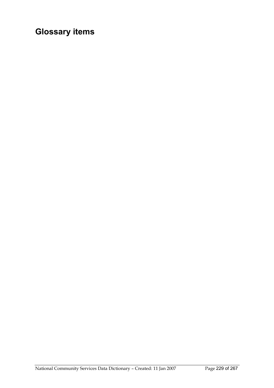# **Glossary items**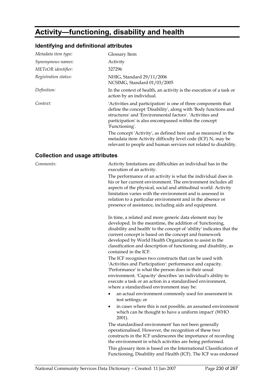# **Activity—functioning, disability and health**

### **Identifying and definitional attributes**

| Metadata item type:  | Glossary Item                                                                                                                                                                                                                                                                                                                                                                                                                                                                  |
|----------------------|--------------------------------------------------------------------------------------------------------------------------------------------------------------------------------------------------------------------------------------------------------------------------------------------------------------------------------------------------------------------------------------------------------------------------------------------------------------------------------|
| Synonymous names:    | Activity                                                                                                                                                                                                                                                                                                                                                                                                                                                                       |
| METeOR identifier:   | 327296                                                                                                                                                                                                                                                                                                                                                                                                                                                                         |
| Registration status: | NHIG, Standard 29/11/2006<br>NCSIMG, Standard 01/03/2005                                                                                                                                                                                                                                                                                                                                                                                                                       |
| Definition:          | In the context of health, an activity is the execution of a task or<br>action by an individual.                                                                                                                                                                                                                                                                                                                                                                                |
| Context:             | 'Activities and participation' is one of three components that<br>define the concept 'Disability', along with 'Body functions and<br>structures' and 'Environmental factors'. 'Activities and<br>participation' is also encompassed within the concept<br>'Functioning'.<br>The concept 'Activity', as defined here and as measured in the<br>metadata item Activity difficulty level code (ICF) N, may be<br>relevant to people and human services not related to disability. |

### **Collection and usage attributes**

| Comments: | Activity limitations are difficulties an individual has in the                                                                                                                                                                                                                                                                                                                                                 |
|-----------|----------------------------------------------------------------------------------------------------------------------------------------------------------------------------------------------------------------------------------------------------------------------------------------------------------------------------------------------------------------------------------------------------------------|
|           | execution of an activity.                                                                                                                                                                                                                                                                                                                                                                                      |
|           | The performance of an activity is what the individual does in<br>his or her current environment. The environment includes all<br>aspects of the physical, social and attitudinal world. Activity<br>limitation varies with the environment and is assessed in<br>relation to a particular environment and in the absence or<br>presence of assistance, including aids and equipment.                           |
|           | In time, a related and more generic data element may be<br>developed. In the meantime, the addition of 'functioning,<br>disability and health' to the concept of 'ability' indicates that the<br>current concept is based on the concept and framework<br>developed by World Health Organization to assist in the<br>classification and description of functioning and disability, as<br>contained in the ICF. |
|           | The ICF recognises two constructs that can be used with<br>'Activities and Participation': performance and capacity.<br>'Performance' is what the person does in their usual<br>environment. 'Capacity' describes 'an individual's ability to<br>execute a task or an action in a standardised environment,<br>where a standardised environment may be:                                                        |
|           | an actual environment commonly used for assessment in<br>test settings; or                                                                                                                                                                                                                                                                                                                                     |
|           | in cases where this is not possible, an assumed environment<br>$\bullet$<br>which can be thought to have a uniform impact' (WHO<br>$2001$ ).                                                                                                                                                                                                                                                                   |
|           | The standardised environment' has not been generally<br>operationalised. However, the recognition of these two<br>constructs in the ICF underscores the importance of recording<br>the environment in which activities are being performed.                                                                                                                                                                    |
|           | This glossary item is based on the International Classification of<br>Functioning, Disability and Health (ICF). The ICF was endorsed                                                                                                                                                                                                                                                                           |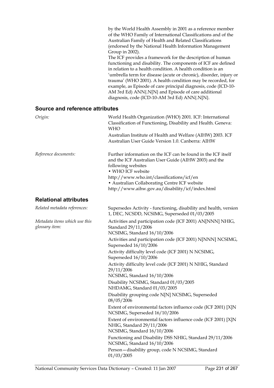| by the World Health Assembly in 2001 as a reference member    |
|---------------------------------------------------------------|
| of the WHO Family of International Classifications and of the |
| Australian Family of Health and Related Classifications       |
| (endorsed by the National Health Information Management       |
| Group in 2002).                                               |
|                                                               |

The ICF provides a framework for the description of human functioning and disability. The components of ICF are defined in relation to a health condition. A health condition is an 'umbrella term for disease (acute or chronic), disorder, injury or trauma' (WHO 2001). A health condition may be recorded, for example, as Episode of care principal diagnosis, code (ICD-10- AM 3rd Ed) ANN{.N[N} and Episode of care additional diagnosis, code (ICD-10-AM 3rd Ed) ANN{.N[N}.

#### **Source and reference attributes**

| Origin:                                         | World Health Organization (WHO) 2001. ICF: International<br>Classification of Functioning, Disability and Health. Geneva:<br><b>WHO</b>                                                                                                                                                                             |
|-------------------------------------------------|---------------------------------------------------------------------------------------------------------------------------------------------------------------------------------------------------------------------------------------------------------------------------------------------------------------------|
|                                                 | Australian Institute of Health and Welfare (AIHW) 2003. ICF<br>Australian User Guide Version 1.0. Canberra: AIHW                                                                                                                                                                                                    |
| Reference documents:                            | Further information on the ICF can be found in the ICF itself<br>and the ICF Australian User Guide (AIHW 2003) and the<br>following websites<br>· WHO ICF website<br>http://www.who.int/classifications/icf/en<br>• Australian Collaborating Centre ICF website<br>http://www.aihw.gov.au/disability/icf/index.html |
| <b>Relational attributes</b>                    |                                                                                                                                                                                                                                                                                                                     |
| Related metadata references:                    | Supersedes Activity - functioning, disability and health, version<br>1, DEC, NCSDD, NCSIMG, Superseded 01/03/2005                                                                                                                                                                                                   |
| Metadata items which use this<br>glossary item: | Activities and participation code (ICF 2001) AN[NNN] NHIG,<br>Standard 29/11/2006<br>NCSIMG, Standard 16/10/2006                                                                                                                                                                                                    |
|                                                 | Activities and participation code (ICF 2001) N[NNN] NCSIMG,<br>Superseded 16/10/2006                                                                                                                                                                                                                                |
|                                                 | Activity difficulty level code (ICF 2001) N NCSIMG,<br>Superseded $16/10/2006$                                                                                                                                                                                                                                      |
|                                                 | Activity difficulty level code (ICF 2001) N NHIG, Standard<br>29/11/2006<br>NCSIMG, Standard 16/10/2006                                                                                                                                                                                                             |
|                                                 | Disability NCSIMG, Standard 01/03/2005<br>NHDAMG, Standard 01/03/2005                                                                                                                                                                                                                                               |
|                                                 | Disability grouping code N[N] NCSIMG, Superseded<br>08/05/2006                                                                                                                                                                                                                                                      |
|                                                 | Extent of environmental factors influence code (ICF 2001) [X]N<br>NCSIMG, Superseded 16/10/2006                                                                                                                                                                                                                     |
|                                                 | Extent of environmental factors influence code (ICF 2001) [X]N<br>NHIG, Standard 29/11/2006<br>NCSIMG, Standard 16/10/2006                                                                                                                                                                                          |
|                                                 | Functioning and Disability DSS NHIG, Standard 29/11/2006<br>NCSIMG, Standard 16/10/2006                                                                                                                                                                                                                             |

Person—disability group, code N NCSIMG, Standard

01/03/2005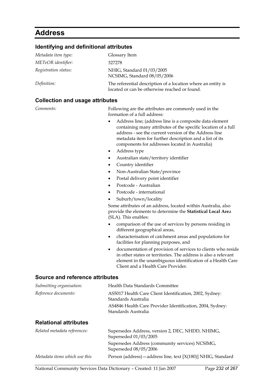# **Address**

### **Identifying and definitional attributes**

| Metadata item type:  | Glossary Item                                                                                                 |
|----------------------|---------------------------------------------------------------------------------------------------------------|
| METeOR identifier:   | 327278                                                                                                        |
| Registration status: | NHIG, Standard 01/03/2005<br>NCSIMG, Standard 08/05/2006                                                      |
| Definition:          | The referential description of a location where an entity is<br>located or can be otherwise reached or found. |

| <b>Collection and usage attributes</b> |                                                                                                                                                                                                                                                                                                                                                                                                                                                                                                                                                                                                                                                                                               |
|----------------------------------------|-----------------------------------------------------------------------------------------------------------------------------------------------------------------------------------------------------------------------------------------------------------------------------------------------------------------------------------------------------------------------------------------------------------------------------------------------------------------------------------------------------------------------------------------------------------------------------------------------------------------------------------------------------------------------------------------------|
| Comments:                              | Following are the attributes are commonly used in the<br>formation of a full address:<br>Address line; (address line is a composite data element<br>٠<br>containing many attributes of the specific location of a full<br>address - see the current version of the Address line<br>metadata item for further description and a list of its<br>components for addresses located in Australia)<br>Address type<br>٠<br>Australian state/territory identifier<br>٠<br>Country identifier<br>٠<br>Non-Australian State/province<br>$\bullet$<br>Postal delivery point identifier<br>$\bullet$<br>Postcode - Australian<br>$\bullet$<br>Postcode - international<br>٠<br>Suburb/town/locality<br>٠ |
|                                        | Some attributes of an address, located within Australia, also<br>provide the elements to determine the Statistical Local Area<br>(SLA). This enables:                                                                                                                                                                                                                                                                                                                                                                                                                                                                                                                                         |
|                                        | comparison of the use of services by persons residing in<br>different geographical areas,                                                                                                                                                                                                                                                                                                                                                                                                                                                                                                                                                                                                     |
|                                        | characterisation of catchment areas and populations for<br>$\bullet$<br>facilities for planning purposes, and                                                                                                                                                                                                                                                                                                                                                                                                                                                                                                                                                                                 |
|                                        | documentation of provision of services to clients who reside<br>٠<br>in other states or territories. The address is also a relevant<br>element in the unambiguous identification of a Health Care<br>Client and a Health Care Provider.                                                                                                                                                                                                                                                                                                                                                                                                                                                       |
| <b>Source and reference attributes</b> |                                                                                                                                                                                                                                                                                                                                                                                                                                                                                                                                                                                                                                                                                               |
| Submitting organisation:               | Health Data Standards Committee                                                                                                                                                                                                                                                                                                                                                                                                                                                                                                                                                                                                                                                               |
| Reference documents:                   | AS5017 Health Care Client Identification, 2002, Sydney:<br>Standards Australia                                                                                                                                                                                                                                                                                                                                                                                                                                                                                                                                                                                                                |
|                                        | AS4846 Health Care Provider Identification, 2004, Sydney:<br>Standards Australia                                                                                                                                                                                                                                                                                                                                                                                                                                                                                                                                                                                                              |
| <b>Relational attributes</b>           |                                                                                                                                                                                                                                                                                                                                                                                                                                                                                                                                                                                                                                                                                               |
| Related metadata references:           | Supersedes Address, version 2, DEC, NHDD, NHIMG,<br>Superseded 01/03/2005                                                                                                                                                                                                                                                                                                                                                                                                                                                                                                                                                                                                                     |

Superseded 08/05/2006

Supersedes Address (community services) NCSIMG,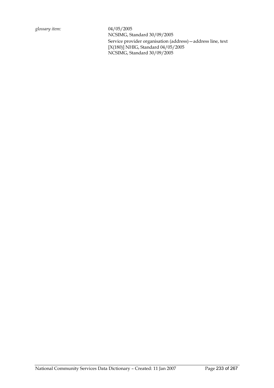*glossary item:* 04/05/2005 NCSIMG, Standard 30/09/2005 Service provider organisation (address)—address line, text [X(180)] NHIG, Standard 04/05/2005 NCSIMG, Standard 30/09/2005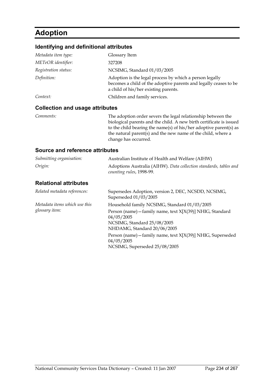# **Adoption**

### **Identifying and definitional attributes**

| Metadata item type:  | Glossary Item                                                                                                                                                       |
|----------------------|---------------------------------------------------------------------------------------------------------------------------------------------------------------------|
| METeOR identifier:   | 327208                                                                                                                                                              |
| Registration status: | NCSIMG, Standard 01/03/2005                                                                                                                                         |
| Definition:          | Adoption is the legal process by which a person legally<br>becomes a child of the adoptive parents and legally ceases to be<br>a child of his/her existing parents. |
| Context:             | Children and family services.                                                                                                                                       |
|                      |                                                                                                                                                                     |

#### **Collection and usage attributes**

*Comments:* The adoption order severs the legal relationship between the biological parents and the child. A new birth certificate is issued to the child bearing the name(s) of his/her adoptive parent(s) as the natural parent(s) and the new name of the child, where a change has occurred.

| Submitting organisation:                        | Australian Institute of Health and Welfare (AIHW)                                                                                                                                                                                                                                                   |
|-------------------------------------------------|-----------------------------------------------------------------------------------------------------------------------------------------------------------------------------------------------------------------------------------------------------------------------------------------------------|
| Origin:                                         | Adoptions Australia (AIHW). Data collection standards, tables and<br>counting rules, 1998-99.                                                                                                                                                                                                       |
| <b>Relational attributes</b>                    |                                                                                                                                                                                                                                                                                                     |
| Related metadata references:                    | Supersedes Adoption, version 2, DEC, NCSDD, NCSIMG,<br>Superseded 01/03/2005                                                                                                                                                                                                                        |
| Metadata items which use this<br>glossary item: | Household family NCSIMG, Standard 01/03/2005<br>Person (name) - family name, text X[X(39)] NHIG, Standard<br>04/05/2005<br>NCSIMG, Standard 25/08/2005<br>NHDAMG, Standard 20/06/2005<br>Person (name) - family name, text X[X(39)] NHIG, Superseded<br>04/05/2005<br>NCSIMG, Superseded 25/08/2005 |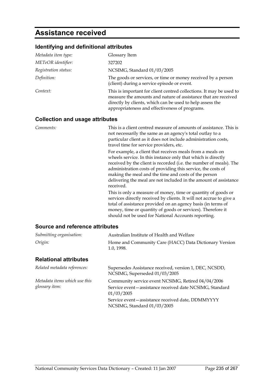### **Assistance received**

#### **Identifying and definitional attributes**

| Metadata item type:  | Glossary Item                                                                                                                                                                                                                                        |
|----------------------|------------------------------------------------------------------------------------------------------------------------------------------------------------------------------------------------------------------------------------------------------|
| METeOR identifier:   | 327202                                                                                                                                                                                                                                               |
| Registration status: | NCSIMG, Standard 01/03/2005                                                                                                                                                                                                                          |
| Definition:          | The goods or services, or time or money received by a person<br>(client) during a service episode or event.                                                                                                                                          |
| Context:             | This is important for client centred collections. It may be used to<br>measure the amounts and nature of assistance that are received<br>directly by clients, which can be used to help assess the<br>appropriateness and effectiveness of programs. |

#### **Collection and usage attributes**

*Comments:* This is a client centred measure of amounts of assistance. This is not necessarily the same as an agency's total outlay to a particular client as it does not include administration costs, travel time for service providers, etc.

For example, a client that receives meals from a meals on wheels service. In this instance only that which is directly received by the client is recorded (i.e. the number of meals). The administration costs of providing this service, the costs of making the meal and the time and costs of the person delivering the meal are not included in the amount of assistance received.

This is only a measure of money, time or quantity of goods or services directly received by clients. It will not accrue to give a total of assistance provided on an agency basis (in terms of money, time or quantity of goods or services). Therefore it should not be used for National Accounts reporting.

#### **Source and reference attributes**

| Submitting organisation:                        | Australian Institute of Health and Welfare                                                                                  |
|-------------------------------------------------|-----------------------------------------------------------------------------------------------------------------------------|
| Origin:                                         | Home and Community Care (HACC) Data Dictionary Version<br>1.0, 1998.                                                        |
| <b>Relational attributes</b>                    |                                                                                                                             |
| Related metadata references:                    | Supersedes Assistance received, version 1, DEC, NCSDD,<br>NCSIMG, Superseded 01/03/2005                                     |
| Metadata items which use this<br>glossary item: | Community service event NCSIMG, Retired 04/04/2006<br>Service event-assistance received date NCSIMG, Standard<br>01/03/2005 |

Service event—assistance received date, DDMMYYYY NCSIMG, Standard 01/03/2005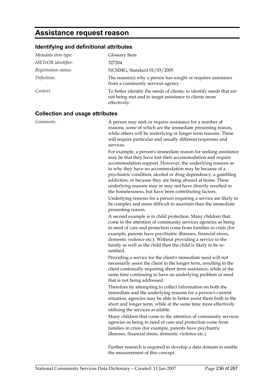# **Assistance request reason**

### **Identifying and definitional attributes**

| Metadata item type:  | Glossary Item                                                                                                                                 |
|----------------------|-----------------------------------------------------------------------------------------------------------------------------------------------|
| METeOR identifier:   | 327204                                                                                                                                        |
| Registration status: | NCSIMG, Standard 01/03/2005                                                                                                                   |
| Definition:          | The reason(s) why a person has sought or requires assistance<br>from a community services agency.                                             |
| Context:             | To better identify the needs of clients, to identify needs that are<br>not being met and to target assistance to clients more<br>effectively: |

### **Collection and usage attributes**

| Comments: | A person may seek or require assistance for a number of                                                                                                                                                                                                                                                                                                                                                                                                                                                    |
|-----------|------------------------------------------------------------------------------------------------------------------------------------------------------------------------------------------------------------------------------------------------------------------------------------------------------------------------------------------------------------------------------------------------------------------------------------------------------------------------------------------------------------|
|           | reasons, some of which are the immediate presenting reason,<br>while others will be underlying or longer term reasons. These<br>will require particular and usually different responses and<br>services.                                                                                                                                                                                                                                                                                                   |
|           | For example, a person's immediate reason for seeking assistance<br>may be that they have lost their accommodation and require<br>accommodation support. However, the underlying reasons as<br>to why they have no accommodation may be because of a<br>psychiatric condition, alcohol or drug dependency, a gambling<br>addiction, or because they are being abused at home. These<br>underlying reasons may or may not have directly resulted in<br>the homelessness, but have been contributing factors. |
|           | Underlying reasons for a person requiring a service are likely to<br>be complex and more difficult to ascertain than the immediate<br>presenting reason.                                                                                                                                                                                                                                                                                                                                                   |
|           | A second example is in child protection. Many children that<br>come to the attention of community services agencies as being<br>in need of care and protection come from families in crisis (for<br>example, parents have psychiatric illnesses, financial stress,<br>domestic violence etc.). Without providing a service to the<br>family as well as the child then the child is likely to be re-<br>notified.                                                                                           |
|           | Providing a service for the client's immediate need will not<br>necessarily assist the client in the longer term, resulting in the<br>client continually requiring short term assistance, while at the<br>same time continuing to have an underlying problem or need<br>that is not being addressed.                                                                                                                                                                                                       |
|           | Therefore by attempting to collect information on both the<br>immediate and the underlying reasons for a person's current<br>situation, agencies may be able to better assist them both in the<br>short and longer term, while at the same time more effectively<br>utilising the services available.                                                                                                                                                                                                      |
|           | Many children that come to the attention of community services<br>agencies as being in need of care and protection come from<br>families in crisis (for example, parents have psychiatric<br>illnesses, financial stress, domestic violence etc.).                                                                                                                                                                                                                                                         |
|           | Further research is required to develop a data domain to enable                                                                                                                                                                                                                                                                                                                                                                                                                                            |

the measurement of this concept.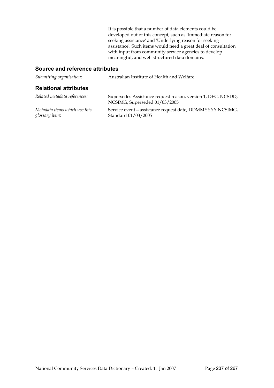It is possible that a number of data elements could be developed out of this concept, such as 'Immediate reason for seeking assistance' and 'Underlying reason for seeking assistance'. Such items would need a great deal of consultation with input from community service agencies to develop meaningful, and well structured data domains.

| Submitting organisation:                        | Australian Institute of Health and Welfare                                                    |
|-------------------------------------------------|-----------------------------------------------------------------------------------------------|
| <b>Relational attributes</b>                    |                                                                                               |
| Related metadata references:                    | Supersedes Assistance request reason, version 1, DEC, NCSDD,<br>NCSIMG, Superseded 01/03/2005 |
| Metadata items which use this<br>glossary item: | Service event - assistance request date, DDMMYYYY NCSIMG,<br>Standard 01/03/2005              |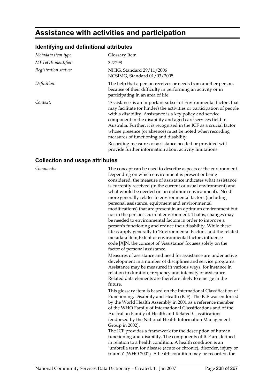### **Assistance with activities and participation**

#### **Identifying and definitional attributes**

| Metadata item type:  | Glossary Item                                                                                                                                                                                                                                                                                                                                                                                                                                       |
|----------------------|-----------------------------------------------------------------------------------------------------------------------------------------------------------------------------------------------------------------------------------------------------------------------------------------------------------------------------------------------------------------------------------------------------------------------------------------------------|
| METeOR identifier:   | 327298                                                                                                                                                                                                                                                                                                                                                                                                                                              |
| Registration status: | NHIG, Standard 29/11/2006<br>NCSIMG, Standard 01/03/2005                                                                                                                                                                                                                                                                                                                                                                                            |
| Definition:          | The help that a person receives or needs from another person,<br>because of their difficulty in performing an activity or in<br>participating in an area of life.                                                                                                                                                                                                                                                                                   |
| Context:             | 'Assistance' is an important subset of Environmental factors that<br>may facilitate (or hinder) the activities or participation of people<br>with a disability. Assistance is a key policy and service<br>component in the disability and aged care services field in<br>Australia. Further, it is recognised in the ICF as a crucial factor<br>whose presence (or absence) must be noted when recording<br>measures of functioning and disability. |
|                      | Recording measures of assistance needed or provided will<br>provide further information about activity limitations.                                                                                                                                                                                                                                                                                                                                 |

#### **Collection and usage attributes**

*Comments:* The concept can be used to describe aspects of the environment. Depending on which environment is present or being considered, the measure of assistance indicates what assistance is currently received (in the current or usual environment) and what would be needed (in an optimum environment). 'Need' more generally relates to environmental factors (including personal assistance, equipment and environmental modifications) that are present in an optimum environment but not in the person's current environment. That is, changes may be needed to environmental factors in order to improve a person's functioning and reduce their disability. While these ideas apply generally to 'Environmental Factors' and the related metadata item,Extent of environmental factors influence code [X]N, the concept of 'Assistance' focuses solely on the factor of personal assistance.

> Measures of assistance and need for assistance are under active development in a number of disciplines and service programs. Assistance may be measured in various ways, for instance in relation to duration, frequency and intensity of assistance. Related data elements are therefore likely to emerge in the future.

This glossary item is based on the International Classification of Functioning, Disability and Health (ICF). The ICF was endorsed by the World Health Assembly in 2001 as a reference member of the WHO Family of International Classifications and of the Australian Family of Health and Related Classifications (endorsed by the National Health Information Management Group in 2002).

The ICF provides a framework for the description of human functioning and disability. The components of ICF are defined in relation to a health condition. A health condition is an 'umbrella term for disease (acute or chronic), disorder, injury or trauma' (WHO 2001). A health condition may be recorded, for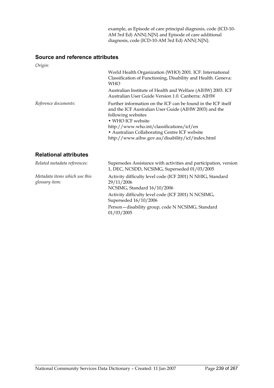example, as Episode of care principal diagnosis, code (ICD-10- AM 3rd Ed) ANN{.N[N} and Episode of care additional diagnosis, code (ICD-10-AM 3rd Ed) ANN{.N[N}.

#### **Source and reference attributes**

*glossary item:*

| Origin:                       |                                                                                                                                                                                                                                                                                                                     |
|-------------------------------|---------------------------------------------------------------------------------------------------------------------------------------------------------------------------------------------------------------------------------------------------------------------------------------------------------------------|
|                               | World Health Organization (WHO) 2001. ICF: International<br>Classification of Functioning, Disability and Health. Geneva:<br>WHO<br>Australian Institute of Health and Welfare (AIHW) 2003. ICF<br>Australian User Guide Version 1.0. Canberra: AIHW                                                                |
| Reference documents:          | Further information on the ICF can be found in the ICF itself<br>and the ICF Australian User Guide (AIHW 2003) and the<br>following websites<br>• WHO ICF website<br>http://www.who.int/classifications/icf/en<br>• Australian Collaborating Centre ICF website<br>http://www.aihw.gov.au/disability/icf/index.html |
| <b>Relational attributes</b>  |                                                                                                                                                                                                                                                                                                                     |
| Related metadata references:  | Supersedes Assistance with activities and participation, version<br>1, DEC, NCSDD, NCSIMG, Superseded 01/03/2005                                                                                                                                                                                                    |
| Metadata items which use this | Activity difficulty level code (ICF 2001) N NHIG, Standard                                                                                                                                                                                                                                                          |

NCSIMG, Standard 16/10/2006

Superseded 16/10/2006

Activity difficulty level code (ICF 2001) N NCSIMG,

Person—disability group, code N NCSIMG, Standard

29/11/2006

01/03/2005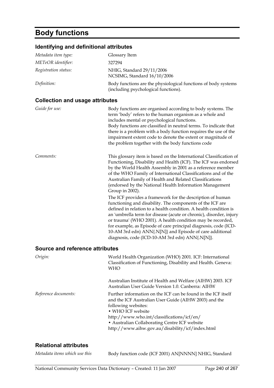# **Body functions**

### **Identifying and definitional attributes**

| identifying and definitional attributes |                                                                                                                                                                                                                                                                                                                                                                                                                                                                                                                  |
|-----------------------------------------|------------------------------------------------------------------------------------------------------------------------------------------------------------------------------------------------------------------------------------------------------------------------------------------------------------------------------------------------------------------------------------------------------------------------------------------------------------------------------------------------------------------|
| Metadata item type:                     | Glossary Item                                                                                                                                                                                                                                                                                                                                                                                                                                                                                                    |
| METeOR identifier:                      | 327294                                                                                                                                                                                                                                                                                                                                                                                                                                                                                                           |
| Registration status:                    | NHIG, Standard 29/11/2006<br>NCSIMG, Standard 16/10/2006                                                                                                                                                                                                                                                                                                                                                                                                                                                         |
| Definition:                             | Body functions are the physiological functions of body systems<br>(including psychological functions).                                                                                                                                                                                                                                                                                                                                                                                                           |
| <b>Collection and usage attributes</b>  |                                                                                                                                                                                                                                                                                                                                                                                                                                                                                                                  |
| Guide for use:                          | Body functions are organised according to body systems. The<br>term 'body' refers to the human organism as a whole and<br>includes mental or psychological functions.<br>Body functions are classified in neutral terms. To indicate that<br>there is a problem with a body function requires the use of the<br>impairment extent code to denote the extent or magnitude of<br>the problem together with the body functions code                                                                                 |
| Comments:                               | This glossary item is based on the International Classification of<br>Functioning, Disability and Health (ICF). The ICF was endorsed<br>by the World Health Assembly in 2001 as a reference member<br>of the WHO Family of International Classifications and of the<br>Australian Family of Health and Related Classifications<br>(endorsed by the National Health Information Management<br>Group in 2002).                                                                                                     |
|                                         | The ICF provides a framework for the description of human<br>functioning and disability. The components of the ICF are<br>defined in relation to a health condition. A health condition is<br>an 'umbrella term for disease (acute or chronic), disorder, injury<br>or trauma' (WHO 2001). A health condition may be recorded,<br>for example, as Episode of care principal diagnosis, code (ICD-<br>10-AM 3rd edn) ANN{.N[N]} and Episode of care additional<br>diagnosis, code (ICD-10-AM 3rd edn) ANN{.N[N]}. |
| <b>Source and reference attributes</b>  |                                                                                                                                                                                                                                                                                                                                                                                                                                                                                                                  |
| Origin:                                 | World Health Organization (WHO) 2001. ICF: International<br>Classification of Functioning, Disability and Health. Geneva:<br><b>WHO</b>                                                                                                                                                                                                                                                                                                                                                                          |
|                                         | Australian Institute of Health and Welfare (AIHW) 2003. ICF<br>Australian User Guide Version 1.0. Canberra: AIHW                                                                                                                                                                                                                                                                                                                                                                                                 |

*Reference documents:* Further information on the ICF can be found in the ICF itself

**Relational attributes** 

#### *Metadata items which use this* Body function code (ICF 2001) AN[NNNN] NHIG, Standard

http://www.who.int/classifications/icf/en/ • Australian Collaborating Centre ICF website http://www.aihw.gov.au/disability/icf/index.html

and the ICF Australian User Guide (AIHW 2003) and the

following websites: • WHO ICF website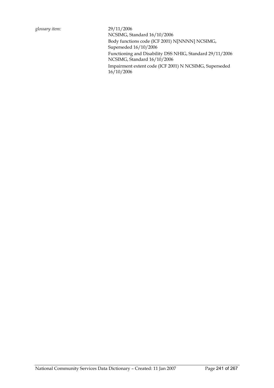NCSIMG, Standard 16/10/2006 Body functions code (ICF 2001) N[NNNN] NCSIMG, Superseded 16/10/2006 Functioning and Disability DSS NHIG, Standard 29/11/2006 NCSIMG, Standard 16/10/2006 Impairment extent code (ICF 2001) N NCSIMG, Superseded 16/10/2006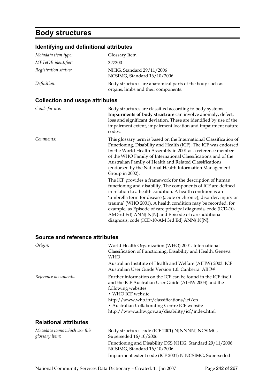# **Body structures**

### **Identifying and definitional attributes**

| Metadata item type:  | Glossary Item                                                                                   |
|----------------------|-------------------------------------------------------------------------------------------------|
| METeOR identifier:   | 327300                                                                                          |
| Registration status: | NHIG, Standard 29/11/2006<br>NCSIMG, Standard 16/10/2006                                        |
| Definition:          | Body structures are anatomical parts of the body such as<br>organs, limbs and their components. |

#### **Collection and usage attributes**

| Guide for use: | Body structures are classified according to body systems.<br>Impairments of body structrure can involve anomaly, defect,<br>loss and significant deviation. These are identified by use of the<br>impairment extent, impairment location and impairment nature<br>codes.                                                                                                                                                                                                                                                                                                                                                                                                                                                                                                                                                                                                                                                 |
|----------------|--------------------------------------------------------------------------------------------------------------------------------------------------------------------------------------------------------------------------------------------------------------------------------------------------------------------------------------------------------------------------------------------------------------------------------------------------------------------------------------------------------------------------------------------------------------------------------------------------------------------------------------------------------------------------------------------------------------------------------------------------------------------------------------------------------------------------------------------------------------------------------------------------------------------------|
| Comments:      | This glossary term is based on the International Classification of<br>Functioning, Disability and Health (ICF). The ICF was endorsed<br>by the World Health Assembly in 2001 as a reference member<br>of the WHO Family of International Classifications and of the<br>Australian Family of Health and Related Classifications<br>(endorsed by the National Health Information Management<br>Group in 2002).<br>The ICF provides a framework for the description of human<br>functioning and disability. The components of ICF are defined<br>in relation to a health condition. A health condition is an<br>'umbrella term for disease (acute or chronic), disorder, injury or<br>trauma' (WHO 2001). A health condition may be recorded, for<br>example, as Episode of care principal diagnosis, code (ICD-10-<br>AM 3rd Ed) ANN{.N[N] and Episode of care additional<br>diagnosis, code (ICD-10-AM 3rd Ed) ANN{.N[N]. |

| Origin:                                         | World Health Organization (WHO) 2001. International<br>Classification of Functioning, Disability and Health. Geneva:<br>WHO                                                                                                                                                                                         |
|-------------------------------------------------|---------------------------------------------------------------------------------------------------------------------------------------------------------------------------------------------------------------------------------------------------------------------------------------------------------------------|
|                                                 | Australian Institute of Health and Welfare (AIHW) 2003. ICF<br>Australian User Guide Version 1.0. Canberra: AIHW                                                                                                                                                                                                    |
| Reference documents:                            | Further information on the ICF can be found in the ICF itself<br>and the ICF Australian User Guide (AIHW 2003) and the<br>following websites<br>• WHO ICF website<br>http://www.who.int/classifications/icf/en<br>• Australian Collaborating Centre ICF website<br>http://www.aihw.gov.au/disability/icf/index.html |
| <b>Relational attributes</b>                    |                                                                                                                                                                                                                                                                                                                     |
| Metadata items which use this<br>glossary item: | Body structures code (ICF 2001) N[NNNN] NCSIMG,<br>Superseded $16/10/2006$                                                                                                                                                                                                                                          |
|                                                 | Functioning and Disability DSS NHIG, Standard 29/11/2006<br>NCSIMG, Standard 16/10/2006                                                                                                                                                                                                                             |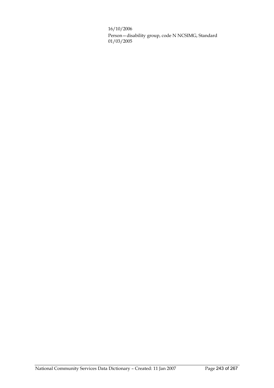16/10/2006

Person—disability group, code N NCSIMG, Standard 01/03/2005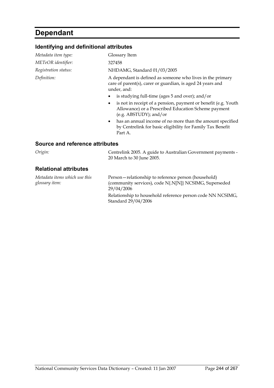# **Dependant**

#### **Identifying and definitional attributes**

| Metadata item type:  | Glossary Item                                                                                                                                   |
|----------------------|-------------------------------------------------------------------------------------------------------------------------------------------------|
| METeOR identifier:   | 327458                                                                                                                                          |
| Registration status: | NHDAMG, Standard 01/03/2005                                                                                                                     |
| Definition:          | A dependant is defined as someone who lives in the primary<br>care of parent(s), carer or guardian, is aged 24 years and<br>under, and:         |
|                      | is studying full-time (ages 5 and over); and/or                                                                                                 |
|                      | is not in receipt of a pension, payment or benefit (e.g. Youth<br>Allowance) or a Prescribed Education Scheme payment<br>(e.g. ABSTUDY); and/or |
|                      |                                                                                                                                                 |

• has an annual income of no more than the amount specified by Centrelink for basic eligibility for Family Tax Benefit Part A.

#### **Source and reference attributes**

*Origin:* Centrelink 2005. A guide to Australian Government payments - 20 March to 30 June 2005.

#### **Relational attributes**

*Metadata items which use this glossary item:* Person—relationship to reference person (household) (community services), code N{.N[N]} NCSIMG, Superseded 29/04/2006 Relationship to household reference person code NN NCSIMG, Standard 29/04/2006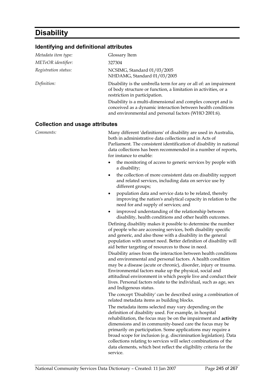### **Disability**

#### **Identifying and definitional attributes**

| Glossary Item                                                                                                                                                                        |
|--------------------------------------------------------------------------------------------------------------------------------------------------------------------------------------|
| 327304                                                                                                                                                                               |
| NCSIMG, Standard 01/03/2005<br>NHDAMG, Standard 01/03/2005                                                                                                                           |
| Disability is the umbrella term for any or all of: an impairment<br>of body structure or function, a limitation in activities, or a<br>restriction in participation.                 |
| Disability is a multi-dimensional and complex concept and is<br>conceived as a dynamic interaction between health conditions<br>and environmental and personal factors (WHO 2001:6). |
|                                                                                                                                                                                      |

#### **Collection and usage attributes**

*Comments:* **Many different 'definitions' of disability are used in Australia,** both in administrative data collections and in Acts of Parliament. The consistent identification of disability in national data collections has been recommended in a number of reports, for instance to enable:

- the monitoring of access to generic services by people with a disability;
- the collection of more consistent data on disability support and related services, including data on service use by different groups;
- population data and service data to be related, thereby improving the nation's analytical capacity in relation to the need for and supply of services; and
- improved understanding of the relationship between disability, health conditions and other health outcomes.

Defining disability makes it possible to determine the number of people who are accessing services, both disability specific and generic, and also those with a disability in the general population with unmet need. Better definition of disability will aid better targeting of resources to those in need.

Disability arises from the interaction between health conditions and environmental and personal factors. A health condition may be a disease (acute or chronic), disorder, injury or trauma. Environmental factors make up the physical, social and attitudinal environment in which people live and conduct their lives. Personal factors relate to the individual, such as age, sex and Indigenous status.

The concept 'Disability' can be described using a combination of related metadata items as building blocks.

The metadata items selected may vary depending on the definition of disability used. For example, in hospital rehabilitation, the focus may be on the impairment and **activity** dimensions and in community-based care the focus may be primarily on participation. Some applications may require a broad scope for inclusion (e.g. discrimination legislation). Data collections relating to services will select combinations of the data elements, which best reflect the eligibility criteria for the service.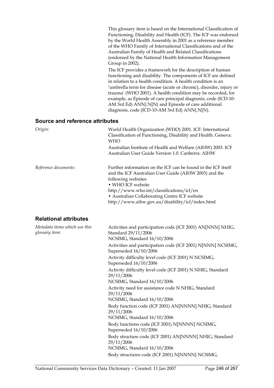This glossary item is based on the International Classification of Functioning, Disability and Health (ICF). The ICF was endorsed by the World Health Assembly in 2001 as a reference member of the WHO Family of International Classifications and of the Australian Family of Health and Related Classifications (endorsed by the National Health Information Management Group in 2002).

The ICF provides a framework for the description of human functioning and disability. The components of ICF are defined in relation to a health condition. A health condition is an 'umbrella term for disease (acute or chronic), disorder, injury or trauma' (WHO 2001). A health condition may be recorded, for example, as Episode of care principal diagnosis, code (ICD-10- AM 3rd Ed) ANN{.N[N} and Episode of care additional diagnosis, code (ICD-10-AM 3rd Ed) ANN{.N[N}.

| Origin:                                         | World Health Organization (WHO) 2001. ICF: International<br>Classification of Functioning, Disability and Health. Geneva:<br><b>WHO</b>                                                                                                                                                                             |
|-------------------------------------------------|---------------------------------------------------------------------------------------------------------------------------------------------------------------------------------------------------------------------------------------------------------------------------------------------------------------------|
|                                                 | Australian Institute of Health and Welfare (AIHW) 2003. ICF<br>Australian User Guide Version 1.0. Canberra: AIHW                                                                                                                                                                                                    |
| Reference documents:                            | Further information on the ICF can be found in the ICF itself<br>and the ICF Australian User Guide (AIHW 2003) and the<br>following websites<br>· WHO ICF website<br>http://www.who.int/classifications/icf/en<br>• Australian Collaborating Centre ICF website<br>http://www.aihw.gov.au/disability/icf/index.html |
| <b>Relational attributes</b>                    |                                                                                                                                                                                                                                                                                                                     |
| Metadata items which use this<br>glossary item: | Activities and participation code (ICF 2001) AN[NNN] NHIG,<br>Standard 29/11/2006<br>NCSIMG, Standard 16/10/2006                                                                                                                                                                                                    |
|                                                 | Activities and participation code (ICF 2001) N[NNN] NCSIMG,<br>Superseded 16/10/2006                                                                                                                                                                                                                                |
|                                                 | Activity difficulty level code (ICF 2001) N NCSIMG,<br>Superseded 16/10/2006                                                                                                                                                                                                                                        |
|                                                 | Activity difficulty level code (ICF 2001) N NHIG, Standard<br>29/11/2006<br>NCSIMG, Standard 16/10/2006                                                                                                                                                                                                             |
|                                                 | Activity need for assistance code N NHIG, Standard<br>29/11/2006<br>NCSIMG, Standard 16/10/2006                                                                                                                                                                                                                     |
|                                                 | Body function code (ICF 2001) AN[NNNN] NHIG, Standard<br>29/11/2006<br>NCSIMG, Standard 16/10/2006                                                                                                                                                                                                                  |
|                                                 | Body functions code (ICF 2001) N[NNNN] NCSIMG,<br>Superseded 16/10/2006                                                                                                                                                                                                                                             |
|                                                 | Body structure code (ICF 2001) AN[NNNN] NHIG, Standard<br>29/11/2006<br>NCSIMG, Standard 16/10/2006                                                                                                                                                                                                                 |
|                                                 | Body structures code (ICF 2001) N[NNNN] NCSIMG,                                                                                                                                                                                                                                                                     |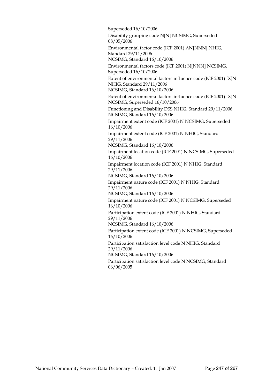Superseded 16/10/2006

Disability grouping code N[N] NCSIMG, Superseded 08/05/2006

Environmental factor code (ICF 2001) AN[NNN] NHIG, Standard 29/11/2006

NCSIMG, Standard 16/10/2006

Environmental factors code (ICF 2001) N[NNN] NCSIMG, Superseded 16/10/2006

Extent of environmental factors influence code (ICF 2001) [X]N NHIG, Standard 29/11/2006

NCSIMG, Standard 16/10/2006

Extent of environmental factors influence code (ICF 2001) [X]N NCSIMG, Superseded 16/10/2006

Functioning and Disability DSS NHIG, Standard 29/11/2006 NCSIMG, Standard 16/10/2006

Impairment extent code (ICF 2001) N NCSIMG, Superseded 16/10/2006

Impairment extent code (ICF 2001) N NHIG, Standard 29/11/2006

NCSIMG, Standard 16/10/2006

Impairment location code (ICF 2001) N NCSIMG, Superseded 16/10/2006

Impairment location code (ICF 2001) N NHIG, Standard 29/11/2006

NCSIMG, Standard 16/10/2006

Impairment nature code (ICF 2001) N NHIG, Standard 29/11/2006

NCSIMG, Standard 16/10/2006

Impairment nature code (ICF 2001) N NCSIMG, Superseded 16/10/2006

Participation extent code (ICF 2001) N NHIG, Standard 29/11/2006

NCSIMG, Standard 16/10/2006

Participation extent code (ICF 2001) N NCSIMG, Superseded 16/10/2006

Participation satisfaction level code N NHIG, Standard 29/11/2006

NCSIMG, Standard 16/10/2006

Participation satisfaction level code N NCSIMG, Standard 06/06/2005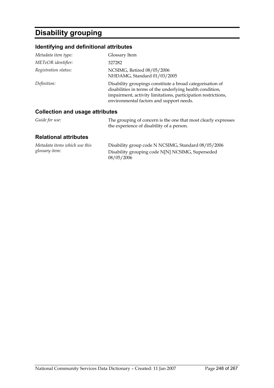# **Disability grouping**

### **Identifying and definitional attributes**

| Metadata item type:             | Glossary Item                                                                                                                                                                                                                       |
|---------------------------------|-------------------------------------------------------------------------------------------------------------------------------------------------------------------------------------------------------------------------------------|
| METeOR identifier:              | 327282                                                                                                                                                                                                                              |
| Registration status:            | NCSIMG, Retired 08/05/2006<br>NHDAMG, Standard 01/03/2005                                                                                                                                                                           |
| Definition:                     | Disability groupings constitute a broad categorisation of<br>disabilities in terms of the underlying health condition,<br>impairment, activity limitations, participation restrictions,<br>environmental factors and support needs. |
| Collection and usage attributes |                                                                                                                                                                                                                                     |

#### **Collection and usage attributes**

| Guide for use: | The grouping of concern is the one that most clearly expresses |
|----------------|----------------------------------------------------------------|
|                | the experience of disability of a person.                      |

| Metadata items which use this | Disability group code N NCSIMG, Standard 08/05/2006 |
|-------------------------------|-----------------------------------------------------|
| glossary item:                | Disability grouping code N[N] NCSIMG, Superseded    |
|                               | 08/05/2006                                          |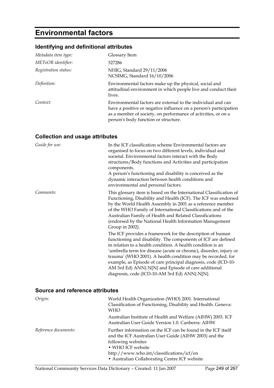# **Environmental factors**

### **Identifying and definitional attributes**

| Metadata item type:  | Glossary Item                                                                                                                                                                                                                              |
|----------------------|--------------------------------------------------------------------------------------------------------------------------------------------------------------------------------------------------------------------------------------------|
| METeOR identifier:   | 327286                                                                                                                                                                                                                                     |
| Registration status: | NHIG, Standard 29/11/2006<br>NCSIMG, Standard 16/10/2006                                                                                                                                                                                   |
| Definition:          | Environmental factors make up the physical, social and<br>attitudinal environment in which people live and conduct their<br>lives.                                                                                                         |
| Context:             | Environmental factors are external to the individual and can<br>have a positive or negative influence on a person's participation<br>as a member of society, on performance of activities, or on a<br>person's body function or structure. |

### **Collection and usage attributes**

| Guide for use: | In the ICF classification scheme Environmental factors are<br>organised to focus on two different levels, individual and<br>societal. Environmental factors interact with the Body<br>structures/Body functions and Activities and participation<br>components.<br>A person's functioning and disability is conceived as the<br>dynamic interaction between health conditions and<br>environmental and personal factors.                                                                                 |
|----------------|----------------------------------------------------------------------------------------------------------------------------------------------------------------------------------------------------------------------------------------------------------------------------------------------------------------------------------------------------------------------------------------------------------------------------------------------------------------------------------------------------------|
| Comments:      | This glossary item is based on the International Classification of<br>Functioning, Disability and Health (ICF). The ICF was endorsed<br>by the World Health Assembly in 2001 as a reference member<br>of the WHO Family of International Classifications and of the<br>Australian Family of Health and Related Classifications<br>(endorsed by the National Health Information Management<br>Group in 2002).                                                                                             |
|                | The ICF provides a framework for the description of human<br>functioning and disability. The components of ICF are defined<br>in relation to a health condition. A health condition is an<br>'umbrella term for disease (acute or chronic), disorder, injury or<br>trauma' (WHO 2001). A health condition may be recorded, for<br>example, as Episode of care principal diagnosis, code (ICD-10-<br>AM 3rd Ed) ANN{.N[N} and Episode of care additional<br>diagnosis, code (ICD-10-AM 3rd Ed) ANN{.N[N]. |

| Origin:              | World Health Organization (WHO) 2001. International<br>Classification of Functioning, Disability and Health. Geneva:<br>WHO                                                                                                                                     |
|----------------------|-----------------------------------------------------------------------------------------------------------------------------------------------------------------------------------------------------------------------------------------------------------------|
|                      | Australian Institute of Health and Welfare (AIHW) 2003. ICF<br>Australian User Guide Version 1.0. Canberra: AIHW                                                                                                                                                |
| Reference documents: | Further information on the ICF can be found in the ICF itself<br>and the ICF Australian User Guide (AIHW 2003) and the<br>following websites<br>• WHO ICF website<br>http://www.who.int/classifications/icf/en<br>• Australian Collaborating Centre ICF website |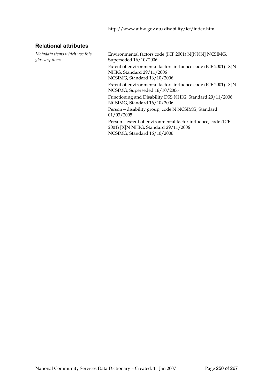### **Relational attributes**

*Metadata items which use this glossary item:*

Environmental factors code (ICF 2001) N[NNN] NCSIMG, Superseded 16/10/2006 Extent of environmental factors influence code (ICF 2001) [X]N NHIG, Standard 29/11/2006 NCSIMG, Standard 16/10/2006 Extent of environmental factors influence code (ICF 2001) [X]N NCSIMG, Superseded 16/10/2006 Functioning and Disability DSS NHIG, Standard 29/11/2006 NCSIMG, Standard 16/10/2006 Person—disability group, code N NCSIMG, Standard 01/03/2005 Person—extent of environmental factor influence, code (ICF 2001) [X]N NHIG, Standard 29/11/2006

NCSIMG, Standard 16/10/2006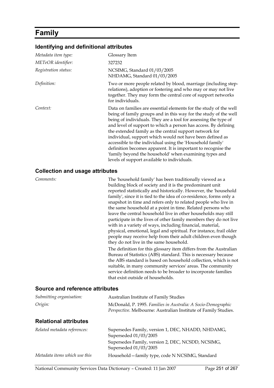### **Family**

#### **Identifying and definitional attributes**

| Metadata item type:  | Glossary Item                                                                                                                                                                                                                                                                                                                                                                                                                                                                                                                                                                                                                           |
|----------------------|-----------------------------------------------------------------------------------------------------------------------------------------------------------------------------------------------------------------------------------------------------------------------------------------------------------------------------------------------------------------------------------------------------------------------------------------------------------------------------------------------------------------------------------------------------------------------------------------------------------------------------------------|
| METeOR identifier:   | 327232                                                                                                                                                                                                                                                                                                                                                                                                                                                                                                                                                                                                                                  |
| Registration status: | NCSIMG, Standard 01/03/2005<br>NHDAMG, Standard 01/03/2005                                                                                                                                                                                                                                                                                                                                                                                                                                                                                                                                                                              |
| Definition:          | Two or more people related by blood, marriage (including step-<br>relations), adoption or fostering and who may or may not live<br>together. They may form the central core of support networks<br>for individuals.                                                                                                                                                                                                                                                                                                                                                                                                                     |
| Context:             | Data on families are essential elements for the study of the well<br>being of family groups and in this way for the study of the well<br>being of individuals. They are a tool for assessing the type of<br>and level of support to which a person has access. By defining<br>the extended family as the central support network for<br>individual, support which would not have been defined as<br>accessible to the individual using the 'Household family'<br>definition becomes apparent. It is important to recognise the<br>'family beyond the household' when examining types and<br>levels of support available to individuals. |

#### **Collection and usage attributes**

*Comments:* The 'household family' has been traditionally viewed as a building block of society and it is the predominant unit reported statistically and historically. However, the 'household family', since it is tied to the idea of co-residence, forms only a snapshot in time and refers only to related people who live in the same household at a point in time. Related persons who leave the central household live in other households may still participate in the lives of other family members they do not live with in a variety of ways, including financial, material, physical, emotional, legal and spiritual. For instance, frail older people may receive help from their adult children even though they do not live in the same household. The definition for this glossary item differs from the Australian Bureau of Statistics (ABS) standard. This is necessary because the ABS standard is based on household collection, which is not suitable, in many community services' areas. The community service definition needs to be broader to incorporate families that exist outside of households.

| Submitting organisation:      | Australian Institute of Family Studies                                                                                           |
|-------------------------------|----------------------------------------------------------------------------------------------------------------------------------|
| Origin:                       | McDonald, P. 1995. Families in Australia: A Socio-Demographic<br>Perspective. Melbourne: Australian Institute of Family Studies. |
| <b>Relational attributes</b>  |                                                                                                                                  |
| Related metadata references:  | Supersedes Family, version 1, DEC, NHADD, NHDAMG,<br>Superseded 01/03/2005                                                       |
|                               | Supersedes Family, version 2, DEC, NCSDD, NCSIMG,<br>Superseded 01/03/2005                                                       |
| Metadata items which use this | Household - family type, code N NCSIMG, Standard                                                                                 |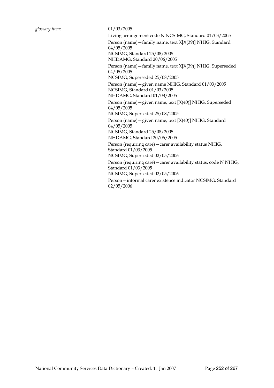Living arrangement code N NCSIMG, Standard 01/03/2005 Person (name)—family name, text X[X(39)] NHIG, Standard 04/05/2005 NCSIMG, Standard 25/08/2005

NHDAMG, Standard 20/06/2005

Person (name)—family name, text X[X(39)] NHIG, Superseded 04/05/2005

NCSIMG, Superseded 25/08/2005

Person (name)—given name NHIG, Standard 01/03/2005 NCSIMG, Standard 01/03/2005 NHDAMG, Standard 01/08/2005

Person (name)—given name, text [X(40)] NHIG, Superseded 04/05/2005

NCSIMG, Superseded 25/08/2005

Person (name)—given name, text [X(40)] NHIG, Standard 04/05/2005

NCSIMG, Standard 25/08/2005

NHDAMG, Standard 20/06/2005

Person (requiring care)—carer availability status NHIG, Standard 01/03/2005

NCSIMG, Superseded 02/05/2006

Person (requiring care)—carer availability status, code N NHIG, Standard 01/03/2005

NCSIMG, Superseded 02/05/2006

Person—informal carer existence indicator NCSIMG, Standard 02/05/2006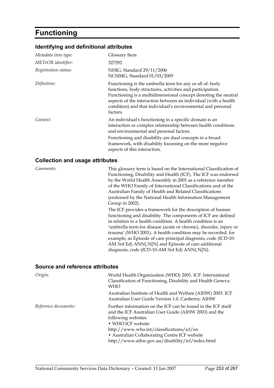# **Functioning**

## **Identifying and definitional attributes**

| Metadata item type:  | Glossary Item                                                                                                                                                                                                                                                                                                                         |
|----------------------|---------------------------------------------------------------------------------------------------------------------------------------------------------------------------------------------------------------------------------------------------------------------------------------------------------------------------------------|
| METeOR identifier:   | 327292                                                                                                                                                                                                                                                                                                                                |
| Registration status: | NHIG, Standard 29/11/2006<br>NCSIMG, Standard 01/03/2005                                                                                                                                                                                                                                                                              |
| Definition:          | Functioning is the umbrella term for any or all of: body<br>functions, body structures, activities and participation.<br>Functioning is a multidimensional concept denoting the neutral<br>aspects of the interaction between an individual (with a health<br>condition) and that individual's environmental and personal<br>factors. |
| Context:             | An individual's functioning in a specific domain is an<br>interaction or complex relationship between health conditions<br>and environmental and personal factors.                                                                                                                                                                    |
|                      | Functioning and disability are dual concepts in a broad<br>framework, with disability focussing on the more negative<br>aspects of this interaction.                                                                                                                                                                                  |

#### **Collection and usage attributes**

*Comments:* This glossary term is based on the International Classification of Functioning, Disability and Health (ICF). The ICF was endorsed by the World Health Assembly in 2001 as a reference member of the WHO Family of International Classifications and of the Australian Family of Health and Related Classifications (endorsed by the National Health Information Management Group in 2002).

> The ICF provides a framework for the description of human functioning and disability. The components of ICF are defined in relation to a health condition. A health condition is an 'umbrella term for disease (acute or chronic), disorder, injury or trauma' (WHO 2001). A health condition may be recorded, for example, as Episode of care principal diagnosis, code (ICD-10- AM 3rd Ed) ANN{.N[N} and Episode of care additional diagnosis, code (ICD-10-AM 3rd Ed) ANN{.N[N}.

#### **Source and reference attributes**

| Origin:              | World Health Organization (WHO) 2001. ICF: International<br>Classification of Functioning, Disability and Health Geneva:<br>WHO                                                                                                                                                                                     |
|----------------------|---------------------------------------------------------------------------------------------------------------------------------------------------------------------------------------------------------------------------------------------------------------------------------------------------------------------|
|                      | Australian Institute of Health and Welfare (AIHW) 2003. ICF<br>Australian User Guide Version 1.0. Canberra: AIHW                                                                                                                                                                                                    |
| Reference documents: | Further information on the ICF can be found in the ICF itself<br>and the ICF Australian User Guide (AIHW 2003) and the<br>following websites<br>• WHO ICF website<br>http://www.who.int/classifications/icf/en<br>• Australian Collaborating Centre ICF website<br>http://www.aihw.gov.au/disability/icf/index.html |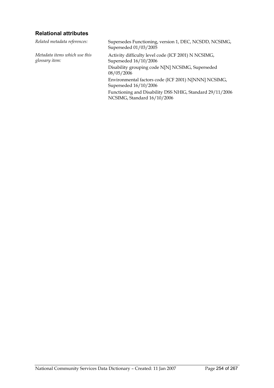## **Relational attributes**

*Related metadata references:* Supersedes Functioning, version 1, DEC, NCSDD, NCSIMG, Superseded 01/03/2005 *Metadata items which use this glossary item:* Activity difficulty level code (ICF 2001) N NCSIMG, Superseded 16/10/2006 Disability grouping code N[N] NCSIMG, Superseded 08/05/2006 Environmental factors code (ICF 2001) N[NNN] NCSIMG, Superseded 16/10/2006 Functioning and Disability DSS NHIG, Standard 29/11/2006 NCSIMG, Standard 16/10/2006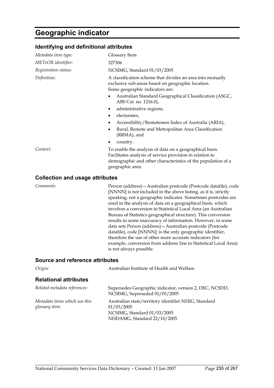## **Geographic indicator**

### **Identifying and definitional attributes**

| 327306                                                                                                                                                                                                  |
|---------------------------------------------------------------------------------------------------------------------------------------------------------------------------------------------------------|
| NCSIMG, Standard 01/03/2005                                                                                                                                                                             |
| A classification scheme that divides an area into mutually<br>exclusive sub-areas based on geographic location.<br>Some geographic indicators are:                                                      |
| Australian Standard Geographical Classification (ASGC,<br>ABS Cat. no. 1216.0),                                                                                                                         |
| administrative regions,                                                                                                                                                                                 |
| electorates,                                                                                                                                                                                            |
| Accessibility/Remoteness Index of Australia (ARIA),                                                                                                                                                     |
| Rural, Remote and Metropolitan Area Classification<br>(RRMA), and                                                                                                                                       |
| country.                                                                                                                                                                                                |
| To enable the analysis of data on a geographical basis.<br>Facilitates analysis of service provision in relation to<br>demographic and other characteristics of the population of a<br>geographic area. |
|                                                                                                                                                                                                         |

#### **Collection and usage attributes**

*Comments:* Person (address)—Australian postcode (Postcode datafile), code [NNNN] is not included in the above listing, as it is, strictly speaking, not a geographic indicator. Sometimes postcodes are used in the analysis of data on a geographical basis, which involves a conversion to Statistical Local Area (an Australian Bureau of Statistics geographical structure). This conversion results in some inaccuracy of information. However, in some data sets Person (address)—Australian postcode (Postcode datafile), code [NNNN]; is the only geographic identifier, therefore the use of other more accurate indicators (for example, conversion from address line to Statistical Local Area) is not always possible.

#### **Source and reference attributes**

| Origin:                                         | Australian Institute of Health and Welfare.                                                                                      |
|-------------------------------------------------|----------------------------------------------------------------------------------------------------------------------------------|
| <b>Relational attributes</b>                    |                                                                                                                                  |
| Related metadata references:                    | Supersedes Geographic indicator, version 2, DEC, NCSDD,<br>NCSIMG, Superseded 01/03/2005                                         |
| Metadata items which use this<br>glossary item: | Australian state/territory identifier NHIG, Standard<br>01/03/2005<br>NCSIMG, Standard 01/03/2005<br>NHDAMG, Standard 22/10/2005 |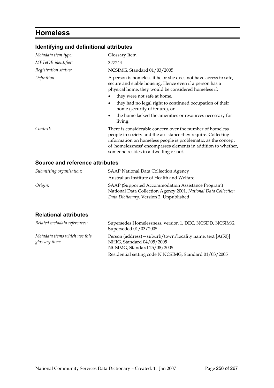# **Homeless**

## **Identifying and definitional attributes**

| Metadata item type:  | Glossary Item                                                                                                                                                                                                                                                                                          |
|----------------------|--------------------------------------------------------------------------------------------------------------------------------------------------------------------------------------------------------------------------------------------------------------------------------------------------------|
| METeOR identifier:   | 327244                                                                                                                                                                                                                                                                                                 |
| Registration status: | NCSIMG, Standard 01/03/2005                                                                                                                                                                                                                                                                            |
| Definition:          | A person is homeless if he or she does not have access to safe,<br>secure and stable housing. Hence even if a person has a<br>physical home, they would be considered homeless if:<br>they were not safe at home,<br>they had no legal right to continued occupation of their                          |
|                      | home (security of tenure), or<br>the home lacked the amenities or resources necessary for<br>$\bullet$<br>living.                                                                                                                                                                                      |
| Context:             | There is considerable concern over the number of homeless<br>people in society and the assistance they require. Collecting<br>information on homeless people is problematic, as the concept<br>of 'homelessness' encompasses elements in addition to whether,<br>someone resides in a dwelling or not. |

## **Source and reference attributes**

| Submitting organisation: | <b>SAAP National Data Collection Agency</b>                    |
|--------------------------|----------------------------------------------------------------|
|                          | Australian Institute of Health and Welfare                     |
| Origin:                  | SAAP (Supported Accommodation Assistance Program)              |
|                          | National Data Collection Agency 2001. National Data Collection |
|                          | Data Dictionary. Version 2. Unpublished                        |

| Related metadata references:                    | Supersedes Homelessness, version 1, DEC, NCSDD, NCSIMG,<br>Superseded 01/03/2005                                         |
|-------------------------------------------------|--------------------------------------------------------------------------------------------------------------------------|
| Metadata items which use this<br>glossary item: | Person (address) – suburb/town/locality name, text $[A(50)]$<br>NHIG, Standard 04/05/2005<br>NCSIMG, Standard 25/08/2005 |
|                                                 | Residential setting code N NCSIMG, Standard 01/03/2005                                                                   |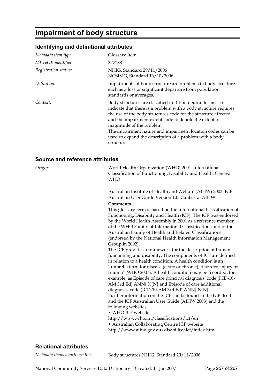# **Impairment of body structure**

## **Identifying and definitional attributes**

| Metadata item type:  | Glossary Item                                                                                                                                                                                                                                                                                                                                                                                                                 |
|----------------------|-------------------------------------------------------------------------------------------------------------------------------------------------------------------------------------------------------------------------------------------------------------------------------------------------------------------------------------------------------------------------------------------------------------------------------|
| METeOR identifier:   | 327288                                                                                                                                                                                                                                                                                                                                                                                                                        |
| Registration status: | NHIG, Standard 29/11/2006<br>NCSIMG, Standard 16/10/2006                                                                                                                                                                                                                                                                                                                                                                      |
| Definition:          | Impairments of body structure are problems in body structure<br>such as a loss or significant departure from population<br>standards or averages.                                                                                                                                                                                                                                                                             |
| Context:             | Body structures are classified in ICF in neutral terms. To<br>indicate that there is a problem with a body structure requires<br>the use of the body structures code for the structure affected<br>and the impairment extent code to denote the extent or<br>magnitude of the problem.<br>The impairment nature and impairment location codes can be<br>used to expand the description of a problem with a body<br>structure. |

#### **Source and reference attributes**

| Origin: | World Health Organization (WHO) 2001. International<br>Classification of Functioning, Disability and Health. Geneva:<br><b>WHO</b>                                                                                                                                                                                                                                                                                                                                                                                                                                                                                                                                                                                                                                                                                                                                                                                                                                                                                                                                                                                                                                                                                                                                                                                                                                              |
|---------|---------------------------------------------------------------------------------------------------------------------------------------------------------------------------------------------------------------------------------------------------------------------------------------------------------------------------------------------------------------------------------------------------------------------------------------------------------------------------------------------------------------------------------------------------------------------------------------------------------------------------------------------------------------------------------------------------------------------------------------------------------------------------------------------------------------------------------------------------------------------------------------------------------------------------------------------------------------------------------------------------------------------------------------------------------------------------------------------------------------------------------------------------------------------------------------------------------------------------------------------------------------------------------------------------------------------------------------------------------------------------------|
|         | Australian Institute of Health and Welfare (AIHW) 2003. ICF<br>Australian User Guide Version 1.0. Canberra: AIHW<br>Comments<br>This glossary term is based on the International Classification of<br>Functioning, Disability and Health (ICF). The ICF was endorsed<br>by the World Health Assembly in 2001 as a reference member<br>of the WHO Family of International Classifications and of the<br>Australian Family of Health and Related Classifications<br>(endorsed by the National Health Information Management<br>Group in 2002).<br>The ICF provides a framework for the description of human<br>functioning and disability. The components of ICF are defined<br>in relation to a health condition. A health condition is an<br>'umbrella term for disease (acute or chronic), disorder, injury or<br>trauma' (WHO 2001). A health condition may be recorded, for<br>example, as Episode of care principal diagnosis, code (ICD-10-<br>AM 3rd Ed) ANN{.N[N} and Episode of care additional<br>diagnosis, code (ICD-10-AM 3rd Ed) ANN{.N[N].<br>Further information on the ICF can be found in the ICF itself<br>and the ICF Australian User Guide (AIHW 2003) and the<br>following websites<br>• WHO ICF website<br>http://www.who.int/classifications/icf/en<br>• Australian Collaborating Centre ICF website<br>http://www.aihw.gov.au/disability/icf/index.html |
|         |                                                                                                                                                                                                                                                                                                                                                                                                                                                                                                                                                                                                                                                                                                                                                                                                                                                                                                                                                                                                                                                                                                                                                                                                                                                                                                                                                                                 |

## **Relational attributes**

*Metadata items which use this* Body structures NHIG, Standard 29/11/2006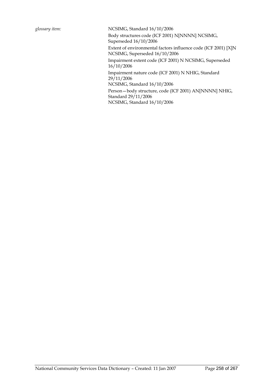*glossary item:* NCSIMG, Standard 16/10/2006 Body structures code (ICF 2001) N[NNNN] NCSIMG, Superseded 16/10/2006 Extent of environmental factors influence code (ICF 2001) [X]N NCSIMG, Superseded 16/10/2006 Impairment extent code (ICF 2001) N NCSIMG, Superseded 16/10/2006 Impairment nature code (ICF 2001) N NHIG, Standard 29/11/2006 NCSIMG, Standard 16/10/2006 Person—body structure, code (ICF 2001) AN[NNNN] NHIG, Standard 29/11/2006 NCSIMG, Standard 16/10/2006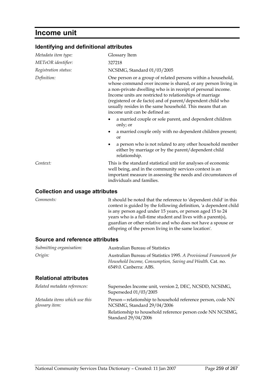## **Income unit**

## **Identifying and definitional attributes**

| Metadata item type:  | Glossary Item                                                                                                                                                                                                                                                                                                                                                                                                         |
|----------------------|-----------------------------------------------------------------------------------------------------------------------------------------------------------------------------------------------------------------------------------------------------------------------------------------------------------------------------------------------------------------------------------------------------------------------|
| METeOR identifier:   | 327218                                                                                                                                                                                                                                                                                                                                                                                                                |
| Registration status: | NCSIMG, Standard 01/03/2005                                                                                                                                                                                                                                                                                                                                                                                           |
| Definition:          | One person or a group of related persons within a household,<br>whose command over income is shared, or any person living in<br>a non-private dwelling who is in receipt of personal income.<br>Income units are restricted to relationships of marriage<br>(registered or de facto) and of parent/dependent child who<br>usually resides in the same household. This means that an<br>income unit can be defined as: |
|                      | a married couple or sole parent, and dependent children<br>only; or                                                                                                                                                                                                                                                                                                                                                   |
|                      | a married couple only with no dependent children present;<br>or                                                                                                                                                                                                                                                                                                                                                       |
|                      | a person who is not related to any other household member<br>either by marriage or by the parent/dependent child<br>relationship.                                                                                                                                                                                                                                                                                     |
| Context:             | This is the standard statistical unit for analyses of economic<br>well being, and in the community services context is an<br>important measure in assessing the needs and circumstances of<br>individuals and families.                                                                                                                                                                                               |
|                      |                                                                                                                                                                                                                                                                                                                                                                                                                       |

#### **Collection and usage attributes**

*Comments:* It should be noted that the reference to 'dependent child' in this context is guided by the following definition, 'a dependent child is any person aged under 15 years, or person aged 15 to 24 years who is a full-time student and lives with a parent(s), guardian or other relative and who does not have a spouse or offspring of the person living in the same location'.

### **Source and reference attributes**

| <b>Australian Bureau of Statistics</b>                                                                                                                    |
|-----------------------------------------------------------------------------------------------------------------------------------------------------------|
| Australian Bureau of Statistics 1995. A Provisional Framework for<br>Household Income, Consumption, Saving and Wealth. Cat. no.<br>6549.0. Canberra: ABS. |
|                                                                                                                                                           |
| Supersedes Income unit, version 2, DEC, NCSDD, NCSIMG,<br>Superseded 01/03/2005                                                                           |
| Person-relationship to household reference person, code NN<br>NCSIMG, Standard 29/04/2006                                                                 |
| Relationship to household reference person code NN NCSIMG,<br>Standard 29/04/2006                                                                         |
|                                                                                                                                                           |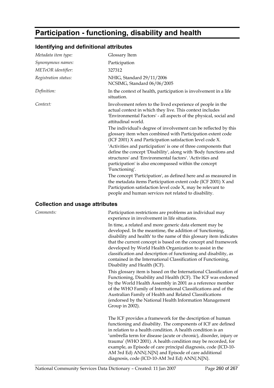# **Participation - functioning, disability and health**

## **Identifying and definitional attributes**

| Metadata item type:  | Glossary Item                                                                                                                                                                                                                                                            |
|----------------------|--------------------------------------------------------------------------------------------------------------------------------------------------------------------------------------------------------------------------------------------------------------------------|
| Synonymous names:    | Participation                                                                                                                                                                                                                                                            |
| METeOR identifier:   | 327312                                                                                                                                                                                                                                                                   |
| Registration status: | NHIG, Standard 29/11/2006<br>NCSIMG, Standard 06/06/2005                                                                                                                                                                                                                 |
| Definition:          | In the context of health, participation is involvement in a life<br>situation.                                                                                                                                                                                           |
| Context:             | Involvement refers to the lived experience of people in the<br>actual context in which they live. This context includes<br>'Environmental Factors' - all aspects of the physical, social and<br>attitudinal world.                                                       |
|                      | The individual's degree of involvement can be reflected by this<br>glossary item when combined with Participation extent code<br>(ICF 2001) X and Participation satisfaction level code X.                                                                               |
|                      | 'Activities and participation' is one of three components that<br>define the concept 'Disability', along with 'Body functions and<br>structures' and 'Environmental factors'. 'Activities and<br>participation' is also encompassed within the concept<br>'Functioning'. |
|                      | The concept 'Participation', as defined here and as measured in<br>the metadata items Participation extent code (ICF 2001) X and<br>Participation satisfaction level code X, may be relevant to<br>people and human services not related to disability.                  |

#### **Collection and usage attributes**

*Comments:* Participation restrictions are problems an individual may experience in involvement in life situations.

> In time, a related and more generic data element may be developed. In the meantime, the addition of 'functioning, disability and health' to the name of this glossary item indicates that the current concept is based on the concept and framework developed by World Health Organization to assist in the classification and description of functioning and disability, as contained in the International Classification of Functioning, Disability and Health (ICF).

> This glossary item is based on the International Classification of Functioning, Disability and Health (ICF). The ICF was endorsed by the World Health Assembly in 2001 as a reference member of the WHO Family of International Classifications and of the Australian Family of Health and Related Classifications (endorsed by the National Health Information Management Group in 2002).

> The ICF provides a framework for the description of human functioning and disability. The components of ICF are defined in relation to a health condition. A health condition is an 'umbrella term for disease (acute or chronic), disorder, injury or trauma' (WHO 2001). A health condition may be recorded, for example, as Episode of care principal diagnosis, code (ICD-10- AM 3rd Ed) ANN{.N[N} and Episode of care additional diagnosis, code (ICD-10-AM 3rd Ed) ANN{.N[N}.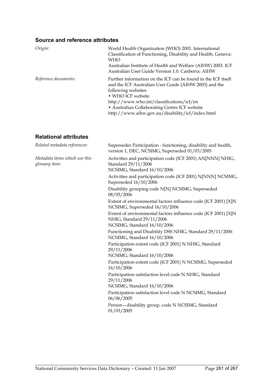## **Source and reference attributes**

| Origin:              | World Health Organization (WHO) 2001. International<br>Classification of Functioning, Disability and Health. Geneva:<br><b>WHO</b><br>Australian Institute of Health and Welfare (AIHW) 2003. ICF<br>Australian User Guide Version 1.0. Canberra: AIHW                                                              |
|----------------------|---------------------------------------------------------------------------------------------------------------------------------------------------------------------------------------------------------------------------------------------------------------------------------------------------------------------|
| Reference documents: | Further information on the ICF can be found in the ICF itself<br>and the ICF Australian User Guide (AIHW 2003) and the<br>following websites<br>• WHO ICF website<br>http://www.who.int/classifications/icf/en<br>• Australian Collaborating Centre ICF website<br>http://www.aihw.gov.au/disability/icf/index.html |

| Related metadata references:                    | Supersedes Participation - functioning, disability and health,<br>version 1, DEC, NCSIMG, Superseded 01/03/2005            |
|-------------------------------------------------|----------------------------------------------------------------------------------------------------------------------------|
| Metadata items which use this<br>glossary item: | Activities and participation code (ICF 2001) AN[NNN] NHIG,<br>Standard 29/11/2006<br>NCSIMG, Standard 16/10/2006           |
|                                                 | Activities and participation code (ICF 2001) N[NNN] NCSIMG,<br>Superseded 16/10/2006                                       |
|                                                 | Disability grouping code N[N] NCSIMG, Superseded<br>08/05/2006                                                             |
|                                                 | Extent of environmental factors influence code (ICF 2001) [X]N<br>NCSIMG, Superseded 16/10/2006                            |
|                                                 | Extent of environmental factors influence code (ICF 2001) [X]N<br>NHIG, Standard 29/11/2006<br>NCSIMG, Standard 16/10/2006 |
|                                                 | Functioning and Disability DSS NHIG, Standard 29/11/2006<br>NCSIMG, Standard 16/10/2006                                    |
|                                                 | Participation extent code (ICF 2001) N NHIG, Standard<br>29/11/2006                                                        |
|                                                 | NCSIMG, Standard 16/10/2006                                                                                                |
|                                                 | Participation extent code (ICF 2001) N NCSIMG, Superseded<br>16/10/2006                                                    |
|                                                 | Participation satisfaction level code N NHIG, Standard<br>29/11/2006                                                       |
|                                                 | NCSIMG, Standard 16/10/2006                                                                                                |
|                                                 | Participation satisfaction level code N NCSIMG, Standard<br>06/06/2005                                                     |
|                                                 | Person-disability group, code N NCSIMG, Standard<br>01/03/2005                                                             |
|                                                 |                                                                                                                            |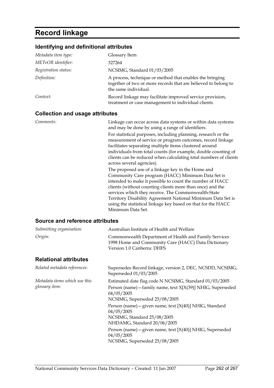# **Record linkage**

## **Identifying and definitional attributes**

| Metadata item type:                    | Glossary Item                                                                                                                                                                                                                                                                                                                                                                                                                                                                |
|----------------------------------------|------------------------------------------------------------------------------------------------------------------------------------------------------------------------------------------------------------------------------------------------------------------------------------------------------------------------------------------------------------------------------------------------------------------------------------------------------------------------------|
| METeOR identifier:                     | 327264                                                                                                                                                                                                                                                                                                                                                                                                                                                                       |
| Registration status:                   | NCSIMG, Standard 01/03/2005                                                                                                                                                                                                                                                                                                                                                                                                                                                  |
| Definition:                            | A process, technique or method that enables the bringing<br>together of two or more records that are believed to belong to<br>the same individual.                                                                                                                                                                                                                                                                                                                           |
| Context:                               | Record linkage may facilitate improved service provision,<br>treatment or case management to individual clients.                                                                                                                                                                                                                                                                                                                                                             |
| <b>Collection and usage attributes</b> |                                                                                                                                                                                                                                                                                                                                                                                                                                                                              |
| Comments:                              | Linkage can occur across data systems or within data systems<br>and may be done by using a range of identifiers.<br>For statistical purposes, including planning, research or the<br>measurement of service or program outcomes, record linkage<br>facilitates separating multiple items clustered around<br>individuals from total counts (for example, double counting of<br>clients can be reduced when calculating total numbers of clients<br>across several agencies). |
|                                        | The proposed use of a linkage key in the Home and<br>Community Care program (HACC) Minimum Data Set is<br>intended to make it possible to count the number of HACC<br>clients (without counting clients more than once) and the<br>services which they receive. The Commonwealth-State<br>Territory Disability Agreement National Minimum Data Set is<br>using the statistical linkage key based on that for the HACC                                                        |

### **Source and reference attributes**

| Submitting organisation:      | Australian Institute of Health and Welfare                                                                                                 |
|-------------------------------|--------------------------------------------------------------------------------------------------------------------------------------------|
| Origin:                       | Commonwealth Department of Health and Family Services<br>1998 Home and Community Care (HACC) Data Dictionary<br>Version 1.0 Canberra: DHFS |
| <b>Relational attributes</b>  |                                                                                                                                            |
| Related metadata references:  | Supersedes Record linkage, version 2, DEC, NCSDD, NCSIMG,<br>Superseded 01/03/2005                                                         |
| Metadata items which use this | Estimated date flag code N NCSIMG, Standard 01/03/2005                                                                                     |
| glossary item:                | Person (name) - family name, text X[X(39)] NHIG, Superseded<br>04/05/2005                                                                  |
|                               | NCSIMG, Superseded 25/08/2005                                                                                                              |
|                               | Person (name) – given name, text $[X(40)]$ NHIG, Standard<br>04/05/2005                                                                    |
|                               | NCSIMG, Standard 25/08/2005<br>NHDAMG, Standard 20/06/2005                                                                                 |
|                               | Person (name) – given name, text $[X(40)]$ NHIG, Superseded<br>04/05/2005                                                                  |
|                               | NCSIMG, Superseded 25/08/2005                                                                                                              |

Minimum Data Set.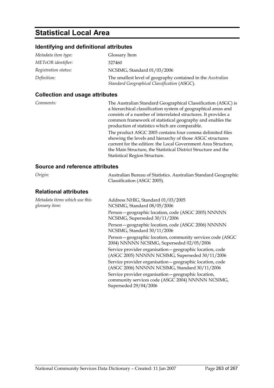## **Statistical Local Area**

## **Identifying and definitional attributes**

| Metadata item type:  | Glossary Item                                                                                               |
|----------------------|-------------------------------------------------------------------------------------------------------------|
| METeOR identifier:   | 327460                                                                                                      |
| Registration status: | NCSIMG, Standard 01/03/2006                                                                                 |
| Definition:          | The smallest level of geography contained in the Australian<br>Standard Geographical Classification (ASGC). |

### **Collection and usage attributes**

*Comments:* The Australian Standard Geographical Classification (ASGC) is a hierarchical classification system of geographical areas and consists of a number of interrelated structures. It provides a common framework of statistical geography and enables the production of statistics which are comparable. The product ASGC 2005 contains four comma delimited files showing the levels and hierarchy of those ASGC structures

current for the edition: the Local Government Area Structure, the Main Structure, the Statistical District Structure and the Statistical Region Structure.

### **Source and reference attributes**

| Origin: | Australian Bureau of Statistics. Australian Standard Geographic |
|---------|-----------------------------------------------------------------|
|         | Classification (ASGC 2005).                                     |
|         |                                                                 |

| Metadata items which use this<br>glossary item: | Address NHIG, Standard 01/03/2005<br>NCSIMG, Standard 08/05/2006                                                                   |
|-------------------------------------------------|------------------------------------------------------------------------------------------------------------------------------------|
|                                                 | Person-geographic location, code (ASGC 2005) NNNNN<br>NCSIMG, Superseded 30/11/2006                                                |
|                                                 | Person-geographic location, code (ASGC 2006) NNNNN<br>NCSIMG, Standard 30/11/2006                                                  |
|                                                 | Person - geographic location, community services code (ASGC)<br>2004) NNNNN NCSIMG, Superseded 02/05/2006                          |
|                                                 | Service provider organisation - geographic location, code<br>(ASGC 2005) NNNNN NCSIMG, Superseded 30/11/2006                       |
|                                                 | Service provider organisation - geographic location, code<br>(ASGC 2006) NNNNN NCSIMG, Standard 30/11/2006                         |
|                                                 | Service provider organisation - geographic location,<br>community services code (ASGC 2004) NNNNN NCSIMG,<br>Superseded 29/04/2006 |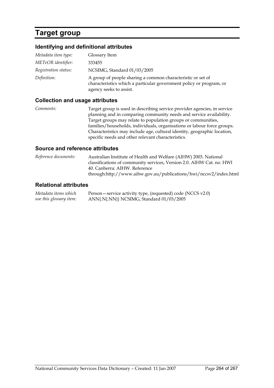# **Target group**

## **Identifying and definitional attributes**

| Metadata item type:  | Glossary Item                                                                                                                                                 |
|----------------------|---------------------------------------------------------------------------------------------------------------------------------------------------------------|
| METeOR identifier:   | 333455                                                                                                                                                        |
| Registration status: | NCSIMG, Standard 01/03/2005                                                                                                                                   |
| Definition:          | A group of people sharing a common characteristic or set of<br>characteristics which a particular government policy or program, or<br>agency seeks to assist. |

### **Collection and usage attributes**

*Comments:* Target group is used in describing service provider agencies, in service planning and in comparing community needs and service availability. Target groups may relate to population groups or communities, families/households, individuals, organisations or labour force groups. Characteristics may include age, cultural identity, geographic location, specific needs and other relevant characteristics.

### **Source and reference attributes**

*Reference documents:* Australian Institute of Health and Welfare (AIHW) 2003. National classifications of community services, Version 2.0. AIHW Cat. no. HWI 40. Canberra: AIHW. Reference through:http://www.aihw.gov.au/publications/hwi/nccsv2/index.html

### **Relational attributes**

*Metadata items which use this glossary item:* Person—service activity type, (requested) code (NCCS v2.0) ANN{.N{.NN}} NCSIMG, Standard 01/03/2005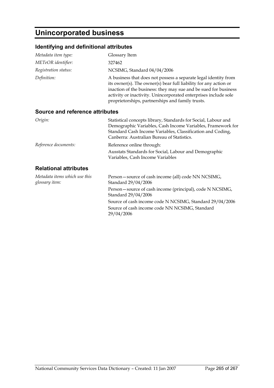# **Unincorporated business**

## **Identifying and definitional attributes**

| Metadata item type:                             | Glossary Item                                                                                                                                                                                                                                                                                                                 |
|-------------------------------------------------|-------------------------------------------------------------------------------------------------------------------------------------------------------------------------------------------------------------------------------------------------------------------------------------------------------------------------------|
| METeOR identifier:                              | 327462                                                                                                                                                                                                                                                                                                                        |
| Registration status:                            | NCSIMG, Standard 04/04/2006                                                                                                                                                                                                                                                                                                   |
| Definition:                                     | A business that does not possess a separate legal identity from<br>its owner(s). The owner(s) bear full liability for any action or<br>inaction of the business: they may sue and be sued for business<br>activity or inactivity. Unincorporated enterprises include sole<br>proprietorships, partnerships and family trusts. |
| Source and reference attributes                 |                                                                                                                                                                                                                                                                                                                               |
| Origin:                                         | Statistical concepts library, Standards for Social, Labour and<br>Demographic Variables, Cash Income Variables, Framework for<br>Standard Cash Income Variables, Classification and Coding,<br>Canberra: Australian Bureau of Statistics.                                                                                     |
| Reference documents:                            | Reference online through:                                                                                                                                                                                                                                                                                                     |
|                                                 | Ausstats Standards for Social, Labour and Demographic<br>Variables, Cash Income Variables                                                                                                                                                                                                                                     |
| <b>Relational attributes</b>                    |                                                                                                                                                                                                                                                                                                                               |
| Metadata items which use this<br>glossary item: | Person-source of cash income (all) code NN NCSIMG,<br>Standard 29/04/2006                                                                                                                                                                                                                                                     |
|                                                 | Person-source of cash income (principal), code N NCSIMG,<br>Standard 29/04/2006                                                                                                                                                                                                                                               |
|                                                 | Source of cash income code N NCSIMG, Standard 29/04/2006                                                                                                                                                                                                                                                                      |
|                                                 | Source of cash income code NN NCSIMG, Standard                                                                                                                                                                                                                                                                                |

29/04/2006